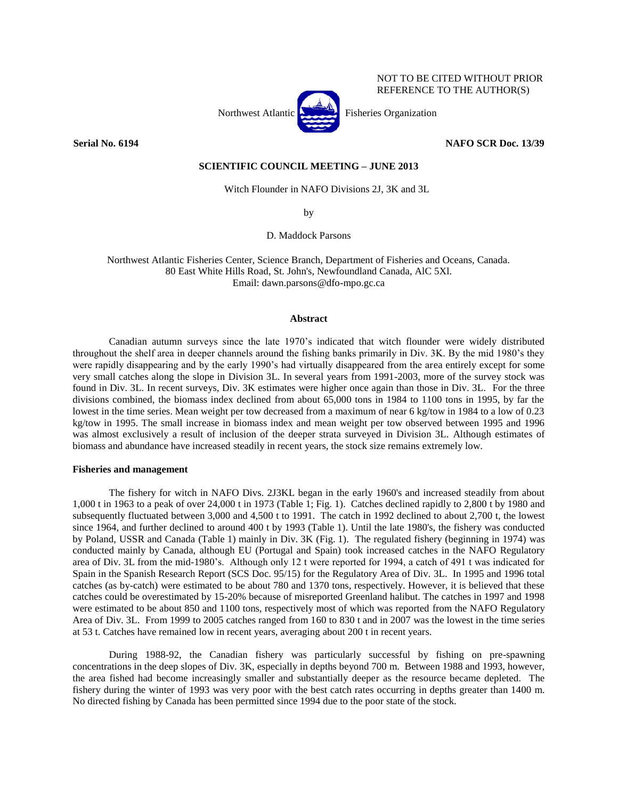

NOT TO BE CITED WITHOUT PRIOR REFERENCE TO THE AUTHOR(S)

**Serial No. 6194 NAFO SCR Doc. 13/39**

# **SCIENTIFIC COUNCIL MEETING – JUNE 2013**

Witch Flounder in NAFO Divisions 2J, 3K and 3L

by

D. Maddock Parsons

Northwest Atlantic Fisheries Center, Science Branch, Department of Fisheries and Oceans, Canada. 80 East White Hills Road, St. John's, Newfoundland Canada, AlC 5Xl. Email: dawn.parsons@dfo-mpo.gc.ca

### **Abstract**

Canadian autumn surveys since the late 1970's indicated that witch flounder were widely distributed throughout the shelf area in deeper channels around the fishing banks primarily in Div. 3K. By the mid 1980's they were rapidly disappearing and by the early 1990's had virtually disappeared from the area entirely except for some very small catches along the slope in Division 3L. In several years from 1991-2003, more of the survey stock was found in Div. 3L. In recent surveys, Div. 3K estimates were higher once again than those in Div. 3L. For the three divisions combined, the biomass index declined from about 65,000 tons in 1984 to 1100 tons in 1995, by far the lowest in the time series. Mean weight per tow decreased from a maximum of near 6 kg/tow in 1984 to a low of 0.23 kg/tow in 1995. The small increase in biomass index and mean weight per tow observed between 1995 and 1996 was almost exclusively a result of inclusion of the deeper strata surveyed in Division 3L. Although estimates of biomass and abundance have increased steadily in recent years, the stock size remains extremely low.

# **Fisheries and management**

The fishery for witch in NAFO Divs. 2J3KL began in the early 1960's and increased steadily from about 1,000 t in 1963 to a peak of over 24,000 t in 1973 (Table 1; Fig. 1). Catches declined rapidly to 2,800 t by 1980 and subsequently fluctuated between 3,000 and 4,500 t to 1991. The catch in 1992 declined to about 2,700 t, the lowest since 1964, and further declined to around 400 t by 1993 (Table 1). Until the late 1980's, the fishery was conducted by Poland, USSR and Canada (Table 1) mainly in Div. 3K (Fig. 1). The regulated fishery (beginning in 1974) was conducted mainly by Canada, although EU (Portugal and Spain) took increased catches in the NAFO Regulatory area of Div. 3L from the mid-1980's. Although only 12 t were reported for 1994, a catch of 491 t was indicated for Spain in the Spanish Research Report (SCS Doc. 95/15) for the Regulatory Area of Div. 3L. In 1995 and 1996 total catches (as by-catch) were estimated to be about 780 and 1370 tons, respectively. However, it is believed that these catches could be overestimated by 15-20% because of misreported Greenland halibut. The catches in 1997 and 1998 were estimated to be about 850 and 1100 tons, respectively most of which was reported from the NAFO Regulatory Area of Div. 3L. From 1999 to 2005 catches ranged from 160 to 830 t and in 2007 was the lowest in the time series at 53 t. Catches have remained low in recent years, averaging about 200 t in recent years.

During 1988-92, the Canadian fishery was particularly successful by fishing on pre-spawning concentrations in the deep slopes of Div. 3K, especially in depths beyond 700 m. Between 1988 and 1993, however, the area fished had become increasingly smaller and substantially deeper as the resource became depleted. The fishery during the winter of 1993 was very poor with the best catch rates occurring in depths greater than 1400 m. No directed fishing by Canada has been permitted since 1994 due to the poor state of the stock.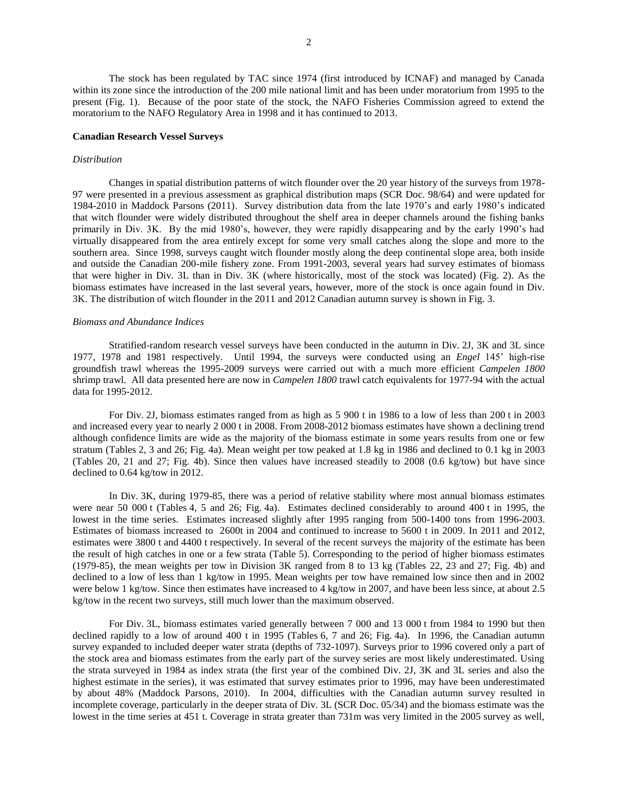The stock has been regulated by TAC since 1974 (first introduced by ICNAF) and managed by Canada within its zone since the introduction of the 200 mile national limit and has been under moratorium from 1995 to the present (Fig. 1). Because of the poor state of the stock, the NAFO Fisheries Commission agreed to extend the moratorium to the NAFO Regulatory Area in 1998 and it has continued to 2013.

### **Canadian Research Vessel Surveys**

### *Distribution*

Changes in spatial distribution patterns of witch flounder over the 20 year history of the surveys from 1978- 97 were presented in a previous assessment as graphical distribution maps (SCR Doc. 98/64) and were updated for 1984-2010 in Maddock Parsons (2011). Survey distribution data from the late 1970's and early 1980's indicated that witch flounder were widely distributed throughout the shelf area in deeper channels around the fishing banks primarily in Div. 3K. By the mid 1980's, however, they were rapidly disappearing and by the early 1990's had virtually disappeared from the area entirely except for some very small catches along the slope and more to the southern area. Since 1998, surveys caught witch flounder mostly along the deep continental slope area, both inside and outside the Canadian 200-mile fishery zone. From 1991-2003, several years had survey estimates of biomass that were higher in Div. 3L than in Div. 3K (where historically, most of the stock was located) (Fig. 2). As the biomass estimates have increased in the last several years, however, more of the stock is once again found in Div. 3K. The distribution of witch flounder in the 2011 and 2012 Canadian autumn survey is shown in Fig. 3.

### *Biomass and Abundance Indices*

Stratified-random research vessel surveys have been conducted in the autumn in Div. 2J, 3K and 3L since 1977, 1978 and 1981 respectively. Until 1994, the surveys were conducted using an *Engel* 145' high-rise groundfish trawl whereas the 1995-2009 surveys were carried out with a much more efficient *Campelen 1800* shrimp trawl. All data presented here are now in *Campelen 1800* trawl catch equivalents for 1977-94 with the actual data for 1995-2012.

For Div. 2J, biomass estimates ranged from as high as 5 900 t in 1986 to a low of less than 200 t in 2003 and increased every year to nearly 2 000 t in 2008. From 2008-2012 biomass estimates have shown a declining trend although confidence limits are wide as the majority of the biomass estimate in some years results from one or few stratum (Tables 2, 3 and 26; Fig. 4a). Mean weight per tow peaked at 1.8 kg in 1986 and declined to 0.1 kg in 2003 (Tables 20, 21 and 27; Fig. 4b). Since then values have increased steadily to 2008 (0.6 kg/tow) but have since declined to 0.64 kg/tow in 2012.

In Div. 3K, during 1979-85, there was a period of relative stability where most annual biomass estimates were near 50 000 t (Tables 4, 5 and 26; Fig. 4a). Estimates declined considerably to around 400 t in 1995, the lowest in the time series. Estimates increased slightly after 1995 ranging from 500-1400 tons from 1996-2003. Estimates of biomass increased to 2600t in 2004 and continued to increase to 5600 t in 2009. In 2011 and 2012, estimates were 3800 t and 4400 t respectively. In several of the recent surveys the majority of the estimate has been the result of high catches in one or a few strata (Table 5). Corresponding to the period of higher biomass estimates (1979-85), the mean weights per tow in Division 3K ranged from 8 to 13 kg (Tables 22, 23 and 27; Fig. 4b) and declined to a low of less than 1 kg/tow in 1995. Mean weights per tow have remained low since then and in 2002 were below 1 kg/tow. Since then estimates have increased to 4 kg/tow in 2007, and have been less since, at about 2.5 kg/tow in the recent two surveys, still much lower than the maximum observed.

For Div. 3L, biomass estimates varied generally between 7 000 and 13 000 t from 1984 to 1990 but then declined rapidly to a low of around 400 t in 1995 (Tables 6, 7 and 26; Fig. 4a). In 1996, the Canadian autumn survey expanded to included deeper water strata (depths of 732-1097). Surveys prior to 1996 covered only a part of the stock area and biomass estimates from the early part of the survey series are most likely underestimated. Using the strata surveyed in 1984 as index strata (the first year of the combined Div. 2J, 3K and 3L series and also the highest estimate in the series), it was estimated that survey estimates prior to 1996, may have been underestimated by about 48% (Maddock Parsons, 2010). In 2004, difficulties with the Canadian autumn survey resulted in incomplete coverage, particularly in the deeper strata of Div. 3L (SCR Doc. 05/34) and the biomass estimate was the lowest in the time series at 451 t. Coverage in strata greater than 731m was very limited in the 2005 survey as well,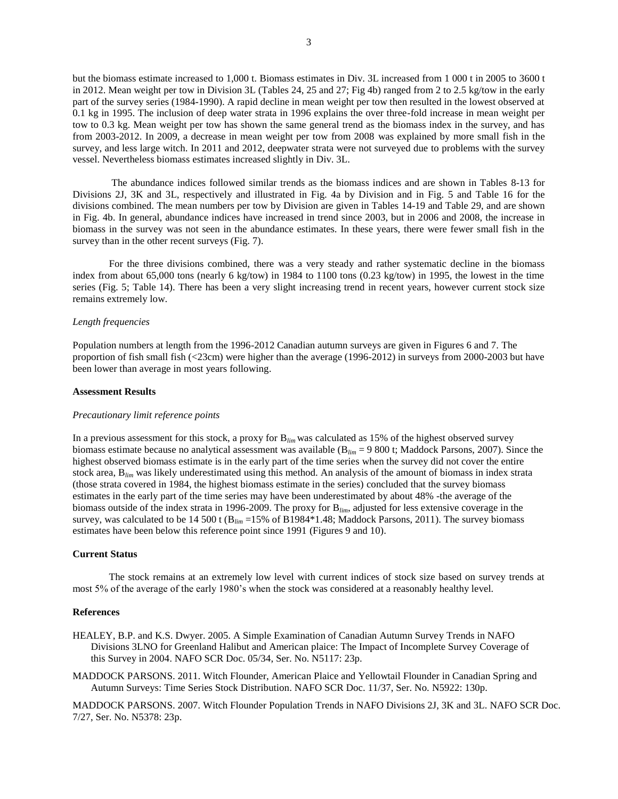but the biomass estimate increased to 1,000 t. Biomass estimates in Div. 3L increased from 1 000 t in 2005 to 3600 t in 2012. Mean weight per tow in Division 3L (Tables 24, 25 and 27; Fig 4b) ranged from 2 to 2.5 kg/tow in the early part of the survey series (1984-1990). A rapid decline in mean weight per tow then resulted in the lowest observed at 0.1 kg in 1995. The inclusion of deep water strata in 1996 explains the over three-fold increase in mean weight per tow to 0.3 kg. Mean weight per tow has shown the same general trend as the biomass index in the survey, and has from 2003-2012. In 2009, a decrease in mean weight per tow from 2008 was explained by more small fish in the survey, and less large witch. In 2011 and 2012, deepwater strata were not surveyed due to problems with the survey vessel. Nevertheless biomass estimates increased slightly in Div. 3L.

The abundance indices followed similar trends as the biomass indices and are shown in Tables 8-13 for Divisions 2J, 3K and 3L, respectively and illustrated in Fig. 4a by Division and in Fig. 5 and Table 16 for the divisions combined. The mean numbers per tow by Division are given in Tables 14-19 and Table 29, and are shown in Fig. 4b. In general, abundance indices have increased in trend since 2003, but in 2006 and 2008, the increase in biomass in the survey was not seen in the abundance estimates. In these years, there were fewer small fish in the survey than in the other recent surveys (Fig. 7).

For the three divisions combined, there was a very steady and rather systematic decline in the biomass index from about 65,000 tons (nearly 6 kg/tow) in 1984 to 1100 tons (0.23 kg/tow) in 1995, the lowest in the time series (Fig. 5; Table 14). There has been a very slight increasing trend in recent years, however current stock size remains extremely low.

### *Length frequencies*

Population numbers at length from the 1996-2012 Canadian autumn surveys are given in Figures 6 and 7. The proportion of fish small fish (<23cm) were higher than the average (1996-2012) in surveys from 2000-2003 but have been lower than average in most years following.

### **Assessment Results**

### *Precautionary limit reference points*

In a previous assessment for this stock, a proxy for B*lim* was calculated as 15% of the highest observed survey biomass estimate because no analytical assessment was available (B*lim* = 9 800 t; Maddock Parsons, 2007). Since the highest observed biomass estimate is in the early part of the time series when the survey did not cover the entire stock area, B*lim* was likely underestimated using this method. An analysis of the amount of biomass in index strata (those strata covered in 1984, the highest biomass estimate in the series) concluded that the survey biomass estimates in the early part of the time series may have been underestimated by about 48% -the average of the biomass outside of the index strata in 1996-2009. The proxy for B*lim*, adjusted for less extensive coverage in the survey, was calculated to be 14 500 t (B<sub>lim</sub> =15% of B1984\*1.48; Maddock Parsons, 2011). The survey biomass estimates have been below this reference point since 1991 (Figures 9 and 10).

# **Current Status**

The stock remains at an extremely low level with current indices of stock size based on survey trends at most 5% of the average of the early 1980's when the stock was considered at a reasonably healthy level.

#### **References**

- HEALEY, B.P. and K.S. Dwyer. 2005. A Simple Examination of Canadian Autumn Survey Trends in NAFO Divisions 3LNO for Greenland Halibut and American plaice: The Impact of Incomplete Survey Coverage of this Survey in 2004. NAFO SCR Doc. 05/34, Ser. No. N5117: 23p.
- MADDOCK PARSONS. 2011. Witch Flounder, American Plaice and Yellowtail Flounder in Canadian Spring and Autumn Surveys: Time Series Stock Distribution. NAFO SCR Doc. 11/37, Ser. No. N5922: 130p.

MADDOCK PARSONS. 2007. Witch Flounder Population Trends in NAFO Divisions 2J, 3K and 3L. NAFO SCR Doc. 7/27, Ser. No. N5378: 23p.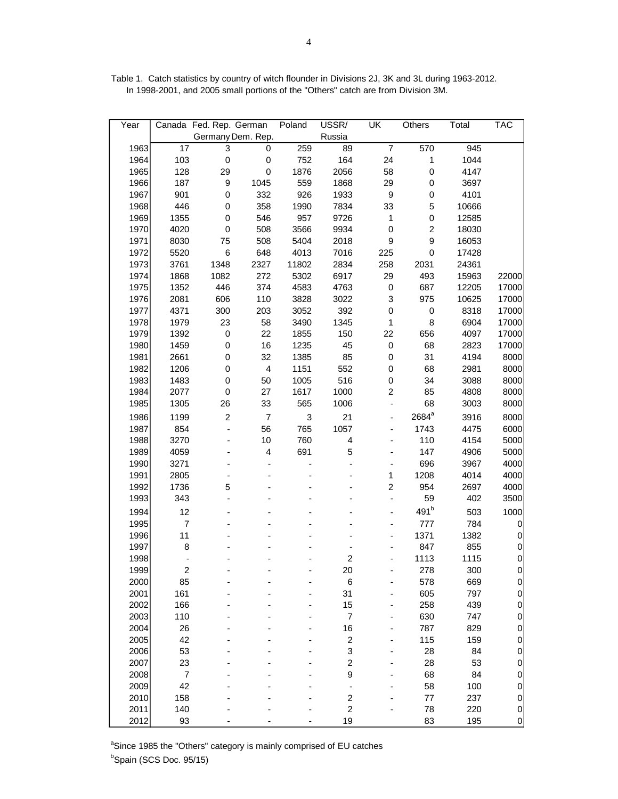| Year |                          | Canada Fed. Rep. German |                         | Poland                    | USSR/                        | UK                        | Others                  | Total | <b>TAC</b>  |
|------|--------------------------|-------------------------|-------------------------|---------------------------|------------------------------|---------------------------|-------------------------|-------|-------------|
|      |                          |                         | Germany Dem. Rep.       |                           | Russia                       |                           |                         |       |             |
| 1963 | $\overline{17}$          | 3                       | $\overline{0}$          | 259                       | 89                           | $\overline{7}$            | 570                     | 945   |             |
| 1964 | 103                      | $\mathbf 0$             | $\pmb{0}$               | 752                       | 164                          | 24                        | $\mathbf{1}$            | 1044  |             |
| 1965 | 128                      | 29                      | $\pmb{0}$               | 1876                      | 2056                         | 58                        | $\mathbf 0$             | 4147  |             |
| 1966 | 187                      | $\boldsymbol{9}$        | 1045                    | 559                       | 1868                         | 29                        | $\mathbf 0$             | 3697  |             |
| 1967 | 901                      | $\mathbf 0$             | 332                     | 926                       | 1933                         | $\boldsymbol{9}$          | $\mathsf 0$             | 4101  |             |
| 1968 | 446                      | 0                       | 358                     | 1990                      | 7834                         | 33                        | 5                       | 10666 |             |
| 1969 | 1355                     | 0                       | 546                     | 957                       | 9726                         | 1                         | $\mathbf 0$             | 12585 |             |
| 1970 | 4020                     | 0                       | 508                     | 3566                      | 9934                         | $\pmb{0}$                 | $\overline{\mathbf{c}}$ | 18030 |             |
| 1971 | 8030                     | 75                      | 508                     | 5404                      | 2018                         | $\boldsymbol{9}$          | 9                       | 16053 |             |
| 1972 | 5520                     | $\,6$                   | 648                     | 4013                      | 7016                         | 225                       | $\mathsf 0$             | 17428 |             |
| 1973 | 3761                     | 1348                    | 2327                    | 11802                     | 2834                         | 258                       | 2031                    | 24361 |             |
| 1974 | 1868                     | 1082                    | 272                     | 5302                      | 6917                         | 29                        | 493                     | 15963 | 22000       |
| 1975 | 1352                     | 446                     | 374                     | 4583                      | 4763                         | $\pmb{0}$                 | 687                     | 12205 | 17000       |
| 1976 | 2081                     | 606                     | 110                     | 3828                      | 3022                         | $\ensuremath{\mathsf{3}}$ | 975                     | 10625 | 17000       |
| 1977 | 4371                     | 300                     | 203                     | 3052                      | 392                          | $\mathbf 0$               | $\mathbf 0$             | 8318  | 17000       |
| 1978 | 1979                     | 23                      | 58                      | 3490                      | 1345                         | $\mathbf 1$               | 8                       | 6904  | 17000       |
| 1979 | 1392                     | $\mathbf 0$             | 22                      | 1855                      | 150                          | 22                        | 656                     | 4097  | 17000       |
| 1980 | 1459                     | $\pmb{0}$               | 16                      | 1235                      | 45                           | $\pmb{0}$                 | 68                      | 2823  | 17000       |
| 1981 | 2661                     | 0                       | 32                      | 1385                      | 85                           | $\pmb{0}$                 | 31                      | 4194  | 8000        |
| 1982 | 1206                     | 0                       | $\overline{\mathbf{4}}$ | 1151                      | 552                          | $\mathbf 0$               | 68                      | 2981  | 8000        |
| 1983 | 1483                     | $\mathbf 0$             | 50                      | 1005                      | 516                          | $\mathbf 0$               | 34                      | 3088  | 8000        |
| 1984 | 2077                     | $\mathbf 0$             | 27                      | 1617                      | 1000                         | $\overline{\mathbf{c}}$   | 85                      | 4808  | 8000        |
| 1985 | 1305                     | 26                      | 33                      | 565                       | 1006                         | ÷                         | 68                      | 3003  | 8000        |
| 1986 | 1199                     | $\boldsymbol{2}$        | $\boldsymbol{7}$        | $\ensuremath{\mathsf{3}}$ | 21                           | $\frac{1}{2}$             | 2684 <sup>a</sup>       | 3916  | 8000        |
| 1987 | 854                      | $\blacksquare$          | 56                      | 765                       | 1057                         | -                         | 1743                    | 4475  | 6000        |
| 1988 | 3270                     |                         | 10                      | 760                       | 4                            |                           | 110                     | 4154  | 5000        |
| 1989 | 4059                     |                         | 4                       | 691                       | 5                            |                           | 147                     | 4906  | 5000        |
| 1990 | 3271                     |                         |                         |                           | ÷                            |                           | 696                     | 3967  | 4000        |
| 1991 | 2805                     | ٠                       |                         |                           |                              | 1                         | 1208                    | 4014  | 4000        |
| 1992 | 1736                     | 5                       |                         |                           |                              | $\overline{c}$            | 954                     | 2697  | 4000        |
| 1993 | 343                      | ٠                       |                         |                           |                              | $\overline{\phantom{0}}$  | 59                      | 402   | 3500        |
| 1994 | 12                       |                         |                         |                           |                              | -                         | 491 <sup>b</sup>        | 503   | 1000        |
| 1995 | $\overline{7}$           |                         |                         |                           |                              |                           | 777                     | 784   | 0           |
| 1996 | 11                       |                         |                         |                           |                              |                           | 1371                    | 1382  | 0           |
| 1997 | 8                        |                         |                         |                           | ٠                            |                           | 847                     | 855   | 0           |
| 1998 | $\overline{\phantom{a}}$ |                         |                         |                           | $\overline{c}$               |                           | 1113                    | 1115  | $\mathbf 0$ |
| 1999 | 2                        |                         |                         |                           | 20                           |                           | 278                     | 300   | $\mathbf 0$ |
| 2000 | 85                       |                         |                         |                           | 6                            |                           | 578                     | 669   | 0           |
| 2001 | 161                      |                         |                         |                           | 31                           |                           | 605                     | 797   | 0           |
| 2002 | 166                      |                         |                         |                           | 15                           |                           | 258                     | 439   | 0           |
| 2003 | 110                      |                         |                         |                           | $\boldsymbol{7}$             |                           | 630                     | 747   | 0           |
| 2004 | 26                       |                         |                         |                           | 16                           |                           | 787                     | 829   | 0           |
| 2005 | 42                       |                         |                         |                           | $\overline{\mathbf{c}}$      |                           | 115                     | 159   | 0           |
| 2006 | 53                       |                         |                         |                           | 3                            |                           | 28                      | 84    | 0           |
| 2007 | 23                       |                         |                         |                           | $\overline{\mathbf{c}}$      |                           | 28                      | 53    | 0           |
| 2008 | $\boldsymbol{7}$         |                         |                         |                           | 9                            |                           | 68                      | 84    | 0           |
| 2009 | 42                       |                         |                         |                           | $\qquad \qquad \blacksquare$ |                           | 58                      | 100   | 0           |
| 2010 | 158                      |                         |                         |                           | $\overline{\mathbf{c}}$      |                           | $77 \,$                 | 237   | 0           |
| 2011 | 140                      |                         |                         |                           | $\overline{c}$               |                           | 78                      | 220   | 0           |
| 2012 | 93                       |                         |                         |                           | 19                           |                           | 83                      | 195   | 0           |

Table 1. Catch statistics by country of witch flounder in Divisions 2J, 3K and 3L during 1963-2012. In 1998-2001, and 2005 small portions of the "Others" catch are from Division 3M.

<sup>a</sup>Since 1985 the "Others" category is mainly comprised of EU catches <sup>b</sup>Spain (SCS Doc. 95/15)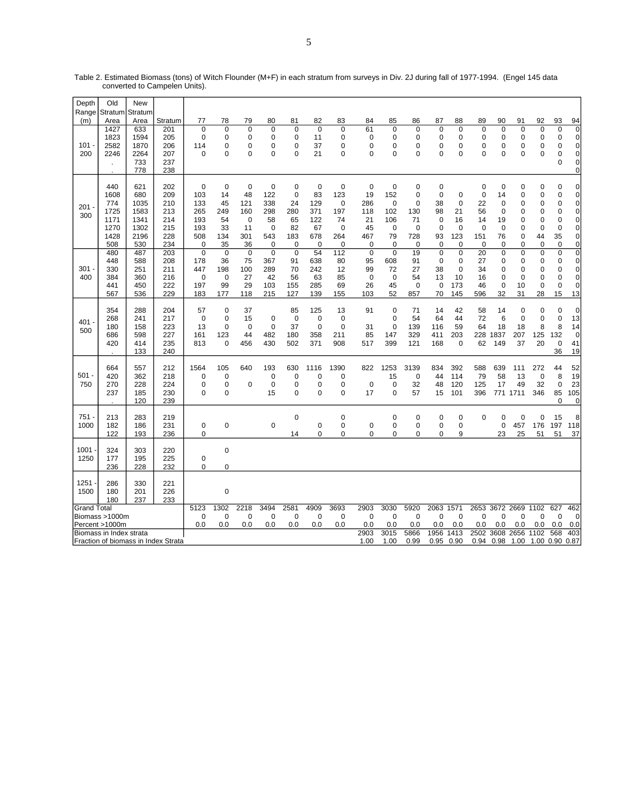| Depth              | Old                     | <b>New</b>      |                                     |                |                  |                |             |                |             |                    |                   |                            |                    |             |                   |             |                            |                |             |                |                            |
|--------------------|-------------------------|-----------------|-------------------------------------|----------------|------------------|----------------|-------------|----------------|-------------|--------------------|-------------------|----------------------------|--------------------|-------------|-------------------|-------------|----------------------------|----------------|-------------|----------------|----------------------------|
| Range<br>(m)       | Stratum<br>Area         | Stratum<br>Area | Stratum                             | 77             | 78               | 79             | 80          | 81             | 82          | 83                 | 84                | 85                         | 86                 | 87          | 88                | 89          | 90                         | 91             | 92          | 93             | 94                         |
|                    | 1427                    | 633             | 201                                 | 0              | $\mathbf 0$      | $\mathbf 0$    | 0           | $\mathbf 0$    | $\mathbf 0$ | $\mathbf 0$        | 61                | $\mathbf 0$                | $\mathbf 0$        | 0           | 0                 | $\mathbf 0$ | 0                          | $\mathbf 0$    | $\mathbf 0$ | 0              | 0                          |
|                    | 1823                    | 1594            | 205                                 | 0              | 0                | 0              | 0           | 0              | 11          | 0                  | 0                 | 0                          | 0                  | 0           | 0                 | 0           | 0                          | 0              | 0           | 0              | 0                          |
| 101                | 2582                    | 1870            | 206                                 | 114            | 0                | 0              | 0           | 0              | 37          | $\mathbf 0$        | 0                 | $\mathbf 0$                | 0                  | 0           | 0                 | 0           | 0                          | 0              | 0           | $\Omega$       | $\pmb{0}$                  |
| 200                | 2246                    | 2264            | 207                                 | $\Omega$       | $\Omega$         | $\Omega$       | $\Omega$    | $\Omega$       | 21          | $\Omega$           | $\Omega$          | $\Omega$                   | $\Omega$           | 0           | $\Omega$          | $\Omega$    | $\Omega$                   | $\Omega$       | $\Omega$    | $\Omega$       | $\mathbf 0$                |
|                    |                         | 733             | 237                                 |                |                  |                |             |                |             |                    |                   |                            |                    |             |                   |             |                            |                |             | $\Omega$       | 0                          |
|                    |                         | 778             | 238                                 |                |                  |                |             |                |             |                    |                   |                            |                    |             |                   |             |                            |                |             |                | 0                          |
|                    |                         |                 |                                     |                |                  |                |             |                |             |                    |                   |                            |                    |             |                   |             |                            |                |             |                |                            |
|                    | 440                     | 621             | 202                                 | 0              | 0                | $\mathbf 0$    | 0           | $\mathbf 0$    | 0           | $\mathbf 0$        | $\mathbf 0$       | 0                          | 0                  | 0           |                   | 0           | 0                          | 0              | 0           | 0              | 0                          |
|                    | 1608                    | 680             | 209                                 | 103            | 14               | 48             | 122         | $\mathbf 0$    | 83          | 123                | 19                | 152                        | 0                  | $\mathbf 0$ | 0                 | 0           | 14                         | 0              | 0           | 0              | $\mathbf 0$<br>$\mathbf 0$ |
| 201                | 774<br>1725             | 1035<br>1583    | 210<br>213                          | 133<br>265     | 45<br>249        | 121<br>160     | 338<br>298  | 24<br>280      | 129<br>371  | $\mathbf 0$<br>197 | 286<br>118        | $\mathbf 0$<br>102         | $\mathbf 0$<br>130 | 38<br>98    | $\mathbf 0$<br>21 | 22<br>56    | $\mathbf 0$<br>$\mathbf 0$ | 0<br>0         | 0<br>0      | 0<br>0         | 0                          |
| 300                | 1171                    | 1341            | 214                                 | 193            | 54               | $\mathbf 0$    | 58          | 65             | 122         | 74                 | 21                | 106                        | 71                 | $\mathbf 0$ | 16                | 14          | 19                         | 0              | 0           | 0              | 0                          |
|                    | 1270                    | 1302            | 215                                 | 193            | 33               | 11             | 0           | 82             | 67          | $\mathbf 0$        | 45                | $\mathbf 0$                | 0                  | 0           | $\mathbf 0$       | $\mathbf 0$ | $\mathbf 0$                | 0              | 0           | 0              | 0                          |
|                    | 1428                    | 2196            | 228                                 | 508            | 134              | 301            | 543         | 183            | 678         | 264                | 467               | 79                         | 728                | 93          | 123               | 151         | 76                         | 0              | 44          | 35             | $\pmb{0}$                  |
|                    | 508                     | 530             | 234                                 | 0              | 35               | 36             | 0           | $\mathbf 0$    | $\Omega$    | $\mathbf 0$        | 0                 | $\mathbf 0$                | 0                  | 0           | 0                 | 0           | 0                          | $\Omega$       | 0           | $\Omega$       | 0                          |
|                    | 480                     | 487             | 203                                 | $\overline{0}$ | $\Omega$         | $\overline{0}$ | $\Omega$    | $\overline{0}$ | 54          | 112                | $\overline{0}$    | $\Omega$                   | 19                 | $\mathbf 0$ | $\mathbf 0$       | 20          | $\Omega$                   | 0              | $\Omega$    | $\mathbf 0$    | $\overline{0}$             |
|                    | 448                     | 588             | 208                                 | 178            | 36               | 75             | 367         | 91             | 638         | 80                 | 95                | 608                        | 91                 | 0           | 0                 | 27          | 0                          | 0              | 0           | 0              | 0                          |
| 301                | 330                     | 251             | 211                                 | 447            | 198              | 100            | 289         | 70             | 242         | 12                 | 99                | 72                         | 27                 | 38          | 0                 | 34          | 0                          | $\mathbf 0$    | 0           | 0              | 0                          |
| 400                | 384                     | 360             | 216                                 | 0              | $\mathbf 0$      | 27             | 42          | 56             | 63          | 85                 | $\mathbf 0$       | 0                          | 54                 | 13          | 10                | 16          | 0                          | $\mathbf 0$    | 0           | 0              | 0                          |
|                    | 441                     | 450             | 222                                 | 197            | 99               | 29             | 103         | 155            | 285         | 69                 | 26                | 45                         | $\mathbf 0$        | $\mathbf 0$ | 173               | 46          | 0                          | 10             | 0           | 0              | $\mathbf 0$                |
|                    | 567                     | 536             | 229                                 | 183            | 177              | 118            | 215         | 127            | 139         | 155                | 103               | 52                         | 857                | 70          | 145               | 596         | 32                         | 31             | 28          | 15             | 13                         |
|                    | 354                     | 288             | 204                                 | 57             | $\mathbf 0$      | 37             |             | 85             | 125         | 13                 | 91                | 0                          | 71                 | 14          | 42                | 58          | 14                         | 0              | 0           | 0              | $\mathbf 0$                |
|                    | 268                     | 241             | 217                                 | $\mathbf 0$    | $\mathbf 0$      | 15             | $\mathbf 0$ | $\mathbf 0$    | $\mathbf 0$ | $\mathbf 0$        |                   | $\mathbf 0$                | 54                 | 64          | 44                | 72          | 6                          | $\mathbf 0$    | 0           | 0              | 13                         |
| 401                | 180                     | 158             | 223                                 | 13             | $\mathbf 0$      | $\mathbf 0$    | 0           | 37             | 0           | $\mathbf 0$        | 31                | $\mathbf 0$                | 139                | 116         | 59                | 64          | 18                         | 18             | 8           | 8              | 14                         |
| 500                | 686                     | 598             | 227                                 | 161            | 123              | 44             | 482         | 180            | 358         | 211                | 85                | 147                        | 329                | 411         | 203               | 228         | 1837                       | 207            | 125         | 132            | $\mathbf 0$                |
|                    | 420                     | 414             | 235                                 | 813            | 0                | 456            | 430         | 502            | 371         | 908                | 517               | 399                        | 121                | 168         | 0                 | 62          | 149                        | 37             | 20          | 0              | 41                         |
|                    |                         | 133             | 240                                 |                |                  |                |             |                |             |                    |                   |                            |                    |             |                   |             |                            |                |             | 36             | 19                         |
|                    |                         |                 |                                     |                |                  |                |             |                |             |                    |                   |                            |                    |             |                   |             |                            |                |             |                |                            |
|                    | 664                     | 557             | 212                                 | 1564           | 105              | 640            | 193         | 630            | 1116        | 1390               | 822               | 1253                       | 3139               | 834         | 392               | 588         | 639                        | 111            | 272         | 44             | 52                         |
| 501                | 420                     | 362             | 218                                 | 0              | 0                |                | 0           | 0              | 0           | 0                  |                   | 15                         | $\mathbf 0$        | 44          | 114               | 79          | 58                         | 13             | $\mathbf 0$ | 8              | 19                         |
| 750                | 270<br>237              | 228             | 224                                 | 0<br>0         | 0<br>$\mathbf 0$ | 0              | 0<br>15     | 0<br>0         | 0<br>0      | 0<br>$\mathbf 0$   | $\mathbf 0$<br>17 | $\mathbf 0$<br>$\mathbf 0$ | 32<br>57           | 48<br>15    | 120<br>101        | 125<br>396  | 17                         | 49<br>771 1711 | 32<br>346   | 0              | 23                         |
|                    |                         | 185<br>120      | 230<br>239                          |                |                  |                |             |                |             |                    |                   |                            |                    |             |                   |             |                            |                |             | 85<br>$\Omega$ | 105<br>0                   |
|                    |                         |                 |                                     |                |                  |                |             |                |             |                    |                   |                            |                    |             |                   |             |                            |                |             |                |                            |
| 751.               | 213                     | 283             | 219                                 |                |                  |                |             | $\mathbf 0$    |             | $\mathbf 0$        |                   | $\mathbf 0$                | 0                  | 0           | 0                 | $\Omega$    | 0                          | $\mathbf 0$    | 0           | 15             | 8                          |
| 1000               | 182                     | 186             | 231                                 | 0              | 0                |                | 0           |                | $\mathbf 0$ | 0                  | 0                 | 0                          | $\mathbf 0$        | 0           | 0                 |             | $\pmb{0}$                  | 457            | 176         | 197            | 118                        |
|                    | 122                     | 193             | 236                                 | 0              |                  |                |             | 14             | 0           | 0                  | 0                 | 0                          | 0                  | 0           | 9                 |             | 23                         | 25             | 51          | 51             | 37                         |
|                    |                         |                 |                                     |                |                  |                |             |                |             |                    |                   |                            |                    |             |                   |             |                            |                |             |                |                            |
| 1001               | 324<br>177              | 303             | 220                                 |                | $\overline{0}$   |                |             |                |             |                    |                   |                            |                    |             |                   |             |                            |                |             |                |                            |
| 1250               | 236                     | 195<br>228      | 225<br>232                          | 0<br>0         | 0                |                |             |                |             |                    |                   |                            |                    |             |                   |             |                            |                |             |                |                            |
|                    |                         |                 |                                     |                |                  |                |             |                |             |                    |                   |                            |                    |             |                   |             |                            |                |             |                |                            |
| 1251               | 286                     | 330             | 221                                 |                |                  |                |             |                |             |                    |                   |                            |                    |             |                   |             |                            |                |             |                |                            |
| 1500               | 180                     | 201             | 226                                 |                | $\mathbf 0$      |                |             |                |             |                    |                   |                            |                    |             |                   |             |                            |                |             |                |                            |
|                    | 180                     | 237             | 233                                 |                |                  |                |             |                |             |                    |                   |                            |                    |             |                   |             |                            |                |             |                |                            |
| <b>Grand Total</b> |                         |                 |                                     | 5123           | 1302             | 2218           | 3494        | 2581           | 4909        | 3693               | 2903              | 3030                       | 5920               | 2063 1571   |                   | 2653        |                            | 3672 2669 1102 |             | 627            | 462                        |
|                    | Biomass >1000m          |                 |                                     | 0              | $\mathbf 0$      | $\mathbf 0$    | $\mathbf 0$ | $\mathbf 0$    | $\mathbf 0$ | 0                  | $\mathbf 0$       | $\mathbf 0$                | $\mathbf 0$        | $\mathbf 0$ | $\mathbf 0$       | $\Omega$    | 0                          | $\mathbf 0$    | 0           | 0              | $\mathbf 0$                |
|                    | Percent >1000m          |                 |                                     | 0.0            | 0.0              | 0.0            | 0.0         | 0.0            | 0.0         | 0.0                | 0.0               | 0.0                        | 0.0                | 0.0         | 0.0               | 0.0         | 0.0                        | 0.0            | 0.0         | 0.0            | 0.0                        |
|                    | Biomass in Index strata |                 |                                     |                |                  |                |             |                |             |                    | 2903              | 3015                       | 5866               | 1956        | 1413              | 2502        | 3608                       | 2656           | 1102        | 568            | 403                        |
|                    |                         |                 | Fraction of biomass in Index Strata |                |                  |                |             |                |             |                    | 1.00              | 1.00                       | 0.99               | 0.95        | 0.90              | 0.94        | 0.98                       | 1.00           | 1.00 0.90   |                | 0.87                       |

Table 2. Estimated Biomass (tons) of Witch Flounder (M+F) in each stratum from surveys in Div. 2J during fall of 1977-1994. (Engel 145 data converted to Campelen Units).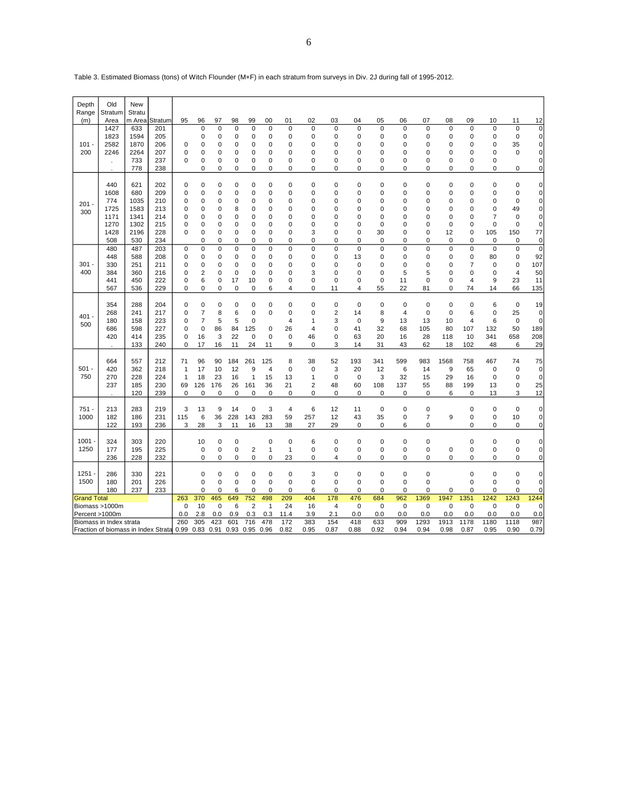| Depth              | Old                                 | New           |             |                    |                   |             |                   |                   |                          |                   |                          |                   |                   |                   |                            |                     |                   |                            |                    |                            |                      |
|--------------------|-------------------------------------|---------------|-------------|--------------------|-------------------|-------------|-------------------|-------------------|--------------------------|-------------------|--------------------------|-------------------|-------------------|-------------------|----------------------------|---------------------|-------------------|----------------------------|--------------------|----------------------------|----------------------|
| Range              | Stratum                             | Stratu        |             |                    |                   |             |                   |                   |                          |                   |                          |                   |                   |                   |                            |                     |                   |                            |                    |                            |                      |
| (m)                | Area                                | m Area<br>633 | Stratum     | 95                 | 96<br>$\mathbf 0$ | 97<br>0     | 98<br>$\mathbf 0$ | 99<br>$\mathbf 0$ | 00<br>$\mathbf 0$        | 01<br>$\mathbf 0$ | 02<br>$\mathbf 0$        | 03<br>$\mathbf 0$ | 04<br>$\mathbf 0$ | 05<br>$\mathbf 0$ | 06<br>$\mathbf 0$          | 07<br>0             | 08<br>$\mathbf 0$ | 09                         | 10<br>$\mathbf 0$  | 11<br>$\mathbf 0$          | 12<br>$\mathbf 0$    |
|                    | 1427<br>1823                        | 1594          | 201<br>205  |                    | 0                 | 0           | $\mathbf 0$       | $\mathbf 0$       | 0                        | 0                 | $\mathbf 0$              | 0                 | 0                 | 0                 | $\mathbf 0$                | 0                   | 0                 | 0<br>$\mathbf 0$           | $\mathbf 0$        | $\pmb{0}$                  | $\mathbf 0$          |
| $101 -$            | 2582                                | 1870          | 206         | 0                  | 0                 | 0           | $\mathbf 0$       | $\mathbf 0$       | $\mathbf 0$              | 0                 | $\mathbf 0$              | 0                 | 0                 | $\mathbf 0$       | $\mathbf 0$                | 0                   | 0                 | 0                          | 0                  | 35                         | $\mathbf 0$          |
| 200                | 2246                                | 2264          | 207         | 0                  | $\mathbf 0$       | 0           | $\mathbf 0$       | $\mathbf 0$       | $\mathbf 0$              | $\overline{0}$    | $\mathbf 0$              | $\mathbf 0$       | $\mathbf 0$       | $\mathbf 0$       | $\mathbf 0$                | 0                   | $\mathbf 0$       | 0                          | $\mathbf 0$        | $\mathbf 0$                | $\mathbf 0$          |
|                    |                                     | 733           | 237         | 0                  | 0                 | 0           | 0                 | 0                 | 0                        | 0                 | 0                        | 0                 | 0                 | 0                 | $\mathbf 0$                | 0                   | 0                 | 0                          | 0                  |                            | $\pmb{0}$            |
|                    | $\cdot$                             | 778           | 238         |                    | 0                 | 0           | $\mathbf 0$       | 0                 | $\mathbf 0$              | 0                 | $\mathbf 0$              | 0                 | 0                 | $\mathbf 0$       | $\mathbf 0$                | 0                   | 0                 | $\mathbf 0$                | 0                  | $\mathbf 0$                | $\mathbf 0$          |
|                    |                                     |               |             |                    |                   |             |                   |                   |                          |                   |                          |                   |                   |                   |                            |                     |                   |                            |                    |                            |                      |
|                    | 440                                 | 621           | 202         | $\mathbf 0$        | $\mathbf 0$       | 0           | $\mathbf 0$       | $\mathbf 0$       | $\mathbf 0$              | $\mathbf 0$       | $\mathbf 0$              | $\mathbf 0$       | $\mathbf 0$       | $\mathbf 0$       | $\mathbf 0$                | 0                   | $\mathbf 0$       | $\mathbf 0$                | $\mathbf 0$        | $\mathbf 0$                | $\mathbf 0$          |
|                    | 1608                                | 680           | 209         | 0                  | $\mathbf 0$       | 0           | $\mathbf 0$       | $\mathbf 0$       | 0                        | 0                 | $\mathbf 0$              | 0                 | 0                 | 0                 | $\mathbf 0$                | 0                   | 0                 | 0                          | 0                  | $\mathbf 0$                | $\mathbf 0$          |
| $201 -$            | 774                                 | 1035          | 210         | 0                  | $\mathbf 0$       | 0           | $\mathbf 0$       | $\mathbf 0$       | 0                        | 0                 | $\mathbf 0$              | 0                 | 0                 | $\mathbf 0$       | $\mathbf 0$                | 0                   | 0                 | $\mathbf 0$                | 0                  | $\mathbf 0$                | $\mathbf 0$          |
| 300                | 1725                                | 1583          | 213         | $\mathbf 0$        | $\mathbf 0$       | 0           | 8                 | $\mathbf 0$       | 0                        | 0                 | $\mathbf 0$              | 0                 | 0                 | $\mathbf 0$       | $\mathbf 0$                | 0                   | $\mathbf 0$       | $\mathbf 0$                | $\mathbf 0$        | 49                         | $\mathbf 0$          |
|                    | 1171                                | 1341          | 214         | 0                  | 0                 | 0           | 0                 | $\mathbf 0$       | 0                        | 0                 | 0                        | 0                 | 0                 | 0                 | 0                          | 0                   | 0                 | 0                          | $\overline{7}$     | 0                          | $\mathbf 0$          |
|                    | 1270                                | 1302          | 215         | $\mathbf 0$        | 0                 | 0           | 0                 | 0                 | 0                        | 0                 | $\mathbf 0$              | $\mathbf 0$       | 0                 | $\mathbf 0$       | $\mathbf 0$                | 0                   | $\mathbf 0$       | $\mathbf 0$                | $\mathbf 0$        | $\mathbf 0$                | $\mathbf 0$          |
|                    | 1428                                | 2196          | 228         | $\mathbf 0$        | 0                 | 0           | $\mathbf 0$       | 0                 | $\mathbf 0$              | 0                 | 3                        | 0                 | 0                 | 30                | $\mathbf 0$                | 0                   | 12                | $\mathbf 0$                | 105                | 150                        | 77                   |
|                    | 508                                 | 530           | 234         |                    | 0                 | 0           | 0                 | 0                 | 0                        | 0                 | 0                        | 0                 | 0                 | 0                 | $\mathbf 0$                | 0                   | 0                 | $\mathbf 0$                | $\mathbf 0$        | $\mathbf 0$                | 0                    |
|                    | 480<br>448                          | 487           | 203         | 0<br>0             | 0<br>$\mathbf 0$  | 0<br>0      | 0<br>$\mathbf 0$  | $\mathbf 0$       | $\pmb{0}$<br>$\mathbf 0$ | 0                 | $\pmb{0}$<br>$\mathbf 0$ | 0<br>0            | $\mathbf 0$       | 0<br>0            | $\mathbf 0$<br>$\mathbf 0$ | $\overline{0}$<br>0 | $\mathbf 0$<br>0  | $\mathbf 0$<br>$\mathbf 0$ | $\mathbf 0$        | $\mathbf 0$<br>$\mathbf 0$ | $\overline{0}$<br>92 |
| $301 -$            | 330                                 | 588<br>251    | 208<br>211  | 0                  | $\mathbf 0$       | 0           | $\mathbf 0$       | 0<br>$\mathbf 0$  | $\pmb{0}$                | 0<br>0            | $\mathbf 0$              | 0                 | 13<br>0           | $\mathbf 0$       | $\mathbf 0$                | 0                   | 0                 | $\overline{7}$             | 80<br>$\mathbf 0$  | 0                          | 107                  |
| 400                | 384                                 | 360           | 216         | 0                  | 2                 | 0           | $\mathbf 0$       | $\mathbf 0$       | 0                        | 0                 | 3                        | 0                 | 0                 | $\mathbf 0$       | 5                          | 5                   | 0                 | $\mathbf 0$                | $\mathbf 0$        | $\overline{\mathbf{4}}$    | 50                   |
|                    | 441                                 | 450           | 222         | 0                  | 6                 | 0           | 17                | 10                | $\pmb{0}$                | 0                 | $\mathbf 0$              | $\mathbf 0$       | 0                 | $\mathbf 0$       | 11                         | 0                   | $\pmb{0}$         | $\overline{\mathbf{4}}$    | 9                  | 23                         | 11                   |
|                    | 567                                 | 536           | 229         | 0                  | 0                 | 0           | $\mathbf 0$       | $\mathbf 0$       | 6                        | 4                 | $\pmb{0}$                | 11                | 4                 | 55                | 22                         | 81                  | 0                 | 74                         | 14                 | 66                         | 135                  |
|                    |                                     |               |             |                    |                   |             |                   |                   |                          |                   |                          |                   |                   |                   |                            |                     |                   |                            |                    |                            |                      |
|                    | 354                                 | 288           | 204         | 0                  | $\mathbf 0$       | 0           | $\mathbf 0$       | $\mathbf 0$       | $\pmb{0}$                | $\mathbf 0$       | $\pmb{0}$                | $\mathbf 0$       | 0                 | 0                 | $\mathbf 0$                | $\mathbf 0$         | $\pmb{0}$         | $\mathbf 0$                | 6                  | $\mathbf 0$                | 19                   |
| $401 -$            | 268                                 | 241           | 217         | 0                  | $\overline{7}$    | 8           | 6                 | $\mathbf 0$       | $\mathbf 0$              | 0                 | $\mathbf 0$              | $\overline{2}$    | 14                | 8                 | $\overline{4}$             | 0                   | $\mathbf 0$       | 6                          | $\mathbf 0$        | 25                         | 0                    |
| 500                | 180                                 | 158           | 223         | 0                  | $\overline{7}$    | 5           | 5                 | 0                 |                          | 4                 | $\mathbf{1}$             | 3                 | 0                 | 9                 | 13                         | 13                  | 10                | 4                          | 6                  | $\mathbf 0$                | 0                    |
|                    | 686                                 | 598           | 227         | 0                  | $\mathbf 0$       | 86          | 84                | 125               | 0                        | 26                | $\overline{4}$           | 0                 | 41                | 32                | 68                         | 105                 | 80                | 107                        | 132                | 50                         | 189                  |
|                    | 420                                 | 414           | 235         | $\mathbf 0$        | 16                | 3           | 22                | $\mathbf 0$       | $\mathbf 0$              | $\mathbf 0$       | 46                       | 0                 | 63                | 20                | 16                         | 28                  | 118               | 10                         | 341                | 658                        | 208                  |
|                    |                                     | 133           | 240         | 0                  | 17                | 16          | 11                | 24                | 11                       | 9                 | 0                        | 3                 | 14                | 31                | 43                         | 62                  | 18                | 102                        | 48                 | 6                          | 29                   |
|                    |                                     |               |             |                    |                   |             |                   |                   |                          |                   |                          |                   |                   |                   |                            |                     |                   |                            |                    |                            |                      |
| $501 -$            | 664<br>420                          | 557           | 212<br>218  | 71<br>$\mathbf{1}$ | 96<br>17          | 90<br>10    | 184<br>12         | 261<br>9          | 125                      | 8<br>0            | 38<br>$\mathbf 0$        | 52<br>3           | 193               | 341               | 599<br>6                   | 983<br>14           | 1568<br>9         | 758<br>65                  | 467<br>$\mathbf 0$ | 74<br>$\mathbf 0$          | 75                   |
| 750                | 270                                 | 362<br>228    | 224         | 1                  | 18                | 23          | 16                | $\mathbf{1}$      | $\overline{4}$<br>15     | 13                | $\mathbf{1}$             | 0                 | 20<br>0           | 12<br>3           | 32                         | 15                  | 29                | 16                         | 0                  | $\mathbf 0$                | 0<br>0               |
|                    | 237                                 | 185           | 230         | 69                 | 126               | 176         | 26                | 161               | 36                       | 21                | $\overline{2}$           | 48                | 60                | 108               | 137                        | 55                  | 88                | 199                        | 13                 | $\mathbf 0$                | 25                   |
|                    |                                     | 120           | 239         | 0                  | $\Omega$          | 0           | $\mathbf 0$       | $\mathbf 0$       | $\mathbf 0$              | $\mathbf 0$       | $\mathbf 0$              | $\Omega$          | $\mathbf 0$       | $\mathbf 0$       | $\mathbf 0$                | $\mathbf 0$         | 6                 | 0                          | 13                 | 3                          | 12                   |
|                    |                                     |               |             |                    |                   |             |                   |                   |                          |                   |                          |                   |                   |                   |                            |                     |                   |                            |                    |                            |                      |
| $751 -$            | 213                                 | 283           | 219         | 3                  | 13                | 9           | 14                | $\mathbf 0$       | 3                        | $\overline{4}$    | 6                        | 12                | 11                | $\mathbf 0$       | $\mathbf 0$                | 0                   |                   | $\mathbf 0$                | $\mathbf 0$        | $\mathbf 0$                | 0                    |
| 1000               | 182                                 | 186           | 231         | 115                | 6                 | 36          | 228               | 143               | 283                      | 59                | 257                      | 12                | 43                | 35                | $\pmb{0}$                  | $\overline{7}$      | 9                 | 0                          | $\pmb{0}$          | 10                         | 0                    |
|                    | 122                                 | 193           | 236         | 3                  | 28                | 3           | 11                | 16                | 13                       | 38                | 27                       | 29                | 0                 | 0                 | 6                          | 0                   |                   | $\mathbf 0$                | 0                  | $\mathbf 0$                | $\mathbf 0$          |
|                    |                                     |               |             |                    |                   |             |                   |                   |                          |                   |                          |                   |                   |                   |                            |                     |                   |                            |                    |                            |                      |
| 1001               | 324                                 | 303           | 220         |                    | 10                | 0           | 0                 |                   | 0                        | $\mathbf 0$       | 6                        | $\mathbf 0$       | 0                 | 0                 | $\mathbf 0$                | 0                   |                   | $\mathbf 0$                | $\mathbf 0$        | $\mathbf 0$                | $\pmb{0}$            |
| 1250               | 177                                 | 195           | 225         |                    | 0                 | 0           | $\mathbf 0$       | $\mathbf 2$       | $\mathbf{1}$             | $\mathbf{1}$      | $\mathbf 0$              | 0                 | 0                 | 0                 | $\mathbf 0$                | 0                   | $\pmb{0}$         | 0                          | $\mathbf 0$        | $\pmb{0}$                  | 0                    |
|                    | 236                                 | 228           | 232         |                    | 0                 | 0           | $\pmb{0}$         | 0                 | $\pmb{0}$                | 23                | $\pmb{0}$                | 4                 | 0                 | 0                 | $\pmb{0}$                  | 0                   | $\pmb{0}$         | $\mathbf 0$                | 0                  | $\mathbf 0$                | $\mathbf 0$          |
| 1251               | 286                                 | 221           |             | $\mathbf 0$        | 0                 | $\mathbf 0$ | $\mathbf 0$       | $\pmb{0}$         | $\mathbf 0$              | 3                 | $\mathbf 0$              | 0                 | 0                 | $\pmb{0}$         | 0                          |                     | $\mathbf 0$       | $\mathbf 0$                | $\mathbf 0$        | $\mathbf 0$                |                      |
| 1500               | 330<br>180<br>201<br>180<br>237     |               |             |                    | $\mathbf 0$       | 0           | $\mathbf 0$       | $\mathbf 0$       | $\mathbf 0$              | 0                 | $\mathbf 0$              | 0                 | $\mathbf 0$       | $\Omega$          | $\mathbf 0$                | $\Omega$            |                   | $\Omega$                   | $\mathbf 0$        | $\mathbf 0$                | 0                    |
|                    | 226<br>233                          |               |             |                    | 0                 | 0           | 6                 | $\mathbf 0$       | 0                        | 0                 | 6                        | 0                 | 0                 | 0                 | $\mathbf 0$                | 0                   | 0                 | 0                          | 0                  | 0                          | 0                    |
| <b>Grand Total</b> |                                     |               | 263         | 370                | 465               | 649         | 752               | 498               | 209                      | 404               | 178                      | 476               | 684               | 962               | 1369                       | 1947                | 1351              | 1242                       | 1243               | 1244                       |                      |
|                    | Biomass >1000m                      |               | $\mathbf 0$ | 10                 | 0                 | 6           | $\overline{2}$    | $\mathbf{1}$      | 24                       | 16                | 4                        | 0                 | $\mathbf 0$       | $\mathbf 0$       | $\mathbf 0$                | $\mathbf 0$         | $\mathbf 0$       | $\mathbf 0$                | $\mathbf 0$        | $\mathbf 0$                |                      |
| Percent >1000m     |                                     |               |             | 0.0                | 2.8               | 0.0         | 0.9               | 0.3               | 0.3                      | 11.4              | 3.9                      | 2.1               | 0.0               | 0.0               | 0.0                        | 0.0                 | 0.0               | 0.0                        | 0.0                | 0.0                        | 0.0                  |
|                    | Biomass in Index strata             |               |             | 260                | 305               | 423         | 601               | 716               | 478                      | 172               | 383                      | 154               | 418               | 633               | 909                        | 1293                | 1913              | 1178                       | 1180               | 1118                       | 987                  |
|                    | Fraction of biomass in Index Strata |               |             | 0.99               | 0.83              | 0.91        | 0.93              | 0.95              | 0.96                     | 0.82              | 0.95                     | 0.87              | 0.88              | 0.92              | 0.94                       | 0.94                | 0.98              | 0.87                       | 0.95               | 0.90                       | 0.79                 |

Table 3. Estimated Biomass (tons) of Witch Flounder (M+F) in each stratum from surveys in Div. 2J during fall of 1995-2012.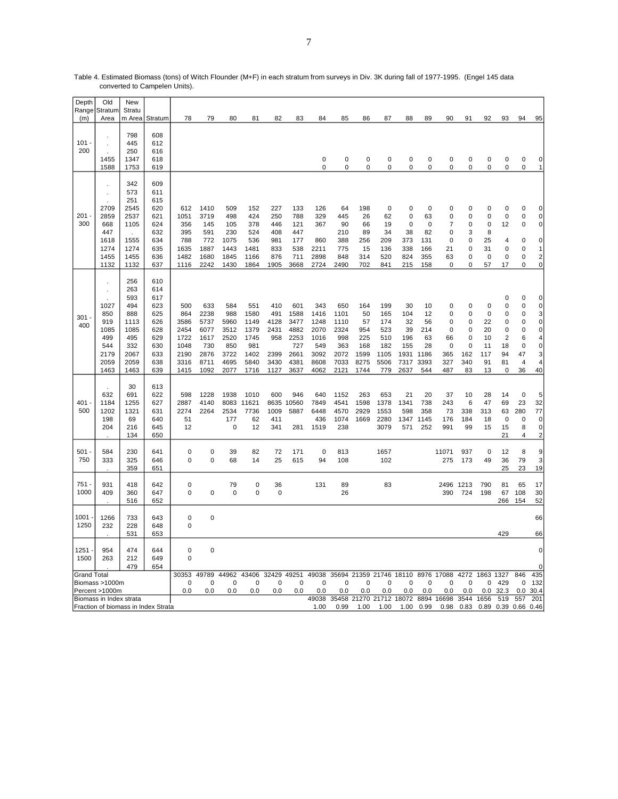| Depth              | Old                                                              | New                                                                                   |                                                                                  |                                                                    |                                                                    |                                                                   |                                                                    |                                                           |                                                                    |                                                                    |                                                                   |                                                              |                                                               |                                                             |                                                          |                                                            |                                                                    |                                                   |                                                                                              |                                                               |                                                                                            |
|--------------------|------------------------------------------------------------------|---------------------------------------------------------------------------------------|----------------------------------------------------------------------------------|--------------------------------------------------------------------|--------------------------------------------------------------------|-------------------------------------------------------------------|--------------------------------------------------------------------|-----------------------------------------------------------|--------------------------------------------------------------------|--------------------------------------------------------------------|-------------------------------------------------------------------|--------------------------------------------------------------|---------------------------------------------------------------|-------------------------------------------------------------|----------------------------------------------------------|------------------------------------------------------------|--------------------------------------------------------------------|---------------------------------------------------|----------------------------------------------------------------------------------------------|---------------------------------------------------------------|--------------------------------------------------------------------------------------------|
| Range<br>(m)       | Stratum<br>Area                                                  | Stratu<br>m Area                                                                      | Stratum                                                                          | 78                                                                 | 79                                                                 | 80                                                                | 81                                                                 | 82                                                        | 83                                                                 | 84                                                                 | 85                                                                | 86                                                           | 87                                                            | 88                                                          | 89                                                       | 90                                                         | 91                                                                 | 92                                                | 93                                                                                           | 94                                                            | 95                                                                                         |
|                    |                                                                  |                                                                                       |                                                                                  |                                                                    |                                                                    |                                                                   |                                                                    |                                                           |                                                                    |                                                                    |                                                                   |                                                              |                                                               |                                                             |                                                          |                                                            |                                                                    |                                                   |                                                                                              |                                                               |                                                                                            |
| $101 \cdot$        |                                                                  | 798<br>445                                                                            | 608<br>612                                                                       |                                                                    |                                                                    |                                                                   |                                                                    |                                                           |                                                                    |                                                                    |                                                                   |                                                              |                                                               |                                                             |                                                          |                                                            |                                                                    |                                                   |                                                                                              |                                                               |                                                                                            |
| 200                |                                                                  | 250                                                                                   | 616                                                                              |                                                                    |                                                                    |                                                                   |                                                                    |                                                           |                                                                    |                                                                    |                                                                   |                                                              |                                                               |                                                             |                                                          |                                                            |                                                                    |                                                   |                                                                                              |                                                               |                                                                                            |
|                    | 1455                                                             | 1347                                                                                  | 618                                                                              |                                                                    |                                                                    |                                                                   |                                                                    |                                                           |                                                                    | 0                                                                  | 0                                                                 | $\mathbf 0$                                                  | 0                                                             | $\mathbf 0$                                                 | 0                                                        | $\mathbf 0$                                                | 0                                                                  | $\mathsf 0$                                       | $\pmb{0}$                                                                                    | 0                                                             | 0                                                                                          |
|                    | 1588                                                             | 1753                                                                                  | 619                                                                              |                                                                    |                                                                    |                                                                   |                                                                    |                                                           |                                                                    | 0                                                                  | 0                                                                 | $\pmb{0}$                                                    | 0                                                             | $\mathbf 0$                                                 | 0                                                        | 0                                                          | 0                                                                  | $\mathbf 0$                                       | $\mathbf 0$                                                                                  | 0                                                             | $\mathbf{1}$                                                                               |
| $201 -$<br>300     | 2709<br>2859<br>668<br>447<br>1618<br>1274<br>1455<br>1132       | 342<br>573<br>251<br>2545<br>2537<br>1105<br>1555<br>1274<br>1455<br>1132             | 609<br>611<br>615<br>620<br>621<br>624<br>632<br>634<br>635<br>636<br>637        | 612<br>1051<br>356<br>395<br>788<br>1635<br>1482<br>1116           | 1410<br>3719<br>145<br>591<br>772<br>1887<br>1680<br>2242          | 509<br>498<br>105<br>230<br>1075<br>1443<br>1845<br>1430          | 152<br>424<br>378<br>524<br>536<br>1481<br>1166<br>1864            | 227<br>250<br>446<br>408<br>981<br>833<br>876<br>1905     | 133<br>788<br>121<br>447<br>177<br>538<br>711<br>3668              | 126<br>329<br>367<br>860<br>2211<br>2898<br>2724                   | 64<br>445<br>90<br>210<br>388<br>775<br>848<br>2490               | 198<br>26<br>66<br>89<br>256<br>15<br>314<br>702             | 0<br>62<br>19<br>34<br>209<br>136<br>520<br>841               | 0<br>0<br>0<br>38<br>373<br>338<br>824<br>215               | 0<br>63<br>$\mathbf 0$<br>82<br>131<br>166<br>355<br>158 | 0<br>0<br>7<br>0<br>0<br>21<br>63<br>0                     | 0<br>0<br>0<br>3<br>0<br>$\mathbf 0$<br>0<br>0                     | 0<br>0<br>0<br>8<br>25<br>31<br>0<br>57           | 0<br>0<br>12<br>4<br>$\mathbf 0$<br>0<br>17                                                  | 0<br>0<br>0<br>0<br>0<br>0<br>0                               | 0<br>$\mathbf 0$<br>$\pmb{0}$<br>$\pmb{0}$<br>$\mathbf{1}$<br>$\overline{\mathbf{c}}$<br>0 |
| $301 -$<br>400     | 1027<br>850<br>919<br>1085<br>499<br>544<br>2179<br>2059<br>1463 | 256<br>263<br>593<br>494<br>888<br>1113<br>1085<br>495<br>332<br>2067<br>2059<br>1463 | 610<br>614<br>617<br>623<br>625<br>626<br>628<br>629<br>630<br>633<br>638<br>639 | 500<br>864<br>3586<br>2454<br>1722<br>1048<br>2190<br>3316<br>1415 | 633<br>2238<br>5737<br>6077<br>1617<br>730<br>2876<br>8711<br>1092 | 584<br>988<br>5960<br>3512<br>2520<br>850<br>3722<br>4695<br>2077 | 551<br>1580<br>1149<br>1379<br>1745<br>981<br>1402<br>5840<br>1716 | 410<br>491<br>4128<br>2431<br>958<br>2399<br>3430<br>1127 | 601<br>1588<br>3477<br>4882<br>2253<br>727<br>2661<br>4381<br>3637 | 343<br>1416<br>1248<br>2070<br>1016<br>549<br>3092<br>8608<br>4062 | 650<br>1101<br>1110<br>2324<br>998<br>363<br>2072<br>7033<br>2121 | 164<br>50<br>57<br>954<br>225<br>168<br>1599<br>8275<br>1744 | 199<br>165<br>174<br>523<br>510<br>182<br>1105<br>5506<br>779 | 30<br>104<br>32<br>39<br>196<br>155<br>1931<br>7317<br>2637 | 10<br>12<br>56<br>214<br>63<br>28<br>1186<br>3393<br>544 | 0<br>0<br>0<br>0<br>66<br>$\mathbf 0$<br>365<br>327<br>487 | $\mathbf 0$<br>0<br>0<br>0<br>$\mathbf 0$<br>0<br>162<br>340<br>83 | 0<br>0<br>22<br>20<br>10<br>11<br>117<br>91<br>13 | $\mathbf 0$<br>0<br>0<br>$\mathbf 0$<br>0<br>$\overline{2}$<br>18<br>94<br>81<br>$\mathsf 0$ | 0<br>0<br>0<br>0<br>0<br>6<br>0<br>47<br>$\overline{4}$<br>36 | 0<br>0<br>3<br>$\pmb{0}$<br>0<br>4<br>0<br>3<br>4<br>40                                    |
| $401 -$<br>500     | 632<br>1184<br>1202<br>198<br>204                                | 30<br>691<br>1255<br>1321<br>69<br>216<br>134                                         | 613<br>622<br>627<br>631<br>640<br>645<br>650                                    | 598<br>2887<br>2274<br>51<br>12                                    | 1228<br>4140<br>2264                                               | 1938<br>8083<br>2534<br>177<br>$\mathbf 0$                        | 1010<br>11621<br>7736<br>62<br>12                                  | 600<br>8635<br>1009<br>411<br>341                         | 946<br>10560<br>5887<br>281                                        | 640<br>7849<br>6448<br>436<br>1519                                 | 1152<br>4541<br>4570<br>1074<br>238                               | 263<br>1598<br>2929<br>1669                                  | 653<br>1378<br>1553<br>2280<br>3079                           | 21<br>1341<br>598<br>1347<br>571                            | 20<br>738<br>358<br>1145<br>252                          | 37<br>243<br>73<br>176<br>991                              | 10<br>6<br>338<br>184<br>99                                        | 28<br>47<br>313<br>18<br>15                       | 14<br>69<br>63<br>0<br>15<br>21                                                              | 0<br>23<br>280<br>0<br>8<br>$\overline{4}$                    | 5<br>32<br>77<br>0<br>0<br>$\overline{\mathbf{c}}$                                         |
| $501 -$<br>750     | 584<br>333                                                       | 230<br>325<br>359                                                                     | 641<br>646<br>651                                                                | 0<br>0                                                             | 0<br>0                                                             | 39<br>68                                                          | 82<br>14                                                           | 72<br>25                                                  | 171<br>615                                                         | $\mathbf 0$<br>94                                                  | 813<br>108                                                        |                                                              | 1657<br>102                                                   |                                                             |                                                          | 11071<br>275                                               | 937<br>173                                                         | $\mathbf 0$<br>49                                 | 12<br>36<br>25                                                                               | 8<br>79<br>23                                                 | 9<br>3<br>19                                                                               |
| 751.<br>1000       | 931<br>409                                                       | 418<br>360<br>516                                                                     | 642<br>647<br>652                                                                | 0<br>0                                                             | 0                                                                  | 79<br>0                                                           | 0<br>0                                                             | 36<br>0                                                   |                                                                    | 131                                                                | 89<br>26                                                          |                                                              | 83                                                            |                                                             |                                                          | 390                                                        | 2496 1213<br>724                                                   | 790<br>198                                        | 81<br>67<br>266                                                                              | 65<br>108<br>154                                              | 17<br>30<br>52                                                                             |
| 1001               | 1266                                                             | 733                                                                                   | 643                                                                              | 0                                                                  | 0                                                                  |                                                                   |                                                                    |                                                           |                                                                    |                                                                    |                                                                   |                                                              |                                                               |                                                             |                                                          |                                                            |                                                                    |                                                   |                                                                                              |                                                               | 66                                                                                         |
| 1250               | 232                                                              | 228                                                                                   | 648                                                                              | $\mathbf 0$                                                        |                                                                    |                                                                   |                                                                    |                                                           |                                                                    |                                                                    |                                                                   |                                                              |                                                               |                                                             |                                                          |                                                            |                                                                    |                                                   |                                                                                              |                                                               |                                                                                            |
|                    |                                                                  | 531                                                                                   | 653                                                                              |                                                                    |                                                                    |                                                                   |                                                                    |                                                           |                                                                    |                                                                    |                                                                   |                                                              |                                                               |                                                             |                                                          |                                                            |                                                                    |                                                   | 429                                                                                          |                                                               | 66                                                                                         |
| 1251<br>1500       | 954<br>263                                                       | 474<br>212                                                                            | 644<br>649                                                                       | $\mathbf 0$<br>$\mathbf 0$                                         | 0                                                                  |                                                                   |                                                                    |                                                           |                                                                    |                                                                    |                                                                   |                                                              |                                                               |                                                             |                                                          |                                                            |                                                                    |                                                   |                                                                                              |                                                               | 0<br>C                                                                                     |
| <b>Grand Total</b> |                                                                  | 479                                                                                   | 654                                                                              | 30353                                                              | 49789                                                              | 44962                                                             | 43406                                                              | 32429 49251                                               |                                                                    | 49038                                                              | 35694 21359 21746 18110                                           |                                                              |                                                               |                                                             |                                                          | 8976 17088                                                 | 4272                                                               | 1863 1327                                         |                                                                                              | 846                                                           | 435                                                                                        |
|                    | Biomass >1000m                                                   |                                                                                       |                                                                                  | $\Omega$                                                           | 0                                                                  | $\mathbf 0$                                                       | 0                                                                  | 0                                                         | 0                                                                  | $\Omega$                                                           | 0                                                                 | $\Omega$                                                     | $\Omega$                                                      | 0                                                           | 0                                                        | 0                                                          | 0                                                                  | 0                                                 | 429                                                                                          | 0                                                             | 132                                                                                        |
|                    | Percent >1000m                                                   |                                                                                       |                                                                                  | 0.0                                                                | 0.0                                                                | 0.0                                                               | 0.0                                                                | 0.0                                                       | 0.0                                                                | 0.0                                                                | 0.0                                                               | 0.0                                                          | 0.0                                                           | 0.0                                                         | 0.0                                                      | 0.0                                                        | 0.0                                                                | 0.0                                               | 32.3                                                                                         | 0.0                                                           | 30.4                                                                                       |
|                    | Biomass in Index strata                                          |                                                                                       | Fraction of biomass in Index Strata                                              |                                                                    |                                                                    |                                                                   |                                                                    |                                                           |                                                                    | 49038<br>1.00                                                      | 35458 21270 21712 18072<br>0.99                                   | 1.00                                                         | 1.00                                                          | 1.00                                                        | 0.99                                                     | 8894 16698<br>0.98                                         | 3544<br>0.83                                                       | 1656<br>0.89                                      | 519                                                                                          | 557<br>0.39 0.66 0.46                                         | 201                                                                                        |

Table 4. Estimated Biomass (tons) of Witch Flounder (M+F) in each stratum from surveys in Div. 3K during fall of 1977-1995. (Engel 145 data converted to Campelen Units).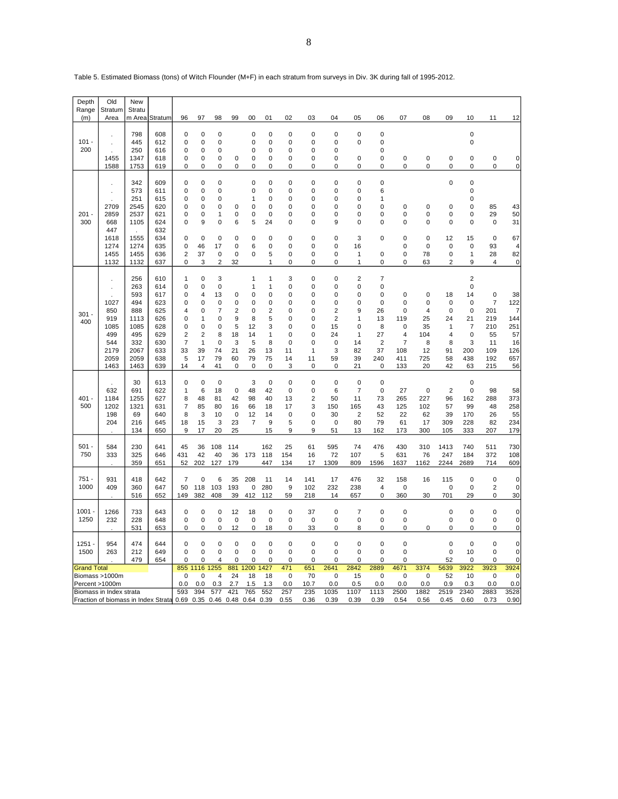| Depth<br>Range                                                                                                           | Old<br>Stratum                                                                     | New<br>Stratu                                                                         |                                                                                  |                                                                                               |                                                                                                                                            |                                                                                                       |                                                                                              |                                                                                  |                                                                         |                                                                                                                                            |                                                           |                                                                                                 |                                                                                                         |                                                                                                                                  |                                                                     |                                                                     |                                                               |                                                                                           |                                                                                     |                                                              |
|--------------------------------------------------------------------------------------------------------------------------|------------------------------------------------------------------------------------|---------------------------------------------------------------------------------------|----------------------------------------------------------------------------------|-----------------------------------------------------------------------------------------------|--------------------------------------------------------------------------------------------------------------------------------------------|-------------------------------------------------------------------------------------------------------|----------------------------------------------------------------------------------------------|----------------------------------------------------------------------------------|-------------------------------------------------------------------------|--------------------------------------------------------------------------------------------------------------------------------------------|-----------------------------------------------------------|-------------------------------------------------------------------------------------------------|---------------------------------------------------------------------------------------------------------|----------------------------------------------------------------------------------------------------------------------------------|---------------------------------------------------------------------|---------------------------------------------------------------------|---------------------------------------------------------------|-------------------------------------------------------------------------------------------|-------------------------------------------------------------------------------------|--------------------------------------------------------------|
| (m)                                                                                                                      | Area                                                                               | m Area                                                                                | Stratum                                                                          | 96                                                                                            | 97                                                                                                                                         | 98                                                                                                    | 99                                                                                           | 00                                                                               | 01                                                                      | 02                                                                                                                                         | 03                                                        | 04                                                                                              | 05                                                                                                      | 06                                                                                                                               | 07                                                                  | 08                                                                  | 09                                                            | 10                                                                                        | 11                                                                                  | 12                                                           |
| $101 -$<br>200                                                                                                           | 1455                                                                               | 798<br>445<br>250<br>1347                                                             | 608<br>612<br>616<br>618                                                         | 0<br>0<br>0<br>0                                                                              | 0<br>0<br>0<br>0                                                                                                                           | 0<br>$\mathbf 0$<br>0<br>0                                                                            | 0                                                                                            | 0<br>0<br>0<br>0                                                                 | 0<br>0<br>0<br>0                                                        | 0<br>0<br>0<br>0                                                                                                                           | 0<br>0<br>0<br>0                                          | 0<br>0<br>0<br>0                                                                                | $\mathbf 0$<br>$\mathbf 0$<br>$\mathbf 0$                                                               | 0<br>0<br>0<br>0                                                                                                                 | 0                                                                   | 0                                                                   | 0                                                             | 0<br>0<br>0                                                                               | 0                                                                                   | 0                                                            |
|                                                                                                                          | 1588                                                                               | 1753                                                                                  | 619                                                                              | 0                                                                                             | 0                                                                                                                                          | 0                                                                                                     | 0                                                                                            | 0                                                                                | 0                                                                       | 0                                                                                                                                          | 0                                                         | 0                                                                                               | 0                                                                                                       | 0                                                                                                                                | 0                                                                   | 0                                                                   | 0                                                             | 0                                                                                         | 0                                                                                   | 0                                                            |
| $201 -$<br>300                                                                                                           | 2709<br>2859<br>668<br>447                                                         | 342<br>573<br>251<br>2545<br>2537<br>1105                                             | 609<br>611<br>615<br>620<br>621<br>624<br>632                                    | 0<br>0<br>0<br>0<br>0<br>0                                                                    | 0<br>0<br>0<br>0<br>0<br>9                                                                                                                 | $\mathbf 0$<br>$\mathbf 0$<br>$\mathbf 0$<br>0<br>1<br>0                                              | 0<br>$\Omega$<br>6                                                                           | 0<br>0<br>1<br>0<br>$\mathbf 0$<br>5                                             | 0<br>0<br>0<br>0<br>0<br>24                                             | $\mathbf 0$<br>$\mathbf 0$<br>0<br>0<br>0<br>$\mathbf 0$                                                                                   | 0<br>0<br>0<br>0<br>0<br>0                                | 0<br>0<br>0<br>0<br>$\Omega$<br>9                                                               | $\mathbf 0$<br>$\mathbf 0$<br>$\mathbf 0$<br>0<br>0<br>$\mathbf 0$                                      | $\mathbf 0$<br>6<br>1<br>0<br>0<br>$\mathbf 0$                                                                                   | 0<br>0<br>0                                                         | 0<br>0<br>$\mathbf 0$                                               | $\mathbf 0$<br>0<br>0<br>$\mathbf 0$                          | $\mathbf 0$<br>0<br>0<br>0<br>0<br>0                                                      | 85<br>29<br>$\mathbf 0$                                                             | 43<br>50<br>31                                               |
|                                                                                                                          | 1618<br>1274<br>1455<br>1132                                                       | ÷<br>1555<br>1274<br>1455<br>1132                                                     | 634<br>635<br>636<br>637                                                         | 0<br>0<br>2<br>0                                                                              | $\mathbf 0$<br>46<br>37<br>3                                                                                                               | 0<br>17<br>$\mathbf 0$<br>$\overline{2}$                                                              | $\mathbf 0$<br>0<br>0<br>32                                                                  | 0<br>6<br>0                                                                      | 0<br>0<br>5<br>1                                                        | $\mathbf 0$<br>$\mathbf 0$<br>$\pmb{0}$<br>$\mathbf 0$                                                                                     | 0<br>0<br>0<br>0                                          | 0<br>0<br>0<br>0                                                                                | 3<br>16<br>1<br>1                                                                                       | $\mathbf 0$<br>$\mathbf 0$<br>$\mathbf 0$                                                                                        | 0<br>0<br>0<br>0                                                    | 0<br>$\mathbf 0$<br>78<br>63                                        | 12<br>0<br>0<br>$\overline{2}$                                | 15<br>0<br>$\mathbf{1}$<br>9                                                              | $\mathbf 0$<br>93<br>28<br>$\overline{4}$                                           | 67<br>4<br>82<br>0                                           |
| 301<br>400                                                                                                               | $\blacksquare$<br>1027<br>850<br>919<br>1085<br>499<br>544<br>2179<br>2059<br>1463 | 256<br>263<br>593<br>494<br>888<br>1113<br>1085<br>495<br>332<br>2067<br>2059<br>1463 | 610<br>614<br>617<br>623<br>625<br>626<br>628<br>629<br>630<br>633<br>638<br>639 | 1<br>0<br>0<br>0<br>4<br>0<br>0<br>$\overline{\mathbf{c}}$<br>$\overline{7}$<br>33<br>5<br>14 | $\mathbf 0$<br>$\mathbf 0$<br>$\overline{4}$<br>0<br>$\mathbf 0$<br>1<br>0<br>$\overline{2}$<br>$\mathbf{1}$<br>39<br>17<br>$\overline{4}$ | 3<br>$\pmb{0}$<br>13<br>0<br>$\overline{7}$<br>$\mathbf 0$<br>0<br>8<br>$\mathbf 0$<br>74<br>79<br>41 | $\mathbf 0$<br>$\mathbf 0$<br>$\overline{2}$<br>9<br>5<br>18<br>3<br>21<br>60<br>$\mathbf 0$ | 1<br>1<br>0<br>0<br>$\mathbf 0$<br>8<br>12<br>14<br>5<br>26<br>79<br>$\mathbf 0$ | 1<br>1<br>0<br>0<br>$\overline{2}$<br>5<br>3<br>1<br>8<br>13<br>75<br>0 | 3<br>$\mathbf 0$<br>$\mathbf 0$<br>$\mathbf 0$<br>$\mathbf 0$<br>$\mathbf 0$<br>$\mathbf 0$<br>$\mathbf 0$<br>$\mathbf 0$<br>11<br>14<br>3 | 0<br>0<br>0<br>0<br>0<br>0<br>0<br>0<br>0<br>1<br>11<br>0 | 0<br>0<br>0<br>0<br>$\overline{2}$<br>$\overline{2}$<br>15<br>24<br>$\mathbf 0$<br>3<br>59<br>0 | $\overline{2}$<br>$\mathbf 0$<br>$\mathbf 0$<br>0<br>9<br>1<br>$\mathbf 0$<br>1<br>14<br>82<br>39<br>21 | $\overline{7}$<br>$\mathbf 0$<br>$\mathbf 0$<br>$\mathbf 0$<br>26<br>13<br>8<br>27<br>$\overline{2}$<br>37<br>240<br>$\mathbf 0$ | 0<br>0<br>0<br>119<br>0<br>4<br>$\overline{7}$<br>108<br>411<br>133 | 0<br>0<br>$\overline{4}$<br>25<br>35<br>104<br>8<br>12<br>725<br>20 | 18<br>0<br>$\mathbf 0$<br>24<br>1<br>4<br>8<br>91<br>58<br>42 | $\overline{2}$<br>0<br>14<br>0<br>0<br>21<br>$\overline{7}$<br>0<br>3<br>200<br>438<br>63 | $\mathbf 0$<br>$\overline{7}$<br>201<br>219<br>210<br>55<br>11<br>109<br>192<br>215 | 38<br>122<br>7<br>144<br>251<br>57<br>16<br>126<br>657<br>56 |
| $401 -$<br>500                                                                                                           | 632<br>1184<br>1202<br>198<br>204                                                  | 30<br>691<br>1255<br>1321<br>69<br>216<br>134                                         | 613<br>622<br>627<br>631<br>640<br>645<br>650                                    | $\mathbf 0$<br>1<br>8<br>$\overline{7}$<br>8<br>18<br>9                                       | 0<br>6<br>48<br>85<br>3<br>15<br>17                                                                                                        | $\mathbf 0$<br>18<br>81<br>80<br>10<br>3<br>20                                                        | $\mathbf 0$<br>42<br>16<br>$\mathbf 0$<br>23<br>25                                           | 3<br>48<br>98<br>66<br>12<br>$\overline{7}$                                      | 0<br>42<br>40<br>18<br>14<br>9<br>15                                    | $\mathbf 0$<br>$\mathbf 0$<br>13<br>17<br>0<br>5<br>9                                                                                      | 0<br>0<br>$\overline{2}$<br>3<br>0<br>0<br>9              | $\mathbf 0$<br>6<br>50<br>150<br>30<br>0<br>51                                                  | 0<br>$\overline{7}$<br>11<br>165<br>2<br>80<br>13                                                       | $\mathbf 0$<br>$\mathbf 0$<br>73<br>43<br>52<br>79<br>162                                                                        | 27<br>265<br>125<br>22<br>61<br>173                                 | $\pmb{0}$<br>227<br>102<br>62<br>17<br>300                          | $\overline{c}$<br>96<br>57<br>39<br>309<br>105                | 0<br>0<br>162<br>99<br>170<br>228<br>333                                                  | 98<br>288<br>48<br>26<br>82<br>207                                                  | 58<br>373<br>258<br>55<br>234<br>179                         |
| $501 -$<br>750                                                                                                           | 584<br>333                                                                         | 230<br>325<br>359                                                                     | 641<br>646<br>651                                                                | 45<br>431<br>52                                                                               | 36<br>42<br>202                                                                                                                            | 108<br>40<br>127                                                                                      | 114<br>36<br>179                                                                             | 173                                                                              | 162<br>118<br>447                                                       | 25<br>154<br>134                                                                                                                           | 61<br>16<br>17                                            | 595<br>72<br>1309                                                                               | 74<br>107<br>809                                                                                        | 476<br>5<br>1596                                                                                                                 | 430<br>631<br>1637                                                  | 310<br>76<br>1162                                                   | 1413<br>247<br>2244                                           | 740<br>184<br>2689                                                                        | 511<br>372<br>714                                                                   | 730<br>108<br>609                                            |
| 751 -<br>1000                                                                                                            | 931<br>409                                                                         | 418<br>360<br>516                                                                     | 642<br>647<br>652                                                                | $\overline{7}$<br>50<br>149                                                                   | $\mathbf 0$<br>118<br>382                                                                                                                  | 6<br>103<br>408                                                                                       | 35<br>193<br>39                                                                              | 208<br>0<br>412                                                                  | 11<br>280<br>112                                                        | 14<br>9<br>59                                                                                                                              | 141<br>102<br>218                                         | 17<br>232<br>14                                                                                 | 476<br>238<br>657                                                                                       | 32<br>$\overline{4}$<br>$\pmb{0}$                                                                                                | 158<br>0<br>360                                                     | 16<br>30                                                            | 115<br>$\mathbf 0$<br>701                                     | 0<br>0<br>29                                                                              | $\mathbf 0$<br>$\overline{2}$<br>$\pmb{0}$                                          | 0<br>0<br>30                                                 |
| $1001 -$<br>1250                                                                                                         | 1266<br>232                                                                        | 733<br>228<br>531                                                                     | 643<br>648<br>653                                                                | 0<br>$\mathbf 0$<br>0                                                                         | 0<br>0<br>0                                                                                                                                | 0<br>0<br>0                                                                                           | 12<br>$\mathbf 0$<br>12                                                                      | 18<br>$\mathbf 0$<br>0                                                           | 0<br>0<br>18                                                            | $\mathbf 0$<br>$\mathbf 0$<br>$\mathbf 0$                                                                                                  | 37<br>$\mathbf 0$<br>33                                   | $\mathbf 0$<br>$\mathbf 0$<br>$\mathbf 0$                                                       | $\overline{7}$<br>$\mathbf 0$<br>8                                                                      | $\mathbf 0$<br>0<br>0                                                                                                            | 0<br>0<br>0                                                         | 0                                                                   | $\mathbf 0$<br>0<br>0                                         | 0<br>0<br>0                                                                               | $\pmb{0}$<br>$\mathbf 0$<br>$\mathsf 0$                                             | 0<br>0<br>$\boldsymbol{0}$                                   |
| 1251<br>1500                                                                                                             | 954<br>263                                                                         | 474<br>212<br>479                                                                     | 644<br>649<br>654                                                                | 0<br>0<br>0                                                                                   | 0<br>0<br>$\mathbf 0$                                                                                                                      | 0<br>0<br>4                                                                                           | 0<br>0<br>0                                                                                  | 0<br>0<br>0                                                                      | 0<br>0<br>0                                                             | 0<br>$\mathbf 0$<br>0                                                                                                                      | 0<br>0<br>0                                               | 0<br>0<br>0                                                                                     | $\mathbf 0$<br>0<br>0                                                                                   | $\mathbf 0$<br>0<br>0                                                                                                            | 0<br>0<br>0                                                         |                                                                     | 0<br>0<br>52                                                  | 0<br>10<br>0                                                                              | 0<br>$\mathbf 0$<br>0                                                               | 0<br>0<br>0                                                  |
| <b>Grand Total</b><br>Biomass >1000m<br>Percent >1000m<br>Biomass in Index strata<br>Fraction of biomass in Index Strata |                                                                                    |                                                                                       |                                                                                  | 855<br>0<br>0.0<br>593<br>0.69                                                                | 1116<br>0<br>0.0<br>394<br>0.35                                                                                                            | 1255<br>4<br>0.3<br>577<br>0.46                                                                       | 881<br>24<br>2.7<br>421<br>0.48                                                              | 1200<br>18<br>1.5<br>765<br>0.64                                                 | 427<br>18<br>1.3<br>552<br>0.39                                         | 471<br>0<br>0.0<br>257<br>0.55                                                                                                             | 651<br>70<br>10.7<br>235<br>0.36                          | 2641<br>$\mathbf 0$<br>0.0<br>1035<br>0.39                                                      | 2842<br>15<br>0.5<br>1107<br>0.39                                                                       | 2889<br>0<br>0.0<br>1113<br>0.39                                                                                                 | 4671<br>0<br>0.0<br>2500<br>0.54                                    | 3374<br>$\mathbf 0$<br>0.0<br>1882<br>0.56                          | 5639<br>52<br>0.9<br>2519<br>0.45                             | 3922<br>10<br>0.3<br>2340<br>0.60                                                         | 3923<br>$\mathbf 0$<br>0.0<br>2883<br>0.73                                          | 3924<br>0<br>0.0<br>3528<br>0.90                             |

Table 5. Estimated Biomass (tons) of Witch Flounder (M+F) in each stratum from surveys in Div. 3K during fall of 1995-2012.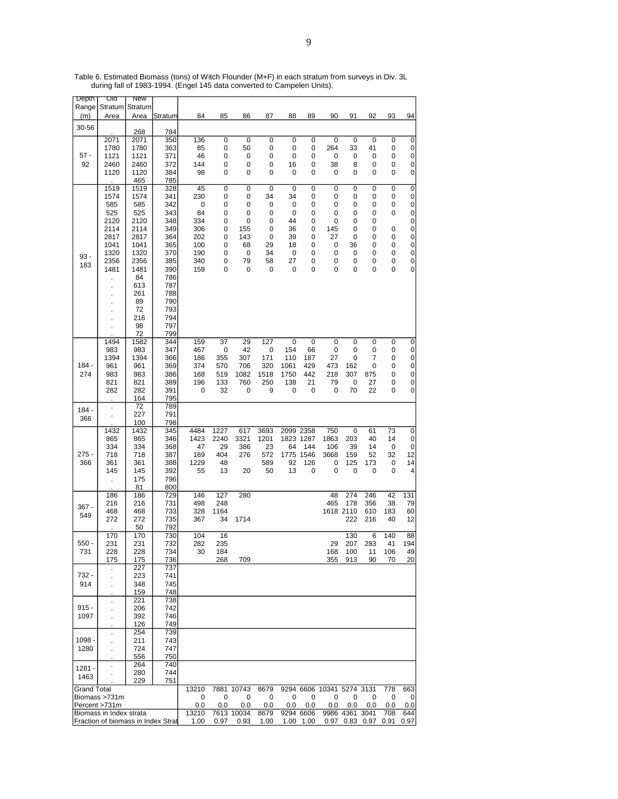| Depth              | णव                                 | <b>New</b>  |            |           |        |             |           |           |           |                           |                |           |      |                |
|--------------------|------------------------------------|-------------|------------|-----------|--------|-------------|-----------|-----------|-----------|---------------------------|----------------|-----------|------|----------------|
| Range              | Stratum                            | Stratum     |            |           |        |             |           |           |           |                           |                |           |      |                |
| (m)                | Area                               | Area        | Stratum    | 84        | 85     | 86          | 87        | 88        | 89        | 90                        | 91             | 92        | 93   | 94             |
| 30-56              |                                    |             |            |           |        |             |           |           |           |                           |                |           |      |                |
|                    | 2071                               | 268<br>2071 | 784<br>350 | 136       | 0      | $\mathbf 0$ | 0         | 0         | 0         | 0                         | 0              | 0         | 0    | 0              |
|                    | 1780                               | 1780        | 363        | 85        | 0      | 50          | 0         | 0         | 0         | 264                       | 33             | 41        | 0    | 0              |
| $57 -$             | 1121                               | 1121        | 371        | 46        | 0      | 0           | 0         | 0         | 0         | 0                         | 0              | 0         | 0    | 0              |
| 92                 | 2460                               | 2460        | 372        | 144       | 0      | 0           | 0         | 16        | 0         | 38                        | 8              | 0         | 0    | 0              |
|                    | 1120                               | 1120        | 384        | 98        | 0      | 0           | 0         | 0         | 0         | 0                         | 0              | 0         | 0    | 0              |
|                    |                                    | 465         | 785        |           |        |             |           |           |           |                           |                |           |      |                |
|                    | 1519                               | 1519        | 328        | 45        | 0      | 0           | $\pmb{0}$ | 0         | 0         | 0                         | 0              | $\pmb{0}$ | 0    | $\overline{0}$ |
|                    | 1574                               | 1574        | 341        | 230       | 0      | 0           | 34        | 34        | 0         | 0                         | 0              | 0         | 0    | 0              |
|                    | 585                                | 585         | 342        | 0         | 0      | 0           | 0         | 0         | 0         | 0                         | 0              | 0         | 0    | 0              |
|                    | 525<br>2120                        | 525<br>2120 | 343<br>348 | 84<br>334 | 0<br>0 | 0<br>0      | 0<br>0    | 0<br>44   | 0<br>0    | 0<br>0                    | 0<br>0         | 0<br>0    | 0    | 0              |
|                    | 2114                               | 2114        | 349        | 306       | 0      | 155         | 0         | 36        | 0         | 145                       | 0              | 0         | 0    | 0<br>$\pmb{0}$ |
|                    | 2817                               | 2817        | 364        | 202       | 0      | 143         | 0         | 39        | 0         | 27                        | 0              | 0         | 0    | 0              |
|                    | 1041                               | 1041        | 365        | 100       | 0      | 68          | 29        | 18        | 0         | 0                         | 36             | 0         | 0    | 0              |
| $93 -$             | 1320                               | 1320        | 370        | 190       | 0      | 0           | 34        | 0         | 0         | 0                         | 0              | 0         | 0    | $\pmb{0}$      |
| 183                | 2356                               | 2356        | 385        | 340       | 0      | 79          | 58        | 27        | 0         | 0                         | 0              | 0         | 0    | 0              |
|                    | 1481                               | 1481        | 390        | 159       | 0      | 0           | 0         | 0         | 0         | 0                         | 0              | 0         | 0    | 0              |
|                    |                                    | 84          | 786        |           |        |             |           |           |           |                           |                |           |      |                |
|                    |                                    | 613         | 787        |           |        |             |           |           |           |                           |                |           |      |                |
|                    | $\blacksquare$                     | 261         | 788        |           |        |             |           |           |           |                           |                |           |      |                |
|                    |                                    | 89          | 790        |           |        |             |           |           |           |                           |                |           |      |                |
|                    |                                    | 72<br>216   | 793<br>794 |           |        |             |           |           |           |                           |                |           |      |                |
|                    | ×,                                 | 98          | 797        |           |        |             |           |           |           |                           |                |           |      |                |
|                    |                                    | 72          | 799        |           |        |             |           |           |           |                           |                |           |      |                |
|                    | 1494                               | 1582        | 344        | 159       | 37     | 29          | 127       | 0         | 0         | 0                         | 0              | 0         | 0    | 0              |
|                    | 983                                | 983         | 347        | 467       | 0      | 42          | 0         | 154       | 66        | 0                         | 0              | 0         | 0    | 0              |
|                    | 1394                               | 1394        | 366        | 186       | 355    | 307         | 171       | 110       | 187       | 27                        | 0              | 7         | 0    | 0              |
| $184 -$            | 961                                | 961         | 369        | 374       | 570    | 706         | 320       | 1061      | 429       | 473                       | 162            | 0         | 0    | 0              |
| 274                | 983                                | 983         | 386        | 168       | 519    | 1082        | 1518      | 1750      | 442       | 218                       | 307            | 875       | 0    | 0              |
|                    | 821                                | 821         | 389        | 196       | 133    | 760         | 250       | 138       | 21        | 79                        | 0              | 27        | 0    | 0              |
|                    | 282                                | 282         | 391        | 0         | 32     | 0           | 9         | 0         | 0         | 0                         | 70             | 22        | 0    | 0              |
|                    |                                    | 164<br>72   | 795<br>789 |           |        |             |           |           |           |                           |                |           |      |                |
| $184 -$            | l.                                 | 227         | 791        |           |        |             |           |           |           |                           |                |           |      |                |
| 366                | $\cdot$                            | 100         | 798        |           |        |             |           |           |           |                           |                |           |      |                |
|                    | 1432                               | 1432        | 345        | 4484      | 1227   | 617         | 3693      | 2099 2358 |           | 750                       | $\mathbf 0$    | 61        | 73   | 0              |
|                    | 865                                | 865         | 346        | 1423      | 2240   | 3321        | 1201      | 1823 1287 |           | 1863                      | 203            | 40        | 14   | 0              |
|                    | 334                                | 334         | 368        | 47        | 29     | 386         | 23        | 64        | 144       | 106                       | 39             | 14        | 0    | 0              |
| 275 -              | 718                                | 718         | 387        | 169       | 404    | 276         | 572       |           | 1775 1546 | 3668                      | 159            | 52        | 32   | 12             |
| 366                | 361                                | 361         | 388        | 1229      | 48     |             | 589       | 92        | 126       | 0                         | 125            | 173       | 0    | 14             |
|                    | 145                                | 145         | 392        | 55        | 13     | 20          | 50        | 13        | 0         | 0                         | 0              | 0         | 0    | 4              |
|                    |                                    | 175         | 796        |           |        |             |           |           |           |                           |                |           |      |                |
|                    | 186                                | 81<br>186   | 800<br>729 | 146       | 127    | 280         |           |           |           | 48                        | 274            | 246       | 42   | 131            |
|                    | 216                                | 216         | 731        | 498       | 248    |             |           |           |           | 465                       | 178            | 356       | 38   | 79             |
| $367 -$            | 468                                | 468         | 733        | 328       | 1164   |             |           |           |           |                           | 1618 2110      | 610       | 183  | 60             |
| 549                | 272                                | 272         | 735        | 367       | 34     | 1714        |           |           |           |                           | 222            | 216       | 40   | 12             |
|                    |                                    | 50          | 792        |           |        |             |           |           |           |                           |                |           |      |                |
|                    | 170                                | 170         | 730        | 104       | 16     |             |           |           |           |                           | 130            | 6         | 140  | 88             |
| $550 -$            | 231                                | 231         | 732        | 282       | 235    |             |           |           |           | 29                        | 207            | 283       | 41   | 194            |
| 731                | 228                                | 228         | 734        | 30        | 184    |             |           |           |           | 168                       | 100            | 11        | 106  | 49             |
|                    | 175                                | 175         | 736        |           | 268    | 709         |           |           |           | 355                       | 913            | 90        | 70   | 20             |
| 732 -              |                                    | 227         | 737<br>741 |           |        |             |           |           |           |                           |                |           |      |                |
| 914                |                                    | 223<br>348  | 745        |           |        |             |           |           |           |                           |                |           |      |                |
|                    | ×,                                 | 159         | 748        |           |        |             |           |           |           |                           |                |           |      |                |
|                    |                                    | 221         | 738        |           |        |             |           |           |           |                           |                |           |      |                |
| $915 -$            |                                    | 206         | 742        |           |        |             |           |           |           |                           |                |           |      |                |
| 1097               |                                    | 392         | 746        |           |        |             |           |           |           |                           |                |           |      |                |
|                    |                                    | 126         | 749        |           |        |             |           |           |           |                           |                |           |      |                |
|                    | $\cdot$                            | 254         | 739        |           |        |             |           |           |           |                           |                |           |      |                |
| 1098 -             |                                    | 211         | 743        |           |        |             |           |           |           |                           |                |           |      |                |
| 1280               |                                    | 724         | 747        |           |        |             |           |           |           |                           |                |           |      |                |
|                    |                                    | 556<br>264  | 750<br>740 |           |        |             |           |           |           |                           |                |           |      |                |
| $1281 -$           | $\ddot{\phantom{0}}$               | 280         | 744        |           |        |             |           |           |           |                           |                |           |      |                |
| 1463               |                                    | 229         | 751        |           |        |             |           |           |           |                           |                |           |      |                |
| <b>Grand Total</b> |                                    |             |            | 13210     |        | 7881 10743  | 8679      |           |           | 9294 6606 10341 5274 3131 |                |           | 778  | 663            |
|                    | Biomass >731m                      |             |            | 0         | 0      | 0           | 0         | 0         | 0         | 0                         | 0              | 0         | 0    | 0              |
|                    | Percent >731m                      |             |            | 0.0       | 0.0    | 0.0         | 0.0       | 0.0       | 0.0       | 0.0                       | 0.0            | $_{0.0}$  | 0.0  | 0.0            |
|                    | Biomass in Index strata            |             |            | 13210     |        | 7613 10034  | 8679      | 9294 6606 |           |                           | 9986 4361 3041 |           | 708  | 644            |
|                    | Fraction of biomass in Index Strat |             |            | 1.00      | 0.97   | 0.93        | 1.00      |           | 1.00 1.00 | 0.97                      |                | 0.83 0.97 | 0.91 | 0.97           |

Table 6. Estimated Biomass (tons) of Witch Flounder (M+F) in each stratum from surveys in Div. 3L during fall of 1983-1994. (Engel 145 data converted to Campelen Units).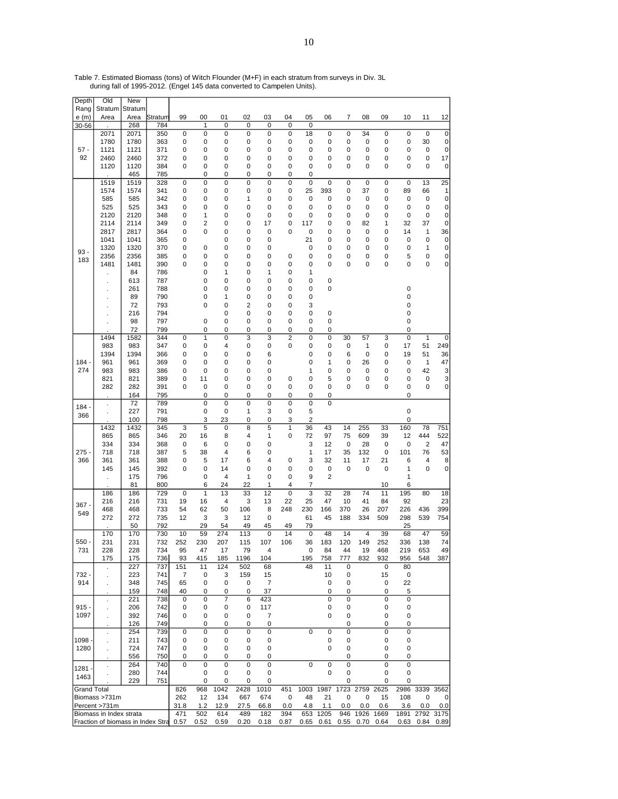| Depth                | Old                               | New          |            |                |           |             |             |                |                     |             |                |                |           |             |             |            |                    |
|----------------------|-----------------------------------|--------------|------------|----------------|-----------|-------------|-------------|----------------|---------------------|-------------|----------------|----------------|-----------|-------------|-------------|------------|--------------------|
| Rang                 | Stratum                           | Stratum      |            |                |           |             |             |                |                     |             |                |                |           |             |             |            |                    |
| e(m)                 | Area                              | Area         | Stratum    | 99             | 00        | 01          | 02          | 03             | 04                  | 05          | 06             | 7              | 08        | 09          | 10          | 11         | 12                 |
| 30-56                |                                   | 268          | 784        |                | 1         | 0           | 0<br>0      | 0<br>0         | 0<br>0              | 0<br>18     |                |                | 34        |             | 0           | $\pmb{0}$  | $\mathbf 0$        |
|                      | 2071<br>1780                      | 2071<br>1780 | 350<br>363 | $\pmb{0}$<br>0 | 0<br>0    | 0<br>0      | 0           | 0              | 0                   | 0           | 0<br>0         | $\pmb{0}$<br>0 | 0         | 0<br>0      | 0           | 30         | 0                  |
| $57 -$               | 1121                              | 1121         | 371        | 0              | 0         | 0           | 0           | 0              | 0                   | 0           | 0              | 0              | 0         | 0           | 0           | 0          | 0                  |
| 92                   | 2460                              | 2460         | 372        | 0              | 0         | 0           | 0           | 0              | 0                   | 0           | 0              | 0              | 0         | 0           | 0           | 0          | 17                 |
|                      | 1120                              | 1120         | 384        | 0              | 0         | 0           | 0           | 0              | 0                   | 0           | 0              | 0              | 0         | 0           | 0           | 0          | 0                  |
|                      |                                   | 465          | 785        |                | 0         | 0           | 0           | 0              | 0                   | 0           |                |                |           |             |             |            |                    |
|                      | 1519                              | 1519         | 328        | 0              | 0         | 0           | 0           | 0              | 0                   | 0           | 0              | 0              | 0         | 0           | 0           | 13         | 25                 |
|                      | 1574                              | 1574         | 341        | 0              | 0         | 0           | 0           | 0              | 0                   | 25          | 393            | 0              | 37        | 0           | 89          | 66         | 1                  |
|                      | 585                               | 585          | 342        | 0              | 0         | 0           | 1           | 0              | 0                   | 0           | 0              | 0              | 0         | 0           | 0           | 0          | 0                  |
|                      | 525                               | 525          | 343        | 0              | 0         | 0           | 0           | 0              | 0                   | 0           | 0              | 0              | 0         | 0           | 0           | 0          | 0                  |
|                      | 2120                              | 2120         | 348        | 0              | 1         | 0           | 0           | 0              | 0                   | 0           | 0              | 0              | 0         | 0           | 0           | 0          | 0                  |
|                      | 2114                              | 2114         | 349        | 0              | 2         | 0           | 0           | 17             | 0                   | 117         | 0              | 0              | 82        | 1           | 32          | 37         | 0                  |
|                      | 2817<br>1041                      | 2817<br>1041 | 364<br>365 | 0<br>0         | 0         | 0<br>0      | 0<br>0      | 0<br>0         | 0                   | 0<br>21     | 0<br>0         | 0<br>0         | 0<br>0    | 0<br>0      | 14<br>0     | 1<br>0     | 36<br>0            |
|                      | 1320                              | 1320         | 370        | 0              | 0         | 0           | 0           | 0              |                     | 0           | 0              | 0              | 0         | 0           | 0           | 1          | 0                  |
| $93 -$               | 2356                              | 2356         | 385        | 0              | 0         | 0           | 0           | 0              | 0                   | 0           | 0              | 0              | 0         | 0           | 5           | 0          | 0                  |
| 183                  | 1481                              | 1481         | 390        | 0              | 0         | 0           | 0           | 0              | 0                   | 0           | 0              | 0              | 0         | 0           | 0           | 0          | 0                  |
|                      |                                   | 84           | 786        |                | 0         | 1           | 0           | 1              | 0                   | 1           |                |                |           |             |             |            |                    |
|                      | ×                                 | 613          | 787        |                | 0         | 0           | 0           | 0              | 0                   | 0           | 0              |                |           |             |             |            |                    |
|                      |                                   | 261          | 788        |                | 0         | 0           | 0           | 0              | 0                   | 0           | 0              |                |           |             | 0           |            |                    |
|                      |                                   | 89           | 790        |                | 0         | 1           | 0           | 0              | 0                   | 0           |                |                |           |             | 0           |            |                    |
|                      |                                   | 72           | 793        |                | 0         | 0           | 2           | 0              | 0                   | 3           |                |                |           |             | 0           |            |                    |
|                      |                                   | 216          | 794        |                |           | 0           | 0           | 0              | 0                   | 0           | 0              |                |           |             | 0           |            |                    |
|                      |                                   | 98           | 797        |                | 0         | 0           | 0           | 0              | 0                   | 0           | 0              |                |           |             | 0           |            |                    |
|                      |                                   | 72           | 799        |                | 0         | 0           | 0           | 0              | 0                   | 0           | 0              |                |           |             | 0           |            |                    |
|                      | 1494<br>983                       | 1582<br>983  | 344<br>347 | 0<br>0         | 1<br>0    | 0<br>4      | 3<br>0      | 3<br>0         | $\overline{2}$<br>0 | 0<br>0      | 0<br>0         | 30<br>0        | 57<br>1   | 3<br>0      | 0<br>17     | 1<br>51    | $\mathbf 0$<br>249 |
|                      | 1394                              | 1394         | 366        | 0              | 0         | 0           | 0           | 6              |                     | 0           | 0              | 6              | 0         | 0           | 19          | 51         | 36                 |
| $184 -$              | 961                               | 961          | 369        | 0              | 0         | 0           | 0           | 0              |                     | 0           | 1              | 0              | 26        | 0           | 0           | 1          | 47                 |
| 274                  | 983                               | 983          | 386        | 0              | 0         | 0           | 0           | 0              |                     | 1           | 0              | 0              | 0         | 0           | 0           | 42         | 3                  |
|                      | 821                               | 821          | 389        | 0              | 11        | 0           | 0           | 0              | 0                   | 0           | 5              | 0              | 0         | 0           | 0           | 0          | 3                  |
|                      | 282                               | 282          | 391        | 0              | 0         | 0           | 0           | 0              | 0                   | 0           | 0              | 0              | 0         | 0           | 0           | 0          | 0                  |
|                      |                                   | 164          | 795        |                | 0         | 0           | 0           | 0              | 0                   | 0           | 0              |                |           |             | 0           |            |                    |
| 184                  | $\blacksquare$                    | 72           | 789        |                | 0         | 0           | 0           | 0              | 0                   | 0           | 0              |                |           |             |             |            |                    |
| 366                  |                                   | 227          | 791        |                | 0         | 0           | 1           | 3              | 0                   | 5           |                |                |           |             | 0           |            |                    |
|                      |                                   | 100          | 798        |                | 3         | 23          | 0           | 0              | 3                   | 2           |                |                |           |             | 0           |            |                    |
|                      | 1432                              | 1432         | 345        | 3              | 5         | $\mathbf 0$ | 8           | 5              | 1                   | 36          | 43             | 14             | 255       | 33          | 160         | 78         | 751                |
|                      | 865                               | 865          | 346        | 20             | 16        | 8           | 4           | 1              | 0                   | 72          | 97             | 75             | 609       | 39          | 12          | 444        | 522                |
| 275 -                | 334                               | 334          | 368        | 0              | 6         | 0<br>4      | 0           | 0<br>0         |                     | 3           | 12             | 0              | 28        | 0           | 0           | 2          | 47                 |
| 366                  | 718<br>361                        | 718<br>361   | 387<br>388 | 5<br>0         | 38<br>5   | 17          | 6<br>6      | 4              | 0                   | 1<br>3      | 17<br>32       | 35<br>11       | 132<br>17 | 0<br>21     | 101<br>6    | 76<br>4    | 53<br>8            |
|                      | 145                               | 145          | 392        | 0              | 0         | 14          | 0           | 0              | 0                   | 0           | 0              | 0              | 0         | 0           | 1           | 0          | 0                  |
|                      |                                   | 175          | 796        |                | 0         | 4           | 1           | 0              | 0                   | 9           | $\overline{2}$ |                |           |             | 1           |            |                    |
|                      |                                   | 81           | 800        |                | 6         | 24          | 22          | 1              | 4                   | 7           |                |                |           | 10          | 6           |            |                    |
|                      | 186                               | 186          | 729        | $\pmb{0}$      | 1         | 13          | 33          | 12             | 0                   | 3           | 32             | 28             | 74        | 11          | 195         | 80         | 18                 |
| 367 -                | 216                               | 216          | 731        | 19             | 16        | 4           | 3           | 13             | 22                  | 25          | 47             | 10             | 41        | 84          | 92          |            | 23                 |
| 549                  | 468                               | 468          | 733        | 54             | 62        | 50          | 106         | 8              | 248                 | 230         | 166            | 370            | 26        | 207         | 226         | 436        | 399                |
|                      | 272                               | 272          | 735        | 12             | 3         | 3           | 12          | 0              |                     | 61          | 45             | 188            | 334       | 509         | 298         | 539        | 754                |
|                      |                                   | 50           | 792        |                | 29        | 54          | 49          | 45             | 49                  | 79          |                |                |           |             | 25          |            |                    |
|                      | 170                               | 170          | 730        | 10             | 59        | 274         | 113         | 0              | 14                  | 0           | 48             | 14             | 4         | 39          | 68          | 47         | 59                 |
| $550 -$<br>731       | 231                               | 231          | 732        | 252            | 230<br>47 | 207<br>17   | 115<br>79   | 107<br>4       | 106                 | 36<br>0     | 183            | 120<br>44      | 149       | 252         | 336         | 138        | 74<br>49           |
|                      | 228<br>175                        | 228<br>175   | 734<br>736 | 95<br>93       | 415       | 185         | 1196        | 104            |                     | 195         | 84<br>758      | 777            | 19<br>832 | 468<br>932  | 219<br>956  | 653<br>548 | 387                |
|                      |                                   | 227          | 737        | 151            | 11        | 124         | 502         | 68             |                     | 48          | 11             | 0              |           | 0           | 80          |            |                    |
| 732 -                |                                   | 223          | 741        | 7              | 0         | 3           | 159         | 15             |                     |             | 10             | 0              |           | 15          | 0           |            |                    |
| 914                  |                                   | 348          | 745        | 65             | 0         | 0           | 0           | $\overline{7}$ |                     |             | 0              | 0              |           | 0           | 22          |            |                    |
|                      |                                   | 159          | 748        | 40             | 0         | 0           | 0           | 37             |                     |             | 0              | 0              |           | 0           | 5           |            |                    |
|                      |                                   | 221          | 738        | $\pmb{0}$      | 0         | 7           | 6           | 423            |                     |             | 0              | 0              |           | 0           | 0           |            |                    |
| $915 -$              | ÷.                                | 206          | 742        | 0              | 0         | 0           | 0           | 117            |                     |             | 0              | 0              |           | 0           | 0           |            |                    |
| 1097                 |                                   | 392          | 746        | 0              | 0         | 0           | 0           | 7              |                     |             | 0              | 0              |           | 0           | 0           |            |                    |
|                      |                                   | 126          | 749        |                | 0         | 0           | 0           | 0              |                     |             |                | 0              |           | 0           | 0           |            |                    |
|                      | $\blacksquare$                    | 254          | 739        | $\mathbf 0$    | 0         | 0           | $\mathbf 0$ | $\mathbf 0$    |                     | 0           | $\mathbf 0$    | $\mathbf 0$    |           | $\mathbf 0$ | $\mathbf 0$ |            |                    |
| $1098 \cdot$<br>1280 |                                   | 211          | 743        | 0              | 0         | 0<br>0      | 0           | 0              |                     |             | 0              | 0<br>0         |           | 0<br>0      | 0<br>0      |            |                    |
|                      |                                   | 724<br>556   | 747<br>750 | 0<br>0         | 0<br>0    | 0           | 0<br>0      | 0<br>0         |                     |             | 0              | 0              |           | 0           | 0           |            |                    |
|                      | $\ddot{\phantom{0}}$              | 264          | 740        | $\mathbf 0$    | 0         | 0           | $\pmb{0}$   | 0              |                     | $\mathbf 0$ | 0              | 0              |           | $\mathbf 0$ | 0           |            |                    |
| 1281 $\cdot$         |                                   | 280          | 744        |                | 0         | 0           | 0           | 0              |                     |             | 0              | 0              |           | 0           | 0           |            |                    |
| 1463                 |                                   | 229          | 751        |                | 0         | 0           | 0           | 0              |                     |             |                | 0              |           | 0           | 0           |            |                    |
| <b>Grand Total</b>   |                                   |              |            | 826            | 968       | 1042        | 2428        | 1010           | 451                 |             | 1003 1987      | 1723           | 2759 2625 |             | 2986        | 3339 3562  |                    |
|                      | Biomass >731m                     |              |            | 262            | 12        | 134         | 667         | 674            | 0                   | 48          | 21             | 0              | 0         | 15          | 108         | 0          | 0                  |
|                      | Percent >731m                     |              |            | 31.8           | 1.2       | 12.9        | 27.5        | 66.8           | 0.0                 | 4.8         | 1.1            | 0.0            | 0.0       | 0.6         | 3.6         | 0.0        | 0.0                |
|                      | Biomass in Index strata           |              |            | 471            | 502       | 614         | 489         | 182            | 394                 | 653         | 1205           | 946            | 1926      | 1669        | 1891        | 2792 3175  |                    |
|                      | Fraction of biomass in Index Stra |              |            | 0.57           | 0.52      | 0.59        | 0.20        | 0.18           | 0.87                | 0.65        | 0.61           | 0.55           | 0.70      | 0.64        | 0.63        | 0.84       | 0.89               |

Table 7. Estimated Biomass (tons) of Witch Flounder (M+F) in each stratum from surveys in Div. 3L during fall of 1995-2012. (Engel 145 data converted to Campelen Units).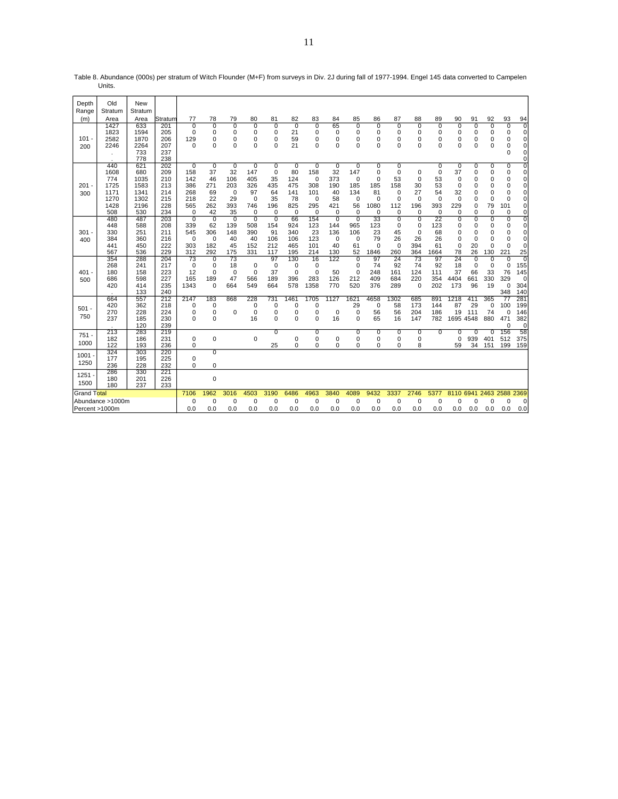| Depth          | Old              | New        |            |                    |                    |                |                |                |                |             |                   |                   |                |                |                |             |               |             |                |               |                            |
|----------------|------------------|------------|------------|--------------------|--------------------|----------------|----------------|----------------|----------------|-------------|-------------------|-------------------|----------------|----------------|----------------|-------------|---------------|-------------|----------------|---------------|----------------------------|
| Range          | Stratum          | Stratum    |            |                    |                    |                |                |                |                |             |                   |                   |                |                |                |             |               |             |                |               |                            |
| (m)            | Area             | Area       | Stratum    | 77                 | 78                 | 79             | 80             | 81             | 82             | 83          | 84                | 85                | 86             | 87             | 88             | 89          | 90            | 91          | 92             | 93            | 94                         |
|                | 1427             | 633        | 201        | $\Omega$           | U                  | $\Omega$       | 0              | $\Omega$       | $\Omega$       | 0           | 65                | $\Omega$          | $\Omega$       | $\Omega$       | 0              | 0           | $\Omega$      | 0           | $\Omega$       | 0             | $\overline{0}$             |
|                | 1823             | 1594       | 205        | 0                  | 0                  | 0              | 0              | 0              | 21             | 0           | 0                 | 0                 | 0              | 0              | 0              | 0           | 0             | 0           | $\mathbf 0$    | 0             | 0                          |
| $101 -$        | 2582             | 1870       | 206        | 129                | 0                  | 0              | 0              | 0              | 59             | 0           | 0                 | $\mathbf 0$       | $\mathbf 0$    | 0              | 0              | 0           | 0             | 0           | 0              | 0             | $\mathbf 0$                |
| 200            | 2246             | 2264       | 207        | $\Omega$           | $\Omega$           | 0              | 0              | $\Omega$       | 21             | 0           | $\Omega$          | 0                 | $\mathbf 0$    | $\Omega$       | 0              | $\mathbf 0$ | $\Omega$      | 0           | 0              | 0             | $\mathbf 0$                |
|                |                  | 733<br>778 | 237<br>238 |                    |                    |                |                |                |                |             |                   |                   |                |                |                |             |               |             |                | $\Omega$      | $\mathbf 0$<br>0           |
|                | 440              | 621        | 202        | 0                  | $\overline{0}$     | 0              | $\overline{0}$ | 0              | $\overline{0}$ | 0           | $\overline{0}$    | $\overline{0}$    | 0              | 0              |                | 0           | 0             | 0           | 0              | 0             | $\overline{0}$             |
|                | 1608             | 680        | 209        | 158                | 37                 | 32             | 147            | 0              | 80             | 158         | 32                | 147               | $\mathbf 0$    | $\mathbf 0$    | 0              | $\mathbf 0$ | 37            | 0           | $\mathbf 0$    | 0             | $\mathbf 0$                |
|                | 774              | 1035       | 210        | 142                | 46                 | 106            | 405            | 35             | 124            | $\mathbf 0$ | 373               | $\mathbf 0$       | $\mathbf 0$    | 53             | $\mathbf 0$    | 53          | $\Omega$      | 0           | $\mathbf 0$    | 0             | 0                          |
| 201            | 1725             | 1583       | 213        | 386                | 271                | 203            | 326            | 435            | 475            | 308         | 190               | 185               | 185            | 158            | 30             | 53          | $\Omega$      | 0           | 0              | 0             | $\mathbf 0$                |
| 300            | 1171             | 1341       | 214        | 268                | 69                 | $\mathbf 0$    | 97             | 64             | 141            | 101         | 40                | 134               | 81             | 0              | 27             | 54          | 32            | 0           | 0              | 0             | $\mathbf 0$                |
|                | 1270             | 1302       | 215        | 218                | 22                 | 29             | $\Omega$       | 35             | 78             | $\mathbf 0$ | 58                | $\mathbf 0$       | $\Omega$       | $\Omega$       | $\Omega$       | $\Omega$    | $\Omega$      | 0           | $\Omega$       | $\Omega$      | $\mathbf 0$                |
|                | 1428             | 2196       | 228        | 565                | 262                | 393            | 746            | 196            | 825            | 295         | 421               | 56                | 1080           | 112            | 196            | 393         | 229           | 0           | 79             | 101           | $\mathbf 0$                |
|                | 508              | 530        | 234        | $\Omega$           | 42                 | 35             | $\mathbf 0$    | $\Omega$       | $\mathbf 0$    | $\Omega$    | $\Omega$          | $\mathbf 0$       | $\mathbf 0$    | 0              | $\Omega$       | 0           | 0             | $\Omega$    | $\mathbf 0$    | 0             | 0                          |
|                | 480              | 487        | 203        | $\overline{0}$     | $\overline{0}$     | $\overline{0}$ | $\overline{0}$ | $\overline{0}$ | 66             | 154         | $\overline{0}$    | $\overline{0}$    | 33             | 0              | $\overline{0}$ | 22          | 0             | 0           | $\overline{0}$ | 0             | 0                          |
|                | 448              | 588        | 208        | 339                | 62                 | 139            | 508            | 154            | 924            | 123         | 144               | 965               | 123            | 0              | 0              | 123         | 0             | 0           | $\Omega$       | 0             | 0                          |
| 301            | 330              | 251        | 211        | 545                | 306                | 148            | 390            | 91             | 340            | 23          | 136               | 106               | 23             | 45             | 0              | 68          | 0             | 0           | $\mathbf 0$    | $\Omega$      | $\mathbf 0$                |
| 400            | 384<br>441       | 360<br>450 | 216<br>222 | $\mathbf 0$<br>303 | $\mathbf 0$<br>182 | 40<br>45       | 40<br>152      | 106<br>212     | 106<br>465     | 123<br>101  | $\mathbf 0$<br>40 | $\mathbf 0$<br>61 | 79<br>$\Omega$ | 26<br>0        | 26<br>394      | 26<br>61    | O<br>$\Omega$ | 0<br>20     | 0<br>$\Omega$  | 0<br>$\Omega$ | $\mathbf 0$<br>$\mathbf 0$ |
|                | 567              | 536        | 229        | 312                | 292                | 175            | 331            | 117            | 195            | 214         | 130               | 52                | 1846           | 260            | 364            | 1664        | 78            | 26          | 130            | 221           | 25                         |
|                | 354              | 288        | 204        | 73                 | 0                  | 73             |                | 97             | 130            | 16          | 122               | $\Omega$          | 97             | 24             | 73             | 97          | 24            | 0           | $\Omega$       | 0             | $\Omega$                   |
|                | 268              | 241        | 217        | 0                  | $\mathbf 0$        | 18             | $\mathbf 0$    | $\mathbf 0$    | 0              | $\mathbf 0$ |                   | $\mathbf 0$       | 74             | 92             | 74             | 92          | 18            | $\mathbf 0$ | $\mathbf 0$    | 0             | 155                        |
| $401 -$        | 180              | 158        | 223        | 12                 | 0                  | $\mathbf 0$    | $\mathbf 0$    | 37             | $\mathbf 0$    | $\mathbf 0$ | 50                | $\mathbf 0$       | 248            | 161            | 124            | 111         | 37            | 66          | 33             | 76            | 145                        |
| 500            | 686              | 598        | 227        | 165                | 189                | 47             | 566            | 189            | 396            | 283         | 126               | 212               | 409            | 684            | 220            | 354         | 4404          | 661         | 330            | 329           | 0                          |
|                | 420              | 414        | 235        | 1343               | 0                  | 664            | 549            | 664            | 578            | 1358        | 770               | 520               | 376            | 289            | 0              | 202         | 173           | 96          | 19             | 0             | 304                        |
|                |                  | 133        | 240        |                    |                    |                |                |                |                |             |                   |                   |                |                |                |             |               |             |                | 348           | 140                        |
|                | 664              | 557        | 212        | 2147               | 183                | 868            | 228            | 731            | 1461           | 1705        | 1127              | 1621              | 4658           | 1302           | 685            | 891         | 1218          | 411         | 365            | 77            | 281                        |
| $501 -$        | 420              | 362        | 218        | 0                  | 0                  |                | 0              | 0              | 0              | 0           |                   | 29                | 0              | 58             | 173            | 144         | 87            | 29          | $\mathbf 0$    | 100           | 199                        |
| 750            | 270              | 228        | 224        | 0                  | 0                  | $\mathbf 0$    | $\mathbf 0$    | 0              | $\mathbf 0$    | 0           | $\mathbf 0$       | $\mathbf 0$       | 56             | 56             | 204            | 186         | 19            | 111         | 74             | 0             | 146                        |
|                | 237              | 185        | 230        | $\Omega$           | $\Omega$           |                | 16             | 0              | $\mathbf 0$    | 0           | 16                | $\Omega$          | 65             | 16             | 147            | 782         | 1695          | 4548        | 880            | 471           | 382                        |
|                | 213              | 120<br>283 | 239<br>219 |                    |                    |                |                | 0              |                | 0           |                   | 0                 | $\overline{0}$ | $\overline{0}$ | 0              | 0           | U             | 0           | 0              | 0<br>156      | $\Omega$<br>58             |
| $751 -$        | 182              | 186        | 231        | 0                  | 0                  |                | $\mathbf 0$    |                | 0              | 0           | 0                 | 0                 | 0              | 0              | 0              |             | 0             | 939         | 401            | 512           | 375                        |
| 1000           | 122              | 193        | 236        | 0                  |                    |                |                | 25             | $\mathbf 0$    | 0           | $\Omega$          | 0                 | 0              | 0              | 8              |             | 59            | 34          | 151            | 199           | 159                        |
|                | 324              | 303        | 220        |                    | $\overline{0}$     |                |                |                |                |             |                   |                   |                |                |                |             |               |             |                |               |                            |
| $1001 -$       | 177              | 195        | 225        | 0                  |                    |                |                |                |                |             |                   |                   |                |                |                |             |               |             |                |               |                            |
| 1250           | 236              | 228        | 232        | 0                  | 0                  |                |                |                |                |             |                   |                   |                |                |                |             |               |             |                |               |                            |
| 1251           | 286              | 330        | 221        |                    |                    |                |                |                |                |             |                   |                   |                |                |                |             |               |             |                |               |                            |
| 1500           | 180              | 201        | 226        |                    | $\mathbf 0$        |                |                |                |                |             |                   |                   |                |                |                |             |               |             |                |               |                            |
|                | 180              | 237        | 233        |                    |                    |                |                |                |                |             |                   |                   |                |                |                |             |               |             |                |               |                            |
| Grand Total    |                  |            |            | 7106               | 1962               | 3016           | 4503           | 3190           | 6486           | 4963        | 3840              | 4089              | 9432           | 3337           | 2746           | 5377        | 8110          | 6941        | 2463           | 2588          | 2369                       |
|                | Abundance >1000m |            |            | 0                  | 0                  | $\mathbf 0$    | $\mathbf 0$    | 0              | 0              | 0           | 0                 | $\mathbf 0$       | $\mathbf 0$    | 0              | 0              | 0           | 0             | 0           | $\mathbf 0$    | 0             | 0                          |
| Percent >1000m |                  |            |            | 0.0                | 0.0                | 0.0            | 0.0            | 0.0            | 0.0            | 0.0         | 0.0               | 0.0               | 0.0            | 0.0            | 0.0            | 0.0         | 0.0           | 0.0         | 0.0            | 0.0           | 0.0                        |

Table 8. Abundance (000s) per stratum of Witch Flounder (M+F) from surveys in Div. 2J during fall of 1977-1994. Engel 145 data converted to Campelen Units.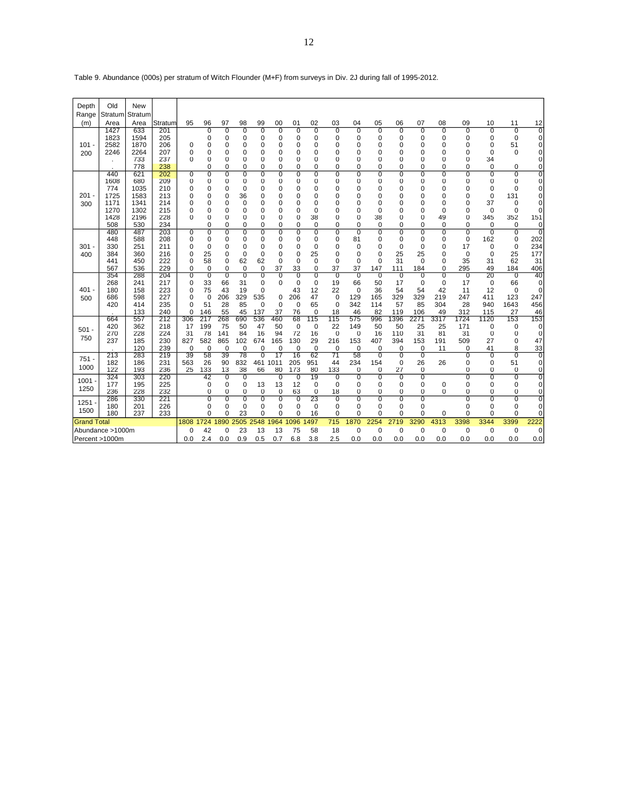| Depth              | Old              | <b>New</b> |            |                         |                    |                    |                           |                         |                 |                            |                   |                    |                            |                    |                |                      |                      |                |          |                |                            |
|--------------------|------------------|------------|------------|-------------------------|--------------------|--------------------|---------------------------|-------------------------|-----------------|----------------------------|-------------------|--------------------|----------------------------|--------------------|----------------|----------------------|----------------------|----------------|----------|----------------|----------------------------|
| Range              | Stratum          | Stratum    |            |                         |                    |                    |                           |                         |                 |                            |                   |                    |                            |                    |                |                      |                      |                |          |                |                            |
| (m)                | Area             | Area       | Stratum    | 95                      | 96                 | 97                 | 98                        | 99                      | 00              | 01                         | 02                | 03                 | 04                         | 05                 | 06             | 07                   | 08                   | 09             | 10       | 11             | 12                         |
|                    | 1427             | 633        | 201        |                         | 0                  | 0                  | 0                         | 0                       | 0               | $\overline{0}$             | $\overline{0}$    | $\overline{0}$     | $\overline{0}$             | $\overline{0}$     | 0              | $\overline{0}$       | $\Omega$             | $\overline{0}$ | 0        | 0              | 0                          |
|                    | 1823             | 1594       | 205        |                         | 0                  | 0                  | 0                         | 0                       | 0               | 0                          | 0                 | 0                  | 0                          | 0                  | 0              | 0                    | 0                    | 0              | 0        | 0              | 0                          |
| $101 -$            | 2582             | 1870       | 206        | $\Omega$                | 0                  | 0                  | 0                         | $\mathbf 0$             | $\Omega$        | 0                          | 0                 | 0                  | 0                          | $\mathbf 0$        | $\Omega$       | 0                    | $\Omega$             | 0              | 0        | 51             | 0                          |
| 200                | 2246             | 2264       | 207        | 0                       | 0                  | 0                  | 0                         | 0                       | 0               | 0                          | $\Omega$          | 0                  | $\Omega$                   | 0                  | $\Omega$       | $\Omega$             | $\Omega$             | 0              | $\Omega$ | 0              | 0                          |
|                    |                  | 733<br>778 | 237<br>238 | $\Omega$                | 0<br>0             | 0<br>0             | 0<br>0                    | $\mathbf 0$<br>0        | 0<br>0          | 0<br>0                     | 0<br>0            | 0<br>0             | $\Omega$<br>0              | 0<br>0             | 0<br>$\Omega$  | 0<br>$\Omega$        | $\Omega$<br>$\Omega$ | 0<br>0         | 34<br>0  | 0              | 0<br>0                     |
|                    | 440              | 621        | 202        | 0                       | 0                  | 0                  | 0                         | 0                       | 0               | 0                          | 0                 | 0                  | 0                          | 0                  | 0              | 0                    | 0                    | 0              | 0        | 0              | 0                          |
|                    | 1608             | 680        | 209        | 0                       | 0                  | 0                  | 0                         | 0                       | 0               | 0                          | 0                 | 0                  | 0                          | $\mathbf 0$        | 0              | 0                    | 0                    | $\mathbf 0$    | 0        | 0              | 0                          |
|                    | 774              | 1035       | 210        | 0                       | $\mathbf 0$        | 0                  | $\mathbf 0$               | $\mathbf 0$             | 0               | $\mathbf 0$                | 0                 | 0                  | 0                          | $\mathbf 0$        | 0              | 0                    | 0                    | $\mathbf 0$    | 0        | $\mathbf 0$    | 0                          |
| 201                | 1725             | 1583       | 213        | 0                       | 0                  | 0                  | 36                        | 0                       | 0               | $\mathbf 0$                | 0                 | 0                  | 0                          | 0                  | 0              | 0                    | $\Omega$             | 0              | 0        | 131            | 0                          |
| 300                | 1171             | 1341       | 214        | 0                       | 0                  | 0                  | $\mathbf 0$               | $\mathbf 0$             | 0               | 0                          | 0                 | 0                  | $\Omega$                   | $\mathbf 0$        | 0              | 0                    | 0                    | $\mathbf 0$    | 37       | $\mathbf 0$    | $\mathbf 0$                |
|                    | 1270             | 1302       | 215        | $\Omega$                | 0                  | 0                  | 0                         | $\mathbf 0$             | 0               | $\mathbf 0$                | 0                 | 0                  | 0                          | $\mathbf 0$        | 0              | 0                    | $\Omega$             | 0              | 0        | 0              | $\Omega$                   |
|                    | 1428             | 2196       | 228        | 0                       | 0                  | 0                  | 0                         | 0                       | 0               | 0                          | 38                | 0                  | 0                          | 38                 | 0              | 0                    | 49                   | 0              | 345      | 352            | 151                        |
|                    | 508<br>480       | 530<br>487 | 234<br>203 | 0                       | $\Omega$<br>0      | 0<br>0             | $\mathbf 0$<br>0          | $\Omega$<br>0           | $\Omega$<br>0   | $\Omega$<br>$\overline{0}$ | $\mathbf 0$<br>0  | $\Omega$<br>0      | $\Omega$<br>$\overline{0}$ | $\mathbf 0$<br>0   | $\Omega$<br>0  | $\Omega$<br>$\Omega$ | $\Omega$<br>0        | $\Omega$<br>0  | 0<br>0   | 0<br>$\Omega$  | 0<br>0                     |
|                    | 448              | 588        | 208        | $\Omega$                | $\mathbf 0$        | 0                  | 0                         | $\mathbf 0$             | $\Omega$        | $\mathbf 0$                | $\mathbf 0$       | $\mathbf 0$        | 81                         | 0                  | 0              | $\Omega$             | $\Omega$             | $\mathbf 0$    | 162      | 0              | 202                        |
| 301                | 330              | 251        | 211        | $\Omega$                | 0                  | 0                  | 0                         | 0                       | 0               | 0                          | $\mathbf 0$       | 0                  | 0                          | 0                  | 0              | 0                    | $\Omega$             | 17             | 0        | 0              | 234                        |
| 400                | 384              | 360        | 216        | 0                       | 25                 | 0                  | $\mathbf 0$               | $\mathbf 0$             | 0               | $\mathbf 0$                | 25                | $\mathbf 0$        | 0                          | $\mathbf 0$        | 25             | 25                   | 0                    | $\mathbf 0$    | 0        | 25             | 177                        |
|                    | 441              | 450        | 222        | $\Omega$                | 58                 | 0                  | 62                        | 62                      | 0               | $\Omega$                   | $\mathbf 0$       | $\mathbf 0$        | $\Omega$                   | $\Omega$           | 31             | $\Omega$             | $\Omega$             | 35             | 31       | 62             | 31                         |
|                    | 567              | 536        | 229        | 0                       | $\mathbf 0$        | 0                  | $\mathbf 0$               | 0                       | 37              | 33                         | 0                 | 37                 | 37                         | 147                | 111            | 184                  | 0                    | 295            | 49       | 184            | 406                        |
|                    | 354              | 288        | 204        | 0                       | 0                  | $\overline{0}$     | $\overline{\mathfrak{o}}$ | 0                       | 0               | $\overline{0}$             | $\overline{0}$    | $\overline{0}$     | $\overline{0}$             | $\overline{0}$     | 0              | $\overline{0}$       | 0                    | $\overline{0}$ | 20       | $\overline{0}$ | 40                         |
| 401                | 268<br>180       | 241<br>158 | 217<br>223 | $\mathbf 0$<br>$\Omega$ | 33<br>75           | 66<br>43           | 31<br>19                  | $\mathbf 0$<br>0        | $\mathbf 0$     | $\mathbf 0$<br>43          | $\mathbf 0$<br>12 | 19<br>22           | 66<br>$\mathbf 0$          | 50<br>36           | 17<br>54       | $\mathbf 0$<br>54    | 0<br>42              | 17<br>11       | 0<br>12  | 66<br>0        | $\mathbf 0$<br>$\mathbf 0$ |
| 500                | 686              | 598        | 227        | $\Omega$                | 0                  | 206                | 329                       | 535                     | 0               | 206                        | 47                | $\mathbf 0$        | 129                        | 165                | 329            | 329                  | 219                  | 247            | 411      | 123            | 247                        |
|                    | 420              | 414        | 235        | $\Omega$                | 51                 | 28                 | 85                        | $\mathbf 0$             | $\mathbf 0$     | $\mathbf 0$                | 65                | $\mathbf 0$        | 342                        | 114                | 57             | 85                   | 304                  | 28             | 940      | 1643           | 456                        |
|                    |                  | 133        | 240        | $\Omega$                | 146                | 55                 | 45                        | 137                     | 37              | 76                         | $\mathbf 0$       | 18                 | 46                         | 82                 | 119            | 106                  | 49                   | 312            | 115      | 27             | 46                         |
|                    | 664              | 557        | 212        | 306                     | 217                | 268                | 690                       | 536                     | 460             | 68                         | 115               | 115                | 575                        | 996                | 1396           | 2271                 | 3317                 | 1724           | 1120     | 153            | 153                        |
| 501                | 420              | 362        | 218        | 17                      | 199                | 75                 | 50                        | 47                      | 50              | $\mathbf 0$                | 0                 | 22                 | 149                        | 50                 | 50             | 25                   | 25                   | 171            | 0        | 0              | 0                          |
| 750                | 270              | 228        | 224        | 31                      | 78                 | 141                | 84                        | 16                      | 94              | 72                         | 16                | $\mathbf 0$        | 0                          | 16                 | 110            | 31                   | 81                   | 31             | 0        | 0              | $\mathbf 0$                |
|                    | 237              | 185<br>120 | 230<br>239 | 827<br>$\Omega$         | 582<br>$\mathbf 0$ | 865<br>$\mathbf 0$ | 102<br>$\mathbf 0$        | 674<br>$\Omega$         | 165<br>$\Omega$ | 130<br>$\Omega$            | 29<br>$\mathbf 0$ | 216<br>$\mathbf 0$ | 153                        | 407<br>$\mathbf 0$ | 394<br>0       | 153                  | 191<br>11            | 509            | 27<br>41 | 0<br>8         | 47                         |
|                    | 213              | 283        | 219        | 39                      | 58                 | 39                 | 78                        | 0                       | 17              | 16                         | 62                | $\overline{71}$    | 0<br>58                    | $\overline{0}$     | $\overline{0}$ | 0<br>$\overline{0}$  |                      | 0<br>0         | 0        | 0              | 33<br>0                    |
| 751                | 182              | 186        | 231        | 563                     | 26                 | 90                 | 832                       | 461                     | 1011            | 205                        | 951               | 44                 | 234                        | 154                | 0              | 26                   | 26                   | $\mathbf 0$    | 0        | 51             | 0                          |
| 1000               | 122              | 193        | 236        | 25                      | 133                | 13                 | 38                        | 66                      | 80              | 173                        | 80                | 133                | 0                          | 0                  | 27             | 0                    |                      | 0              | 0        | $\mathbf 0$    | $\pmb{0}$                  |
| $1001 -$           | 324              | 303        | 220        |                         | 42                 | 0                  | 0                         |                         | 0               | $\overline{0}$             | 19                | 0                  | 0                          | 0                  | 0              | 0                    |                      | 0              | 0        | 0              | 0                          |
| 1250               | 177              | 195        | 225        |                         | 0                  | 0                  | 0                         | 13                      | 13              | 12                         | $\mathbf 0$       | $\mathbf 0$        | 0                          | 0                  | 0              | 0                    | 0                    | 0              | 0        | 0              | 0                          |
|                    | 236              | 228        | 232        |                         | $\mathbf 0$        | 0                  | 0                         | $\mathbf 0$             | 0               | 63                         | 0                 | 18                 | $\mathbf 0$                | 0                  | 0              | 0                    | 0                    | 0              | 0        | 0              | 0                          |
| 1251               | 286              | 330        | 221        |                         | 0                  | 0                  | 0                         | 0                       | 0               | $\overline{0}$             | 23                | 0                  | 0                          | 0                  | 0              | $\overline{0}$       |                      | 0              | 0        | $\overline{0}$ | $\overline{0}$             |
| 1500               | 180<br>180       | 201<br>237 | 226<br>233 |                         | 0<br>$\Omega$      | 0<br>$\Omega$      | $\mathbf 0$<br>23         | $\mathbf 0$<br>$\Omega$ | 0<br>$\Omega$   | 0<br>$\Omega$              | $\mathbf 0$<br>16 | 0<br>$\Omega$      | 0<br>$\Omega$              | 0<br>$\Omega$      | 0<br>$\Omega$  | 0<br>$\Omega$        | $\Omega$             | 0<br>$\Omega$  | 0<br>0   | 0<br>$\Omega$  | 0<br>$\mathbf 0$           |
| <b>Grand Total</b> |                  |            |            | 1808                    | 1724               | 890                | 2505                      | 2548                    | 1964            | 096                        | 497               | 715                | 1870                       | 2254               | 2719           | 3290                 | 4313                 | 3398           | 3344     | 3399           | 2222                       |
|                    | Abundance >1000m |            |            | $\Omega$                | 42                 | 0                  | 23                        | 13                      | 13              | 75                         | 58                | 18                 | $\mathbf 0$                | $\mathbf 0$        | 0              | $\mathbf 0$          | $\mathbf 0$          | $\mathbf 0$    | 0        | $\mathbf 0$    | $\mathbf 0$                |
| Percent >1000m     |                  |            |            | 0.0                     | 2.4                | 0.0                | 0.9                       | 0.5                     | 0.7             | 6.8                        | 3.8               | 2.5                | 0.0                        | 0.0                | 0.0            | 0.0                  | 0.0                  | 0.0            | 0.0      | 0.0            | 0.0                        |
|                    |                  |            |            |                         |                    |                    |                           |                         |                 |                            |                   |                    |                            |                    |                |                      |                      |                |          |                |                            |

Table 9. Abundance (000s) per stratum of Witch Flounder (M+F) from surveys in Div. 2J during fall of 1995-2012.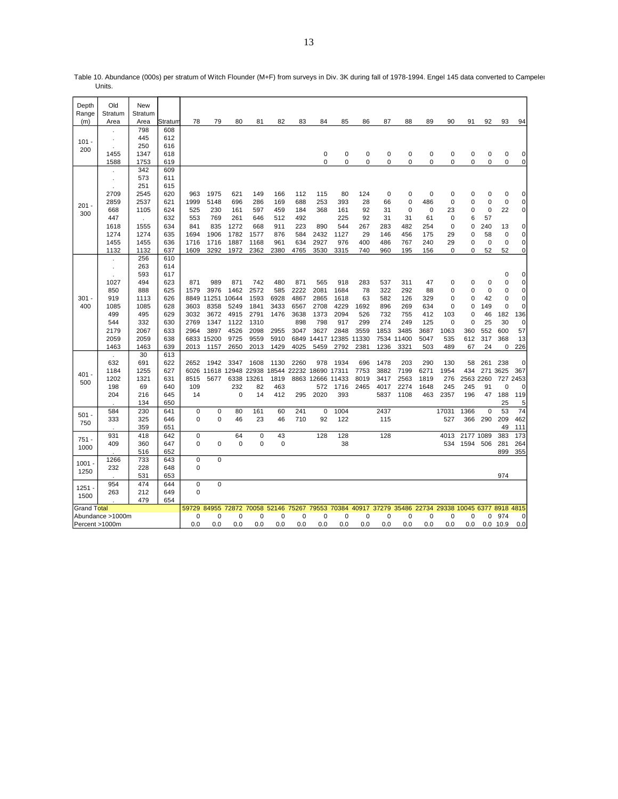| Depth<br>Range            | Old<br>Stratum       | <b>New</b><br>Stratum |         |             |            |             |       |             |       |             |             |             |             |             |      |                   |             |             |                |                |
|---------------------------|----------------------|-----------------------|---------|-------------|------------|-------------|-------|-------------|-------|-------------|-------------|-------------|-------------|-------------|------|-------------------|-------------|-------------|----------------|----------------|
| (m)                       | Area                 | Area                  | Stratun | 78          | 79         | 80          | 81    | 82          | 83    | 84          | 85          | 86          | 87          | 88          | 89   | 90                | 91          | 92          | 93             | 94             |
|                           |                      | 798                   | 608     |             |            |             |       |             |       |             |             |             |             |             |      |                   |             |             |                |                |
|                           | $\ddot{\phantom{a}}$ | 445                   | 612     |             |            |             |       |             |       |             |             |             |             |             |      |                   |             |             |                |                |
| $101 -$                   | $\ddot{\phantom{a}}$ | 250                   | 616     |             |            |             |       |             |       |             |             |             |             |             |      |                   |             |             |                |                |
| 200                       | 1455                 | 1347                  | 618     |             |            |             |       |             |       | 0           | 0           | 0           | 0           | $\mathbf 0$ | 0    | 0                 | $\mathbf 0$ | 0           | 0              | 0              |
|                           | 1588                 | 1753                  | 619     |             |            |             |       |             |       | $\Omega$    | 0           | 0           | 0           | $\Omega$    | 0    | 0                 | 0           | 0           | 0              | $\mathbf 0$    |
|                           |                      | 342                   | 609     |             |            |             |       |             |       |             |             |             |             |             |      |                   |             |             |                |                |
|                           | $\cdot$              | 573                   | 611     |             |            |             |       |             |       |             |             |             |             |             |      |                   |             |             |                |                |
|                           |                      | 251                   | 615     |             |            |             |       |             |       |             |             |             |             |             |      |                   |             |             |                |                |
|                           | 2709                 | 2545                  | 620     | 963         | 1975       | 621         | 149   | 166         | 112   | 115         | 80          | 124         | $\mathbf 0$ | $\mathbf 0$ | 0    | 0                 | $\mathbf 0$ | 0           | 0              | 0              |
| $201 -$                   | 2859                 | 2537                  | 621     | 1999        | 5148       | 696         | 286   | 169         | 688   | 253         | 393         | 28          | 66          | $\mathbf 0$ | 486  | 0                 | $\mathbf 0$ | $\mathbf 0$ | $\mathbf 0$    | $\mathbf 0$    |
| 300                       | 668                  | 1105                  | 624     | 525         | 230        | 161         | 597   | 459         | 184   | 368         | 161         | 92          | 31          | $\mathbf 0$ | 0    | 23                | $\mathbf 0$ | $\mathbf 0$ | 22             | $\overline{0}$ |
|                           | 447                  | $\mathbf{r}$          | 632     | 553         | 769        | 261         | 646   | 512         | 492   |             | 225         | 92          | 31          | 31          | 61   | 0                 | 6           | 57          |                |                |
|                           | 1618                 | 1555                  | 634     | 841         | 835        | 1272        | 668   | 911         | 223   | 890         | 544         | 267         | 283         | 482         | 254  | 0                 | $\Omega$    | 240         | 13             | $\overline{0}$ |
|                           | 1274                 | 1274                  | 635     | 1694        | 1906       | 1782        | 1577  | 876         | 584   | 2432        | 1127        | 29          | 146         | 456         | 175  | 29                | $\Omega$    | 58          | 0              | $\mathbf 0$    |
|                           | 1455                 | 1455                  | 636     | 1716        | 1716       | 1887        | 1168  | 961         | 634   | 2927        | 976         | 400         | 486         | 767         | 240  | 29                | 0           | $\mathbf 0$ | $\mathbf 0$    | $\mathbf 0$    |
|                           | 1132                 | 1132                  | 637     | 1609        | 3292       | 1972        | 2362  | 2380        | 4765  | 3530        | 3315        | 740         | 960         | 195         | 156  | 0                 | $\Omega$    | 52          | 52             | $\overline{0}$ |
|                           |                      | 256                   | 610     |             |            |             |       |             |       |             |             |             |             |             |      |                   |             |             |                |                |
|                           |                      | 263                   | 614     |             |            |             |       |             |       |             |             |             |             |             |      |                   |             |             |                |                |
|                           |                      | 593                   | 617     |             |            |             |       |             |       |             |             |             |             |             |      |                   |             |             | 0              | 0              |
|                           | 1027                 | 494                   | 623     | 871         | 989        | 871         | 742   | 480         | 871   | 565         | 918         | 283         | 537         | 311         | 47   | 0                 | $\mathbf 0$ | 0           | 0              | $\mathbf 0$    |
|                           | 850                  | 888                   | 625     | 1579        | 3976       | 1462        | 2572  | 585         | 2222  | 2081        | 1684        | 78          | 322         | 292         | 88   | 0                 | 0           | $\mathbf 0$ | $\Omega$       | $\mathbf 0$    |
| $301 -$                   | 919                  | 1113                  | 626     | 8849        | 11251      | 10644       | 1593  | 6928        | 4867  | 2865        | 1618        | 63          | 582         | 126         | 329  | 0                 | $\Omega$    | 42          | $\Omega$       | $\mathbf 0$    |
| 400                       | 1085                 | 1085                  | 628     | 3603        | 8358       | 5249        | 1841  | 3433        | 6567  | 2708        | 4229        | 1692        | 896         | 269         | 634  | 0                 | $\Omega$    | 149         | $\Omega$       | $\mathbf 0$    |
|                           | 499                  | 495                   | 629     | 3032        | 3672       | 4915        | 2791  | 1476        | 3638  | 1373        | 2094        | 526         | 732         | 755         | 412  | 103               | $\Omega$    | 46          | 182            | 136            |
|                           | 544                  | 332                   | 630     | 2769        | 1347       | 1122        | 1310  |             | 898   | 798         | 917         | 299         | 274         | 249         | 125  | 0                 | $\Omega$    | 25          | 30             | 0              |
|                           | 2179                 | 2067                  | 633     | 2964        | 3897       | 4526        | 2098  | 2955        | 3047  | 3627        | 2848        | 3559        | 1853        | 3485        | 3687 | 1063              | 360         | 552         | 600            | 57             |
|                           | 2059                 | 2059                  | 638     |             | 6833 15200 | 9725        | 9559  | 5910        | 6849  | 14417       | 12385 11330 |             |             | 7534 11400  | 5047 | 535               | 612         | 317         | 368            | 13             |
|                           | 1463                 | 1463                  | 639     | 2013        | 1157       | 2650        | 2013  | 1429        | 4025  | 5459        | 2792        | 2381        | 1236        | 3321        | 503  | 489               | 67          | 24          | $\Omega$       | 226            |
|                           | ÷.                   | 30                    | 613     |             |            |             |       |             |       |             |             |             |             |             |      |                   |             |             |                |                |
|                           | 632                  | 691                   | 622     | 2652        | 1942       | 3347        | 1608  | 1130        | 2260  | 978         | 1934        | 696         | 1478        | 203         | 290  | 130               | 58          | 261         | 238            | 0              |
| 401 -                     | 1184                 | 1255                  | 627     | 6026        | 11618      | 12948       | 22938 | 18544       | 22232 | 18690       | 17311       | 7753        | 3882        | 7199        | 6271 | 1954              | 434         | 271         | 3625           | 367            |
| 500                       | 1202                 | 1321                  | 631     | 8515        | 5677       | 6338        | 13261 | 1819        |       | 8863 12666  | 11433       | 8019        | 3417        | 2563        | 1819 | 276               | 2563 2260   |             | 727            | 2453           |
|                           | 198                  | 69                    | 640     | 109         |            | 232         | 82    | 463         |       | 572         | 1716        | 2465        | 4017        | 2274        | 1648 | 245               | 245         | 91          | $\Omega$       | 0              |
|                           | 204                  | 216                   | 645     | 14          |            | $\mathbf 0$ | 14    | 412         | 295   | 2020        | 393         |             | 5837        | 1108        | 463  | 2357              | 196         | 47          | 188            | 119            |
|                           |                      | 134                   | 650     |             |            |             |       |             |       |             |             |             |             |             |      |                   |             |             | 25             | 5              |
| 501 -                     | 584                  | 230                   | 641     | $\mathbf 0$ | 0          | 80          | 161   | 60          | 241   | $\mathbf 0$ | 1004        |             | 2437        |             |      | 17031             | 1366        | $\mathbf 0$ | 53             | 74             |
| 750                       | 333                  | 325                   | 646     | 0           | 0          | 46          | 23    | 46          | 710   | 92          | 122         |             | 115         |             |      | 527               | 366         | 290         | 209            | 462            |
|                           |                      | 359                   | 651     |             |            |             |       |             |       |             |             |             |             |             |      |                   |             |             | 49             | 111            |
| $751 -$                   | 931                  | 418                   | 642     | 0           |            | 64          | 0     | 43          |       | 128         | 128         |             | 128         |             |      | 4013              | 2177 1089   |             | 383            | 173            |
| 1000                      | 409                  | 360                   | 647     | 0           | 0          | $\mathbf 0$ | 0     | 0           |       |             | 38          |             |             |             |      | 534               | 1594        | 506         | 281            | 264            |
|                           |                      | 516                   | 652     |             |            |             |       |             |       |             |             |             |             |             |      |                   |             |             | 899            | 355            |
| $1001 -$                  | 1266                 | 733                   | 643     | 0           | 0          |             |       |             |       |             |             |             |             |             |      |                   |             |             |                |                |
| 1250                      | 232                  | 228                   | 648     | $\Omega$    |            |             |       |             |       |             |             |             |             |             |      |                   |             |             |                |                |
|                           |                      | 531                   | 653     |             |            |             |       |             |       |             |             |             |             |             |      |                   |             |             | 974            |                |
| 1251 -                    | 954                  | 474                   | 644     | $\pmb{0}$   | 0          |             |       |             |       |             |             |             |             |             |      |                   |             |             |                |                |
| 1500                      | 263                  | 212<br>479            | 649     | 0           |            |             |       |             |       |             |             |             |             |             |      |                   |             |             |                |                |
| Grand T <mark>otal</mark> |                      |                       | 654     | 59729       | 84955      | 72872       |       | 70058 52146 | 75267 | 79553       |             | 70384 40917 | 37279 35486 |             |      | 22734 29338 10045 |             |             | 6377 8918 4815 |                |
|                           |                      |                       |         | 0           | 0          | $\mathbf 0$ | 0     | 0           | 0     | 0           |             | 0           | 0           | $\mathbf 0$ | 0    | 0                 | 0           | 0           | 974            | 0              |
|                           | Abundance >1000m     |                       |         | 0.0         | 0.0        | 0.0         | 0.0   | 0.0         | 0.0   | 0.0         | 0<br>0.0    |             | 0.0         | 0.0         | 0.0  |                   | 0.0         |             | 0.0 10.9       | 0.0            |
| Percent >1000m            |                      |                       |         |             |            |             |       |             |       |             |             | 0.0         |             |             |      | 0.0               |             |             |                |                |

Table 10. Abundance (000s) per stratum of Witch Flounder (M+F) from surveys in Div. 3K during fall of 1978-1994. Engel 145 data converted to Campelen Units.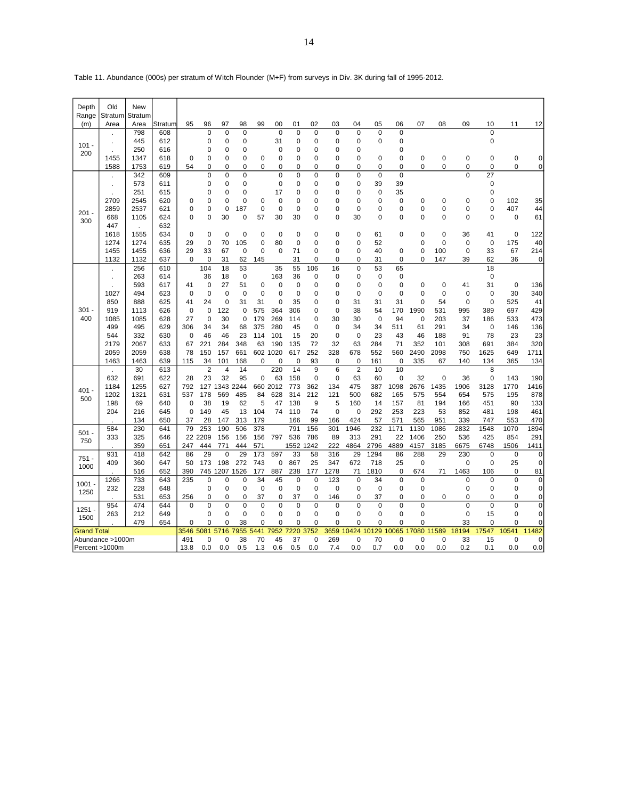| Depth              | Old<br>Stratum   | <b>New</b><br>Stratum |            |                |                   |             |             |                |             |             |             |             |                |                |                |               |                    |                            |                   |             |             |
|--------------------|------------------|-----------------------|------------|----------------|-------------------|-------------|-------------|----------------|-------------|-------------|-------------|-------------|----------------|----------------|----------------|---------------|--------------------|----------------------------|-------------------|-------------|-------------|
| Range<br>(m)       | Area             | Area                  | Stratum    | 95             | 96                | 97          | 98          | 99             | 00          | 01          | 02          | 03          | 04             | 05             | 06             | 07            | 08                 | 09                         | 10                | 11          | 12          |
|                    |                  | 798                   | 608        |                | $\mathbf 0$       | 0           | $\mathbf 0$ |                | $\mathbf 0$ | $\mathbf 0$ | $\mathbf 0$ | 0           | $\mathbf 0$    | $\mathbf 0$    | $\mathbf 0$    |               |                    |                            | $\Omega$          |             |             |
|                    |                  | 445                   | 612        |                | $\mathbf 0$       | 0           | $\mathbf 0$ |                | 31          | $\mathbf 0$ | 0           | 0           | $\mathbf 0$    | $\mathbf 0$    | 0              |               |                    |                            | 0                 |             |             |
| $101 -$<br>200     |                  | 250                   | 616        |                | 0                 | 0           | 0           |                | 0           | 0           | 0           | 0           | $\Omega$       |                | 0              |               |                    |                            |                   |             |             |
|                    | 1455             | 1347                  | 618        | 0              | 0                 | 0           | $\mathbf 0$ | 0              | 0           | 0           | 0           | 0           | 0              | 0              | 0              | 0             | $\mathbf 0$        | $\mathbf 0$                | $\mathbf 0$       | 0           | 0           |
|                    | 1588             | 1753                  | 619        | 54             | 0                 | 0           | $\mathbf 0$ | 0              | 0           | $\mathbf 0$ | 0           | 0           | 0              | 0              | 0              | $\Omega$      | 0                  | 0                          | 0                 | 0           | $\mathbf 0$ |
|                    |                  | 342                   | 609        |                | 0                 | $\mathbf 0$ | $\mathbf 0$ |                | 0           | 0           | $\mathbf 0$ | 0           | $\mathbf 0$    | $\mathbf 0$    | $\mathbf 0$    |               |                    | 0                          | 27                |             |             |
|                    |                  | 573                   | 611        |                | $\mathbf 0$       | 0           | $\mathbf 0$ |                | 0           | 0           | 0           | 0           | 0              | 39             | 39             |               |                    |                            | $\mathbf 0$       |             |             |
|                    |                  | 251                   | 615        |                | 0                 | 0           | $\mathbf 0$ |                | 17          | 0           | 0           | 0           | $\mathbf 0$    | $\mathbf 0$    | 35             |               |                    |                            | $\mathbf 0$       |             |             |
|                    | 2709             | 2545                  | 620        | 0              | 0                 | 0           | $\mathbf 0$ | 0              | 0           | 0           | 0           | 0           | $\mathbf 0$    | 0              | 0              | 0             | 0                  | $\mathbf 0$                | $\mathbf 0$       | 102         | 35          |
| $201 -$            | 2859             | 2537                  | 621        | 0              | $\overline{0}$    | 0           | 187         | $\overline{0}$ | 0           | $\mathbf 0$ | 0           | 0           | $\Omega$       | $\overline{0}$ | 0              | $\Omega$      | $\mathbf 0$        | O                          | 0                 | 407         | 44          |
| 300                | 668              | 1105                  | 624        | 0              | $\overline{0}$    | 30          | $\mathbf 0$ | 57             | 30          | 30          | 0           | 0           | 30             | $\overline{0}$ | 0              | $\Omega$      | $\mathbf 0$        | 0                          | $\mathbf 0$       | 0           | 61          |
|                    | 447              |                       | 632        |                |                   |             |             |                |             |             |             |             |                |                |                |               |                    |                            |                   |             |             |
|                    | 1618             | 1555                  | 634        | 0              | $\mathbf 0$       | 0           | $\mathbf 0$ | 0              | $\mathbf 0$ | 0           | $\mathbf 0$ | 0           | $\Omega$       | 61             | 0              | $\Omega$      | $\mathbf 0$        | 36                         | 41                | 0           | 122         |
|                    | 1274<br>1455     | 1274<br>1455          | 635<br>636 | 29<br>29       | $\mathbf 0$<br>33 | 70<br>67    | 105<br>0    | 0<br>0         | 80<br>0     | 0<br>71     | 0<br>0      | 0<br>0      | 0<br>$\Omega$  | 52<br>40       | $\mathbf 0$    | 0<br>$\Omega$ | $\mathbf 0$<br>100 | $\mathbf 0$<br>$\mathbf 0$ | $\mathbf 0$<br>33 | 175<br>67   | 40<br>214   |
|                    | 1132             | 1132                  | 637        | $\mathbf 0$    | $\mathbf 0$       | 31          | 62          | 145            |             | 31          | 0           | 0           | $\mathbf 0$    | 31             | 0              | $\Omega$      | 147                | 39                         | 62                | 36          | $\mathbf 0$ |
|                    |                  | 256                   | 610        |                | 104               | 18          | 53          |                | 35          | 55          | 106         | 16          | $\mathbf 0$    | 53             | 65             |               |                    |                            | 18                |             |             |
|                    |                  | 263                   | 614        |                | 36                | 18          | $\mathbf 0$ |                | 163         | 36          | $\mathbf 0$ | 0           | 0              | $\mathbf 0$    | 0              |               |                    |                            | $\mathbf 0$       |             |             |
|                    |                  | 593                   | 617        | 41             | $\mathbf 0$       | 27          | 51          | 0              | $\mathbf 0$ | 0           | 0           | 0           | $\Omega$       | $\mathbf 0$    | 0              | $\Omega$      | $\mathbf 0$        | 41                         | 31                | $\mathbf 0$ | 136         |
|                    | 1027             | 494                   | 623        | $\mathbf 0$    | $\mathbf 0$       | 0           | $\mathbf 0$ | 0              | 0           | $\mathbf 0$ | 0           | 0           | $\mathbf 0$    | $\mathbf 0$    | 0              | 0             | $\mathbf 0$        | $\mathbf 0$                | 0                 | 30          | 340         |
|                    | 850              | 888                   | 625        | 41             | 24                | 0           | 31          | 31             | 0           | 35          | $\mathbf 0$ | 0           | 31             | 31             | 31             | $\Omega$      | 54                 | $\mathbf 0$                | 0                 | 525         | 41          |
| 301                | 919              | 1113                  | 626        | 0              | $\mathbf 0$       | 122         | $\mathbf 0$ | 575            | 364         | 306         | 0           | 0           | 38             | 54             | 170            | 1990          | 531                | 995                        | 389               | 697         | 429         |
| 400                | 1085             | 1085                  | 628        | 27             | $\mathbf 0$       | 30          | $\mathbf 0$ | 179            | 269         | 114         | 0           | 30          | 30             | $\mathbf 0$    | 94             | 0             | 203                | 37                         | 186               | 533         | 473         |
|                    | 499              | 495                   | 629        | 306            | 34                | 34          | 68          | 375            | 280         | 45          | 0           | $\mathbf 0$ | 34             | 34             | 511            | 61            | 291                | 34                         | $\mathbf 0$       | 146         | 136         |
|                    | 544              | 332                   | 630        | $\mathbf 0$    | 46                | 46          | 23          | 114            | 101         | 15          | 20          | 0           | $\mathbf 0$    | 23             | 43             | 46            | 188                | 91                         | 78                | 23          | 23          |
|                    | 2179             | 2067                  | 633        | 67             | 221               | 284         | 348         | 63             | 190         | 135         | 72          | 32          | 63             | 284            | 71             | 352           | 101                | 308                        | 691               | 384         | 320         |
|                    | 2059             | 2059                  | 638        | 78             | 150               | 157         | 661         | 602            | 1020        | 617         | 252         | 328         | 678            | 552            | 560            | 2490          | 2098               | 750                        | 1625              | 649         | 1711        |
|                    | 1463             | 1463                  | 639        | 115            | 34                | 101         | 168         | 0              | 0           | 0           | 93          | 0           | $\mathbf 0$    | 161            | 0              | 335           | 67                 | 140                        | 134               | 365         | 134         |
|                    |                  | 30                    | 613        |                | $\overline{2}$    | 4           | 14          |                | 220         | 14          | 9           | 6           | $\overline{2}$ | 10             | 10             |               |                    |                            | 8                 |             |             |
|                    | 632              | 691                   | 622        | 28             | 23                | 32          | 95          | $\overline{0}$ | 63          | 158         | $\mathbf 0$ | 0           | 63             | 60             | 0              | 32            | $\mathbf 0$        | 36                         | 0                 | 143         | 190         |
| $401 -$            | 1184             | 1255                  | 627        | 792            | 127               | 1343        | 2244        |                | 660 2012    | 773         | 362         | 134         | 475            | 387            | 1098           | 2676          | 1435               | 1906                       | 3128              | 1770        | 1416        |
| 500                | 1202             | 1321                  | 631        | 537            | 178               | 569         | 485         | 84             | 628         | 314         | 212         | 121         | 500            | 682            | 165            | 575           | 554                | 654                        | 575               | 195         | 878         |
|                    | 198              | 69                    | 640        | $\mathbf 0$    | 38                | 19          | 62          | 5              | 47          | 138         | 9           | 5           | 160            | 14             | 157            | 81            | 194                | 166                        | 451               | 90          | 133         |
|                    | 204              | 216                   | 645        | $\mathbf 0$    | 149               | 45          | 13          | 104            | 74          | 110         | 74          | $\mathbf 0$ | $\mathbf 0$    | 292            | 253            | 223<br>565    | 53                 | 852                        | 481<br>747        | 198         | 461         |
|                    | 584              | 134<br>230            | 650<br>641 | 37<br>79       | 28<br>253         | 147<br>190  | 313<br>506  | 179<br>378     |             | 166<br>791  | 99<br>156   | 166<br>301  | 424<br>1946    | 57<br>232      | 571<br>1171    | 1130          | 951<br>1086        | 339<br>2832                | 1548              | 553<br>1070 | 470<br>1894 |
| $501 -$            | 333              | 325                   | 646        |                | 22 2209           | 156         | 156         | 156            | 797         | 536         | 786         | 89          | 313            | 291            | 22             | 1406          | 250                | 536                        | 425               | 854         | 291         |
| 750                |                  | 359                   | 651        | 247            | 444               | 771         | 444         | 571            |             | 1552        | 1242        | 222         | 4864           | 2796           | 4889           | 4157          | 3185               | 6675                       | 6748              | 1506        | 1411        |
|                    | 931              | 418                   | 642        | 86             | 29                | $\mathbf 0$ | 29          | 173            | 597         | 33          | 58          | 316         | 29             | 1294           | 86             | 288           | 29                 | 230                        | $\mathbf 0$       | $\mathbf 0$ | $\mathbf 0$ |
| $751 -$            | 409              | 360                   | 647        | 50             | 173               | 198         | 272         | 743            | $\mathbf 0$ | 867         | 25          | 347         | 672            | 718            | 25             | $\mathbf 0$   |                    | 0                          | 0                 | 25          | 0           |
| 1000               |                  | 516                   | 652        | 390            | 745               | 1207        | 1526        | 177            | 887         | 238         | 177         | 1278        | 71             | 1810           | 0              | 674           | 71                 | 1463                       | 106               | 0           | 81          |
|                    | 1266             | 733                   | 643        | 235            | 0                 | 0           | $\Omega$    | 34             | 45          | 0           | $\mathbf 0$ | 123         | $\Omega$       | 34             | $\Omega$       | $\Omega$      |                    | $\overline{0}$             | $\Omega$          | $\mathbf 0$ | $\mathbf 0$ |
| 1001               | 232              | 228                   | 648        |                | 0                 | 0           | 0           | 0              | 0           | 0           | 0           | 0           | 0              | 0              | 0              | 0             |                    | 0                          | 0                 | 0           | 0           |
| 1250               |                  | 531                   | 653        | 256            | $\Omega$          | $\Omega$    | $\Omega$    | 37             | $\Omega$    | 37          | $\Omega$    | 146         | $\Omega$       | 37             | 0              | $\Omega$      | 0                  | 0                          | $\Omega$          | $\Omega$    | $\mathbf 0$ |
|                    | 954              | 474                   | 644        | $\overline{0}$ | $\mathbf 0$       | 0           | $\mathbf 0$ | $\overline{0}$ | $\mathbf 0$ | $\mathbf 0$ | $\mathbf 0$ | $\mathbf 0$ | $\mathbf 0$    | $\mathbf 0$    | $\overline{0}$ | $\mathbf 0$   |                    | $\overline{0}$             | $\mathbf 0$       | $\mathbf 0$ | $\mathbf 0$ |
| 1251<br>1500       | 263              | 212                   | 649        |                | 0                 | 0           | 0           | 0              | 0           | 0           | 0           | 0           | 0              | 0              | 0              | 0             |                    | $\mathbf 0$                | 15                | 0           | 0           |
|                    |                  | 479                   | 654        | $\Omega$       | $\Omega$          | 0           | 38          | $\Omega$       | $\Omega$    | 0           | $\Omega$    | $\Omega$    | $\Omega$       | 0              | 0              | $\Omega$      |                    | 33                         | $\Omega$          | $\mathbf 0$ | 0           |
| <b>Grand Total</b> |                  |                       |            | 3546 5081      |                   | 5716        | 7955        | 5441           | 7952        | 7220        | 3752        | 3659        | 10424          | 10129          | 10065 17080    |               | 11589              | 18194                      | 17547             | 10541       | 11482       |
|                    | Abundance >1000m |                       |            | 491            | 0                 | 0           | 38          | 70             | 45          | 37          | 0           | 269         | $\mathbf 0$    | 70             | 0              | $\mathbf 0$   | 0                  | 33                         | 15                | 0           | 0           |
| Percent >1000m     |                  |                       |            | 13.8           | 0.0               | 0.0         | 0.5         | 1.3            | 0.6         | 0.5         | 0.0         | 7.4         | 0.0            | 0.7            | 0.0            | 0.0           | 0.0                | 0.2                        | 0.1               | 0.0         | 0.0         |

Table 11. Abundance (000s) per stratum of Witch Flounder (M+F) from surveys in Div. 3K during fall of 1995-2012.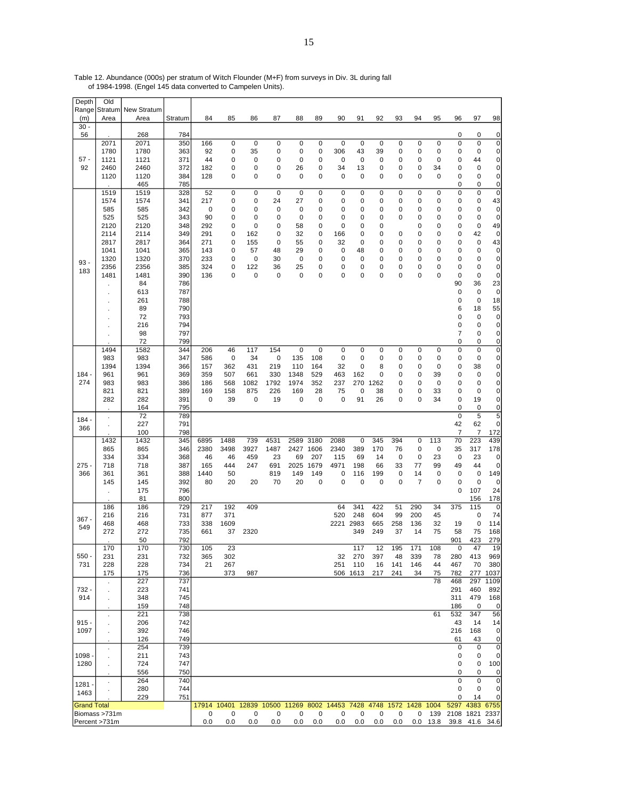| Depth              | Old             |                            |            |                  |                  |                  |                                        |                   |            |           |                    |                    |           |                      |                  |                        |                          |                        |
|--------------------|-----------------|----------------------------|------------|------------------|------------------|------------------|----------------------------------------|-------------------|------------|-----------|--------------------|--------------------|-----------|----------------------|------------------|------------------------|--------------------------|------------------------|
| Range<br>(m)       | Stratum<br>Area | <b>New Stratum</b><br>Area | Stratum    | 84               | 85               | 86               | 87                                     | 88                | 89         | 90        | 91                 | 92                 | 93        | 94                   | 95               | 96                     | 97                       | 98                     |
| $30 -$             |                 |                            |            |                  |                  |                  |                                        |                   |            |           |                    |                    |           |                      |                  |                        |                          |                        |
| 56                 |                 | 268                        | 784        |                  |                  |                  |                                        |                   |            |           |                    |                    |           |                      |                  | 0                      | 0                        | 0                      |
|                    | 2071            | 2071                       | 350        | 166              | $\mathbf 0$      | $\mathbf 0$      | 0                                      | 0                 | 0          | 0         | $\mathbf 0$        | $\pmb{0}$          | 0         | $\mathsf 0$          | $\pmb{0}$        | 0                      | $\mathbf 0$              | 0                      |
| $57 -$             | 1780<br>1121    | 1780<br>1121               | 363<br>371 | 92<br>44         | 0<br>0           | 35<br>0          | 0<br>0                                 | 0<br>0            | 0<br>0     | 306<br>0  | 43<br>0            | 39<br>0            | 0<br>0    | 0<br>0               | 0<br>0           | 0<br>0                 | 0<br>44                  | 0<br>$\pmb{0}$         |
| 92                 | 2460            | 2460                       | 372        | 182              | 0                | 0                | 0                                      | 26                | 0          | 34        | 13                 | 0                  | 0         | 0                    | 34               | 0                      | $\mathbf 0$              | $\pmb{0}$              |
|                    | 1120            | 1120                       | 384        | 128              | 0                | 0                | 0                                      | 0                 | 0          | 0         | 0                  | 0                  | 0         | 0                    | 0                | 0                      | 0                        | 0                      |
|                    |                 | 465                        | 785        |                  |                  |                  |                                        |                   |            |           |                    |                    |           |                      |                  | 0                      | 0                        | $\pmb{0}$              |
|                    | 1519<br>1574    | 1519<br>1574               | 328<br>341 | 52<br>217        | $\mathsf 0$<br>0 | $\mathbf 0$<br>0 | $\mathbf 0$<br>24                      | $\mathbf 0$<br>27 | 0<br>0     | 0<br>0    | $\mathbf 0$<br>0   | $\mathbf 0$<br>0   | 0<br>0    | $\mathsf 0$<br>0     | $\mathbf 0$<br>0 | 0<br>0                 | $\mathbf 0$<br>0         | 0<br>43                |
|                    | 585             | 585                        | 342        | 0                | 0                | 0                | 0                                      | 0                 | 0          | 0         | 0                  | 0                  | 0         | 0                    | 0                | 0                      | 0                        | 0                      |
|                    | 525             | 525                        | 343        | 90               | 0                | 0                | 0                                      | 0                 | 0          | 0         | 0                  | 0                  | 0         | 0                    | 0                | 0                      | $\mathbf 0$              | 0                      |
|                    | 2120            | 2120                       | 348        | 292              | 0                | 0                | 0                                      | 58                | 0          | 0         | 0                  | 0                  |           | 0                    | 0                | 0                      | 0                        | 49                     |
|                    | 2114<br>2817    | 2114<br>2817               | 349<br>364 | 291<br>271       | 0<br>0           | 162<br>155       | 0<br>0                                 | 32<br>55          | 0<br>0     | 166<br>32 | 0<br>0             | 0<br>0             | 0<br>0    | 0<br>0               | 0<br>0           | 0<br>0                 | 42<br>0                  | 0<br>43                |
|                    | 1041            | 1041                       | 365        | 143              | 0                | 57               | 48                                     | 29                | 0          | 0         | 48                 | 0                  | 0         | 0                    | $\mathbf 0$      | 0                      | $\mathbf 0$              | 0                      |
| $93 -$             | 1320            | 1320                       | 370        | 233              | 0                | 0                | 30                                     | 0                 | 0          | 0         | 0                  | 0                  | 0         | 0                    | 0                | 0                      | 0                        | $\pmb{0}$              |
| 183                | 2356            | 2356                       | 385        | 324              | 0                | 122              | 36                                     | 25                | 0          | 0         | 0                  | 0                  | 0         | 0                    | 0                | 0                      | 0                        | 0                      |
|                    | 1481            | 1481<br>84                 | 390<br>786 | 136              | 0                | 0                | 0                                      | 0                 | 0          | 0         | $\mathbf 0$        | 0                  | 0         | 0                    | $\mathbf 0$      | 0<br>90                | 0<br>36                  | $\pmb{0}$<br>23        |
|                    |                 | 613                        | 787        |                  |                  |                  |                                        |                   |            |           |                    |                    |           |                      |                  | 0                      | $\mathbf 0$              | $\pmb{0}$              |
|                    |                 | 261                        | 788        |                  |                  |                  |                                        |                   |            |           |                    |                    |           |                      |                  | 0                      | 0                        | 18                     |
|                    |                 | 89                         | 790        |                  |                  |                  |                                        |                   |            |           |                    |                    |           |                      |                  | 6                      | 18                       | 55                     |
|                    |                 | 72<br>216                  | 793<br>794 |                  |                  |                  |                                        |                   |            |           |                    |                    |           |                      |                  | 0<br>0                 | 0<br>$\mathbf 0$         | 0<br>$\pmb{0}$         |
|                    |                 | 98                         | 797        |                  |                  |                  |                                        |                   |            |           |                    |                    |           |                      |                  | 7                      | 0                        | 0                      |
|                    |                 | 72                         | 799        |                  |                  |                  |                                        |                   |            |           |                    |                    |           |                      |                  | 0                      | 0                        | $\pmb{0}$              |
|                    | 1494            | 1582                       | 344        | 206              | 46               | 117              | 154                                    | 0                 | $\pmb{0}$  | 0         | 0                  | 0                  | 0         | 0                    | 0                | 0                      | 0                        | $\pmb{0}$              |
|                    | 983<br>1394     | 983<br>1394                | 347<br>366 | 586<br>157       | 0<br>362         | 34<br>431        | $\pmb{0}$<br>219                       | 135<br>110        | 108<br>164 | 0<br>32   | 0<br>0             | 0<br>8             | 0<br>0    | 0<br>0               | 0<br>0           | 0<br>0                 | 0<br>38                  | $\pmb{0}$<br>$\pmb{0}$ |
| $184 -$            | 961             | 961                        | 369        | 359              | 507              | 661              | 330                                    | 1348              | 529        | 463       | 162                | 0                  | 0         | 0                    | 39               | 0                      | 0                        | 0                      |
| 274                | 983             | 983                        | 386        | 186              | 568              | 1082             | 1792                                   | 1974              | 352        | 237       |                    | 270 1262           | 0         | 0                    | 0                | 0                      | 0                        | $\pmb{0}$              |
|                    | 821             | 821                        | 389        | 169              | 158              | 875              | 226                                    | 169               | 28         | 75        | 0                  | 38                 | 0         | 0                    | 33               | 0                      | 0                        | $\pmb{0}$              |
|                    | 282             | 282<br>164                 | 391<br>795 | 0                | 39               | $\mathbf 0$      | 19                                     | 0                 | 0          | 0         | 91                 | 26                 | 0         | 0                    | 34               | 0<br>0                 | 19<br>0                  | $\pmb{0}$<br>0         |
| $184 -$            | $\cdot$         | 72                         | 789        |                  |                  |                  |                                        |                   |            |           |                    |                    |           |                      |                  | $\mathbf 0$            | 5                        | 5                      |
| 366                |                 | 227                        | 791        |                  |                  |                  |                                        |                   |            |           |                    |                    |           |                      |                  | 42                     | 62                       | 0                      |
|                    | 1432            | 100<br>1432                | 798<br>345 | 6895             | 1488             | 739              | 4531                                   | 2589              | 3180       | 2088      | 0                  | 345                | 394       | 0                    | 113              | 7<br>70                | 7<br>223                 | 172<br>439             |
|                    | 865             | 865                        | 346        | 2380             | 3498             | 3927             | 1487                                   | 2427 1606         |            | 2340      | 389                | 170                | 76        | 0                    | 0                | 35                     | 317                      | 178                    |
|                    | 334             | 334                        | 368        | 46               | 46               | 459              | 23                                     | 69                | 207        | 115       | 69                 | 14                 | 0         | 0                    | 23               | 0                      | 23                       | 0                      |
| 275 -              | 718             | 718                        | 387        | 165              | 444              | 247              | 691                                    | 2025              | 1679       | 4971      | 198                | 66                 | 33        | 77                   | 99               | 49                     | 44                       | 0                      |
| 366                | 361<br>145      | 361<br>145                 | 388<br>392 | 1440<br>80       | 50<br>20         | 20               | 819<br>70                              | 149<br>20         | 149<br>0   | 0<br>0    | 116<br>$\mathbf 0$ | 199<br>$\mathbf 0$ | 0<br>0    | 14<br>$\overline{7}$ | 0<br>$\mathbf 0$ | 0<br>0                 | $\pmb{0}$<br>$\mathbf 0$ | 149<br>0               |
|                    |                 | 175                        | 796        |                  |                  |                  |                                        |                   |            |           |                    |                    |           |                      |                  | 0                      | 107                      | 24                     |
|                    |                 | 81                         | 800        |                  |                  |                  |                                        |                   |            |           |                    |                    |           |                      |                  |                        | 156                      | 178                    |
|                    | 186<br>216      | 186<br>216                 | 729<br>731 | 217<br>877       | 192<br>371       | 409              |                                        |                   |            | 64<br>520 | 341<br>248         | 422<br>604         | 51<br>99  | 290<br>200           | 34<br>45         | 375                    | 115<br>0                 | $\mathbf 0$<br>74      |
| $367 -$            | 468             | 468                        | 733        | 338              | 1609             |                  |                                        |                   |            | 2221 2983 |                    | 665                | 258       | 136                  | 32               | 19                     | $\mathbf 0$              | 114                    |
| 549                | 272             | 272                        | 735        | 661              | 37               | 2320             |                                        |                   |            |           | 349                | 249                | 37        | 14                   | 75               | 58                     | 75                       | 168                    |
|                    |                 | 50                         | 792        |                  |                  |                  |                                        |                   |            |           |                    |                    |           |                      |                  | 901                    | 423                      | 279                    |
| 550 -              | 170<br>231      | 170<br>231                 | 730<br>732 | 105<br>365       | 23<br>302        |                  |                                        |                   |            | 32        | 117<br>270         | 12<br>397          | 195<br>48 | 171<br>339           | 108<br>78        | $\Omega$<br>280        | 47<br>413                | 19<br>969              |
| 731                | 228             | 228                        | 734        | 21               | 267              |                  |                                        |                   |            | 251       | 110                | 16                 | 141       | 146                  | 44               | 467                    | 70                       | 380                    |
|                    | 175             | 175                        | 736        |                  | 373              | 987              |                                        |                   |            |           | 506 1613           | 217                | 241       | 34                   | 75               | 782                    | 277                      | 1037                   |
| 732 -              | $\mathbf{r}$    | 227<br>223                 | 737<br>741 |                  |                  |                  |                                        |                   |            |           |                    |                    |           |                      | 78               | 468<br>291             | 297<br>460               | 1109<br>892            |
| 914                |                 | 348                        | 745        |                  |                  |                  |                                        |                   |            |           |                    |                    |           |                      |                  | 311                    | 479                      | 168                    |
|                    |                 | 159                        | 748        |                  |                  |                  |                                        |                   |            |           |                    |                    |           |                      |                  | 186                    | 0                        | 0                      |
|                    |                 | 221                        | 738        |                  |                  |                  |                                        |                   |            |           |                    |                    |           |                      | 61               | 532                    | 347                      | 56                     |
| $915 -$<br>1097    |                 | 206<br>392                 | 742<br>746 |                  |                  |                  |                                        |                   |            |           |                    |                    |           |                      |                  | 43<br>216              | 14<br>168                | 14<br>0                |
|                    |                 | 126                        | 749        |                  |                  |                  |                                        |                   |            |           |                    |                    |           |                      |                  | 61                     | 43                       | 0                      |
|                    |                 | 254                        | 739        |                  |                  |                  |                                        |                   |            |           |                    |                    |           |                      |                  | 0                      | $\mathbf 0$              | $\mathbf 0$            |
| $1098 -$           |                 | 211                        | 743        |                  |                  |                  |                                        |                   |            |           |                    |                    |           |                      |                  | 0                      | 0                        | 0                      |
| 1280               |                 | 724<br>556                 | 747<br>750 |                  |                  |                  |                                        |                   |            |           |                    |                    |           |                      |                  | 0<br>0                 | 0<br>0                   | 100<br>0               |
|                    | ÷,              | 264                        | 740        |                  |                  |                  |                                        |                   |            |           |                    |                    |           |                      |                  | 0                      | $\mathbf 0$              | 0                      |
| $1281 -$<br>1463   |                 | 280                        | 744        |                  |                  |                  |                                        |                   |            |           |                    |                    |           |                      |                  | 0                      | 0                        | 0                      |
|                    |                 | 229                        | 751        |                  |                  |                  |                                        |                   |            |           |                    |                    |           |                      |                  | 0                      | 14                       | 0                      |
| <b>Grand Total</b> | Biomass >731m   |                            |            | 17914 10401<br>0 | 0                | 0                | 12839 10500 11269 8002 14453 7428<br>0 | 0                 | 0          | 0         | 0                  | 4748<br>0          | 0         | 1572 1428 1004<br>0  | 139              | 5297<br>2108 1821 2337 | 4383 6755                |                        |
|                    | Percent >731m   |                            |            | 0.0              | 0.0              | 0.0              | 0.0                                    | 0.0               | 0.0        | 0.0       | 0.0                | 0.0                | 0.0       |                      | $0.0$ 13.8       |                        | 39.8 41.6 34.6           |                        |

Table 12. Abundance (000s) per stratum of Witch Flounder (M+F) from surveys in Div. 3L during fall of 1984-1998. (Engel 145 data converted to Campelen Units).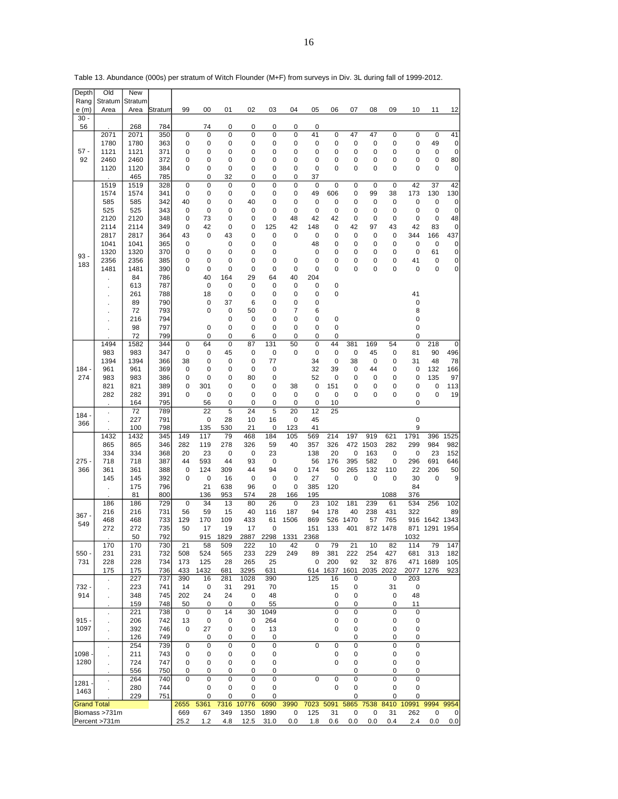| Depth              | Old                  | <b>New</b>   |            |                   |             |             |                  |                  |           |                 |                |           |             |                |                   |                   |            |
|--------------------|----------------------|--------------|------------|-------------------|-------------|-------------|------------------|------------------|-----------|-----------------|----------------|-----------|-------------|----------------|-------------------|-------------------|------------|
| Rang               | Stratum              | Stratum      |            |                   |             |             |                  |                  |           |                 |                |           |             |                |                   |                   |            |
| e(m)<br>$30 -$     | Area                 | Area         | Stratum    | 99                | 00          | 01          | 02               | 03               | 04        | 05              | 06             | 07        | 08          | 09             | 10                | 11                | 12         |
| 56                 |                      | 268          | 784        |                   | 74          | 0           | 0                | 0                | 0         | 0               |                |           |             |                |                   |                   |            |
|                    | 2071                 | 2071         | 350        | 0                 | 0           | 0           | 0                | 0                | 0         | 41              | 0              | 47        | 47          | 0              | 0                 | $\mathbf 0$       | 41         |
|                    | 1780                 | 1780         | 363        | 0                 | 0           | 0           | 0                | 0                | 0         | 0               | 0              | 0         | 0           | 0              | 0                 | 49                | 0          |
| 57 -               | 1121                 | 1121         | 371        | 0                 | 0           | 0           | 0                | 0                | 0         | 0               | 0              | 0         | 0           | 0              | 0                 | 0                 | 0          |
| 92                 | 2460<br>1120         | 2460<br>1120 | 372<br>384 | 0<br>0            | 0<br>0      | 0<br>0      | 0<br>0           | 0<br>0           | 0<br>0    | 0<br>0          | 0<br>0         | 0<br>0    | 0<br>0      | 0<br>0         | 0<br>0            | 0<br>$\mathbf 0$  | 80<br>0    |
|                    |                      | 465          | 785        |                   | 0           | 32          | 0                | 0                | 0         | 37              |                |           |             |                |                   |                   |            |
|                    | 1519                 | 1519         | 328        | $\mathbf 0$       | 0           | $\mathbf 0$ | $\mathbf 0$      | 0                | 0         | 0               | $\mathbf 0$    | 0         | $\mathbf 0$ | 0              | 42                | 37                | 42         |
|                    | 1574                 | 1574         | 341        | 0                 | 0           | 0           | 0                | 0                | 0         | 49              | 606            | 0         | 99          | 38             | 173               | 130               | 130        |
|                    | 585<br>525           | 585<br>525   | 342<br>343 | 40<br>0           | 0<br>0      | 0<br>0      | 40<br>0          | 0<br>0           | 0<br>0    | 0<br>0          | 0<br>0         | 0<br>0    | 0<br>0      | 0<br>0         | 0<br>0            | 0<br>0            | 0<br>0     |
|                    | 2120                 | 2120         | 348        | 0                 | 73          | 0           | 0                | 0                | 48        | 42              | 42             | 0         | 0           | 0              | 0                 | $\mathbf 0$       | 48         |
|                    | 2114                 | 2114         | 349        | 0                 | 42          | 0           | 0                | 125              | 42        | 148             | 0              | 42        | 97          | 43             | 42                | 83                | 0          |
|                    | 2817                 | 2817         | 364        | 43                | 0           | 43          | 0                | 0                | 0         | 0               | 0              | 0         | 0           | 0              | 344               | 166               | 437        |
|                    | 1041                 | 1041         | 365        | 0                 |             | 0           | 0                | 0                |           | 48              | 0              | 0         | 0           | 0              | $\mathbf 0$       | 0                 | 0          |
| 93 -               | 1320<br>2356         | 1320<br>2356 | 370<br>385 | 0<br>0            | 0<br>0      | 0<br>0      | 0<br>0           | 0<br>0           | 0         | 0<br>0          | 0<br>0         | 0<br>0    | 0<br>0      | 0<br>0         | 0<br>41           | 61<br>0           | 0<br>0     |
| 183                | 1481                 | 1481         | 390        | 0                 | 0           | 0           | 0                | 0                | 0         | 0               | 0              | 0         | 0           | 0              | 0                 | 0                 | 0          |
|                    |                      | 84           | 786        |                   | 40          | 164         | 29               | 64               | 40        | 204             |                |           |             |                |                   |                   |            |
|                    |                      | 613          | 787        |                   | 0           | 0           | 0                | 0                | 0         | 0               | 0              |           |             |                |                   |                   |            |
|                    |                      | 261          | 788        |                   | 18          | 0           | 0                | 0                | 0         | 0               | 0              |           |             |                | 41                |                   |            |
|                    | $\cdot$              | 89<br>72     | 790<br>793 |                   | 0<br>0      | 37<br>0     | 6<br>50          | 0<br>0           | 0<br>7    | 0<br>6          |                |           |             |                | 0<br>8            |                   |            |
|                    |                      | 216          | 794        |                   |             | 0           | 0                | 0                | 0         | 0               | 0              |           |             |                | 0                 |                   |            |
|                    |                      | 98           | 797        |                   | 0           | 0           | 0                | 0                | 0         | 0               | 0              |           |             |                | 0                 |                   |            |
|                    |                      | 72           | 799        |                   | 0           | 0           | 6                | 0                | 0         | 0               | 0              |           |             |                | 0                 |                   |            |
|                    | 1494                 | 1582         | 344        | $\mathbf 0$       | 64          | $\mathbf 0$ | 87               | 131              | 50        | $\mathbf 0$     | 44             | 381       | 169         | 54             | $\mathbf 0$       | 218               | 0          |
|                    | 983<br>1394          | 983<br>1394  | 347<br>366 | 0<br>38           | 0<br>0      | 45<br>0     | 0<br>0           | 0<br>77          | 0         | 0<br>34         | 0<br>0         | 0<br>38   | 45<br>0     | 0<br>0         | 81<br>31          | 90<br>48          | 496<br>78  |
| $184 -$            | 961                  | 961          | 369        | 0                 | 0           | 0           | 0                | 0                |           | 32              | 39             | 0         | 44          | 0              | 0                 | 132               | 166        |
| 274                | 983                  | 983          | 386        | 0                 | 0           | 0           | 80               | 0                |           | 52              | 0              | 0         | 0           | 0              | 0                 | 135               | 97         |
|                    | 821                  | 821          | 389        | 0                 | 301         | 0           | 0                | 0                | 38        | 0               | 151            | 0         | 0           | 0              | 0                 | 0                 | 113        |
|                    | 282                  | 282          | 391        | 0                 | 0           | 0           | 0                | 0                | 0         | 0               | 0              | 0         | 0           | 0              | 0                 | $\mathbf 0$       | 19         |
|                    | $\ddot{\phantom{0}}$ | 164<br>72    | 795<br>789 |                   | 56<br>22    | 0<br>5      | 0<br>24          | 0<br>5           | 0<br>20   | 0<br>12         | 10<br>25       |           |             |                | 0                 |                   |            |
| ، 184              |                      | 227          | 791        |                   | 0           | 28          | 10               | 16               | 0         | 45              |                |           |             |                | $\pmb{0}$         |                   |            |
| 366                |                      | 100          | 798        |                   | 135         | 530         | 21               | 0                | 123       | 41              |                |           |             |                | 9                 |                   |            |
|                    | 1432                 | 1432         | 345        | 149               | 117         | 79          | 468              | 184              | 105       | 569             | 214            | 197       | 919         | 621            | 1791              | 396               | 1525       |
|                    | 865                  | 865          | 346        | 282               | 119<br>23   | 278         | 326              | 59<br>23         | 40        | 357             | 326<br>20      | 472       | 1503        | 282            | 299               | 984<br>23         | 982        |
| 275                | 334<br>718           | 334<br>718   | 368<br>387 | 20<br>44          | 593         | 0<br>44     | 0<br>93          | 0                |           | 138<br>56       | 176            | 0<br>395  | 163<br>582  | 0<br>0         | 0<br>296          | 691               | 152<br>646 |
| 366                | 361                  | 361          | 388        | 0                 | 124         | 309         | 44               | 94               | 0         | 174             | 50             | 265       | 132         | 110            | 22                | 206               | 50         |
|                    | 145                  | 145          | 392        | 0                 | 0           | 16          | 0                | 0                | 0         | 27              | 0              | 0         | 0           | 0              | 30                | 0                 | 9          |
|                    |                      | 175          | 796        |                   | 21          | 638         | 96               | 0                | 0         | 385             | 120            |           |             |                | 84                |                   |            |
|                    | 186                  | 81<br>186    | 800<br>729 | 0                 | 136<br>34   | 953<br>13   | 574<br>80        | 28<br>26         | 166<br>0  | 195<br>23       | 102            | 181       | 239         | 1088<br>61     | 376<br>534        | 256               | 102        |
|                    | 216                  | 216          | 731        | 56                | 59          | 15          | 40               | 116              | 187       | 94              | 178            | 40        | 238         | 431            | 322               |                   | 89         |
| $367 -$<br>549     | 468                  | 468          | 733        | 129               | 170         | 109         | 433              | 61               | 1506      | 869             | 526            | 1470      | 57          | 765            | 916               | 1642 1343         |            |
|                    | 272                  | 272          | 735        | 50                | 17          | 19          | 17               | 0                |           | 151             | 133            | 401       | 872         | 1478           | 871               | 1291              | 1954       |
|                    |                      | 50           | 792        |                   | 915         | 829         | 2887             | 2298             | 1331      | 2368            |                |           |             |                | 1032              |                   |            |
| $550 -$            | 170<br>231           | 170<br>231   | 730<br>732 | 21<br>508         | 58<br>524   | 509<br>565  | 222<br>233       | 10<br>229        | 42<br>249 | $\pmb{0}$<br>89 | 79<br>381      | 21<br>222 | 10<br>254   | 82<br>427      | 114<br>681        | 79<br>313         | 147<br>182 |
| 731                | 228                  | 228          | 734        | 173               | 125         | 28          | 265              | 25               |           | 0               | 200            | 92        | 32          | 876            |                   | 471 1689          | 105        |
|                    | 175                  | 175          | 736        | 433               | 1432        | 681         | 3295             | 631              |           |                 | 614 1637       | 1601      | 2035 2022   |                | 2077              | 1276              | 923        |
|                    | $\epsilon$           | 227          | 737        | 390               | 16          | 281         | 1028             | 390              |           | 125             | 16             | 0         |             | 0              | 203               |                   |            |
| 732 -<br>914       | $\cdot$              | 223<br>348   | 741<br>745 | 14<br>202         | 0<br>24     | 31<br>24    | 291<br>$\pmb{0}$ | 70<br>48         |           |                 | 15<br>0        | 0<br>0    |             | 31<br>0        | 0<br>48           |                   |            |
|                    | $\ddot{\phantom{0}}$ |              |            |                   |             |             |                  |                  |           |                 |                |           |             |                |                   |                   |            |
|                    |                      | 159          | 748        |                   | 0           | 0           | 0                |                  |           |                 | 0              | 0         |             | 0              |                   |                   |            |
|                    | ÷,                   | 221          | 738        | 50<br>$\mathbf 0$ | 0           | 14          | 30               | 55<br>1049       |           |                 | $\overline{0}$ | 0         |             | $\overline{0}$ | 11<br>$\mathbf 0$ |                   |            |
| $915 -$            | $\ddot{\phantom{a}}$ | 206          | 742        | 13                | $\mathbf 0$ | 0           | $\mathbf 0$      | 264              |           |                 | 0              | 0         |             | 0              | 0                 |                   |            |
| 1097               |                      | 392          | 746        | $\mathbf 0$       | 27          | 0           | 0                | 13               |           |                 | 0              | 0         |             | 0              | 0                 |                   |            |
|                    |                      | 126          | 749        |                   | 0           | 0           | 0                | 0                |           |                 |                | 0         |             | 0              | 0                 |                   |            |
|                    | ä,                   | 254          | 739        | 0                 | 0           | 0           | $\mathbf 0$      | $\mathbf 0$      |           | $\mathbf 0$     | $\mathbf 0$    | 0         |             | 0              | 0                 |                   |            |
| 1098<br>1280       |                      | 211<br>724   | 743<br>747 | 0<br>0            | 0<br>0      | 0<br>0      | $\pmb{0}$<br>0   | 0<br>$\mathbf 0$ |           |                 | 0<br>0         | 0<br>0    |             | 0<br>0         | 0<br>0            |                   |            |
|                    |                      | 556          | 750        | 0                 | 0           | 0           | 0                | 0                |           |                 |                | 0         |             | 0              | 0                 |                   |            |
| 1281 .             | ÷.                   | 264          | 740        | 0                 | 0           | 0           | $\pmb{0}$        | $\mathbf 0$      |           | $\mathbf 0$     | $\pmb{0}$      | 0         |             | 0              | 0                 |                   |            |
| 1463               |                      | 280          | 744        |                   | 0           | 0           | $\pmb{0}$        | $\mathbf 0$      |           |                 | 0              | 0         |             | 0              | 0                 |                   |            |
|                    |                      | 229          | 751        |                   | 0           | 0           | 0                | 0                |           |                 |                | 0         |             | 0              | 0                 |                   | 9954       |
| <b>Grand Total</b> | Biomass >731m        |              |            | 2655<br>669       | 5361<br>67  | 7316<br>349 | 10776<br>1350    | 6090<br>1890     | 3990<br>0 | 7023<br>125     | 5091<br>31     | 5865<br>0 | 7538<br>0   | 8410<br>31     | 10991<br>262      | 9994<br>$\pmb{0}$ | 0          |

Table 13. Abundance (000s) per stratum of Witch Flounder (M+F) from surveys in Div. 3L during fall of 1999-2012.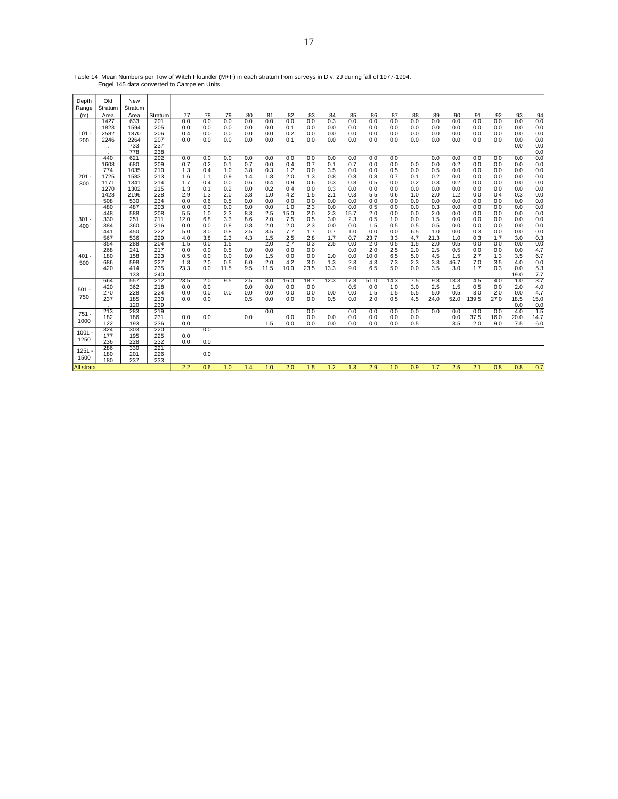Table 14. Mean Numbers per Tow of Witch Flounder (M+F) in each stratum from surveys in Div. 2J during fall of 1977-1994. Engel 145 data converted to Campelen Units.

| Depth<br>Range    | Old<br>Stratum                                            | New<br>Stratum                                            |                                                      |                                                      |                                                      |                                                      |                                                      |                                                      |                                                      |                                                      |                                                      |                                                      |                                                      |                                                      |                                               |                                                      |                                                      |                                                      |                                                      |                                                      |                                                      |
|-------------------|-----------------------------------------------------------|-----------------------------------------------------------|------------------------------------------------------|------------------------------------------------------|------------------------------------------------------|------------------------------------------------------|------------------------------------------------------|------------------------------------------------------|------------------------------------------------------|------------------------------------------------------|------------------------------------------------------|------------------------------------------------------|------------------------------------------------------|------------------------------------------------------|-----------------------------------------------|------------------------------------------------------|------------------------------------------------------|------------------------------------------------------|------------------------------------------------------|------------------------------------------------------|------------------------------------------------------|
| (m)               | Area                                                      | Area                                                      | Stratum                                              | 77                                                   | 78                                                   | 79                                                   | 80                                                   | 81                                                   | 82                                                   | 83                                                   | 84                                                   | 85                                                   | 86                                                   | 87                                                   | 88                                            | 89                                                   | 90                                                   | 91                                                   | 92                                                   | 93                                                   | 94                                                   |
| $101 -$<br>200    | 1427<br>1823<br>2582<br>2246<br>$\cdot$                   | 633<br>1594<br>1870<br>2264<br>733<br>778                 | 201<br>205<br>206<br>207<br>237<br>238               | 0.0<br>0.0<br>0.4<br>0.0                             | 0.0<br>0.0<br>0.0<br>0.0                             | 0.0<br>0.0<br>0.0<br>0.0                             | 0.0<br>0.0<br>0.0<br>0.0                             | 0.0<br>0.0<br>0.0<br>0.0                             | 0.0<br>0.1<br>0.2<br>0.1                             | 0.0<br>0.0<br>0.0<br>0.0                             | 0.3<br>0.0<br>0.0<br>0.0                             | 0.0<br>0.0<br>0.0<br>0.0                             | 0.0<br>0.0<br>0.0<br>0.0                             | 0.0<br>0.0<br>0.0<br>0.0                             | 0.0<br>0.0<br>0.0<br>0.0                      | 0.0<br>0.0<br>0.0<br>0.0                             | 0.0<br>0.0<br>0.0<br>0.0                             | 0.0<br>0.0<br>0.0<br>0.0                             | 0.0<br>0.0<br>0.0<br>0.0                             | 0.0<br>0.0<br>0.0<br>0.0<br>0.0                      | 0.0<br>0.0<br>0.0<br>0.0<br>0.0<br>0.0               |
| 201<br>300        | 440<br>1608<br>774<br>1725<br>1171<br>1270<br>1428<br>508 | 621<br>680<br>1035<br>1583<br>1341<br>1302<br>2196<br>530 | 202<br>209<br>210<br>213<br>214<br>215<br>228<br>234 | 0.0<br>0.7<br>1.3<br>1.6<br>1.7<br>1.3<br>2.9<br>0.0 | 0.0<br>0.2<br>0.4<br>1.1<br>0.4<br>0.1<br>1.3<br>0.6 | 0.0<br>0.1<br>1.0<br>0.9<br>0.0<br>0.2<br>2.0<br>0.5 | 0.0<br>0.7<br>3.8<br>1.4<br>0.6<br>0.0<br>3.8<br>0.0 | 0.0<br>0.0<br>0.3<br>1.8<br>0.4<br>0.2<br>1.0<br>0.0 | 0.0<br>0.4<br>1.2<br>2.0<br>0.9<br>0.4<br>4.2<br>0.0 | 0.0<br>0.7<br>0.0<br>1.3<br>0.6<br>0.0<br>1.5<br>0.0 | 0.0<br>0.1<br>3.5<br>0.8<br>0.3<br>0.3<br>2.1<br>0.0 | 0.0<br>0.7<br>0.0<br>0.8<br>0.8<br>0.0<br>0.3<br>0.0 | 0.0<br>0.0<br>0.0<br>0.8<br>0.5<br>0.0<br>5.5<br>0.0 | 0.0<br>0.0<br>0.5<br>0.7<br>0.0<br>0.0<br>0.6<br>0.0 | 0.0<br>0.0<br>0.1<br>0.2<br>0.0<br>1.0<br>0.0 | 0.0<br>0.0<br>0.5<br>0.2<br>0.3<br>0.0<br>2.0<br>0.0 | 0.0<br>0.2<br>0.0<br>0.0<br>0.2<br>0.0<br>1.2<br>0.0 | 0.0<br>0.0<br>0.0<br>0.0<br>0.0<br>0.0<br>0.0<br>0.0 | 0.0<br>0.0<br>0.0<br>0.0<br>0.0<br>0.0<br>0.4<br>0.0 | 0.0<br>0.0<br>0.0<br>0.0<br>0.0<br>0.0<br>0.3<br>0.0 | 0.0<br>0.0<br>0.0<br>0.0<br>0.0<br>0.0<br>0.0<br>0.0 |
| $301 -$<br>400    | 480<br>448<br>330<br>384<br>441<br>567<br>354             | 487<br>588<br>251<br>360<br>450<br>536<br>288             | 203<br>208<br>211<br>216<br>222<br>229<br>204        | 0.0<br>5.5<br>12.0<br>0.0<br>5.0<br>4.0<br>1.5       | 0.0<br>1.0<br>6.8<br>0.0<br>3.0<br>3.8<br>0.0        | 0.0<br>2.3<br>3.3<br>0.8<br>0.8<br>2.3<br>1.5        | 0.0<br>8.3<br>8.6<br>0.8<br>2.5<br>4.3               | 0.0<br>2.5<br>2.0<br>2.0<br>3.5<br>1.5<br>2.0        | 1.0<br>15.0<br>7.5<br>2.0<br>7.7<br>2.5<br>2.7       | 2.3<br>2.0<br>0.5<br>2.3<br>1.7<br>2.8<br>0.3        | 0.0<br>2.3<br>3.0<br>0.0<br>0.7<br>1.7<br>2.5        | 0.0<br>15.7<br>2.3<br>0.0<br>1.0<br>0.7<br>0.0       | 0.5<br>2.0<br>0.5<br>1.5<br>0.0<br>23.7<br>2.0       | 0.0<br>0.0<br>1.0<br>0.5<br>0.0<br>3.3<br>0.5        | 0.0<br>0.0<br>0.0<br>0.5<br>6.5<br>4.7<br>1.5 | 0.3<br>2.0<br>1.5<br>0.5<br>1.0<br>21.3<br>2.0       | 0.0<br>0.0<br>0.0<br>0.0<br>0.0<br>1.0<br>0.5        | 0.0<br>0.0<br>0.0<br>0.0<br>0.3<br>0.3<br>0.0        | 0.0<br>0.0<br>0.0<br>0.0<br>0.0<br>1.7<br>0.0        | 0.0<br>0.0<br>0.0<br>0.0<br>0.0<br>3.0<br>0.0        | 0.0<br>0.0<br>0.0<br>0.0<br>0.0<br>0.3<br>0.0        |
| $401 -$<br>500    | 268<br>180<br>686<br>420                                  | 241<br>158<br>598<br>414<br>133                           | 217<br>223<br>227<br>235<br>240                      | 0.0<br>0.5<br>1.8<br>23.3                            | 0.0<br>0.0<br>2.0<br>0.0                             | 0.5<br>0.0<br>0.5<br>11.5                            | 0.0<br>0.0<br>6.0<br>9.5                             | 0.0<br>1.5<br>2.0<br>11.5                            | 0.0<br>0.0<br>4.2<br>10.0                            | 0.0<br>0.0<br>3.0<br>23.5                            | 2.0<br>1.3<br>13.3                                   | 0.0<br>0.0<br>2.3<br>9.0                             | 2.0<br>10.0<br>4.3<br>6.5                            | 2.5<br>6.5<br>7.3<br>5.0                             | 2.0<br>5.0<br>2.3<br>0.0                      | 2.5<br>4.5<br>3.8<br>3.5                             | 0.5<br>1.5<br>46.7<br>3.0                            | 0.0<br>2.7<br>7.0<br>1.7                             | 0.0<br>1.3<br>3.5<br>0.3                             | 0.0<br>3.5<br>4.0<br>0.0<br>19.0                     | 4.7<br>6.7<br>0.0<br>5.3<br>7.7                      |
| $501 -$<br>750    | 664<br>420<br>270<br>237                                  | 557<br>362<br>228<br>185<br>120                           | 212<br>218<br>224<br>230<br>239                      | 23.5<br>0.0<br>0.0<br>0.0                            | 2.0<br>0.0<br>0.0<br>0.0                             | 9.5<br>0.0                                           | 2.5<br>0.0<br>0.0<br>0.5                             | 8.0<br>0.0<br>0.0<br>0.0                             | 16.0<br>0.0<br>0.0<br>0.0                            | 18.7<br>0.0<br>0.0<br>0.0                            | 12.3<br>0.0<br>0.5                                   | 17.8<br>0.5<br>0.0<br>0.0                            | 51.0<br>0.0<br>1.5<br>2.0                            | 14.3<br>1.0<br>1.5<br>0.5                            | 7.5<br>3.0<br>5.5<br>4.5                      | 9.8<br>2.5<br>5.0<br>24.0                            | 13.3<br>1.5<br>0.5<br>52.0                           | 4.5<br>0.5<br>3.0<br>139.5                           | 4.0<br>0.0<br>2.0<br>27.0                            | 1.0<br>2.0<br>0.0<br>18.5<br>0.0                     | 3.7<br>4.0<br>4.7<br>15.0<br>0.0                     |
| $751 -$<br>1000   | 213<br>182<br>122                                         | 283<br>186<br>193                                         | 219<br>231<br>236                                    | 0.0<br>0.0                                           | 0.0                                                  |                                                      | 0.0                                                  | 0.0<br>1.5                                           | 0.0<br>0.0                                           | 0.0<br>0.0<br>0.0                                    | 0.0<br>0.0                                           | 0.0<br>0.0<br>0.0                                    | 0.0<br>0.0<br>0.0                                    | 0.0<br>0.0<br>0.0                                    | 0.0<br>0.0<br>0.5                             | 0.0                                                  | 0.0<br>0.0<br>3.5                                    | 0.0<br>37.5<br>2.0                                   | 0.0<br>16.0<br>9.0                                   | 4.0<br>20.0<br>7.5                                   | 1.5<br>14.7<br>6.0                                   |
| 1001<br>1250      | 324<br>177<br>236                                         | 303<br>195<br>228                                         | 220<br>225<br>232                                    | 0.0<br>0.0                                           | 0.0<br>0.0                                           |                                                      |                                                      |                                                      |                                                      |                                                      |                                                      |                                                      |                                                      |                                                      |                                               |                                                      |                                                      |                                                      |                                                      |                                                      |                                                      |
| 1251<br>1500      | 286<br>180<br>180                                         | 330<br>201<br>237                                         | 221<br>226<br>233                                    |                                                      | 0.0                                                  |                                                      |                                                      |                                                      |                                                      |                                                      |                                                      |                                                      |                                                      |                                                      |                                               |                                                      |                                                      |                                                      |                                                      |                                                      |                                                      |
| <b>All strata</b> |                                                           |                                                           |                                                      | 2.2                                                  | 0.6                                                  | 1.0                                                  | 1.4                                                  | 1.0                                                  | 2.0                                                  | 1.5                                                  | 1.2                                                  | 1.3                                                  | 2.9                                                  | 1.0                                                  | 0.9                                           | 1.7                                                  | 2.5                                                  | 2.1                                                  | 0.8                                                  | 0.8                                                  | 0.7                                                  |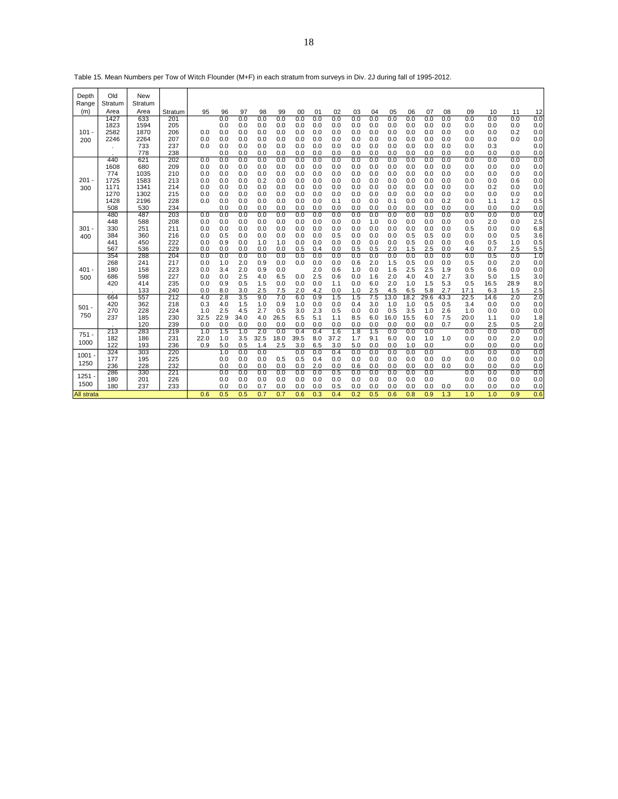|                   |            | Table 15. Mean Numbers per Tow of Witch Flounder (M+F) in each stratum from Surveys in Div. ZJ during fail of 1995-2012. |            |            |            |            |            |            |            |            |            |            |            |            |            |            |            |            |            |            |            |
|-------------------|------------|--------------------------------------------------------------------------------------------------------------------------|------------|------------|------------|------------|------------|------------|------------|------------|------------|------------|------------|------------|------------|------------|------------|------------|------------|------------|------------|
| Depth             | Old        | New                                                                                                                      |            |            |            |            |            |            |            |            |            |            |            |            |            |            |            |            |            |            |            |
| Range             | Stratum    | Stratum                                                                                                                  |            |            |            |            |            |            |            |            |            |            |            |            |            |            |            |            |            |            |            |
| (m)               | Area       | Area                                                                                                                     | Stratum    | 95         | 96         | 97         | 98         | 99         | 00         | 01         | 02         | 03         | 04         | 05         | 06         | 07         | 08         | 09         | 10         | 11         | 12         |
|                   | 1427       | 633                                                                                                                      | 201        |            | 0.0        | 0.0        | 0.0        | 0.0        | 0.0        | 0.0        | 0.0        | 0.0        | 0.0        | 0.0        | 0.0        | 0.0        | 0.0        | 0.0        | 0.0        | 0.0        | 0.0        |
|                   | 1823       | 1594                                                                                                                     | 205        |            | 0.0        | 0.0        | 0.0        | 0.0        | 0.0        | 0.0        | 0.0        | 0.0        | 0.0        | 0.0        | 0.0        | 0.0        | 0.0        | 0.0        | 0.0        | 0.0        | 0.0        |
| $101 -$           | 2582       | 1870                                                                                                                     | 206        | 0.0        | 0.0        | 0.0        | 0.0        | 0.0        | 0.0        | 0.0        | 0.0        | 0.0        | 0.0        | 0.0        | 0.0        | 0.0        | 0.0        | 0.0        | 0.0        | 0.2        | 0.0        |
| 200               | 2246       | 2264                                                                                                                     | 207        | 0.0        | 0.0        | 0.0        | 0.0        | 0.0        | 0.0        | 0.0        | 0.0        | 0.0        | 0.0        | 0.0        | 0.0        | 0.0        | 0.0        | 0.0        | 0.0        | 0.0        | 0.0        |
|                   |            | 733                                                                                                                      | 237        | 0.0        | 0.0        | 0.0        | 0.0        | 0.0        | 0.0        | 0.0        | 0.0        | 0.0        | 0.0        | 0.0        | 0.0        | 0.0        | 0.0        | 0.0        | 0.3        |            | 0.0        |
|                   |            | 778                                                                                                                      | 238        |            | 0.0        | 0.0        | 0.0        | 0.0        | 0.0        | 0.0        | 0.0        | 0.0        | 0.0        | 0.0        | 0.0        | 0.0        | 0.0        | 0.0        | 0.0        | 0.0        | 0.0        |
|                   | 440        | 621                                                                                                                      | 202        | 0.0        | 0.0        | 0.0        | 0.0        | 0.0        | 0.0        | 0.0        | 0.0        | 0.0        | 0.0        | 0.0        | 0.0        | 0.0        | 0.0        | 0.0        | 0.0        | 0.0        | 0.0        |
|                   | 1608       | 680                                                                                                                      | 209        | 0.0        | 0.0        | 0.0        | 0.0        | 0.0        | 0.0        | 0.0        | 0.0        | 0.0        | 0.0        | 0.0        | 0.0        | 0.0        | 0.0        | 0.0        | 0.0        | 0.0        | 0.0        |
|                   | 774        | 1035                                                                                                                     | 210        | 0.0        | 0.0        | 0.0        | 0.0        | 0.0        | 0.0        | 0.0        | 0.0        | 0.0        | 0.0        | 0.0        | 0.0        | 0.0        | 0.0        | 0.0        | 0.0        | 0.0        | 0.0        |
| $201 -$           | 1725       | 1583                                                                                                                     | 213        | 0.0        | 0.0        | 0.0        | 0.2        | 0.0        | 0.0        | 0.0        | 0.0        | 0.0        | 0.0        | 0.0        | 0.0        | 0.0        | 0.0        | 0.0        | 0.0        | 0.6        | 0.0        |
| 300               | 1171       | 1341                                                                                                                     | 214        | 0.0        | 0.0        | 0.0        | 0.0        | 0.0        | 0.0        | 0.0        | 0.0        | 0.0        | 0.0        | 0.0        | 0.0        | 0.0        | 0.0        | 0.0        | 0.2        | 0.0        | 0.0        |
|                   | 1270       | 1302                                                                                                                     | 215        | 0.0        | 0.0        | 0.0        | 0.0        | 0.0        | 0.0        | 0.0        | 0.0        | 0.0        | 0.0        | 0.0        | 0.0        | 0.0        | 0.0        | 0.0        | 0.0        | 0.0        | 0.0        |
|                   | 1428       | 2196                                                                                                                     | 228        | 0.0        | 0.0        | 0.0        | 0.0        | 0.0        | 0.0        | 0.0        | 0.1        | 0.0        | 0.0        | 0.1        | 0.0        | 0.0        | 0.2        | 0.0        | 1.1        | 1.2        | 0.5        |
|                   | 508        | 530                                                                                                                      | 234        |            | 0.0        | 0.0        | 0.0        | 0.0        | 0.0        | 0.0        | 0.0        | 0.0        | 0.0        | 0.0        | 0.0        | 0.0        | 0.0        | 0.0        | 0.0        | 0.0        | 0.0        |
|                   | 480        | 487                                                                                                                      | 203        | 0.0        | 0.0        | 0.0        | 0.0        | 0.0        | 0.0        | 0.0        | 0.0        | 0.0        | 0.0        | 0.0        | 0.0        | 0.0<br>0.0 | 0.0        | 0.0        | 0.0        | 0.0        | 0.0        |
| $301 -$           | 448<br>330 | 588<br>251                                                                                                               | 208<br>211 | 0.0<br>0.0 | 0.0<br>0.0 | 0.0<br>0.0 | 0.0<br>0.0 | 0.0<br>0.0 | 0.0<br>0.0 | 0.0<br>0.0 | 0.0<br>0.0 | 0.0<br>0.0 | 1.0<br>0.0 | 0.0<br>0.0 | 0.0<br>0.0 | 0.0        | 0.0<br>0.0 | 0.0<br>0.5 | 2.0<br>0.0 | 0.0<br>0.0 | 2.5<br>6.8 |
|                   | 384        | 360                                                                                                                      | 216        | 0.0        | 0.5        | 0.0        | 0.0        | 0.0        | 0.0        | 0.0        | 0.5        | 0.0        | 0.0        | 0.0        | 0.5        | 0.5        | 0.0        | 0.0        | 0.0        | 0.5        | 3.6        |
| 400               | 441        | 450                                                                                                                      | 222        | 0.0        | 0.9        | 0.0        | 1.0        | 1.0        | 0.0        | 0.0        | 0.0        | 0.0        | 0.0        | 0.0        | 0.5        | 0.0        | 0.0        | 0.6        | 0.5        | 1.0        | 0.5        |
|                   | 567        | 536                                                                                                                      | 229        | 0.0        | 0.0        | 0.0        | 0.0        | 0.0        | 0.5        | 0.4        | 0.0        | 0.5        | 0.5        | 2.0        | 1.5        | 2.5        | 0.0        | 4.0        | 0.7        | 2.5        | 5.5        |
|                   | 354        | 288                                                                                                                      | 204        | 0.0        | 0.0        | 0.0        | 0.0        | 0.0        | 0.0        | 0.0        | 0.0        | 0.0        | 0.0        | 0.0        | 0.0        | 0.0        | 0.0        | 0.0        | 0.5        | 0.0        | 1.0        |
|                   | 268        | 241                                                                                                                      | 217        | 0.0        | 1.0        | 2.0        | 0.9        | 0.0        | 0.0        | 0.0        | 0.0        | 0.6        | 2.0        | 1.5        | 0.5        | 0.0        | 0.0        | 0.5        | 0.0        | 2.0        | 0.0        |
| $401 -$           | 180        | 158                                                                                                                      | 223        | 0.0        | 3.4        | 2.0        | 0.9        | 0.0        |            | 2.0        | 0.6        | 1.0        | 0.0        | 1.6        | 2.5        | 2.5        | 1.9        | 0.5        | 0.6        | 0.0        | 0.0        |
| 500               | 686        | 598                                                                                                                      | 227        | 0.0        | 0.0        | 2.5        | 4.0        | 6.5        | 0.0        | 2.5        | 0.6        | 0.0        | 1.6        | 2.0        | 4.0        | 4.0        | 2.7        | 3.0        | 5.0        | 1.5        | 3.0        |
|                   | 420        | 414                                                                                                                      | 235        | 0.0        | 0.9        | 0.5        | 1.5        | 0.0        | 0.0        | 0.0        | 1.1        | 0.0        | 6.0        | 2.0        | 1.0        | 1.5        | 5.3        | 0.5        | 16.5       | 28.9       | 8.0        |
|                   |            | 133                                                                                                                      | 240        | 0.0        | 8.0        | 3.0        | 2.5        | 7.5        | 2.0        | 4.2        | 0.0        | 1.0        | 2.5        | 4.5        | 6.5        | 5.8        | 2.7        | 17.1       | 6.3        | 1.5        | 2.5        |
|                   | 664        | 557                                                                                                                      | 212        | 4.0        | 2.8        | 3.5        | 9.0        | 7.0        | 6.0        | 0.9        | 1.5        | 1.5        | 7.5        | 13.0       | 18.2       | 29.6       | 43.3       | 22.5       | 14.6       | 2.0        | 2.0        |
|                   | 420        | 362                                                                                                                      | 218        | 0.3        | 4.0        | 1.5        | 1.0        | 0.9        | 1.0        | 0.0        | 0.0        | 0.4        | 3.0        | 1.0        | 1.0        | 0.5        | 0.5        | 3.4        | 0.0        | 0.0        | 0.0        |
| $501 -$           | 270        | 228                                                                                                                      | 224        | 1.0        | 2.5        | 4.5        | 2.7        | 0.5        | 3.0        | 2.3        | 0.5        | 0.0        | 0.0        | 0.5        | 3.5        | 1.0        | 2.6        | 1.0        | 0.0        | 0.0        | 0.0        |
| 750               | 237        | 185                                                                                                                      | 230        | 32.5       | 22.9       | 34.0       | 4.0        | 26.5       | 6.5        | 5.1        | 1.1        | 8.5        | 6.0        | 16.0       | 15.5       | 6.0        | 7.5        | 20.0       | 1.1        | 0.0        | 1.8        |
|                   |            | 120                                                                                                                      | 239        | 0.0        | 0.0        | 0.0        | 0.0        | 0.0        | 0.0        | 0.0        | 0.0        | 0.0        | 0.0        | 0.0        | 0.0        | 0.0        | 0.7        | 0.0        | 2.5        | 0.5        | 2.0        |
| $751 -$           | 213        | 283                                                                                                                      | 219        | 1.0        | 1.5        | 1.0        | 2.0        | 0.0        | 0.4        | 0.4        | 1.6        | 1.8        | 1.5        | 0.0        | 0.0        | 0.0        |            | 0.0        | 0.0        | 0.0        | 0.0        |
| 1000              | 182        | 186                                                                                                                      | 231        | 22.0       | 1.0        | 3.5        | 32.5       | 18.0       | 39.5       | 8.0        | 37.2       | 1.7        | 9.1        | 6.0        | 0.0        | 1.0        | 1.0        | 0.0        | 0.0        | 2.0        | 0.0        |
|                   | 122        | 193                                                                                                                      | 236        | 0.9        | 5.0        | 0.5        | 1.4        | 2.5        | 3.0        | 6.5        | 3.0        | 5.0        | 0.0        | 0.0        | 1.0        | 0.0        |            | 0.0        | 0.0        | 0.0        | 0.0        |
| $1001 -$          | 324        | 303                                                                                                                      | 220        |            | 1.0        | 0.0        | 0.0        |            | 0.0        | 0.0        | 0.4        | 0.0        | 0.0        | 0.0        | 0.0        | 0.0        |            | 0.0        | 0.0        | 0.0        | 0.0        |
| 1250              | 177        | 195                                                                                                                      | 225        |            | 0.0        | 0.0        | 0.0        | 0.5        | 0.5        | 0.4        | 0.0        | 0.0        | 0.0        | 0.0        | 0.0        | 0.0        | 0.0        | 0.0        | 0.0        | 0.0        | 0.0        |
|                   | 236        | 228                                                                                                                      | 232        |            | 0.0        | 0.0        | 0.0        | 0.0        | 0.0        | 2.0        | 0.0        | 0.6        | 0.0        | 0.0        | 0.0        | 0.0        | 0.0        | 0.0        | 0.0        | 0.0        | 0.0        |
| $1251 -$          | 286        | 330                                                                                                                      | 221        |            | 0.0        | 0.0        | 0.0        | 0.0        | 0.0        | 0.0        | 0.5        | 0.0        | 0.0        | 0.0        | 0.0        | 0.0        |            | 0.0        | 0.0        | 0.0        | 0.0        |
| 1500              | 180        | 201                                                                                                                      | 226        |            | 0.0        | 0.0        | 0.0        | 0.0        | 0.0        | 0.0        | 0.0        | 0.0        | 0.0        | 0.0        | 0.0        | 0.0        |            | 0.0        | 0.0        | 0.0        | 0.0        |
|                   | 180        | 237                                                                                                                      | 233        |            | 0.0        | 0.0        | 0.7        | 0.0        | 0.0        | 0.0        | 0.5        | 0.0        | 0.0        | 0.0        | 0.0        | 0.0        | 0.0        | 0.0        | 0.0        | 0.0        | 0.0        |
| <b>All strata</b> |            |                                                                                                                          |            | 0.6        | 0.5        | 0.5        | 0.7        | 0.7        | 0.6        | 0.3        | 0.4        | 0.2        | 0.5        | 0.6        | 0.8        | 0.9        | 1.3        | 1.0        | 1.0        | 0.9        | 0.6        |

Table 15. Mean Numbers per Tow of Witch Flounder (M+F) in each stratum from surveys in Div. 2J during fall of 1995-2012.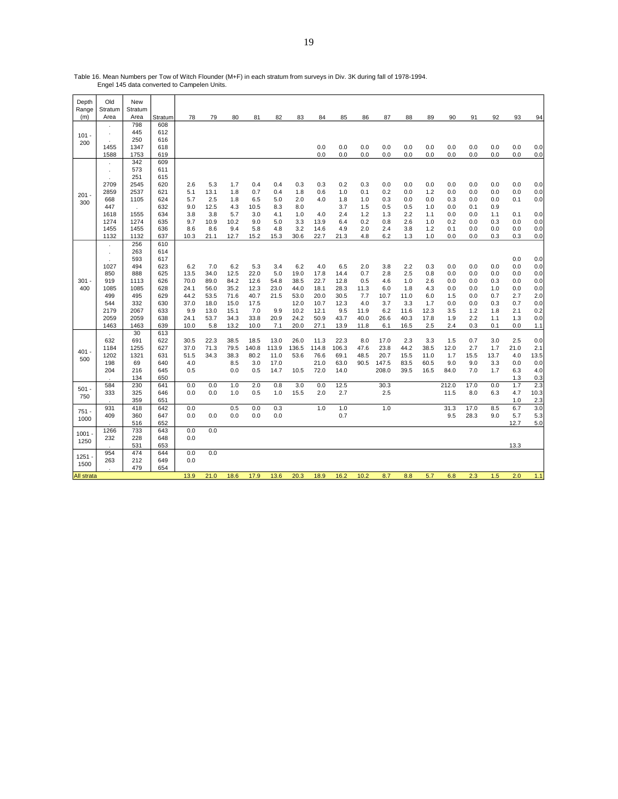Table 16. Mean Numbers per Tow of Witch Flounder (M+F) in each stratum from surveys in Div. 3K during fall of 1978-1994. Engel 145 data converted to Campelen Units.

| Depth        | Old             | New             |            |             |             |             |             |            |             |             |              |            |            |            |            |            |            |            |            |            |
|--------------|-----------------|-----------------|------------|-------------|-------------|-------------|-------------|------------|-------------|-------------|--------------|------------|------------|------------|------------|------------|------------|------------|------------|------------|
| Range<br>(m) | Stratum<br>Area | Stratum<br>Area | Stratum    | 78          | 79          | 80          | 81          | 82         | 83          | 84          | 85           | 86         | 87         | 88         | 89         | 90         | 91         | 92         | 93         | 94         |
|              |                 | 798             | 608        |             |             |             |             |            |             |             |              |            |            |            |            |            |            |            |            |            |
|              | à.              | 445             | 612        |             |             |             |             |            |             |             |              |            |            |            |            |            |            |            |            |            |
| $101 -$      |                 | 250             | 616        |             |             |             |             |            |             |             |              |            |            |            |            |            |            |            |            |            |
| 200          | 1455            | 1347            | 618        |             |             |             |             |            |             | 0.0         | 0.0          | 0.0        | 0.0        | 0.0        | 0.0        | 0.0        | 0.0        | 0.0        | 0.0        | 0.0        |
|              | 1588            | 1753            | 619        |             |             |             |             |            |             | 0.0         | 0.0          | 0.0        | 0.0        | 0.0        | 0.0        | 0.0        | 0.0        | 0.0        | 0.0        | 0.0        |
|              |                 | 342             | 609        |             |             |             |             |            |             |             |              |            |            |            |            |            |            |            |            |            |
|              | $\epsilon$      | 573             | 611        |             |             |             |             |            |             |             |              |            |            |            |            |            |            |            |            |            |
|              | $\mathbf{r}$    | 251             | 615        |             |             |             |             |            |             |             |              |            |            |            |            |            |            |            |            |            |
|              | 2709            | 2545            | 620        | 2.6         | 5.3         | 1.7         | 0.4         | 0.4        | 0.3         | 0.3         | 0.2          | 0.3        | 0.0        | 0.0        | 0.0        | 0.0        | 0.0        | 0.0        | 0.0        | 0.0        |
| $201 -$      | 2859            | 2537            | 621        | 5.1         | 13.1        | 1.8         | 0.7         | 0.4        | 1.8         | 0.6         | 1.0          | 0.1        | 0.2        | 0.0        | 1.2        | 0.0        | 0.0        | 0.0        | 0.0        | 0.0        |
| 300          | 668             | 1105            | 624        | 5.7         | 2.5         | 1.8         | 6.5         | 5.0        | 2.0         | 4.0         | 1.8          | 1.0        | 0.3        | 0.0        | 0.0        | 0.3        | 0.0        | 0.0        | 0.1        | 0.0        |
|              | 447             |                 | 632        | 9.0         | 12.5        | 4.3         | 10.5        | 8.3        | 8.0         |             | 3.7          | 1.5        | 0.5        | 0.5        | 1.0        | 0.0        | 0.1        | 0.9        |            |            |
|              | 1618            | 1555            | 634        | 3.8         | 3.8         | 5.7         | 3.0         | 4.1        | 1.0         | 4.0         | 2.4          | 1.2        | 1.3        | 2.2        | 1.1        | 0.0        | 0.0        | 1.1        | 0.1        | 0.0        |
|              | 1274            | 1274            | 635        | 9.7         | 10.9        | 10.2        | 9.0         | 5.0        | 3.3         | 13.9        | 6.4          | 0.2        | 0.8        | 2.6        | 1.0        | 0.2        | 0.0        | 0.3        | 0.0        | 0.0        |
|              | 1455            | 1455            | 636        | 8.6         | 8.6         | 9.4         | 5.8         | 4.8        | 3.2         | 14.6        | 4.9          | 2.0        | 2.4        | 3.8        | 1.2        | 0.1        | 0.0        | 0.0        | 0.0        | 0.0        |
|              | 1132            | 1132            | 637        | 10.3        | 21.1        | 12.7        | 15.2        | 15.3       | 30.6        | 22.7        | 21.3         | 4.8        | 6.2        | 1.3        | 1.0        | 0.0        | 0.0        | 0.3        | 0.3        | 0.0        |
|              | ä,              | 256             | 610        |             |             |             |             |            |             |             |              |            |            |            |            |            |            |            |            |            |
|              | $\epsilon$      | 263             | 614        |             |             |             |             |            |             |             |              |            |            |            |            |            |            |            |            |            |
|              | à.              | 593             | 617        |             |             |             |             |            |             |             |              |            |            |            |            |            |            |            | 0.0        | 0.0        |
|              | 1027<br>850     | 494<br>888      | 623<br>625 | 6.2<br>13.5 | 7.0<br>34.0 | 6.2<br>12.5 | 5.3<br>22.0 | 3.4<br>5.0 | 6.2<br>19.0 | 4.0<br>17.8 | 6.5          | 2.0<br>0.7 | 3.8<br>2.8 | 2.2<br>2.5 | 0.3<br>0.8 | 0.0        | 0.0        | 0.0<br>0.0 | 0.0        | 0.0        |
| $301 -$      | 919             | 1113            | 626        | 70.0        | 89.0        | 84.2        | 12.6        | 54.8       | 38.5        | 22.7        | 14.4<br>12.8 | 0.5        | 4.6        |            | 2.6        | 0.0<br>0.0 | 0.0<br>0.0 |            | 0.0<br>0.0 | 0.0<br>0.0 |
| 400          | 1085            | 1085            | 628        | 24.1        | 56.0        | 35.2        | 12.3        | 23.0       | 44.0        | 18.1        | 28.3         | 11.3       | 6.0        | 1.0<br>1.8 | 4.3        | 0.0        | 0.0        | 0.3<br>1.0 | 0.0        | 0.0        |
|              | 499             | 495             | 629        | 44.2        | 53.5        | 71.6        | 40.7        | 21.5       | 53.0        | 20.0        | 30.5         | 7.7        | 10.7       | 11.0       | 6.0        | 1.5        | 0.0        | 0.7        | 2.7        | 2.0        |
|              | 544             | 332             | 630        | 37.0        | 18.0        | 15.0        | 17.5        |            | 12.0        | 10.7        | 12.3         | 4.0        | 3.7        | 3.3        | 1.7        | 0.0        | 0.0        | 0.3        | 0.7        | 0.0        |
|              | 2179            | 2067            | 633        | 9.9         | 13.0        | 15.1        | 7.0         | 9.9        | 10.2        | 12.1        | 9.5          | 11.9       | 6.2        | 11.6       | 12.3       | 3.5        | 1.2        | 1.8        | 2.1        | 0.2        |
|              | 2059            | 2059            | 638        | 24.1        | 53.7        | 34.3        | 33.8        | 20.9       | 24.2        | 50.9        | 43.7         | 40.0       | 26.6       | 40.3       | 17.8       | 1.9        | 2.2        | 1.1        | 1.3        | 0.0        |
|              | 1463            | 1463            | 639        | 10.0        | 5.8         | 13.2        | 10.0        | 7.1        | 20.0        | 27.1        | 13.9         | 11.8       | 6.1        | 16.5       | 2.5        | 2.4        | 0.3        | 0.1        | 0.0        | 1.1        |
|              |                 | 30              | 613        |             |             |             |             |            |             |             |              |            |            |            |            |            |            |            |            |            |
|              | 632             | 691             | 622        | 30.5        | 22.3        | 38.5        | 18.5        | 13.0       | 26.0        | 11.3        | 22.3         | 8.0        | 17.0       | 2.3        | 3.3        | 1.5        | 0.7        | 3.0        | 2.5        | 0.0        |
|              | 1184            | 1255            | 627        | 37.0        | 71.3        | 79.5        | 140.8       | 113.9      | 136.5       | 114.8       | 106.3        | 47.6       | 23.8       | 44.2       | 38.5       | 12.0       | 2.7        | 1.7        | 21.0       | 2.1        |
| 401          | 1202            | 1321            | 631        | 51.5        | 34.3        | 38.3        | 80.2        | 11.0       | 53.6        | 76.6        | 69.1         | 48.5       | 20.7       | 15.5       | 11.0       | 1.7        | 15.5       | 13.7       | 4.0        | 13.5       |
| 500          | 198             | 69              | 640        | 4.0         |             | 8.5         | 3.0         | 17.0       |             | 21.0        | 63.0         | 90.5       | 147.5      | 83.5       | 60.5       | 9.0        | 9.0        | 3.3        | 0.0        | 0.0        |
|              | 204             | 216             | 645        | 0.5         |             | 0.0         | 0.5         | 14.7       | 10.5        | 72.0        | 14.0         |            | 208.0      | 39.5       | 16.5       | 84.0       | 7.0        | 1.7        | 6.3        | 4.0        |
|              |                 | 134             | 650        |             |             |             |             |            |             |             |              |            |            |            |            |            |            |            | 1.3        | 0.3        |
| $501 -$      | 584             | 230             | 641        | 0.0         | 0.0         | 1.0         | 2.0         | 0.8        | 3.0         | 0.0         | 12.5         |            | 30.3       |            |            | 212.0      | 17.0       | 0.0        | 1.7        | 2.3        |
| 750          | 333             | 325             | 646        | 0.0         | 0.0         | 1.0         | 0.5         | 1.0        | 15.5        | 2.0         | 2.7          |            | 2.5        |            |            | 11.5       | 8.0        | 6.3        | 4.7        | 10.3       |
|              |                 | 359             | 651        |             |             |             |             |            |             |             |              |            |            |            |            |            |            |            | 1.0        | 2.3        |
| $751 -$      | 931             | 418             | 642        | 0.0         |             | 0.5         | 0.0         | 0.3        |             | 1.0         | 1.0          |            | 1.0        |            |            | 31.3       | 17.0       | 8.5        | 6.7        | 3.0        |
| 1000         | 409             | 360             | 647        | 0.0         | 0.0         | 0.0         | 0.0         | 0.0        |             |             | 0.7          |            |            |            |            | 9.5        | 28.3       | 9.0        | 5.7        | 5.3        |
|              |                 | 516             | 652        |             |             |             |             |            |             |             |              |            |            |            |            |            |            |            | 12.7       | 5.0        |
| 1001         | 1266            | 733             | 643        | 0.0         | 0.0         |             |             |            |             |             |              |            |            |            |            |            |            |            |            |            |
| 1250         | 232             | 228             | 648        | 0.0         |             |             |             |            |             |             |              |            |            |            |            |            |            |            |            |            |
|              |                 | 531             | 653        |             |             |             |             |            |             |             |              |            |            |            |            |            |            |            | 13.3       |            |
| 1251         | 954<br>263      | 474             | 644        | 0.0<br>0.0  | 0.0         |             |             |            |             |             |              |            |            |            |            |            |            |            |            |            |
| 1500         |                 | 212<br>479      | 649<br>654 |             |             |             |             |            |             |             |              |            |            |            |            |            |            |            |            |            |
| All strata   |                 |                 |            | 13.9        | 21.0        | 18.6        | 17.9        | 13.6       | 20.3        | 18.9        | 16.2         | 10.2       | 8.7        | 8.8        | 5.7        | 6.8        | 2.3        | 1.5        | 2.0        | 1.1        |
|              |                 |                 |            |             |             |             |             |            |             |             |              |            |            |            |            |            |            |            |            |            |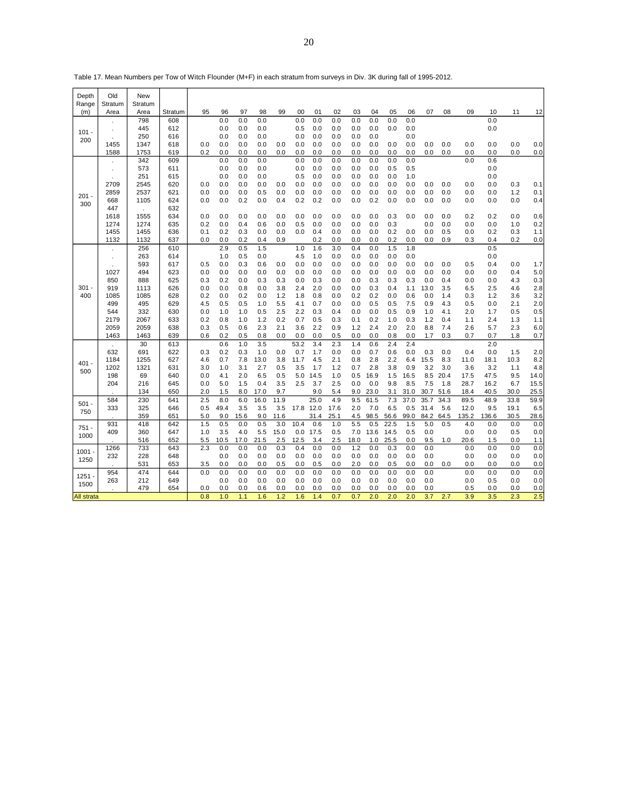| Depth<br>Range | Old<br>Stratum | <b>New</b><br>Stratum |            |            |            |            |            |            |            |            |            |            |            |            |            |            |            |            |            |            |            |
|----------------|----------------|-----------------------|------------|------------|------------|------------|------------|------------|------------|------------|------------|------------|------------|------------|------------|------------|------------|------------|------------|------------|------------|
| (m)            | Area           | Area                  | Stratum    | 95         | 96         | 97         | 98         | 99         | 00         | 01         | 02         | 03         | 04         | 05         | 06         | 07         | 08         | 09         | 10         | 11         | 12         |
|                |                | 798                   | 608        |            | 0.0        | 0.0        | 0.0        |            | 0.0        | 0.0        | 0.0        | 0.0        | 0.0        | 0.0        | 0.0        |            |            |            | 0.0        |            |            |
| $101 -$        |                | 445                   | 612        |            | 0.0        | 0.0        | 0.0        |            | 0.5        | 0.0        | 0.0        | 0.0        | 0.0        | 0.0        | 0.0        |            |            |            | 0.0        |            |            |
| 200            |                | 250                   | 616        |            | 0.0        | 0.0        | 0.0        |            | 0.0        | 0.0        | 0.0        | 0.0        | 0.0        |            | 0.0        |            |            |            |            |            |            |
|                | 1455           | 1347                  | 618        | 0.0        | 0.0        | 0.0        | 0.0        | 0.0        | 0.0        | 0.0        | 0.0        | 0.0        | 0.0        | 0.0        | 0.0        | 0.0        | 0.0        | 0.0        | 0.0        | 0.0        | 0.0        |
|                | 1588           | 1753                  | 619        | 0.2        | 0.0        | 0.0        | 0.0        | 0.0        | 0.0        | 0.0        | 0.0        | 0.0        | 0.0        | 0.0        | 0.0        | 0.0        | 0.0        | 0.0        | 0.0        | 0.0        | 0.0        |
|                |                | 342                   | 609        |            | 0.0        | 0.0        | 0.0        |            | 0.0        | 0.0        | 0.0        | 0.0        | 0.0        | 0.0        | 0.0        |            |            | 0.0        | 0.6        |            |            |
|                |                | 573                   | 611        |            | 0.0        | 0.0        | 0.0        |            | 0.0        | 0.0        | 0.0        | 0.0        | 0.0        | 0.5        | 0.5        |            |            |            | 0.0        |            |            |
|                |                | 251                   | 615        | 0.0        | 0.0        | 0.0<br>0.0 | 0.0        | 0.0        | 0.5        | 0.0        | 0.0        | 0.0        | 0.0        | 0.0<br>0.0 | 1.0<br>0.0 | 0.0        | 0.0        | 0.0        | 0.0        |            |            |
|                | 2709           | 2545                  | 620        | 0.0        | 0.0        |            | 0.0        | 0.0        | 0.0        | 0.0        | 0.0        | 0.0        | 0.0        |            | 0.0        |            |            | 0.0        | 0.0        | 0.3        | 0.1        |
| $201 -$        | 2859<br>668    | 2537<br>1105          | 621<br>624 | 0.0        | 0.0<br>0.0 | 0.0<br>0.2 | 0.5<br>0.0 | 0.4        | 0.0<br>0.2 | 0.0<br>0.2 | 0.0<br>0.0 | 0.0<br>0.0 | 0.0<br>0.2 | 0.0<br>0.0 | 0.0        | 0.0<br>0.0 | 0.0<br>0.0 | 0.0        | 0.0<br>0.0 | 1.2<br>0.0 | 0.1<br>0.4 |
| 300            | 447            |                       | 632        |            |            |            |            |            |            |            |            |            |            |            |            |            |            |            |            |            |            |
|                | 1618           | ÷.<br>1555            | 634        | 0.0        | 0.0        | 0.0        | 0.0        | 0.0        | 0.0        | 0.0        | 0.0        | 0.0        | 0.0        | 0.3        | 0.0        | 0.0        | 0.0        | 0.2        | 0.2        | 0.0        | 0.6        |
|                | 1274           | 1274                  | 635        | 0.2        | 0.0        | 0.4        | 0.6        | 0.0        | 0.5        | 0.0        | 0.0        | 0.0        | 0.0        | 0.3        |            | 0.0        | 0.0        | 0.0        | 0.0        | 1.0        | 0.2        |
|                | 1455           | 1455                  | 636        | 0.1        | 0.2        | 0.3        | 0.0        | 0.0        | 0.0        | 0.4        | 0.0        | 0.0        | 0.0        | 0.2        | 0.0        | 0.0        | 0.5        | 0.0        | 0.2        | 0.3        | 1.1        |
|                | 1132           | 1132                  | 637        | 0.0        | 0.0        | 0.2        | 0.4        | 0.9        |            | 0.2        | 0.0        | 0.0        | 0.0        | 0.2        | 0.0        | 0.0        | 0.9        | 0.3        | 0.4        | 0.2        | 0.0        |
|                |                | 256                   | 610        |            | 2.9        | 0.5        | 1.5        |            | 1.0        | 1.6        | 3.0        | 0.4        | 0.0        | 1.5        | 1.8        |            |            |            | 0.5        |            |            |
|                |                | 263                   | 614        |            | 1.0        | 0.5        | 0.0        |            | 4.5        | 1.0        | 0.0        | 0.0        | 0.0        | 0.0        | 0.0        |            |            |            | 0.0        |            |            |
|                |                | 593                   | 617        | 0.5        | 0.0        | 0.3        | 0.6        | 0.0        | 0.0        | 0.0        | 0.0        | 0.0        | 0.0        | 0.0        | 0.0        | 0.0        | 0.0        | 0.5        | 0.4        | 0.0        | 1.7        |
|                | 1027           | 494                   | 623        | 0.0        | 0.0        | 0.0        | 0.0        | 0.0        | 0.0        | 0.0        | 0.0        | 0.0        | 0.0        | 0.0        | 0.0        | 0.0        | 0.0        | 0.0        | 0.0        | 0.4        | 5.0        |
|                | 850            | 888                   | 625        | 0.3        | 0.2        | 0.0        | 0.3        | 0.3        | 0.0        | 0.3        | 0.0        | 0.0        | 0.3        | 0.3        | 0.3        | 0.0        | 0.4        | 0.0        | 0.0        | 4.3        | 0.3        |
| $301 -$        | 919            | 1113                  | 626        | 0.0        | 0.0        | 0.8        | 0.0        | 3.8        | 2.4        | 2.0        | 0.0        | 0.0        | 0.3        | 0.4        | 1.1        | 13.0       | 3.5        | 6.5        | 2.5        | 4.6        | 2.8        |
| 400            | 1085           | 1085                  | 628        | 0.2        | 0.0        | 0.2        | 0.0        | 1.2        | 1.8        | 0.8        | 0.0        | 0.2        | 0.2        | 0.0        | 0.6        | 0.0        | 1.4        | 0.3        | 1.2        | 3.6        | 3.2        |
|                | 499            | 495                   | 629        | 4.5        | 0.5        | 0.5        | 1.0        | 5.5        | 4.1        | 0.7        | 0.0        | 0.0        | 0.5        | 0.5        | 7.5        | 0.9        | 4.3        | 0.5        | 0.0        | 2.1        | 2.0        |
|                | 544            | 332                   | 630        | 0.0        | 1.0        | 1.0        | 0.5        | 2.5        | 2.2        | 0.3        | 0.4        | 0.0        | 0.0        | 0.5        | 0.9        | 1.0        | 4.1        | 2.0        | 1.7        | 0.5        | 0.5        |
|                | 2179           | 2067                  | 633        | 0.2        | 0.8        | 1.0        | 1.2        | 0.2        | 0.7        | 0.5        | 0.3        | 0.1        | 0.2        | 1.0        | 0.3        | 1.2        | 0.4        | 1.1        | 2.4        | 1.3        | 1.1        |
|                | 2059           | 2059                  | 638        | 0.3        | 0.5        | 0.6        | 2.3        | 2.1        | 3.6        | 2.2        | 0.9        | 1.2        | 2.4        | 2.0        | 2.0        | 8.8        | 7.4        | 2.6        | 5.7        | 2.3        | 6.0        |
|                | 1463           | 1463                  | 639        | 0.6        | 0.2        | 0.5        | 0.8        | 0.0        | 0.0        | 0.0        | 0.5        | 0.0        | 0.0        | 0.8        | 0.0        | 1.7        | 0.3        | 0.7        | 0.7        | 1.8        | 0.7        |
|                |                | 30                    | 613        |            | 0.6        | 1.0        | 3.5        |            | 53.2       | 3.4        | 2.3        | 1.4        | 0.6        | 2.4        | 2.4        |            |            |            | 2.0        |            |            |
|                | 632            | 691                   | 622        | 0.3        | 0.2        | 0.3        | 1.0        | 0.0        | 0.7        | 1.7        | 0.0        | 0.0        | 0.7        | 0.6        | 0.0        | 0.3        | 0.0        | 0.4        | 0.0        | 1.5        | 2.0        |
| $401 -$        | 1184           | 1255                  | 627        | 4.6        | 0.7        | 7.8        | 13.0       | 3.8        | 11.7       | 4.5        | 2.1        | 0.8        | 2.8        | 2.2        | 6.4        | 15.5       | 8.3        | 11.0       | 18.1       | 10.3       | 8.2        |
| 500            | 1202           | 1321                  | 631        | 3.0        | 1.0        | 3.1        | 2.7        | 0.5        | 3.5        | 1.7        | 1.2        | 0.7        | 2.8        | 3.8        | 0.9        | 3.2        | 3.0        | 3.6        | 3.2        | 1.1        | 4.8        |
|                | 198            | 69                    | 640        | 0.0        | 4.1        | 2.0        | 6.5        | 0.5        | 5.0        | 14.5       | 1.0        | 0.5        | 16.9       | 1.5        | 16.5       | 8.5        | 20.4       | 17.5       | 47.5       | 9.5        | 14.0       |
|                | 204            | 216                   | 645        | 0.0        | 5.0        | 1.5        | 0.4        | 3.5        | 2.5        | 3.7        | 2.5        | 0.0        | 0.0        | 9.8        | 8.5        | 7.5        | 1.8        | 28.7       | 16.2       | 6.7        | 15.5       |
|                |                | 134                   | 650        | 2.0        | 1.5        | 8.0        | 17.0       | 9.7        |            | 9.0        | 5.4        | 9.0        | 23.0       | 3.1        | 31.0       | 30.7       | 51.6       | 18.4       | 40.5       | 30.0       | 25.5       |
| $501 -$        | 584            | 230                   | 641        | 2.5        | 8.0        | 6.0        | 16.0       | 11.9       |            | 25.0       | 4.9        | 9.5        | 61.5       | 7.3        | 37.0       | 35.7       | 34.3       | 89.5       | 48.9       | 33.8       | 59.9       |
| 750            | 333            | 325                   | 646        | 0.5        | 49.4       | 3.5        | 3.5        | 3.5        | 17.8       | 12.0       | 17.6       | 2.0        | 7.0        | 6.5        | 0.5        | 31.4       | 5.6        | 12.0       | 9.5        | 19.1       | 6.5        |
|                |                | 359                   | 651        | 5.0        | 9.0        | 15.6       | 9.0        | 11.6       |            | 31.4       | 25.1       | 4.5        | 98.5       | 56.6       | 99.0       | 84.2       | 64.5       | 135.2      | 136.6      | 30.5       | 28.6       |
| $751 -$        | 931            | 418                   | 642        | 1.5        | 0.5        | 0.0        | 0.5        | 3.0        | 10.4       | 0.6        | 1.0        | 5.5        | 0.5        | 22.5       | 1.5        | 5.0        | 0.5        | 4.0        | 0.0        | 0.0        | 0.0        |
| 1000           | 409            | 360                   | 647        | 1.0        | 3.5        | 4.0        | 5.5        | 15.0       | 0.0        | 17.5       | 0.5        | 7.0        | 13.6       | 14.5       | 0.5        | 0.0        |            | 0.0        | 0.0        | 0.5        | 0.0        |
|                |                | 516                   | 652        | 5.5        | 10.5       | 17.0       | 21.5       | 2.5        | 12.5       | 3.4        | 2.5        | 18.0       | 1.0        | 25.5       | 0.0        | 9.5        | 1.0        | 20.6       | 1.5        | 0.0        | 1.1        |
| $1001 -$       | 1266           | 733                   | 643        | 2.3        | 0.0        | 0.0        | 0.0        | 0.3        | 0.4        | 0.0        | 0.0        | 1.2        | 0.0        | 0.3        | 0.0        | 0.0        |            | 0.0        | 0.0        | 0.0        | 0.0        |
| 1250           | 232            | 228                   | 648        |            | 0.0        | 0.0        | 0.0        | 0.0        | 0.0        | 0.0        | 0.0        | 0.0        | 0.0        | 0.0        | 0.0        | 0.0        |            | 0.0        | 0.0        | 0.0        | 0.0        |
|                |                | 531                   | 653        | 3.5<br>0.0 | 0.0        | 0.0        | 0.0        | 0.5        | 0.0        | 0.5        | 0.0        | 2.0        | 0.0        | 0.5        | 0.0        | 0.0        | 0.0        | 0.0        | 0.0        | 0.0        | 0.0        |
| 1251           | 954            | 474<br>212            | 644        |            | 0.0<br>0.0 | 0.0<br>0.0 | 0.0<br>0.0 | 0.0<br>0.0 | 0.0<br>0.0 | 0.0<br>0.0 | 0.0<br>0.0 | 0.0        | 0.0        | 0.0<br>0.0 | 0.0<br>0.0 | 0.0<br>0.0 |            | 0.0        | 0.0        | 0.0        | 0.0        |
| 1500           | 263            | 479                   | 649<br>654 | 0.0        | 0.0        | 0.0        | 0.6        | 0.0        | 0.0        | 0.0        | 0.0        | 0.0<br>0.0 | 0.0<br>0.0 | 0.0        | 0.0        | 0.0        |            | 0.0<br>0.5 | 0.5<br>0.0 | 0.0<br>0.0 | 0.0<br>0.0 |
| All strata     |                |                       |            | 0.8        | 1.0        | 1.1        | 1.6        | 1.2        | 1.6        | 1.4        | 0.7        | 0.7        | 2.0        | 2.0        | 2.0        | 3.7        | 2.7        | 3.9        | 3.5        | 2.3        | 2.5        |
|                |                |                       |            |            |            |            |            |            |            |            |            |            |            |            |            |            |            |            |            |            |            |

Table 17. Mean Numbers per Tow of Witch Flounder (M+F) in each stratum from surveys in Div. 3K during fall of 1995-2012.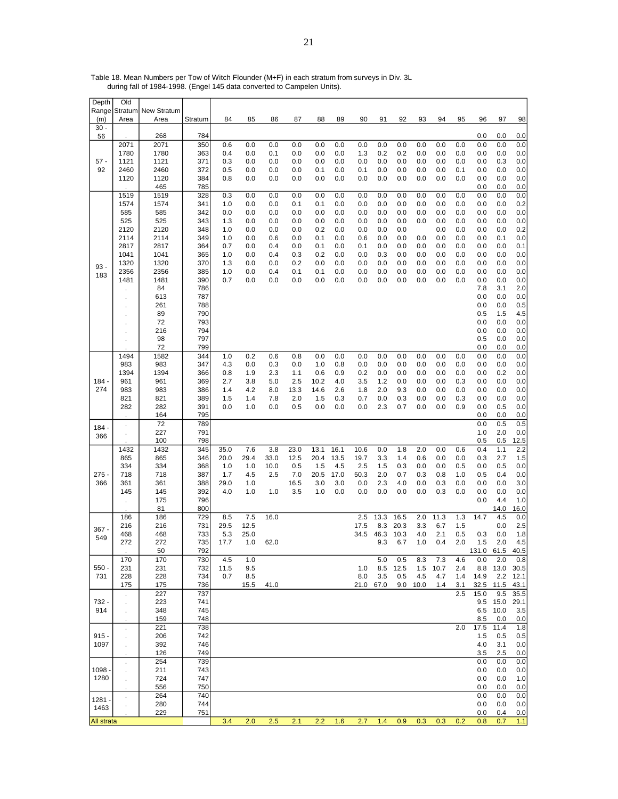| Depth<br>Range    | Old                        | Stratum New Stratum |            |             |             |            |                 |             |            |            |             |             |            |            |            |              |             |              |
|-------------------|----------------------------|---------------------|------------|-------------|-------------|------------|-----------------|-------------|------------|------------|-------------|-------------|------------|------------|------------|--------------|-------------|--------------|
| (m)               | Area                       | Area                | Stratum    | 84          | 85          | 86         | 87              | 88          | 89         | 90         | 91          | 92          | 93         | 94         | 95         | 96           | 97          | 98           |
| $30 -$            |                            |                     |            |             |             |            |                 |             |            |            |             |             |            |            |            |              |             |              |
| 56                |                            | 268                 | 784        |             |             |            |                 |             |            |            |             |             |            |            |            | 0.0          | 0.0         | 0.0          |
|                   | 2071<br>1780               | 2071<br>1780        | 350<br>363 | 0.6<br>0.4  | 0.0<br>0.0  | 0.0<br>0.1 | 0.0<br>0.0      | 0.0<br>0.0  | 0.0<br>0.0 | 0.0<br>1.3 | 0.0<br>0.2  | 0.0<br>0.2  | 0.0<br>0.0 | 0.0<br>0.0 | 0.0<br>0.0 | 0.0<br>0.0   | 0.0<br>0.0  | 0.0<br>0.0   |
| $57 -$            | 1121                       | 1121                | 371        | 0.3         | 0.0         | 0.0        | 0.0             | 0.0         | 0.0        | 0.0        | 0.0         | 0.0         | 0.0        | 0.0        | 0.0        | 0.0          | 0.3         | 0.0          |
| 92                | 2460                       | 2460                | 372        | 0.5         | 0.0         | 0.0        | $_{0.0}$        | 0.1         | 0.0        | 0.1        | 0.0         | 0.0         | 0.0        | 0.0        | 0.1        | 0.0          | 0.0         | 0.0          |
|                   | 1120                       | 1120                | 384        | 0.8         | 0.0         | 0.0        | 0.0             | 0.0         | 0.0        | 0.0        | 0.0         | 0.0         | 0.0        | 0.0        | 0.0        | 0.0          | 0.0         | 0.0          |
|                   |                            | 465                 | 785        |             |             |            |                 |             |            |            |             |             |            |            | 0.0        | 0.0          | 0.0<br>0.0  | 0.0          |
|                   | 1519<br>1574               | 1519<br>1574        | 328<br>341 | 0.3<br>1.0  | 0.0<br>0.0  | 0.0<br>0.0 | 0.0<br>0.1      | 0.0<br>0.1  | 0.0<br>0.0 | 0.0<br>0.0 | 0.0<br>0.0  | 0.0<br>0.0  | 0.0<br>0.0 | 0.0<br>0.0 | 0.0        | 0.0<br>0.0   | 0.0         | 0.0<br>0.2   |
|                   | 585                        | 585                 | 342        | 0.0         | 0.0         | 0.0        | 0.0             | 0.0         | 0.0        | 0.0        | 0.0         | 0.0         | 0.0        | 0.0        | 0.0        | 0.0          | 0.0         | 0.0          |
|                   | 525                        | 525                 | 343        | 1.3         | 0.0         | 0.0        | 0.0             | 0.0         | 0.0        | 0.0        | 0.0         | 0.0         | 0.0        | 0.0        | 0.0        | 0.0          | 0.0         | 0.0          |
|                   | 2120                       | 2120                | 348        | 1.0         | 0.0         | 0.0        | 0.0             | 0.2         | 0.0        | 0.0        | 0.0         | 0.0         |            | 0.0        | 0.0        | 0.0          | 0.0         | 0.2          |
|                   | 2114<br>2817               | 2114<br>2817        | 349<br>364 | 1.0<br>0.7  | 0.0<br>0.0  | 0.6<br>0.4 | 0.0<br>$_{0.0}$ | 0.1<br>0.1  | 0.0<br>0.0 | 0.6<br>0.1 | 0.0<br>0.0  | 0.0<br>0.0  | 0.0<br>0.0 | 0.0<br>0.0 | 0.0<br>0.0 | 0.0<br>0.0   | 0.1<br>0.0  | 0.0<br>0.1   |
|                   | 1041                       | 1041                | 365        | 1.0         | 0.0         | 0.4        | 0.3             | 0.2         | 0.0        | 0.0        | 0.3         | 0.0         | 0.0        | 0.0        | 0.0        | 0.0          | 0.0         | 0.0          |
|                   | 1320                       | 1320                | 370        | 1.3         | 0.0         | 0.0        | 0.2             | 0.0         | 0.0        | 0.0        | 0.0         | 0.0         | 0.0        | 0.0        | 0.0        | 0.0          | 0.0         | 0.0          |
| $93 -$<br>183     | 2356                       | 2356                | 385        | 1.0         | 0.0         | 0.4        | 0.1             | 0.1         | 0.0        | 0.0        | 0.0         | 0.0         | 0.0        | 0.0        | 0.0        | 0.0          | 0.0         | 0.0          |
|                   | 1481                       | 1481                | 390        | 0.7         | 0.0         | 0.0        | 0.0             | 0.0         | 0.0        | 0.0        | 0.0         | 0.0         | 0.0        | 0.0        | 0.0        | 0.0          | 0.0         | 0.0          |
|                   |                            | 84<br>613           | 786<br>787 |             |             |            |                 |             |            |            |             |             |            |            |            | 7.8<br>0.0   | 3.1<br>0.0  | 2.0<br>0.0   |
|                   | ä,                         | 261                 | 788        |             |             |            |                 |             |            |            |             |             |            |            |            | 0.0          | 0.0         | 0.5          |
|                   |                            | 89                  | 790        |             |             |            |                 |             |            |            |             |             |            |            |            | 0.5          | 1.5         | 4.5          |
|                   |                            | 72                  | 793        |             |             |            |                 |             |            |            |             |             |            |            |            | 0.0          | 0.0         | 0.0          |
|                   |                            | 216                 | 794        |             |             |            |                 |             |            |            |             |             |            |            |            | 0.0          | 0.0         | 0.0          |
|                   |                            | 98<br>72            | 797<br>799 |             |             |            |                 |             |            |            |             |             |            |            |            | 0.5<br>0.0   | 0.0<br>0.0  | 0.0<br>0.0   |
|                   | 1494                       | 1582                | 344        | 1.0         | 0.2         | 0.6        | 0.8             | 0.0         | 0.0        | 0.0        | 0.0         | 0.0         | 0.0        | 0.0        | 0.0        | 0.0          | 0.0         | 0.0          |
|                   | 983                        | 983                 | 347        | 4.3         | 0.0         | 0.3        | 0.0             | 1.0         | 0.8        | 0.0        | 0.0         | 0.0         | 0.0        | 0.0        | 0.0        | 0.0          | 0.0         | 0.0          |
|                   | 1394                       | 1394                | 366        | 0.8         | 1.9         | 2.3        | 1.1             | 0.6         | 0.9        | 0.2        | 0.0         | 0.0         | 0.0        | 0.0        | 0.0        | 0.0          | 0.2         | 0.0          |
| $184 -$           | 961                        | 961                 | 369        | 2.7         | 3.8         | 5.0        | 2.5             | 10.2        | 4.0        | 3.5        | 1.2         | 0.0         | 0.0        | 0.0        | 0.3        | 0.0          | 0.0         | 0.0          |
| 274               | 983<br>821                 | 983<br>821          | 386<br>389 | 1.4<br>1.5  | 4.2<br>1.4  | 8.0<br>7.8 | 13.3<br>2.0     | 14.6<br>1.5 | 2.6<br>0.3 | 1.8<br>0.7 | 2.0<br>0.0  | 9.3<br>0.3  | 0.0<br>0.0 | 0.0<br>0.0 | 0.0<br>0.3 | 0.0<br>0.0   | 0.0<br>0.0  | 0.0<br>0.0   |
|                   | 282                        | 282                 | 391        | 0.0         | 1.0         | 0.0        | 0.5             | 0.0         | 0.0        | 0.0        | 2.3         | 0.7         | 0.0        | 0.0        | 0.9        | 0.0          | 0.5         | 0.0          |
|                   |                            | 164                 | 795        |             |             |            |                 |             |            |            |             |             |            |            |            | 0.0          | 0.0         | 0.0          |
| $184 -$           |                            | 72                  | 789        |             |             |            |                 |             |            |            |             |             |            |            |            | 0.0          | 0.5         | 0.5          |
| 366               |                            | 227<br>100          | 791<br>798 |             |             |            |                 |             |            |            |             |             |            |            |            | 1.0<br>0.5   | 2.0         | 0.0          |
|                   | 1432                       | 1432                | 345        | 35.0        | 7.6         | 3.8        | 23.0            | 13.1        | 16.1       | 10.6       | 0.0         | 1.8         | 2.0        | 0.0        | 0.6        | 0.4          | 0.5<br>1.1  | 12.5<br>2.2  |
|                   | 865                        | 865                 | 346        | 20.0        | 29.4        | 33.0       | 12.5            | 20.4        | 13.5       | 19.7       | 3.3         | 1.4         | 0.6        | 0.0        | 0.0        | 0.3          | 2.7         | 1.5          |
|                   | 334                        | 334                 | 368        | 1.0         | 1.0         | 10.0       | 0.5             | 1.5         | 4.5        | 2.5        | 1.5         | 0.3         | 0.0        | $_{0.0}$   | 0.5        | 0.0          | 0.5         | 0.0          |
| $275 -$           | 718                        | 718                 | 387        | 1.7         | 4.5         | 2.5        | 7.0             | 20.5        | 17.0       | 50.3       | 2.0         | 0.7         | 0.3        | 0.8        | 1.0        | 0.5          | 0.4         | 0.0          |
| 366               | 361<br>145                 | 361<br>145          | 388<br>392 | 29.0<br>4.0 | 1.0<br>1.0  | 1.0        | 16.5<br>3.5     | 3.0<br>1.0  | 3.0<br>0.0 | 0.0<br>0.0 | 2.3<br>0.0  | 4.0<br>0.0  | 0.0<br>0.0 | 0.3<br>0.3 | 0.0<br>0.0 | 0.0<br>0.0   | 0.0<br>0.0  | 3.0<br>0.0   |
|                   |                            | 175                 | 796        |             |             |            |                 |             |            |            |             |             |            |            |            | 0.0          | 4.4         | 1.0          |
|                   |                            | 81                  | 800        |             |             |            |                 |             |            |            |             |             |            |            |            |              | 14.0        | 16.0         |
|                   | 186                        | 186                 | 729        | 8.5         | 7.5         | 16.0       |                 |             |            | 2.5        | 13.3        | 16.5        | 2.0        | 11.3       | 1.3        | 14.7         | 4.5         | 0.0          |
| $367 -$           | 216                        | 216                 | 731        | 29.5        | 12.5        |            |                 |             |            | 17.5       | 8.3         | 20.3        | 3.3        | 6.7        | 1.5        |              | 0.0         | 2.5          |
| 549               | 468<br>272                 | 468<br>272          | 733<br>735 | 5.3<br>17.7 | 25.0<br>1.0 | 62.0       |                 |             |            | 34.5       | 46.3<br>9.3 | 10.3<br>6.7 | 4.0<br>1.0 | 2.1<br>0.4 | 0.5<br>2.0 | 0.3<br>1.5   | 0.0<br>2.0  | 1.8<br>4.5   |
|                   |                            | 50                  | 792        |             |             |            |                 |             |            |            |             |             |            |            |            | 131.0 61.5   |             | 40.5         |
|                   | 170                        | 170                 | 730        | 4.5         | 1.0         |            |                 |             |            |            | 5.0         | 0.5         | 8.3        | 7.3        | 4.6        | 0.0          | 2.0         | 0.8          |
| $550 -$           | 231                        | 231                 | 732        | 11.5        | 9.5         |            |                 |             |            | 1.0        | 8.5         | 12.5        | 1.5        | 10.7       | 2.4        | 8.8          | 13.0        | 30.5         |
| 731               | 228                        | 228                 | 734        | 0.7         | 8.5         |            |                 |             |            | 8.0        | 3.5         | 0.5         | 4.5        | 4.7        | 1.4        | 14.9         | 2.2         | 12.1         |
|                   | 175                        | 175<br>227          | 736<br>737 |             | 15.5        | 41.0       |                 |             |            | 21.0 67.0  |             | 9.0         | 10.0       | 1.4        | 3.1<br>2.5 | 32.5<br>15.0 | 11.5<br>9.5 | 43.1<br>35.5 |
| 732 -             | $\epsilon$<br>$\mathbf{r}$ | 223                 | 741        |             |             |            |                 |             |            |            |             |             |            |            |            | 9.5          | 15.0        | 29.1         |
| 914               | ä,                         | 348                 | 745        |             |             |            |                 |             |            |            |             |             |            |            |            | 6.5          | 10.0        | 3.5          |
|                   |                            | 159                 | 748        |             |             |            |                 |             |            |            |             |             |            |            |            | 8.5          | 0.0         | 0.0          |
|                   | ä,                         | 221                 | 738        |             |             |            |                 |             |            |            |             |             |            |            | 2.0        | 17.5         | 11.4        | 1.8          |
| $915 -$<br>1097   |                            | 206<br>392          | 742<br>746 |             |             |            |                 |             |            |            |             |             |            |            |            | 1.5<br>4.0   | 0.5<br>3.1  | 0.5<br>0.0   |
|                   |                            | 126                 | 749        |             |             |            |                 |             |            |            |             |             |            |            |            | 3.5          | 2.5         | 0.0          |
|                   | $\blacksquare$             | 254                 | 739        |             |             |            |                 |             |            |            |             |             |            |            |            | 0.0          | 0.0         | 0.0          |
| $1098 -$          |                            | 211                 | 743        |             |             |            |                 |             |            |            |             |             |            |            |            | 0.0          | 0.0         | 0.0          |
| 1280              | $\ddot{\phantom{a}}$       | 724                 | 747        |             |             |            |                 |             |            |            |             |             |            |            |            | 0.0          | 0.0         | 1.0          |
|                   | $\mathcal{L}$              | 556<br>264          | 750<br>740 |             |             |            |                 |             |            |            |             |             |            |            |            | 0.0<br>0.0   | 0.0<br>0.0  | 0.0<br>0.0   |
| $1281 -$          |                            | 280                 | 744        |             |             |            |                 |             |            |            |             |             |            |            |            | 0.0          | 0.0         | 0.0          |
| 1463              |                            | 229                 | 751        |             |             |            |                 |             |            |            |             |             |            |            |            | 0.0          | 0.4         | 0.0          |
| <b>All strata</b> |                            |                     |            | 3.4         | 2.0         | 2.5        | 2.1             | 2.2         | 1.6        | 2.7        | 1.4         | 0.9         | 0.3        | 0.3        | 0.2        | 0.8          | 0.7         | 1.1          |

Table 18. Mean Numbers per Tow of Witch Flounder (M+F) in each stratum from surveys in Div. 3L during fall of 1984-1998. (Engel 145 data converted to Campelen Units).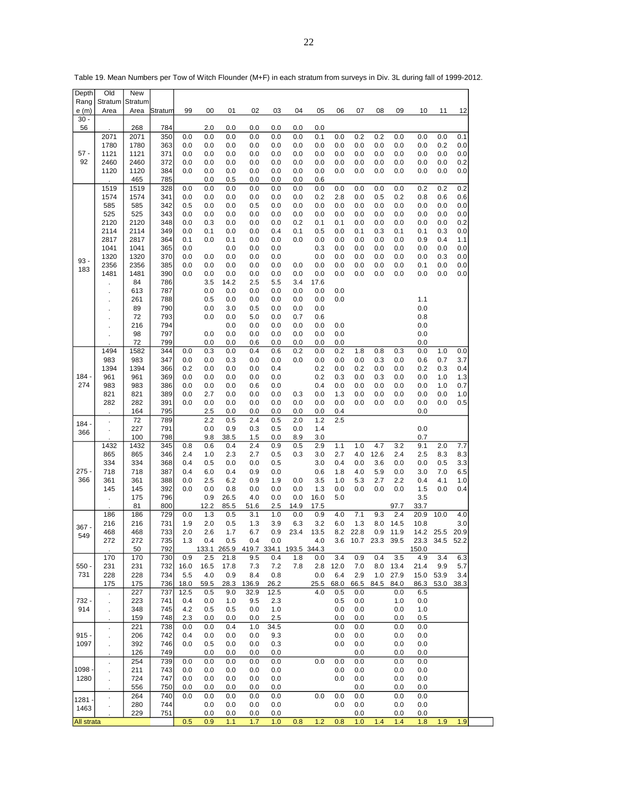| Depth              | Old             | New             |            |             |             |             |             |            |             |             |             |             |             |              |                 |             |             |
|--------------------|-----------------|-----------------|------------|-------------|-------------|-------------|-------------|------------|-------------|-------------|-------------|-------------|-------------|--------------|-----------------|-------------|-------------|
| Rang               | Stratum<br>Area | Stratum<br>Area | Stratum    | 99          | 00          | 01          | 02          | 03         | 04          | 05          | 06          | 07          | 08          | 09           | 10              | 11          | 12          |
| e (m)<br>$30 -$    |                 |                 |            |             |             |             |             |            |             |             |             |             |             |              |                 |             |             |
| 56                 |                 | 268             | 784        |             | 2.0         | 0.0         | 0.0         | 0.0        | 0.0         | 0.0         |             |             |             |              |                 |             |             |
|                    | 2071<br>1780    | 2071<br>1780    | 350<br>363 | 0.0<br>0.0  | 0.0<br>0.0  | 0.0<br>0.0  | 0.0<br>0.0  | 0.0<br>0.0 | 0.0<br>0.0  | 0.1<br>0.0  | 0.0<br>0.0  | 0.2<br>0.0  | 0.2<br>0.0  | 0.0<br>0.0   | 0.0<br>0.0      | 0.0<br>0.2  | 0.1<br>0.0  |
| $57 -$             | 1121            | 1121            | 371        | 0.0         | 0.0         | 0.0         | 0.0         | 0.0        | 0.0         | 0.0         | 0.0         | 0.0         | 0.0         | 0.0          | 0.0             | 0.0         | 0.0         |
| 92                 | 2460            | 2460            | 372        | 0.0         | 0.0         | 0.0         | 0.0         | 0.0        | 0.0         | 0.0         | 0.0         | 0.0         | 0.0         | 0.0          | 0.0             | 0.0         | 0.2         |
|                    | 1120            | 1120<br>465     | 384<br>785 | 0.0         | 0.0<br>0.0  | 0.0<br>0.5  | 0.0<br>0.0  | 0.0<br>0.0 | 0.0<br>0.0  | 0.0<br>0.6  | 0.0         | 0.0         | 0.0         | 0.0          | 0.0             | 0.0         | 0.0         |
|                    | 1519            | 1519            | 328        | 0.0         | 0.0         | 0.0         | 0.0         | 0.0        | 0.0         | 0.0         | 0.0         | 0.0         | 0.0         | 0.0          | 0.2             | 0.2         | 0.2         |
|                    | 1574            | 1574            | 341        | 0.0         | 0.0         | 0.0         | 0.0         | 0.0        | 0.0         | 0.2         | 2.8         | 0.0         | 0.5         | 0.2          | 0.8             | 0.6         | 0.6         |
|                    | 585             | 585             | 342        | 0.5         | 0.0         | 0.0         | 0.5         | 0.0        | 0.0         | 0.0         | 0.0         | 0.0         | 0.0         | 0.0          | 0.0             | 0.0         | 0.0         |
|                    | 525<br>2120     | 525<br>2120     | 343<br>348 | 0.0<br>0.0  | 0.0<br>0.3  | 0.0<br>0.0  | 0.0<br>0.0  | 0.0<br>0.0 | 0.0<br>0.2  | 0.0<br>0.1  | 0.0<br>0.1  | 0.0<br>0.0  | 0.0<br>0.0  | 0.0<br>0.0   | 0.0<br>0.0      | 0.0<br>0.0  | 0.0<br>0.2  |
|                    | 2114            | 2114            | 349        | 0.0         | 0.1         | 0.0         | 0.0         | 0.4        | 0.1         | 0.5         | 0.0         | 0.1         | 0.3         | 0.1          | 0.1             | 0.3         | 0.0         |
|                    | 2817            | 2817            | 364        | 0.1         | 0.0         | 0.1         | 0.0         | 0.0        | 0.0         | 0.0         | 0.0         | 0.0         | 0.0         | 0.0          | 0.9             | 0.4         | 1.1         |
|                    | 1041<br>1320    | 1041<br>1320    | 365<br>370 | 0.0<br>0.0  | 0.0         | 0.0<br>0.0  | 0.0<br>0.0  | 0.0<br>0.0 |             | 0.3<br>0.0  | 0.0<br>0.0  | 0.0<br>0.0  | 0.0<br>0.0  | 0.0<br>0.0   | $_{0.0}$<br>0.0 | 0.0<br>0.3  | 0.0<br>0.0  |
| $93 -$             | 2356            | 2356            | 385        | 0.0         | 0.0         | 0.0         | 0.0         | 0.0        | 0.0         | 0.0         | 0.0         | 0.0         | 0.0         | 0.0          | 0.1             | 0.0         | 0.0         |
| 183                | 1481            | 1481            | 390        | 0.0         | 0.0         | 0.0         | 0.0         | 0.0        | 0.0         | 0.0         | 0.0         | 0.0         | 0.0         | 0.0          | 0.0             | 0.0         | 0.0         |
|                    |                 | 84              | 786        |             | 3.5         | 14.2        | 2.5         | 5.5        | 3.4         | 17.6        |             |             |             |              |                 |             |             |
|                    | ÷,              | 613<br>261      | 787<br>788 |             | 0.0<br>0.5  | 0.0<br>0.0  | 0.0<br>0.0  | 0.0<br>0.0 | 0.0<br>0.0  | 0.0<br>0.0  | 0.0<br>0.0  |             |             |              | 1.1             |             |             |
|                    |                 | 89              | 790        |             | 0.0         | 3.0         | 0.5         | 0.0        | 0.0         | 0.0         |             |             |             |              | 0.0             |             |             |
|                    |                 | 72              | 793        |             | 0.0         | 0.0         | 5.0         | 0.0        | 0.7         | 0.6         |             |             |             |              | 0.8             |             |             |
|                    |                 | 216             | 794<br>797 |             | 0.0         | 0.0<br>0.0  | 0.0<br>0.0  | 0.0<br>0.0 | 0.0<br>0.0  | 0.0<br>0.0  | 0.0<br>0.0  |             |             |              | 0.0<br>0.0      |             |             |
|                    |                 | 98<br>72        | 799        |             | 0.0         | 0.0         | 0.6         | 0.0        | 0.0         | 0.0         | 0.0         |             |             |              | 0.0             |             |             |
|                    | 1494            | 1582            | 344        | 0.0         | 0.3         | 0.0         | 0.4         | 0.6        | 0.2         | 0.0         | 0.2         | 1.8         | 0.8         | 0.3          | 0.0             | 1.0         | 0.0         |
|                    | 983             | 983             | 347        | 0.0         | 0.0         | 0.3         | 0.0         | 0.0        | 0.0         | 0.0         | 0.0         | 0.0         | 0.3         | 0.0          | 0.6             | 0.7         | 3.7         |
| $184 -$            | 1394<br>961     | 1394<br>961     | 366<br>369 | 0.2<br>0.0  | 0.0<br>0.0  | 0.0<br>0.0  | 0.0<br>0.0  | 0.4<br>0.0 |             | 0.2<br>0.2  | 0.0<br>0.3  | 0.2<br>0.0  | 0.0<br>0.3  | 0.0<br>0.0   | 0.2<br>0.0      | 0.3<br>1.0  | 0.4<br>1.3  |
| 274                | 983             | 983             | 386        | 0.0         | 0.0         | 0.0         | 0.6         | 0.0        |             | 0.4         | 0.0         | 0.0         | 0.0         | 0.0          | 0.0             | 1.0         | 0.7         |
|                    | 821             | 821             | 389        | 0.0         | 2.7         | 0.0         | 0.0         | 0.0        | 0.3         | 0.0         | 1.3         | 0.0         | 0.0         | 0.0          | 0.0             | 0.0         | 1.0         |
|                    | 282             | 282             | 391        | 0.0         | 0.0         | 0.0         | 0.0         | 0.0        | 0.0         | 0.0         | 0.0         | 0.0         | 0.0         | 0.0          | 0.0<br>0.0      | 0.0         | 0.5         |
|                    | l,              | 164<br>72       | 795<br>789 |             | 2.5<br>2.2  | 0.0<br>0.5  | 0.0<br>2.4  | 0.0<br>0.5 | 0.0<br>2.0  | 0.0<br>1.2  | 0.4<br>2.5  |             |             |              |                 |             |             |
| $184 \cdot$<br>366 |                 | 227             | 791        |             | 0.0         | 0.9         | 0.3         | 0.5        | 0.0         | 1.4         |             |             |             |              | 0.0             |             |             |
|                    |                 | 100             | 798        |             | 9.8         | 38.5        | 1.5         | 0.0        | 8.9         | 3.0         |             |             |             |              | 0.7             |             |             |
|                    | 1432<br>865     | 1432<br>865     | 345<br>346 | 0.8<br>2.4  | 0.6<br>1.0  | 0.4<br>2.3  | 2.4<br>2.7  | 0.9<br>0.5 | 0.5<br>0.3  | 2.9<br>3.0  | 1.1<br>2.7  | 1.0<br>4.0  | 4.7<br>12.6 | 3.2<br>2.4   | 9.1<br>2.5      | 2.0<br>8.3  | 7.7<br>8.3  |
|                    | 334             | 334             | 368        | 0.4         | 0.5         | 0.0         | 0.0         | 0.5        |             | 3.0         | 0.4         | 0.0         | 3.6         | 0.0          | 0.0             | 0.5         | 3.3         |
| 275                | 718             | 718             | 387        | 0.4         | 6.0         | 0.4         | 0.9         | 0.0        |             | 0.6         | 1.8         | 4.0         | 5.9         | 0.0          | 3.0             | 7.0         | 6.5         |
| 366                | 361             | 361             | 388        | 0.0         | 2.5         | 6.2         | 0.9         | 1.9        | 0.0         | 3.5         | 1.0         | 5.3         | 2.7         | 2.2          | 0.4             | 4.1         | 1.0         |
|                    | 145             | 145<br>175      | 392<br>796 | 0.0         | 0.0<br>0.9  | 0.8<br>26.5 | 0.0<br>4.0  | 0.0<br>0.0 | 0.0<br>0.0  | 1.3<br>16.0 | 0.0<br>5.0  | 0.0         | 0.0         | 0.0          | 1.5<br>3.5      | 0.0         | 0.4         |
|                    |                 | 81              | 800        |             | 12.2        | 85.5        | 51.6        | 2.5        | 14.9        | 17.5        |             |             |             | 97.7         | 33.7            |             |             |
|                    | 186             | 186             | 729        | 0.0         | 1.3         | 0.5         | 3.1         | 1.0        | 0.0         | 0.9         | 4.0         | 7.1         | 9.3         | 2.4          | 20.9            | 10.0        | 4.0         |
| $367 -$            | 216<br>468      | 216<br>468      | 731<br>733 | 1.9<br>2.0  | 2.0<br>2.6  | 0.5<br>1.7  | 1.3<br>6.7  | 3.9<br>0.9 | 6.3<br>23.4 | 3.2<br>13.5 | 6.0<br>8.2  | 1.3<br>22.8 | 8.0<br>0.9  | 14.5<br>11.9 | 10.8<br>14.2    | 25.5        | 3.0<br>20.9 |
| 549                | 272             | 272             | 735        | 1.3         | 0.4         | 0.5         | 0.4         | 0.0        |             | 4.0         | 3.6         | 10.7        | 23.3        | 39.5         | 23.3            | 34.5 52.2   |             |
|                    |                 | 50              | 792        |             | 133.1 265.9 |             | 419.7 334.1 |            | 193.5 344.3 |             |             |             |             |              | 150.0           |             |             |
| $550 -$            | 170             | 170             | 730        | 0.9         | 2.5         | 21.8        | 9.5         | 0.4        | 1.8         | 0.0         | 3.4         | 0.9         | 0.4         | 3.5          | 4.9             | 3.4         | 6.3         |
| 731                | 231<br>228      | 231<br>228      | 732<br>734 | 16.0<br>5.5 | 16.5<br>4.0 | 17.8<br>0.9 | 7.3<br>8.4  | 7.2<br>0.8 | 7.8         | 2.8<br>0.0  | 12.0<br>6.4 | 7.0<br>2.9  | 8.0<br>1.0  | 13.4<br>27.9 | 21.4<br>15.0    | 9.9<br>53.9 | 5.7<br>3.4  |
|                    | 175             | 175             | 736        | 18.0        | 59.5        | 28.3        | 136.9       | 26.2       |             | 25.5        | 68.0        | 66.5        | 84.5        | 84.0         | 86.3            | 53.0        | 38.3        |
|                    | $\mathcal{L}$   | 227             | 737        | 12.5        | 0.5         | 9.0         | 32.9        | 12.5       |             | 4.0         | 0.5         | 0.0         |             | 0.0          | 6.5             |             |             |
| 732 -<br>914       |                 | 223<br>348      | 741<br>745 | 0.4<br>4.2  | 0.0<br>0.5  | 1.0<br>0.5  | 9.5<br>0.0  | 2.3<br>1.0 |             |             | 0.5<br>0.0  | 0.0<br>0.0  |             | 1.0<br>0.0   | 0.0<br>1.0      |             |             |
|                    | ÷.              | 159             | 748        | 2.3         | 0.0         | 0.0         | 0.0         | 2.5        |             |             | 0.0         | 0.0         |             | 0.0          | 0.5             |             |             |
|                    | $\epsilon$      | 221             | 738        | 0.0         | 0.0         | 0.4         | 1.0         | 34.5       |             |             | 0.0         | 0.0         |             | 0.0          | 0.0             |             |             |
| $915 -$            | $\blacksquare$  | 206             | 742        | 0.4         | 0.0         | 0.0         | 0.0         | 9.3        |             |             | 0.0         | 0.0         |             | 0.0          | 0.0             |             |             |
| 1097               | ÷.              | 392<br>126      | 746<br>749 | 0.0         | 0.5<br>0.0  | 0.0<br>0.0  | 0.0<br>0.0  | 0.3<br>0.0 |             |             | 0.0         | 0.0<br>0.0  |             | 0.0<br>0.0   | 0.0<br>0.0      |             |             |
|                    | ä,              | 254             | 739        | 0.0         | 0.0         | 0.0         | 0.0         | 0.0        |             | 0.0         | 0.0         | 0.0         |             | 0.0          | 0.0             |             |             |
| $1098 -$           | ä,              | 211             | 743        | 0.0         | 0.0         | 0.0         | 0.0         | 0.0        |             |             | 0.0         | 0.0         |             | 0.0          | 0.0             |             |             |
| 1280               | l,              | 724             | 747        | 0.0         | 0.0         | 0.0         | 0.0         | 0.0        |             |             | 0.0         | 0.0         |             | 0.0          | 0.0             |             |             |
|                    | $\cdot$         | 556<br>264      | 750<br>740 | 0.0<br>0.0  | 0.0<br>0.0  | 0.0<br>0.0  | 0.0<br>0.0  | 0.0<br>0.0 |             | 0.0         | 0.0         | 0.0<br>0.0  |             | 0.0<br>0.0   | 0.0<br>0.0      |             |             |
| $1281 -$<br>1463   |                 | 280             | 744        |             | 0.0         | 0.0         | 0.0         | 0.0        |             |             | 0.0         | 0.0         |             | 0.0          | 0.0             |             |             |
|                    |                 | 229             | 751        |             | 0.0         | 0.0         | 0.0         | 0.0        |             |             |             | 0.0         |             | 0.0          | 0.0             |             |             |
| <b>All strata</b>  |                 |                 |            | 0.5         | 0.9         | 1.1         | 1.7         | 1.0        | 0.8         | 1.2         | 0.8         | 1.0         | 1.4         | 1.4          | 1.8             | 1.9         | 1.9         |

Table 19. Mean Numbers per Tow of Witch Flounder (M+F) in each stratum from surveys in Div. 3L during fall of 1999-2012.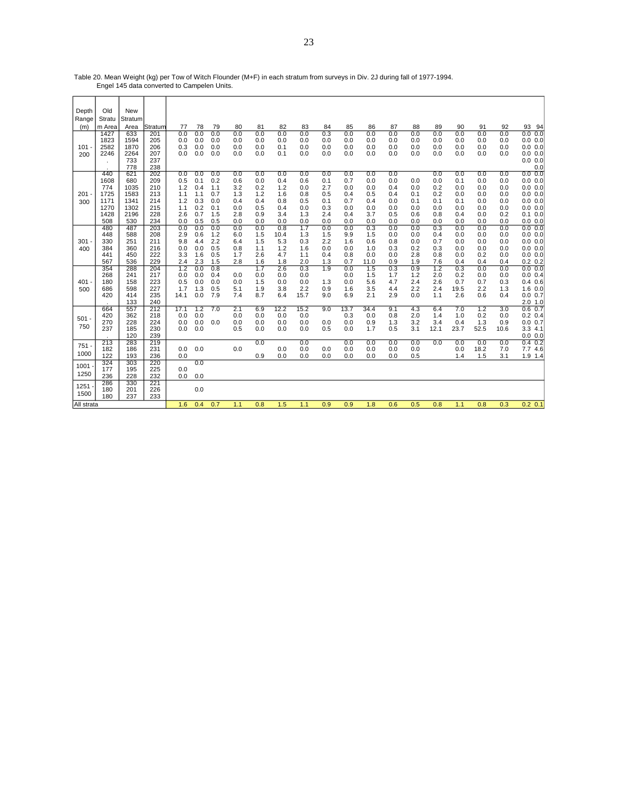Table 20. Mean Weight (kg) per Tow of Witch Flounder (M+F) in each stratum from surveys in Div. 2J during fall of 1977-1994. Engel 145 data converted to Campelen Units.

| Depth      | Old          | <b>New</b> |            |            |            |            |            |            |            |            |     |            |            |            |            |            |            |            |            |                      |
|------------|--------------|------------|------------|------------|------------|------------|------------|------------|------------|------------|-----|------------|------------|------------|------------|------------|------------|------------|------------|----------------------|
| Range      | Stratu       | Stratum    |            |            |            |            |            |            |            |            |     |            |            |            |            |            |            |            |            |                      |
| (m)        | m Area       | Area       | Stratum    | 77         | 78         | 79         | 80         | 81         | 82         | 83         | 84  | 85         | 86         | 87         | 88         | 89         | 90         | 91         | 92         | 93 94                |
|            | 1427         | 633        | 201        | 0.0        | 0.0        | 0.0        | 0.0        | 0.0        | 0.0        | 0.0        | 0.3 | 0.0        | 0.0        | 0.0        | 0.0        | 0.0        | 0.0        | 0.0        | 0.0        | 0.0 0.0              |
|            | 1823         | 1594       | 205        | 0.0        | 0.0        | 0.0        | 0.0        | 0.0        | 0.0        | 0.0        | 0.0 | 0.0        | 0.0        | 0.0        | 0.0        | 0.0        | 0.0        | 0.0        | 0.0        | 0.0 0.0              |
| 101        | 2582         | 1870       | 206        | 0.3        | 0.0        | 0.0        | 0.0        | 0.0        | 0.1        | 0.0        | 0.0 | 0.0        | 0.0        | 0.0        | 0.0        | 0.0        | 0.0        | 0.0        | 0.0        | 0.0 0.0              |
| 200        | 2246         | 2264       | 207<br>237 | 0.0        | 0.0        | 0.0        | 0.0        | 0.0        | 0.1        | 0.0        | 0.0 | 0.0        | 0.0        | 0.0        | 0.0        | 0.0        | 0.0        | 0.0        | 0.0        | 0.0 0.0              |
|            | $\mathbf{r}$ | 733<br>778 | 238        |            |            |            |            |            |            |            |     |            |            |            |            |            |            |            |            | 0.0 0.0<br>0.0       |
|            | 440          | 621        | 202        | 0.0        | 0.0        | 0.0        | 0.0        | 0.0        | 0.0        | 0.0        | 0.0 | 0.0        | 0.0        | 0.0        |            | 0.0        | 0.0        | 0.0        | 0.0        | $0.0\ 0.0$           |
|            | 1608         | 680        | 209        | 0.5        | 0.1        | 0.2        | 0.6        | 0.0        | 0.4        | 0.6        | 0.1 | 0.7        | 0.0        | 0.0        | 0.0        | 0.0        | 0.1        | 0.0        | 0.0        | 0.0 0.0              |
|            | 774          | 1035       | 210        | 1.2        | 0.4        | 1.1        | 3.2        | 0.2        | 1.2        | 0.0        | 2.7 | 0.0        | 0.0        | 0.4        | 0.0        | 0.2        | 0.0        | 0.0        | 0.0        | 0.0 0.0              |
| 201        | 1725         | 1583       | 213        | 1.1        | 1.1        | 0.7        | 1.3        | 1.2        | 1.6        | 0.8        | 0.5 | 0.4        | 0.5        | 0.4        | 0.1        | 0.2        | 0.0        | 0.0        | 0.0        | 0.0 0.0              |
| 300        | 1171         | 1341       | 214        | 1.2        | 0.3        | 0.0        | 0.4        | 0.4        | 0.8        | 0.5        | 0.1 | 0.7        | 0.4        | 0.0        | 0.1        | 0.1        | 0.1        | 0.0        | 0.0        | 0.0 0.0              |
|            | 1270         | 1302       | 215        | 1.1        | 0.2        | 0.1        | 0.0        | 0.5        | 0.4        | 0.0        | 0.3 | 0.0        | 0.0        | 0.0        | 0.0        | 0.0        | 0.0        | 0.0        | 0.0        | 0.0 0.0              |
|            | 1428         | 2196       | 228        | 2.6        | 0.7        | 1.5        | 2.8        | 0.9        | 3.4        | 1.3        | 2.4 | 0.4        | 3.7        | 0.5        | 0.6        | 0.8        | 0.4        | 0.0        | 0.2        | $0.1 \ 0.0$          |
|            | 508          | 530        | 234        | 0.0        | 0.5        | 0.5        | 0.0        | 0.0        | 0.0        | 0.0        | 0.0 | 0.0        | 0.0        | 0.0        | 0.0        | 0.0        | 0.0        | 0.0        | 0.0        | 0.0 0.0              |
|            | 480          | 487        | 203        | 0.0        | 0.0        | 0.0        | 0.0        | 0.0        | 0.8        | 1.7        | 0.0 | 0.0        | 0.3        | 0.0        | 0.0        | 0.3        | 0.0        | 0.0        | 0.0        | 0.0 0.0              |
|            | 448          | 588        | 208        | 2.9        | 0.6        | 1.2        | 6.0        | 1.5        | 10.4       | 1.3        | 1.5 | 9.9        | 1.5        | 0.0        | 0.0        | 0.4        | 0.0        | 0.0        | 0.0        | 0.0 0.0              |
| $301 -$    | 330          | 251        | 211        | 9.8        | 4.4        | 2.2        | 6.4        | 1.5        | 5.3        | 0.3        | 2.2 | 1.6        | 0.6        | 0.8        | 0.0        | 0.7        | 0.0        | 0.0        | 0.0        | 0.0 0.0              |
| 400        | 384          | 360        | 216        | 0.0        | 0.0        | 0.5        | 0.8        | 1.1        | 1.2        | 1.6        | 0.0 | 0.0        | 1.0        | 0.3        | 0.2        | 0.3        | 0.0        | 0.0        | 0.0        | 0.0 0.0              |
|            | 441          | 450        | 222        | 3.3        | 1.6        | 0.5        | 1.7        | 2.6        | 4.7        | 1.1        | 0.4 | 0.8        | 0.0        | 0.0        | 2.8        | 0.8        | 0.0        | 0.2        | 0.0        | 0.0 0.0              |
|            | 567          | 536        | 229        | 2.4        | 2.3        | 1.5        | 2.8        | 1.6        | 1.8        | 2.0        | 1.3 | 0.7        | 11.0       | 0.9        | 1.9        | 7.6        | 0.4        | 0.4        | 0.4        | $0.2\ 0.2$           |
|            | 354<br>268   | 288        | 204<br>217 | 1.2        | 0.0        | 0.8<br>0.4 |            | 1.7        | 2.6        | 0.3        | 1.9 | 0.0        | 1.5        | 0.3        | 0.9<br>1.2 | 1.2        | 0.3        | 0.0        | 0.0        | 0.0 0.0              |
| 401.       | 180          | 241<br>158 | 223        | 0.0<br>0.5 | 0.0<br>0.0 | 0.0        | 0.0<br>0.0 | 0.0<br>1.5 | 0.0<br>0.0 | 0.0<br>0.0 | 1.3 | 0.0<br>0.0 | 1.5<br>5.6 | 1.7<br>4.7 | 2.4        | 2.0<br>2.6 | 0.2<br>0.7 | 0.0<br>0.7 | 0.0<br>0.3 | 0.0 0.4              |
|            | 686          | 598        | 227        | 1.7        | 1.3        | 0.5        | 5.1        | 1.9        | 3.8        | 2.2        | 0.9 | 1.6        | 3.5        | 4.4        | 2.2        | 2.4        | 19.5       | 2.2        | 1.3        | 0.4 0.6<br>$1.6$ 0.0 |
| 500        | 420          | 414        | 235        | 14.1       | 0.0        | 7.9        | 7.4        | 8.7        | 6.4        | 15.7       | 9.0 | 6.9        | 2.1        | 2.9        | 0.0        | 1.1        | 2.6        | 0.6        | 0.4        | 0.0 0.7              |
|            |              | 133        | 240        |            |            |            |            |            |            |            |     |            |            |            |            |            |            |            |            | $2.0$ 1.0            |
|            | 664          | 557        | 212        | 17.1       | 1.2        | 7.0        | 2.1        | 6.9        | 12.2       | 15.2       | 9.0 | 13.7       | 34.4       | 9.1        | 4.3        | 6.4        | 7.0        | 1.2        | 3.0        | $0.6$ 0.7            |
|            | 420          | 362        | 218        | 0.0        | 0.0        |            | 0.0        | 0.0        | 0.0        | 0.0        |     | 0.3        | 0.0        | 0.8        | 2.0        | 1.4        | 1.0        | 0.2        | 0.0        | $0.2\;0.4$           |
| $501 -$    | 270          | 228        | 224        | 0.0        | 0.0        | 0.0        | 0.0        | 0.0        | 0.0        | 0.0        | 0.0 | 0.0        | 0.9        | 1.3        | 3.2        | 3.4        | 0.4        | 1.3        | 0.9        | 0.0 0.7              |
| 750        | 237          | 185        | 230        | 0.0        | 0.0        |            | 0.5        | 0.0        | 0.0        | 0.0        | 0.5 | 0.0        | 1.7        | 0.5        | 3.1        | 12.1       | 23.7       | 52.5       | 10.6       | 3.34.1               |
|            |              | 120        | 239        |            |            |            |            |            |            |            |     |            |            |            |            |            |            |            |            | 0.0 0.0              |
| $751 -$    | 213          | 283        | 219        |            |            |            |            | 0.0        |            | 0.0        |     | 0.0        | 0.0        | 0.0        | 0.0        | 0.0        | 0.0        | 0.0        | 0.0        | $0.4$ 0.2            |
|            | 182          | 186        | 231        | 0.0        | 0.0        |            | 0.0        |            | 0.0        | 0.0        | 0.0 | 0.0        | 0.0        | 0.0        | 0.0        |            | 0.0        | 18.2       | 7.0        | 7.7 4.6              |
| 1000       | 122          | 193        | 236        | 0.0        |            |            |            | 0.9        | 0.0        | 0.0        | 0.0 | 0.0        | 0.0        | 0.0        | 0.5        |            | 1.4        | 1.5        | 3.1        | $1.9$ 1.4            |
| 1001       | 324          | 303        | 220        |            | 0.0        |            |            |            |            |            |     |            |            |            |            |            |            |            |            |                      |
| 1250       | 177          | 195        | 225        | 0.0        |            |            |            |            |            |            |     |            |            |            |            |            |            |            |            |                      |
|            | 236          | 228        | 232        | 0.0        | 0.0        |            |            |            |            |            |     |            |            |            |            |            |            |            |            |                      |
| 1251       | 286          | 330        | 221        |            |            |            |            |            |            |            |     |            |            |            |            |            |            |            |            |                      |
| 1500       | 180<br>180   | 201<br>237 | 226<br>233 |            | 0.0        |            |            |            |            |            |     |            |            |            |            |            |            |            |            |                      |
|            |              |            |            |            |            |            |            |            |            |            |     |            |            |            |            |            |            |            |            |                      |
| All strata |              |            |            | 1.6        | 0.4        | 0.7        | 1.1        | 0.8        | 1.5        | 1.1        | 0.9 | 0.9        | 1.8        | 0.6        | 0.5        | 0.8        | 1.1        | 0.8        | 0.3        | $0.2$ 0.1            |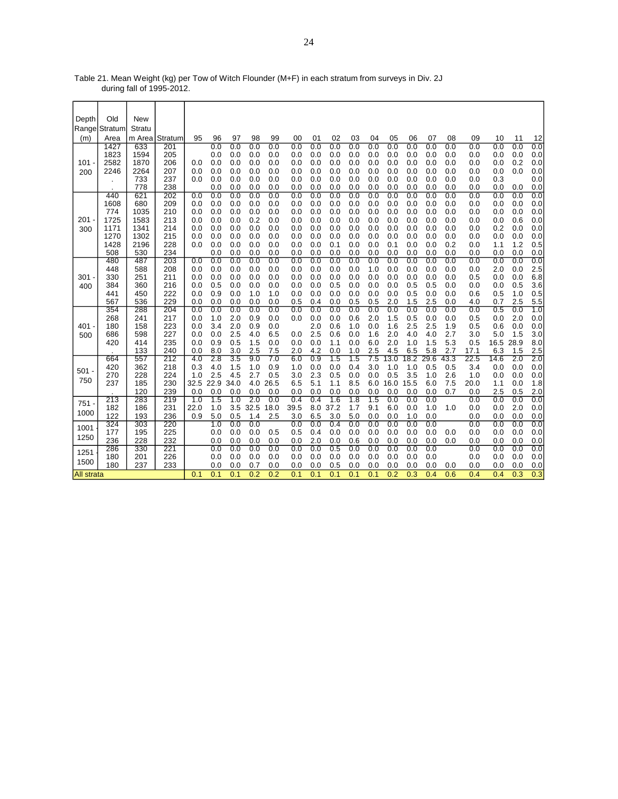| Table 21. Mean Weight (kg) per Tow of Witch Flounder (M+F) in each stratum from surveys in Div. 2J |  |
|----------------------------------------------------------------------------------------------------|--|
| during fall of 1995-2012.                                                                          |  |

| Depth             | Old           | New        |            |            |            |            |                  |            |            |            |            |            |            |             |             |             |             |             |            |            |            |
|-------------------|---------------|------------|------------|------------|------------|------------|------------------|------------|------------|------------|------------|------------|------------|-------------|-------------|-------------|-------------|-------------|------------|------------|------------|
|                   | Range Stratum | Stratu     |            |            |            |            |                  |            |            |            |            |            |            |             |             |             |             |             |            |            |            |
| (m)               | Area          | m Area     | Stratum    | 95         | 96         | 97         | 98               | 99         | 00         | 01         | 02         | 03         | 04         | 05          | 06          | 07          | 08          | 09          | 10         | 11         | 12         |
|                   | 1427          | 633        | 201        |            | 0.0        | 0.0        | 0.0              | 0.0        | 0.0        | 0.0        | 0.0        | 0.0        | 0.0        | 0.0         | 0.0         | 0.0         | 0.0         | 0.0         | 0.0        | 0.0        | 0.0        |
|                   | 1823          | 1594       | 205        |            | 0.0        | 0.0        | 0.0              | 0.0        | 0.0        | 0.0        | 0.0        | 0.0        | 0.0        | 0.0         | 0.0         | 0.0         | 0.0         | 0.0         | 0.0        | 0.0        | 0.0        |
| 101               | 2582          | 1870       | 206        | 0.0        | 0.0        | 0.0        | 0.0              | 0.0        | 0.0        | 0.0        | 0.0        | 0.0        | 0.0        | 0.0         | 0.0         | 0.0         | 0.0         | 0.0         | 0.0        | 0.2        | 0.0        |
| 200               | 2246          | 2264       | 207        | 0.0        | 0.0        | 0.0        | 0.0              | 0.0        | 0.0        | 0.0        | 0.0        | 0.0        | 0.0        | 0.0         | 0.0         | 0.0         | 0.0         | 0.0         | 0.0        | 0.0        | 0.0        |
|                   |               | 733        | 237        | 0.0        | 0.0        | 0.0        | 0.0              | 0.0        | 0.0        | 0.0        | 0.0        | 0.0        | 0.0        | 0.0         | 0.0         | 0.0         | 0.0         | 0.0         | 0.3        |            | 0.0        |
|                   | 440           | 778<br>621 | 238<br>202 | 0.0        | 0.0<br>0.0 | 0.0<br>0.0 | 0.0<br>0.0       | 0.0<br>0.0 | 0.0<br>0.0 | 0.0<br>0.0 | 0.0<br>0.0 | 0.0<br>0.0 | 0.0<br>0.0 | 0.0<br>0.0  | 0.0<br>0.0  | 0.0<br>0.0  | 0.0<br>0.0  | 0.0<br>0.0  | 0.0<br>0.0 | 0.0<br>0.0 | 0.0<br>0.0 |
|                   | 1608          | 680        | 209        | 0.0        | 0.0        | 0.0        | 0.0              | 0.0        | 0.0        | 0.0        | 0.0        | 0.0        | 0.0        | 0.0         | 0.0         | 0.0         | 0.0         | 0.0         | 0.0        | 0.0        | 0.0        |
|                   | 774           | 1035       | 210        | 0.0        | 0.0        | 0.0        | 0.0              | 0.0        | 0.0        | 0.0        | 0.0        | 0.0        | 0.0        | 0.0         | 0.0         | 0.0         | 0.0         | 0.0         | 0.0        | 0.0        | 0.0        |
| 201               | 1725          | 1583       | 213        | 0.0        | 0.0        | 0.0        | 0.2              | 0.0        | 0.0        | 0.0        | 0.0        | 0.0        | 0.0        | 0.0         | 0.0         | 0.0         | 0.0         | 0.0         | 0.0        | 0.6        | 0.0        |
| 300               | 1171          | 1341       | 214        | 0.0        | 0.0        | 0.0        | 0.0              | 0.0        | 0.0        | 0.0        | 0.0        | 0.0        | 0.0        | 0.0         | 0.0         | 0.0         | 0.0         | 0.0         | 0.2        | 0.0        | 0.0        |
|                   | 1270          | 1302       | 215        | 0.0        | 0.0        | 0.0        | 0.0              | 0.0        | 0.0        | 0.0        | 0.0        | 0.0        | 0.0        | 0.0         | 0.0         | 0.0         | 0.0         | 0.0         | 0.0        | 0.0        | 0.0        |
|                   | 1428          | 2196       | 228        | 0.0        | 0.0        | 0.0        | 0.0              | 0.0        | 0.0        | 0.0        | 0.1        | 0.0        | 0.0        | 0.1         | 0.0         | 0.0         | 0.2         | 0.0         | 1.1        | 1.2        | 0.5        |
|                   | 508           | 530        | 234        |            | 0.0        | 0.0        | 0.0              | 0.0        | 0.0        | 0.0        | 0.0        | 0.0        | 0.0        | 0.0         | 0.0         | 0.0         | 0.0         | 0.0         | 0.0        | 0.0        | 0.0        |
|                   | 480           | 487        | 203        | 0.0        | 0.0        | 0.0        | 0.0              | 0.0        | 0.0        | 0.0        | 0.0        | 0.0        | 0.0        | 0.0         | 0.0         | 0.0         | 0.0         | 0.0         | 0.0        | 0.0        | 0.0        |
|                   | 448           | 588        | 208        | 0.0        | 0.0        | 0.0        | 0.0              | 0.0        | 0.0        | 0.0        | 0.0        | 0.0        | 1.0        | 0.0         | 0.0         | 0.0         | 0.0         | 0.0         | 2.0        | 0.0        | 2.5        |
| 301               | 330           | 251        | 211        | 0.0        | 0.0        | 0.0        | 0.0              | 0.0        | 0.0        | 0.0        | 0.0        | 0.0        | 0.0        | 0.0         | 0.0         | 0.0         | 0.0         | 0.5         | 0.0        | 0.0        | 6.8        |
| 400               | 384           | 360        | 216        | 0.0        | 0.5        | 0.0        | 0.0              | 0.0        | 0.0        | 0.0        | 0.5        | 0.0        | 0.0        | 0.0         | 0.5         | 0.5         | 0.0         | 0.0         | 0.0        | 0.5        | 3.6        |
|                   | 441           | 450        | 222        | 0.0        | 0.9        | 0.0        | 1.0              | 1.0        | 0.0        | 0.0        | 0.0        | 0.0        | 0.0        | 0.0         | 0.5         | 0.0         | 0.0         | 0.6         | 0.5        | 1.0        | 0.5        |
|                   | 567           | 536        | 229        | 0.0        | 0.0        | 0.0        | 0.0              | 0.0        | 0.5        | 0.4        | 0.0        | 0.5        | 0.5        | 2.0         | 1.5         | 2.5         | 0.0         | 4.0         | 0.7        | 2.5        | 5.5        |
|                   | 354           | 288        | 204        | 0.0        | 0.0        | 0.0        | 0.0              | 0.0        | 0.0        | 0.0        | 0.0        | 0.0        | 0.0        | 0.0         | 0.0         | 0.0         | 0.0         | 0.0         | 0.5        | 0.0        | 1.0        |
|                   | 268           | 241        | 217        | 0.0        | 1.0        | 2.0        | 0.9              | 0.0        | 0.0        | 0.0        | 0.0        | 0.6        | 2.0        | 1.5         | 0.5         | 0.0         | 0.0         | 0.5         | 0.0        | 2.0        | 0.0        |
| 401               | 180           | 158        | 223        | 0.0        | 3.4        | 2.0        | 0.9              | 0.0        |            | 2.0        | 0.6        | 1.0        | 0.0        | 1.6         | 2.5         | 2.5         | 1.9         | 0.5         | 0.6        | 0.0        | 0.0        |
| 500               | 686           | 598        | 227        | 0.0        | 0.0        | 2.5        | 4.0              | 6.5        | 0.0        | 2.5        | 0.6        | 0.0        | 1.6        | 2.0         | 4.0         | 4.0         | 2.7         | 3.0         | 5.0        | 1.5        | 3.0        |
|                   | 420           | 414        | 235        | 0.0        | 0.9        | 0.5        | 1.5              | 0.0        | 0.0        | 0.0        | 1.1        | 0.0        | 6.0        | 2.0         | 1.0         | 1.5         | 5.3         | 0.5         | 16.5       | 28.9       | 8.0        |
|                   |               | 133        | 240        | 0.0        | 8.0        | 3.0        | 2.5              | 7.5        | 2.0        | 4.2        | 0.0        | 1.0        | 2.5        | 4.5         | 6.5         | 5.8         | 2.7         | 17.1        | 6.3        | 1.5        | 2.5        |
|                   | 664           | 557        | 212        | 4.0<br>0.3 | 2.8<br>4.0 | 3.5<br>1.5 | 9.0<br>1.0       | 7.0        | 6.0<br>1.0 | 0.9<br>0.0 | 1.5<br>0.0 | 1.5<br>0.4 | 7.5<br>3.0 | 13.0<br>1.0 | 18.2<br>1.0 | 29.6<br>0.5 | 43.3<br>0.5 | 22.5<br>3.4 | 14.6       | 2.0        | 2.0        |
| $501 -$           | 420<br>270    | 362<br>228 | 218<br>224 | 1.0        | 2.5        | 4.5        | 2.7              | 0.9<br>0.5 | 3.0        | 2.3        | 0.5        | 0.0        | 0.0        | 0.5         | 3.5         | 1.0         | 2.6         | 1.0         | 0.0<br>0.0 | 0.0<br>0.0 | 0.0<br>0.0 |
| 750               | 237           | 185        | 230        | 32.5       | 22.9       | 34.0       | 4.0              | 26.5       | 6.5        | 5.1        | 1.1        | 8.5        | 6.0        | 16.0        | 15.5        | 6.0         | 7.5         | 20.0        | 1.1        | 0.0        | 1.8        |
|                   |               | 120        | 239        | 0.0        | 0.0        | 0.0        | 0.0              | 0.0        | 0.0        | 0.0        | 0.0        | 0.0        | 0.0        | 0.0         | 0.0         | 0.0         | 0.7         | 0.0         | 2.5        | 0.5        | 2.0        |
|                   | 213           | 283        | 219        | 1.0        | 1.5        | 1.0        | $\overline{2.0}$ | 0.0        | 0.4        | 0.4        | 1.6        | 1.8        | 1.5        | 0.0         | 0.0         | 0.0         |             | 0.0         | 0.0        | 0.0        | 0.0        |
| $751 -$           | 182           | 186        | 231        | 22.0       | 1.0        | 3.5        | 32.5             | 18.0       | 39.5       | 8.0        | 37.2       | 1.7        | 9.1        | 6.0         | 0.0         | 1.0         | 1.0         | 0.0         | 0.0        | 2.0        | 0.0        |
| 1000              | 122           | 193        | 236        | 0.9        | 5.0        | 0.5        | 1.4              | 2.5        | 3.0        | 6.5        | 3.0        | 5.0        | 0.0        | 0.0         | 1.0         | 0.0         |             | 0.0         | 0.0        | 0.0        | 0.0        |
|                   | 324           | 303        | 220        |            | 1.0        | 0.0        | 0.0              |            | 0.0        | 0.0        | 0.4        | 0.0        | 0.0        | 0.0         | 0.0         | 0.0         |             | 0.0         | 0.0        | 0.0        | 0.0        |
| 1001              | 177           | 195        | 225        |            | 0.0        | 0.0        | 0.0              | 0.5        | 0.5        | 0.4        | 0.0        | 0.0        | 0.0        | 0.0         | 0.0         | 0.0         | 0.0         | 0.0         | 0.0        | 0.0        | 0.0        |
| 1250              | 236           | 228        | 232        |            | 0.0        | 0.0        | 0.0              | 0.0        | 0.0        | 2.0        | 0.0        | 0.6        | 0.0        | 0.0         | 0.0         | 0.0         | 0.0         | 0.0         | 0.0        | 0.0        | 0.0        |
|                   | 286           | 330        | 221        |            | 0.0        | 0.0        | 0.0              | 0.0        | 0.0        | 0.0        | 0.5        | 0.0        | 0.0        | 0.0         | 0.0         | 0.0         |             | 0.0         | 0.0        | 0.0        | 0.0        |
| 1251              | 180           | 201        | 226        |            | 0.0        | 0.0        | 0.0              | 0.0        | 0.0        | 0.0        | 0.0        | 0.0        | 0.0        | 0.0         | 0.0         | 0.0         |             | 0.0         | 0.0        | 0.0        | 0.0        |
| 1500              | 180           | 237        | 233        |            | 0.0        | 0.0        | 0.7              | 0.0        | 0.0        | 0.0        | 0.5        | 0.0        | 0.0        | 0.0         | 0.0         | 0.0         | 0.0         | 0.0         | 0.0        | 0.0        | 0.0        |
| <b>All strata</b> |               |            |            | 0.1        | 0.1        | 0.1        | 0.2              | 0.2        | 0.1        | 0.1        | 0.1        | 0.1        | 0.1        | 0.2         | 0.3         | 0.4         | 0.6         | 0.4         | 0.4        | 0.3        | 0.3        |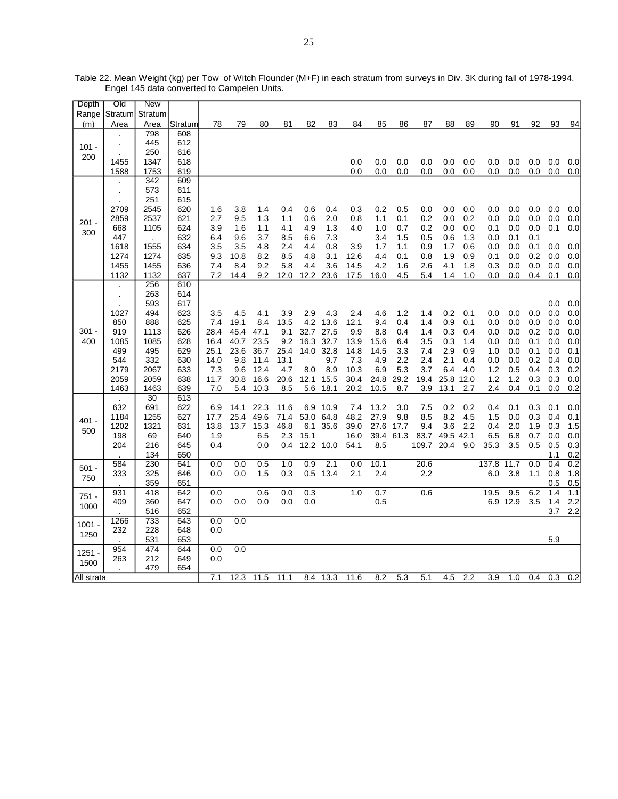| Depth      | Old                  | New        |         |      |      |      |      |      |           |      |      |      |       |           |     |       |          |     |            |            |
|------------|----------------------|------------|---------|------|------|------|------|------|-----------|------|------|------|-------|-----------|-----|-------|----------|-----|------------|------------|
| Range      | Stratum              | Stratum    |         |      |      |      |      |      |           |      |      |      |       |           |     |       |          |     |            |            |
| (m)        | Area                 | Area       | Stratum | 78   | 79   | 80   | 81   | 82   | 83        | 84   | 85   | 86   | 87    | 88        | 89  | 90    | 91       | 92  | 93         | 94         |
|            |                      | 798        | 608     |      |      |      |      |      |           |      |      |      |       |           |     |       |          |     |            |            |
| $101 -$    | $\cdot$              | 445        | 612     |      |      |      |      |      |           |      |      |      |       |           |     |       |          |     |            |            |
| 200        |                      | 250        | 616     |      |      |      |      |      |           |      |      |      |       |           |     |       |          |     |            |            |
|            | 1455                 | 1347       | 618     |      |      |      |      |      |           | 0.0  | 0.0  | 0.0  | 0.0   | 0.0       | 0.0 | 0.0   | 0.0      | 0.0 | 0.0        | 0.0        |
|            | 1588                 | 1753       | 619     |      |      |      |      |      |           | 0.0  | 0.0  | 0.0  | 0.0   | 0.0       | 0.0 | 0.0   | 0.0      | 0.0 | 0.0        | 0.0        |
|            |                      | 342        | 609     |      |      |      |      |      |           |      |      |      |       |           |     |       |          |     |            |            |
|            | $\cdot$              | 573        | 611     |      |      |      |      |      |           |      |      |      |       |           |     |       |          |     |            |            |
|            | $\cdot$              | 251        | 615     |      |      |      |      |      |           |      |      |      |       |           |     |       |          |     |            |            |
|            | 2709                 | 2545       | 620     | 1.6  | 3.8  | 1.4  | 0.4  | 0.6  | 0.4       | 0.3  | 0.2  | 0.5  | 0.0   | 0.0       | 0.0 | 0.0   | 0.0      | 0.0 | 0.0        | 0.0        |
| $201 -$    | 2859                 | 2537       | 621     | 2.7  | 9.5  | 1.3  | 1.1  | 0.6  | 2.0       | 0.8  | 1.1  | 0.1  | 0.2   | 0.0       | 0.2 | 0.0   | 0.0      | 0.0 | 0.0        | 0.0        |
|            | 668                  | 1105       | 624     | 3.9  | 1.6  | 1.1  | 4.1  | 4.9  | 1.3       | 4.0  | 1.0  | 0.7  | 0.2   | 0.0       | 0.0 | 0.1   | 0.0      | 0.0 | 0.1        | 0.0        |
| 300        | 447                  |            | 632     | 6.4  | 9.6  | 3.7  | 8.5  | 6.6  | 7.3       |      | 3.4  | 1.5  | 0.5   | 0.6       | 1.3 | 0.0   | 0.1      | 0.1 |            |            |
|            | 1618                 | 1555       | 634     | 3.5  | 3.5  | 4.8  | 2.4  | 4.4  | 0.8       | 3.9  | 1.7  | 1.1  | 0.9   | 1.7       | 0.6 | 0.0   | 0.0      | 0.1 | 0.0        | 0.0        |
|            | 1274                 | 1274       | 635     | 9.3  | 10.8 | 8.2  | 8.5  | 4.8  | 3.1       | 12.6 | 4.4  | 0.1  | 0.8   | 1.9       | 0.9 | 0.1   | 0.0      | 0.2 | 0.0        | 0.0        |
|            | 1455                 | 1455       | 636     | 7.4  | 8.4  | 9.2  | 5.8  | 4.4  | 3.6       | 14.5 | 4.2  | 1.6  | 2.6   | 4.1       | 1.8 | 0.3   | 0.0      | 0.0 | 0.0        | 0.0        |
|            | 1132                 | 1132       | 637     | 7.2  | 14.4 | 9.2  | 12.0 | 12.2 | 23.6      | 17.5 | 16.0 | 4.5  | 5.4   | 1.4       | 1.0 | 0.0   | 0.0      | 0.4 | 0.1        | 0.0        |
|            |                      | 256        | 610     |      |      |      |      |      |           |      |      |      |       |           |     |       |          |     |            |            |
|            | $\ddot{\phantom{0}}$ | 263        | 614     |      |      |      |      |      |           |      |      |      |       |           |     |       |          |     |            |            |
|            |                      | 593        | 617     |      |      |      |      |      |           |      |      |      |       |           |     |       |          |     | 0.0        | 0.0        |
|            | 1027                 | 494        | 623     | 3.5  | 4.5  | 4.1  | 3.9  | 2.9  | 4.3       | 2.4  | 4.6  | 1.2  | 1.4   | 0.2       | 0.1 | 0.0   | 0.0      | 0.0 | 0.0        | 0.0        |
|            | 850                  | 888        | 625     | 7.4  | 19.1 | 8.4  | 13.5 | 4.2  | 13.6      | 12.1 | 9.4  | 0.4  | 1.4   | 0.9       | 0.1 | 0.0   | 0.0      | 0.0 | 0.0        | 0.0        |
| $301 -$    | 919                  | 1113       | 626     | 28.4 | 45.4 | 47.1 | 9.1  | 32.7 | 27.5      | 9.9  | 8.8  | 0.4  | 1.4   | 0.3       | 0.4 | 0.0   | 0.0      | 0.2 | 0.0        | 0.0        |
| 400        | 1085                 | 1085       | 628     | 16.4 | 40.7 | 23.5 | 9.2  | 16.3 | 32.7      | 13.9 | 15.6 | 6.4  | 3.5   | 0.3       | 1.4 | 0.0   | 0.0      | 0.1 | 0.0        | 0.0        |
|            | 499                  | 495        | 629     | 25.1 | 23.6 | 36.7 | 25.4 | 14.0 | 32.8      | 14.8 | 14.5 | 3.3  | 7.4   | 2.9       | 0.9 | 1.0   | 0.0      | 0.1 | 0.0        | 0.1        |
|            | 544                  | 332        | 630     | 14.0 | 9.8  | 11.4 | 13.1 |      | 9.7       | 7.3  | 4.9  | 2.2  | 2.4   | 2.1       | 0.4 | 0.0   | 0.0      | 0.2 | 0.4        | 0.0        |
|            | 2179                 | 2067       | 633     | 7.3  | 9.6  | 12.4 | 4.7  | 8.0  | 8.9       | 10.3 | 6.9  | 5.3  | 3.7   | 6.4       | 4.0 | 1.2   | 0.5      | 0.4 | 0.3        | 0.2        |
|            | 2059                 | 2059       | 638     | 11.7 | 30.8 | 16.6 | 20.6 | 12.1 | 15.5      | 30.4 | 24.8 | 29.2 | 19.4  | 25.8 12.0 |     | 1.2   | 1.2      | 0.3 | 0.3        | 0.0        |
|            | 1463                 | 1463       | 639     | 7.0  | 5.4  | 10.3 | 8.5  | 5.6  | 18.1      | 20.2 | 10.5 | 8.7  | 3.9   | 13.1      | 2.7 | 2.4   | 0.4      | 0.1 | 0.0        | 0.2        |
|            |                      | 30         | 613     |      |      |      |      |      |           |      |      |      |       |           |     |       |          |     |            |            |
|            | $\cdot$<br>632       | 691        | 622     | 6.9  | 14.1 | 22.3 | 11.6 | 6.9  | 10.9      | 7.4  | 13.2 | 3.0  | 7.5   | 0.2       | 0.2 | 0.4   | 0.1      | 0.3 | 0.1        | 0.0        |
|            | 1184                 | 1255       | 627     | 17.7 | 25.4 | 49.6 | 71.4 | 53.0 | 64.8      | 48.2 | 27.9 | 9.8  | 8.5   | 8.2       | 4.5 | 1.5   | 0.0      | 0.3 | 0.4        | 0.1        |
| 401 -      | 1202                 | 1321       | 631     | 13.8 | 13.7 | 15.3 | 46.8 | 6.1  | 35.6      | 39.0 | 27.6 | 17.7 | 9.4   | 3.6       | 2.2 | 0.4   | 2.0      | 1.9 | 0.3        | 1.5        |
| 500        | 198                  | 69         | 640     | 1.9  |      | 6.5  | 2.3  | 15.1 |           | 16.0 | 39.4 | 61.3 | 83.7  | 49.5 42.1 |     | 6.5   | 6.8      | 0.7 | 0.0        |            |
|            | 204                  | 216        | 645     | 0.4  |      | 0.0  | 0.4  |      | 12.2 10.0 | 54.1 | 8.5  |      | 109.7 | 20.4      | 9.0 | 35.3  | 3.5      | 0.5 | 0.5        | 0.0        |
|            |                      | 134        | 650     |      |      |      |      |      |           |      |      |      |       |           |     |       |          |     |            | 0.3        |
|            | 584                  | 230        | 641     | 0.0  | 0.0  | 0.5  | 1.0  | 0.9  | 2.1       | 0.0  | 10.1 |      | 20.6  |           |     | 137.8 | 11.7     | 0.0 | 1.1<br>0.4 | 0.2<br>0.2 |
| $501 -$    | 333                  | 325        | 646     | 0.0  | 0.0  | 1.5  | 0.3  |      |           | 2.1  | 2.4  |      | 2.2   |           |     | 6.0   | 3.8      | 1.1 | 0.8        |            |
| 750        |                      | 359        | 651     |      |      |      |      |      | 0.5 13.4  |      |      |      |       |           |     |       |          |     | 0.5        | 1.8        |
|            | 931                  | 418        | 642     | 0.0  |      | 0.6  | 0.0  | 0.3  |           | 1.0  | 0.7  |      | 0.6   |           |     | 19.5  | 9.5      | 6.2 | 1.4        | 0.5<br>1.1 |
| $751 -$    | 409                  | 360        | 647     | 0.0  | 0.0  | 0.0  | 0.0  | 0.0  |           |      | 0.5  |      |       |           |     |       | 6.9 12.9 | 3.5 | 1.4        | 2.2        |
| 1000       |                      | 516        | 652     |      |      |      |      |      |           |      |      |      |       |           |     |       |          |     | 3.7        | 2.2        |
|            |                      |            |         |      |      |      |      |      |           |      |      |      |       |           |     |       |          |     |            |            |
| 1001 -     | 1266                 | 733<br>228 | 643     | 0.0  | 0.0  |      |      |      |           |      |      |      |       |           |     |       |          |     |            |            |
| 1250       | 232                  |            | 648     | 0.0  |      |      |      |      |           |      |      |      |       |           |     |       |          |     |            |            |
|            |                      | 531        | 653     |      |      |      |      |      |           |      |      |      |       |           |     |       |          |     | 5.9        |            |
| $1251 -$   | 954                  | 474        | 644     | 0.0  | 0.0  |      |      |      |           |      |      |      |       |           |     |       |          |     |            |            |
| 1500       | 263                  | 212        | 649     | 0.0  |      |      |      |      |           |      |      |      |       |           |     |       |          |     |            |            |
|            |                      | 479        | 654     |      |      |      |      |      |           |      |      |      |       |           |     |       |          |     |            |            |
| All strata |                      |            |         | 7.1  | 12.3 | 11.5 | 11.1 | 8.4  | 13.3      | 11.6 | 8.2  | 5.3  | 5.1   | 4.5       | 2.2 | 3.9   | 1.0      | 0.4 | 0.3        | 0.2        |

Table 22. Mean Weight (kg) per Tow of Witch Flounder (M+F) in each stratum from surveys in Div. 3K during fall of 1978-1994. Engel 145 data converted to Campelen Units.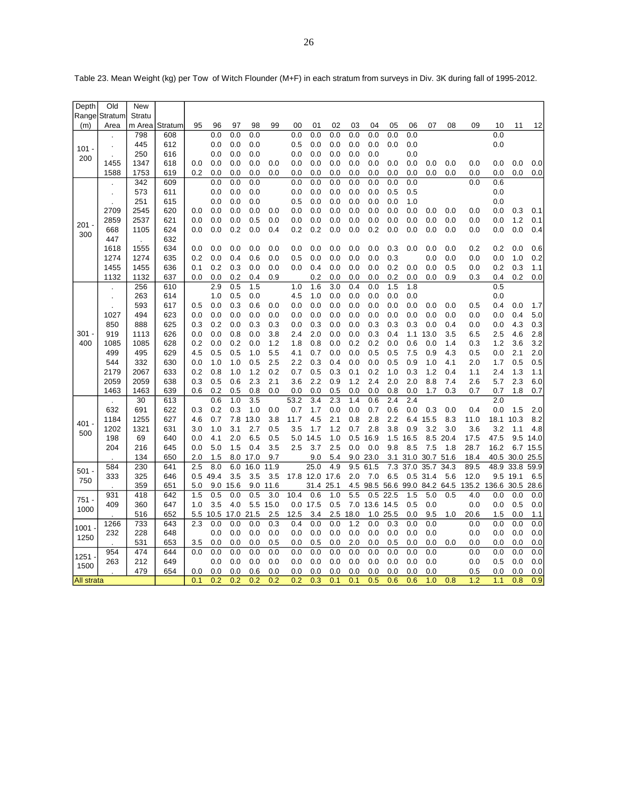| Depth             | Old            | <b>New</b>   |            |            |            |            |            |            |            |                |            |            |               |            |            |            |            |       |            |            |            |
|-------------------|----------------|--------------|------------|------------|------------|------------|------------|------------|------------|----------------|------------|------------|---------------|------------|------------|------------|------------|-------|------------|------------|------------|
|                   | Range Stratum  | Stratu       |            |            |            |            |            |            |            |                |            |            |               |            |            |            |            |       |            |            |            |
| (m)               | Area           | m Area       | Stratum    | 95         | 96         | 97         | 98         | 99         | 00         | 01             | 02         | 03         | 04            | 05         | 06         | 07         | 08         | 09    | 10         | 11         | 12         |
|                   |                | 798          | 608        |            | 0.0        | 0.0        | 0.0        |            | 0.0        | 0.0            | 0.0        | 0.0        | 0.0           | 0.0        | 0.0        |            |            |       | 0.0        |            |            |
| $101 -$           |                | 445          | 612        |            | 0.0        | 0.0        | 0.0        |            | 0.5        | 0.0            | 0.0        | 0.0        | 0.0           | 0.0        | 0.0        |            |            |       | 0.0        |            |            |
| 200               |                | 250          | 616        |            | 0.0        | 0.0        | 0.0        |            | 0.0        | 0.0            | 0.0        | 0.0        | 0.0           |            | 0.0        |            |            |       |            |            |            |
|                   | 1455           | 1347         | 618        | 0.0        | 0.0        | 0.0        | 0.0        | 0.0        | 0.0        | 0.0            | 0.0        | 0.0        | 0.0           | 0.0        | 0.0        | 0.0        | 0.0        | 0.0   | 0.0        | 0.0        | 0.0        |
|                   | 1588           | 1753         | 619        | 0.2        | 0.0        | 0.0        | 0.0        | 0.0        | 0.0        | 0.0            | 0.0        | 0.0        | 0.0           | 0.0        | 0.0        | 0.0        | 0.0        | 0.0   | 0.0        | 0.0        | 0.0        |
|                   |                | 342          | 609        |            | 0.0        | 0.0        | 0.0        |            | 0.0        | 0.0            | 0.0        | 0.0        | 0.0           | 0.0        | 0.0        |            |            | 0.0   | 0.6        |            |            |
|                   | $\blacksquare$ | 573          | 611        |            | 0.0        | 0.0        | 0.0        |            | 0.0        | 0.0            | 0.0        | 0.0        | 0.0           | 0.5        | 0.5        |            |            |       | 0.0        |            |            |
|                   |                | 251          | 615        |            | 0.0        | 0.0        | 0.0        |            | 0.5        | 0.0            | 0.0        | 0.0        | 0.0           | 0.0        | 1.0        |            |            |       | 0.0        |            |            |
|                   | 2709           | 2545         | 620        | 0.0        | 0.0        | 0.0        | 0.0        | 0.0        | 0.0        | 0.0            | 0.0        | 0.0        | 0.0           | 0.0        | 0.0        | 0.0        | 0.0        | 0.0   | 0.0        | 0.3        | 0.1        |
| $201 -$           | 2859<br>668    | 2537<br>1105 | 621<br>624 | 0.0<br>0.0 | 0.0<br>0.0 | 0.0<br>0.2 | 0.5<br>0.0 | 0.0<br>0.4 | 0.0<br>0.2 | 0.0<br>0.2     | 0.0<br>0.0 | 0.0<br>0.0 | 0.0<br>0.2    | 0.0<br>0.0 | 0.0<br>0.0 | 0.0<br>0.0 | 0.0<br>0.0 | 0.0   | 0.0<br>0.0 | 1.2<br>0.0 | 0.1<br>0.4 |
| 300               |                |              |            |            |            |            |            |            |            |                |            |            |               |            |            |            |            | 0.0   |            |            |            |
|                   | 447            |              | 632        |            |            |            |            |            |            |                |            |            |               |            |            |            |            |       |            |            |            |
|                   | 1618           | 1555         | 634        | 0.0        | 0.0        | 0.0        | 0.0        | 0.0        | 0.0        | 0.0            | 0.0        | 0.0        | 0.0           | 0.3        | 0.0        | 0.0        | 0.0        | 0.2   | 0.2        | 0.0        | 0.6        |
|                   | 1274           | 1274<br>1455 | 635        | 0.2<br>0.1 | 0.0<br>0.2 | 0.4<br>0.3 | 0.6        | 0.0        | 0.5<br>0.0 | 0.0<br>0.4     | 0.0<br>0.0 | 0.0<br>0.0 | 0.0<br>0.0    | 0.3<br>0.2 |            | 0.0        | 0.0        | 0.0   | 0.0<br>0.2 | 1.0<br>0.3 | 0.2        |
|                   | 1455           |              | 636        |            |            |            | 0.0        | 0.0        |            |                |            |            |               |            | 0.0        | 0.0        | 0.5        | 0.0   |            |            | 1.1        |
|                   | 1132           | 1132<br>256  | 637        | 0.0        | 0.0<br>2.9 | 0.2<br>0.5 | 0.4<br>1.5 | 0.9        | 1.0        | 0.2<br>1.6     | 0.0<br>3.0 | 0.0<br>0.4 | 0.0<br>0.0    | 0.2<br>1.5 | 0.0<br>1.8 | 0.0        | 0.9        | 0.3   | 0.4<br>0.5 | 0.2        | 0.0        |
|                   |                | 263          | 610<br>614 |            | 1.0        | 0.5        | 0.0        |            | 4.5        | 1.0            | 0.0        | 0.0        | 0.0           | 0.0        | 0.0        |            |            |       | 0.0        |            |            |
|                   |                | 593          | 617        | 0.5        | 0.0        | 0.3        | 0.6        | 0.0        | 0.0        | 0.0            | 0.0        | 0.0        | 0.0           | 0.0        | 0.0        | 0.0        | 0.0        | 0.5   | 0.4        | 0.0        | 1.7        |
|                   | 1027           | 494          | 623        | 0.0        | 0.0        | 0.0        | 0.0        | 0.0        | 0.0        | 0.0            | 0.0        | 0.0        | 0.0           | 0.0        | 0.0        | 0.0        | 0.0        | 0.0   | 0.0        | 0.4        | $5.0\,$    |
|                   | 850            | 888          | 625        | 0.3        | 0.2        | 0.0        | 0.3        | 0.3        | 0.0        | 0.3            | 0.0        | 0.0        | 0.3           | 0.3        | 0.3        | 0.0        | 0.4        | 0.0   | 0.0        | 4.3        | 0.3        |
| $301 -$           | 919            | 1113         | 626        | 0.0        | 0.0        | 0.8        | 0.0        | 3.8        | 2.4        | 2.0            | 0.0        | 0.0        | 0.3           | 0.4        | 1.1        | 13.0       | 3.5        | 6.5   | 2.5        | 4.6        | 2.8        |
| 400               | 1085           | 1085         | 628        | 0.2        | 0.0        | 0.2        | 0.0        | 1.2        | 1.8        | 0.8            | 0.0        | 0.2        | 0.2           | 0.0        | 0.6        | 0.0        | 1.4        | 0.3   | 1.2        | 3.6        | 3.2        |
|                   | 499            | 495          | 629        | 4.5        | 0.5        | 0.5        | 1.0        | 5.5        | 4.1        | 0.7            | 0.0        | 0.0        | 0.5           | 0.5        | 7.5        | 0.9        | 4.3        | 0.5   | 0.0        | 2.1        | 2.0        |
|                   | 544            | 332          | 630        | 0.0        | 1.0        | 1.0        | 0.5        | 2.5        | 2.2        | 0.3            | 0.4        | 0.0        | 0.0           | 0.5        | 0.9        | 1.0        | 4.1        | 2.0   | 1.7        | 0.5        | 0.5        |
|                   | 2179           | 2067         | 633        | 0.2        | 0.8        | 1.0        | 1.2        | 0.2        | 0.7        | 0.5            | 0.3        | 0.1        | 0.2           | 1.0        | 0.3        | 1.2        | 0.4        | 1.1   | 2.4        | 1.3        | 1.1        |
|                   | 2059           | 2059         | 638        | 0.3        | 0.5        | 0.6        | 2.3        | 2.1        | 3.6        | 2.2            | 0.9        | 1.2        | 2.4           | 2.0        | 2.0        | 8.8        | 7.4        | 2.6   | 5.7        | 2.3        | 6.0        |
|                   | 1463           | 1463         | 639        | 0.6        | 0.2        | 0.5        | 0.8        | 0.0        | 0.0        | 0.0            | 0.5        | 0.0        | 0.0           | 0.8        | 0.0        | 1.7        | 0.3        | 0.7   | 0.7        | 1.8        | 0.7        |
|                   |                | 30           | 613        |            | 0.6        | 1.0        | 3.5        |            | 53.2       | 3.4            | 2.3        | 1.4        | 0.6           | 2.4        | 2.4        |            |            |       | 2.0        |            |            |
|                   | 632            | 691          | 622        | 0.3        | 0.2        | 0.3        | 1.0        | 0.0        | 0.7        | 1.7            | 0.0        | 0.0        | 0.7           | 0.6        | 0.0        | 0.3        | 0.0        | 0.4   | 0.0        | 1.5        | 2.0        |
|                   | 1184           | 1255         | 627        | 4.6        | 0.7        | 7.8        | 13.0       | 3.8        | 11.7       | 4.5            | 2.1        | 0.8        | 2.8           | 2.2        | 6.4        | 15.5       | 8.3        | 11.0  | 18.1       | 10.3       | 8.2        |
| 401.              | 1202           | 1321         | 631        | 3.0        | 1.0        | 3.1        | 2.7        | 0.5        | 3.5        | 1.7            | 1.2        | 0.7        | 2.8           | 3.8        | 0.9        | 3.2        | 3.0        | 3.6   | 3.2        | 1.1        | 4.8        |
| 500               | 198            | 69           | 640        | 0.0        | 4.1        | 2.0        | 6.5        | 0.5        | 5.0        | 14.5           | 1.0        | 0.5        | 16.9          | 1.5        | 16.5       | 8.5        | 20.4       | 17.5  | 47.5       | 9.5        | 14.0       |
|                   | 204            | 216          | 645        | 0.0        | 5.0        | 1.5        | 0.4        | 3.5        | 2.5        | 3.7            | 2.5        | 0.0        | 0.0           | 9.8        | 8.5        | 7.5        | 1.8        | 28.7  | 16.2       | 6.7        | 15.5       |
|                   |                | 134          | 650        | 2.0        | 1.5        | 8.0        | 17.0       | 9.7        |            | 9.0            | 5.4        | 9.0        | 23.0          | 3.1        | 31.0       | 30.7       | 51.6       | 18.4  | 40.5       | 30.0       | 25.5       |
|                   | 584            | 230          | 641        | 2.5        | 8.0        | 6.0        | 16.0       | 11.9       |            | 25.0           | 4.9        | 9.5        | 61.5          | 7.3        | 37.0       | 35.7       | 34.3       | 89.5  | 48.9       | 33.8       | 59.9       |
| $501 -$           | 333            | 325          | 646        | 0.5        | 49.4       | 3.5        | 3.5        | 3.5        |            | 17.8 12.0 17.6 |            | 2.0        | 7.0           | 6.5        | 0.5        | 31.4       | 5.6        | 12.0  | 9.5        | 19.1       | 6.5        |
| 750               |                | 359          | 651        | 5.0        | 9.0        | 15.6       | 9.0        | 11.6       |            | 31.4           | 25.1       |            | 4.5 98.5      | 56.6       | 99.0       | 84.2       | 64.5       | 135.2 | 136.6      | 30.5       | 28.6       |
|                   | 931            | 418          | 642        | 1.5        | 0.5        | 0.0        | 0.5        | 3.0        | 10.4       | 0.6            | 1.0        | 5.5        | 0.5           | 22.5       | 1.5        | 5.0        | 0.5        | 4.0   | 0.0        | 0.0        | 0.0        |
| 751.              | 409            | 360          | 647        | 1.0        | 3.5        | 4.0        | 5.5        | 15.0       | 0.0        | 17.5           | 0.5        |            | 7.0 13.6 14.5 |            | 0.5        | 0.0        |            | 0.0   | 0.0        | 0.5        | 0.0        |
| 1000              |                | 516          | 652        | 5.5        | 10.5       | 17.0       | 21.5       | 2.5        | 12.5       | 3.4            | 2.5        | 18.0       | 1.0           | 25.5       | 0.0        | 9.5        | 1.0        | 20.6  | 1.5        | 0.0        | 1.1        |
|                   | 1266           | 733          | 643        | 2.3        | 0.0        | 0.0        | 0.0        | 0.3        | 0.4        | 0.0            | 0.0        | 1.2        | 0.0           | 0.3        | 0.0        | 0.0        |            | 0.0   | 0.0        | 0.0        | 0.0        |
| 1001              | 232            | 228          | 648        |            | 0.0        | 0.0        | 0.0        | 0.0        | 0.0        | 0.0            | 0.0        | 0.0        | 0.0           | 0.0        | 0.0        | 0.0        |            | 0.0   | 0.0        | 0.0        | 0.0        |
| 1250              |                | 531          | 653        | 3.5        | 0.0        | 0.0        | 0.0        | 0.5        | 0.0        | 0.5            | 0.0        | 2.0        | 0.0           | 0.5        | 0.0        | 0.0        | 0.0        | 0.0   | 0.0        | 0.0        | 0.0        |
|                   | 954            | 474          | 644        | 0.0        | 0.0        | 0.0        | 0.0        | 0.0        | 0.0        | 0.0            | 0.0        | 0.0        | 0.0           | 0.0        | 0.0        | 0.0        |            | 0.0   | 0.0        | 0.0        | 0.0        |
| 1251              | 263            | 212          | 649        |            | 0.0        | 0.0        | 0.0        | 0.0        | 0.0        | 0.0            | 0.0        | 0.0        | 0.0           | 0.0        | 0.0        | 0.0        |            | 0.0   | 0.5        | 0.0        | 0.0        |
| 1500              |                | 479          | 654        | 0.0        | 0.0        | 0.0        | 0.6        | 0.0        | 0.0        | 0.0            | 0.0        | 0.0        | 0.0           | 0.0        | 0.0        | 0.0        |            | 0.5   | 0.0        | 0.0        | 0.0        |
| <b>All strata</b> |                |              |            | 0.1        | 0.2        | 0.2        | 0.2        | 0.2        | 0.2        | 0.3            | 0.1        | 0.1        | 0.5           | 0.6        | 0.6        | 1.0        | 0.8        | 1.2   | 1.1        | 0.8        | 0.9        |

Table 23. Mean Weight (kg) per Tow of Witch Flounder (M+F) in each stratum from surveys in Div. 3K during fall of 1995-2012.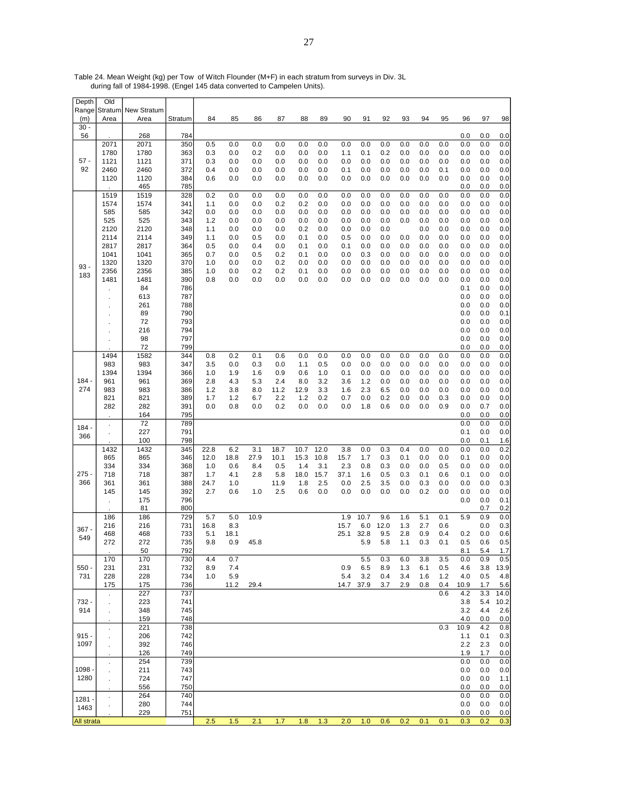| Depth             | Old                  |                    |            |             |            |            |            |            |            |            |            |            |            |            |            |             |            |             |
|-------------------|----------------------|--------------------|------------|-------------|------------|------------|------------|------------|------------|------------|------------|------------|------------|------------|------------|-------------|------------|-------------|
| Range             | Stratum              | <b>New Stratum</b> |            |             |            |            |            |            |            |            |            |            |            |            |            |             |            |             |
| (m)<br>$30 -$     | Area                 | Area               | Stratum    | 84          | 85         | 86         | 87         | 88         | 89         | 90         | 91         | 92         | 93         | 94         | 95         | 96          | 97         | 98          |
| 56                |                      | 268                | 784        |             |            |            |            |            |            |            |            |            |            |            |            | 0.0         | 0.0        | 0.0         |
|                   | 2071                 | 2071               | 350        | 0.5         | 0.0        | 0.0        | 0.0        | 0.0        | 0.0        | 0.0        | 0.0        | 0.0        | 0.0        | 0.0        | 0.0        | 0.0         | 0.0        | 0.0         |
|                   | 1780                 | 1780               | 363        | 0.3         | 0.0        | 0.2        | 0.0        | 0.0        | 0.0        | 1.1        | 0.1        | 0.2        | 0.0        | 0.0        | 0.0        | 0.0         | 0.0        | 0.0         |
| $57 -$            | 1121                 | 1121               | 371        | 0.3         | 0.0        | 0.0        | 0.0        | 0.0        | 0.0        | 0.0        | 0.0        | 0.0        | 0.0        | 0.0        | 0.0        | 0.0         | 0.0        | 0.0         |
| 92                | 2460                 | 2460               | 372        | 0.4         | 0.0        | 0.0        | 0.0        | 0.0        | 0.0        | 0.1        | 0.0        | 0.0        | 0.0        | 0.0        | 0.1        | 0.0         | 0.0        | 0.0         |
|                   | 1120                 | 1120               | 384        | 0.6         | 0.0        | 0.0        | 0.0        | 0.0        | 0.0        | 0.0        | 0.0        | 0.0        | 0.0        | 0.0        | 0.0        | 0.0         | 0.0        | 0.0         |
|                   |                      | 465                | 785        |             |            |            |            |            |            |            |            |            |            |            |            | 0.0         | 0.0        | 0.0         |
|                   | 1519                 | 1519               | 328        | 0.2         | 0.0        | 0.0        | 0.0        | 0.0        | 0.0        | 0.0        | 0.0        | 0.0        | 0.0        | 0.0        | 0.0        | 0.0         | 0.0        | 0.0         |
|                   | 1574<br>585          | 1574<br>585        | 341<br>342 | 1.1<br>0.0  | 0.0<br>0.0 | 0.0<br>0.0 | 0.2<br>0.0 | 0.2<br>0.0 | 0.0<br>0.0 | 0.0<br>0.0 | 0.0<br>0.0 | 0.0<br>0.0 | 0.0<br>0.0 | 0.0<br>0.0 | 0.0<br>0.0 | 0.0<br>0.0  | 0.0<br>0.0 | 0.0<br>0.0  |
|                   | 525                  | 525                | 343        | 1.2         | 0.0        | 0.0        | 0.0        | 0.0        | 0.0        | 0.0        | 0.0        | 0.0        | 0.0        | 0.0        | 0.0        | 0.0         | 0.0        | 0.0         |
|                   | 2120                 | 2120               | 348        | 1.1         | 0.0        | 0.0        | 0.0        | 0.2        | 0.0        | 0.0        | 0.0        | 0.0        |            | 0.0        | 0.0        | 0.0         | 0.0        | 0.0         |
|                   | 2114                 | 2114               | 349        | 1.1         | 0.0        | 0.5        | 0.0        | 0.1        | 0.0        | 0.5        | 0.0        | 0.0        | 0.0        | 0.0        | 0.0        | 0.0         | 0.0        | 0.0         |
|                   | 2817                 | 2817               | 364        | 0.5         | 0.0        | 0.4        | 0.0        | 0.1        | 0.0        | 0.1        | 0.0        | 0.0        | 0.0        | 0.0        | 0.0        | 0.0         | 0.0        | 0.0         |
|                   | 1041                 | 1041               | 365        | 0.7         | 0.0        | 0.5        | 0.2        | 0.1        | 0.0        | 0.0        | 0.3        | 0.0        | 0.0        | 0.0        | 0.0        | 0.0         | 0.0        | 0.0         |
| $93 -$            | 1320                 | 1320               | 370        | 1.0         | 0.0        | 0.0        | 0.2        | 0.0        | 0.0        | 0.0        | 0.0        | 0.0        | 0.0        | 0.0        | 0.0        | 0.0         | 0.0        | 0.0         |
| 183               | 2356                 | 2356               | 385        | 1.0         | 0.0        | 0.2        | 0.2        | 0.1        | 0.0        | 0.0        | 0.0        | 0.0        | 0.0        | 0.0        | 0.0        | 0.0         | 0.0        | 0.0         |
|                   | 1481                 | 1481               | 390        | 0.8         | 0.0        | 0.0        | 0.0        | 0.0        | 0.0        | 0.0        | 0.0        | 0.0        | 0.0        | 0.0        | 0.0        | 0.0         | 0.0        | 0.0         |
|                   |                      | 84                 | 786        |             |            |            |            |            |            |            |            |            |            |            |            | 0.1         | 0.0        | 0.0         |
|                   |                      | 613                | 787        |             |            |            |            |            |            |            |            |            |            |            |            | 0.0         | 0.0        | 0.0         |
|                   |                      | 261<br>89          | 788<br>790 |             |            |            |            |            |            |            |            |            |            |            |            | 0.0<br>0.0  | 0.0<br>0.0 | 0.0<br>0.1  |
|                   |                      | 72                 | 793        |             |            |            |            |            |            |            |            |            |            |            |            | 0.0         | 0.0        | 0.0         |
|                   |                      | 216                | 794        |             |            |            |            |            |            |            |            |            |            |            |            | 0.0         | 0.0        | 0.0         |
|                   |                      | 98                 | 797        |             |            |            |            |            |            |            |            |            |            |            |            | 0.0         | 0.0        | 0.0         |
|                   |                      | 72                 | 799        |             |            |            |            |            |            |            |            |            |            |            |            | 0.0         | 0.0        | 0.0         |
|                   | 1494                 | 1582               | 344        | 0.8         | 0.2        | 0.1        | 0.6        | 0.0        | 0.0        | 0.0        | 0.0        | 0.0        | 0.0        | 0.0        | 0.0        | 0.0         | 0.0        | 0.0         |
|                   | 983                  | 983                | 347        | 3.5         | 0.0        | 0.3        | 0.0        | 1.1        | 0.5        | 0.0        | 0.0        | 0.0        | 0.0        | 0.0        | 0.0        | 0.0         | 0.0        | 0.0         |
|                   | 1394                 | 1394               | 366        | 1.0         | 1.9        | 1.6        | 0.9        | 0.6        | 1.0        | 0.1        | 0.0        | 0.0        | 0.0        | 0.0        | 0.0        | 0.0         | 0.0        | 0.0         |
| 184 -             | 961                  | 961                | 369        | 2.8         | 4.3        | 5.3        | 2.4        | 8.0        | 3.2        | 3.6        | 1.2        | 0.0        | 0.0        | 0.0        | 0.0        | 0.0         | 0.0        | 0.0         |
| 274               | 983                  | 983                | 386        | 1.2         | 3.8        | 8.0        | 11.2       | 12.9       | 3.3        | 1.6        | 2.3        | 6.5        | 0.0        | 0.0        | 0.0        | 0.0         | 0.0        | 0.0         |
|                   | 821<br>282           | 821<br>282         | 389<br>391 | 1.7<br>0.0  | 1.2<br>0.8 | 6.7<br>0.0 | 2.2<br>0.2 | 1.2<br>0.0 | 0.2<br>0.0 | 0.7<br>0.0 | 0.0<br>1.8 | 0.2<br>0.6 | 0.0<br>0.0 | 0.0<br>0.0 | 0.3<br>0.9 | 0.0<br>0.0  | 0.0<br>0.7 | 0.0<br>0.0  |
|                   |                      | 164                | 795        |             |            |            |            |            |            |            |            |            |            |            |            | 0.0         | 0.0        | 0.0         |
|                   | $\cdot$              | 72                 | 789        |             |            |            |            |            |            |            |            |            |            |            |            | 0.0         | 0.0        | 0.0         |
| 184               |                      | 227                | 791        |             |            |            |            |            |            |            |            |            |            |            |            | 0.1         | 0.0        | 0.0         |
| 366               |                      | 100                | 798        |             |            |            |            |            |            |            |            |            |            |            |            | 0.0         | 0.1        | 1.6         |
|                   | 1432                 | 1432               | 345        | 22.8        | 6.2        | 3.1        | 18.7       | 10.7       | 12.0       | 3.8        | 0.0        | 0.3        | 0.4        | 0.0        | 0.0        | 0.0         | 0.0        | 0.2         |
|                   | 865                  | 865                | 346        | 12.0        | 18.8       | 27.9       | 10.1       | 15.3       | 10.8       | 15.7       | 1.7        | 0.3        | 0.1        | 0.0        | 0.0        | 0.1         | 0.0        | 0.0         |
|                   | 334                  | 334                | 368        | 1.0         | 0.6        | 8.4        | 0.5        | 1.4        | 3.1        | 2.3        | 0.8        | 0.3        | 0.0        | 0.0        | 0.5        | 0.0         | 0.0        | 0.0         |
| $275 -$           | 718                  | 718                | 387        | 1.7         | 4.1        | 2.8        | 5.8        | 18.0       | 15.7       | 37.1       | 1.6        | 0.5        | 0.3        | 0.1        | 0.6        | 0.1         | 0.0        | 0.0         |
| 366               | 361                  | 361                | 388        | 24.7<br>2.7 | 1.0        |            | 11.9       | 1.8        | 2.5<br>0.0 | 0.0        | 2.5        | 3.5<br>0.0 | 0.0<br>0.0 | 0.3<br>0.2 | 0.0        | 0.0         | 0.0        | 0.3         |
|                   | 145                  | 145<br>175         | 392<br>796 |             | 0.6        | 1.0        | 2.5        | 0.6        |            | 0.0        | 0.0        |            |            |            | 0.0        | 0.0<br>0.0  | 0.0<br>0.0 | 0.0<br>0.1  |
|                   |                      | 81                 | 800        |             |            |            |            |            |            |            |            |            |            |            |            |             | 0.7        | 0.2         |
|                   | 186                  | 186                | 729        | 5.7         | 5.0        | 10.9       |            |            |            | 1.9        | 10.7       | 9.6        | 1.6        | 5.1        | 0.1        | 5.9         | 0.9        | 0.0         |
|                   | 216                  | 216                | 731        | 16.8        | 8.3        |            |            |            |            | 15.7       | 6.0        | 12.0       | 1.3        | 2.7        | 0.6        |             | 0.0        | 0.3         |
| 367 -             | 468                  | 468                | 733        | 5.1         | 18.1       |            |            |            |            | 25.1       | 32.8       | 9.5        | 2.8        | 0.9        | 0.4        | 0.2         | 0.0        | 0.6         |
| 549               | 272                  | 272                | 735        | 9.8         | 0.9        | 45.8       |            |            |            |            | 5.9        | 5.8        | 1.1        | 0.3        | 0.1        | 0.5         | 0.6        | 0.5         |
|                   |                      | 50                 | 792        |             |            |            |            |            |            |            |            |            |            |            |            | 8.1         | 5.4        | 1.7         |
|                   | 170                  | 170                | 730        | 4.4         | 0.7        |            |            |            |            |            | 5.5        | 0.3        | 6.0        | 3.8        | 3.5        | 0.0         | 0.9        | 0.5         |
| $550 -$           | 231                  | 231                | 732        | 8.9         | 7.4        |            |            |            |            | 0.9        | 6.5        | 8.9        | 1.3        | 6.1        | 0.5        | 4.6         | 3.8        | 13.9        |
| 731               | 228                  | 228                | 734        | 1.0         | 5.9        |            |            |            |            | 5.4        | 3.2        | 0.4        | 3.4        | 1.6        | 1.2        | 4.0         | 0.5        | 4.8         |
|                   | 175                  | 175<br>227         | 736<br>737 |             | 11.2       | 29.4       |            |            |            | 14.7       | 37.9       | 3.7        | 2.9        | 0.8        | 0.4<br>0.6 | 10.9<br>4.2 | 1.7<br>3.3 | 5.6<br>14.0 |
| 732 -             |                      | 223                | 741        |             |            |            |            |            |            |            |            |            |            |            |            | 3.8         | 5.4        | 10.2        |
| 914               | $\cdot$              | 348                | 745        |             |            |            |            |            |            |            |            |            |            |            |            | 3.2         | 4.4        | 2.6         |
|                   |                      | 159                | 748        |             |            |            |            |            |            |            |            |            |            |            |            | 4.0         | 0.0        | 0.0         |
|                   |                      | 221                | 738        |             |            |            |            |            |            |            |            |            |            |            | 0.3        | 10.9        | 4.2        | 0.8         |
| $915 -$           |                      | 206                | 742        |             |            |            |            |            |            |            |            |            |            |            |            | 1.1         | 0.1        | 0.3         |
| 1097              |                      | 392                | 746        |             |            |            |            |            |            |            |            |            |            |            |            | 2.2         | 2.3        | 0.0         |
|                   |                      | 126                | 749        |             |            |            |            |            |            |            |            |            |            |            |            | 1.9         | 1.7        | 0.0         |
|                   | $\ddot{\phantom{a}}$ | 254                | 739        |             |            |            |            |            |            |            |            |            |            |            |            | 0.0         | 0.0        | 0.0         |
| 1098              |                      | 211                | 743        |             |            |            |            |            |            |            |            |            |            |            |            | 0.0         | 0.0        | 0.0         |
| 1280              |                      | 724                | 747        |             |            |            |            |            |            |            |            |            |            |            |            | 0.0         | 0.0        | 1.1         |
|                   |                      | 556<br>264         | 750<br>740 |             |            |            |            |            |            |            |            |            |            |            |            | 0.0<br>0.0  | 0.0<br>0.0 | 0.0<br>0.0  |
| 1281              |                      | 280                | 744        |             |            |            |            |            |            |            |            |            |            |            |            | 0.0         | 0.0        | 0.0         |
| 1463              |                      | 229                | 751        |             |            |            |            |            |            |            |            |            |            |            |            | 0.0         | 0.0        | 0.0         |
| <b>All strata</b> |                      |                    |            | 2.5         | 1.5        | 2.1        | 1.7        | 1.8        | 1.3        | 2.0        | 1.0        | 0.6        | 0.2        | 0.1        | 0.1        | 0.3         | 0.2        | 0.3         |

Table 24. Mean Weight (kg) per Tow of Witch Flounder (M+F) in each stratum from surveys in Div. 3L during fall of 1984-1998. (Engel 145 data converted to Campelen Units).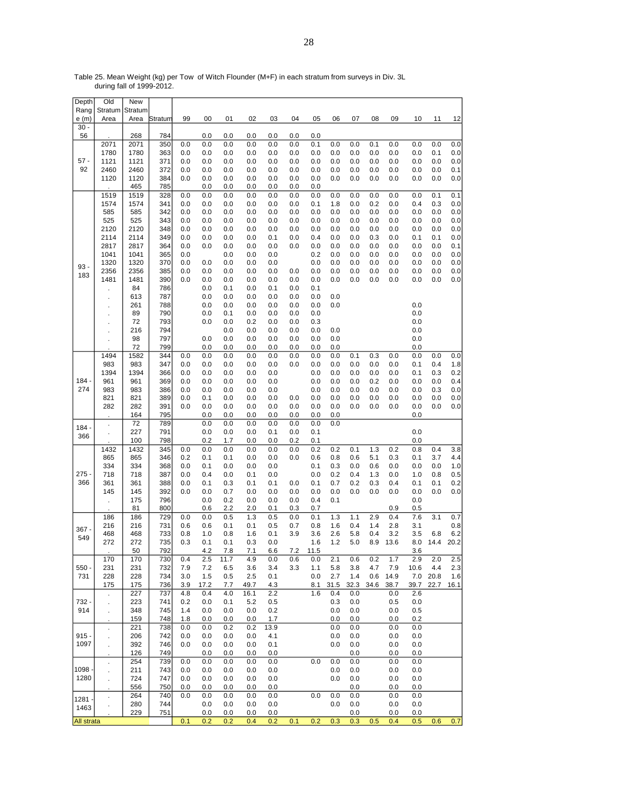Table 25. Mean Weight (kg) per Tow of Witch Flounder (M+F) in each stratum from surveys in Div. 3L during fall of 1999-2012.

| Depth      | Old            | New          |            |            |            |            |            |            |            |            |            |            |            |            |            |            |            |
|------------|----------------|--------------|------------|------------|------------|------------|------------|------------|------------|------------|------------|------------|------------|------------|------------|------------|------------|
| Rang       | Stratum        | Stratum      |            |            |            |            |            |            |            |            |            |            |            |            |            |            |            |
| e (m)      | Area           | Area         | Stratum    | 99         | 00         | 01         | 02         | 03         | 04         | 05         | 06         | 07         | 08         | 09         | 10         | 11         | 12         |
| $30 -$     |                |              |            |            |            |            |            |            |            |            |            |            |            |            |            |            |            |
| 56         |                | 268          | 784        |            | 0.0        | 0.0        | 0.0        | 0.0        | 0.0        | 0.0        |            |            |            |            |            |            |            |
|            | 2071           | 2071         | 350        | 0.0        | 0.0        | 0.0        | 0.0        | 0.0        | 0.0        | 0.1        | 0.0        | 0.0        | 0.1        | 0.0        | 0.0        | 0.0        | 0.0        |
| $57 -$     | 1780<br>1121   | 1780         | 363<br>371 | 0.0<br>0.0 | 0.0        | 0.0        | 0.0        | 0.0        | 0.0        | 0.0        | 0.0<br>0.0 | 0.0        | 0.0        | 0.0        | 0.0        | 0.1<br>0.0 | 0.0<br>0.0 |
| 92         | 2460           | 1121<br>2460 | 372        | 0.0        | 0.0<br>0.0 | 0.0<br>0.0 | 0.0<br>0.0 | 0.0<br>0.0 | 0.0<br>0.0 | 0.0<br>0.0 | 0.0        | 0.0<br>0.0 | 0.0<br>0.0 | 0.0<br>0.0 | 0.0<br>0.0 | 0.0        | 0.1        |
|            | 1120           | 1120         | 384        | 0.0        | 0.0        | 0.0        | 0.0        | 0.0        | 0.0        | 0.0        | 0.0        | 0.0        | 0.0        | 0.0        | 0.0        | 0.0        | 0.0        |
|            |                | 465          | 785        |            | 0.0        | 0.0        | 0.0        | 0.0        | 0.0        | 0.0        |            |            |            |            |            |            |            |
|            | 1519           | 1519         | 328        | 0.0        | 0.0        | 0.0        | 0.0        | 0.0        | 0.0        | 0.0        | 0.0        | 0.0        | 0.0        | 0.0        | 0.0        | 0.1        | 0.1        |
|            | 1574           | 1574         | 341        | 0.0        | 0.0        | 0.0        | 0.0        | 0.0        | 0.0        | 0.1        | 1.8        | 0.0        | 0.2        | 0.0        | 0.4        | 0.3        | 0.0        |
|            | 585            | 585          | 342        | 0.0        | 0.0        | 0.0        | 0.0        | 0.0        | 0.0        | 0.0        | 0.0        | 0.0        | 0.0        | 0.0        | 0.0        | 0.0        | 0.0        |
|            | 525            | 525          | 343        | 0.0        | 0.0        | 0.0        | 0.0        | 0.0        | 0.0        | 0.0        | 0.0        | 0.0        | 0.0        | 0.0        | 0.0        | 0.0        | 0.0        |
|            | 2120           | 2120         | 348        | 0.0        | 0.0        | 0.0        | 0.0        | 0.0        | 0.0        | 0.0        | 0.0        | 0.0        | 0.0        | 0.0        | 0.0        | 0.0        | 0.0        |
|            | 2114           | 2114         | 349        | 0.0        | 0.0        | 0.0        | 0.0        | 0.1        | 0.0        | 0.4        | 0.0        | 0.0        | 0.3        | 0.0        | 0.1        | 0.1        | 0.0        |
|            | 2817           | 2817         | 364        | 0.0        | 0.0        | 0.0        | 0.0        | 0.0        | 0.0        | 0.0        | 0.0        | 0.0        | 0.0        | 0.0        | 0.0        | 0.0        | 0.1        |
|            | 1041           | 1041         | 365        | 0.0        |            | 0.0        | 0.0        | 0.0        |            | 0.2        | 0.0        | 0.0        | 0.0        | 0.0        | 0.0        | 0.0        | 0.0        |
| $93 -$     | 1320           | 1320         | 370        | 0.0        | 0.0        | 0.0        | 0.0        | 0.0        |            | 0.0        | 0.0        | 0.0        | 0.0        | 0.0        | 0.0        | 0.0        | 0.0        |
| 183        | 2356           | 2356         | 385        | 0.0        | 0.0        | 0.0        | 0.0        | 0.0        | 0.0        | 0.0        | 0.0        | 0.0        | 0.0        | 0.0        | 0.0        | 0.0        | 0.0        |
|            | 1481           | 1481         | 390        | 0.0        | 0.0        | 0.0        | 0.0        | 0.0        | 0.0        | 0.0        | 0.0        | 0.0        | 0.0        | 0.0        | 0.0        | 0.0        | 0.0        |
|            |                | 84           | 786        |            | 0.0        | 0.1        | 0.0        | 0.1        | 0.0        | 0.1        |            |            |            |            |            |            |            |
|            |                | 613          | 787        |            | 0.0        | 0.0        | 0.0        | 0.0        | 0.0        | 0.0        | 0.0        |            |            |            |            |            |            |
|            |                | 261          | 788        |            | 0.0        | 0.0        | 0.0        | 0.0        | 0.0        | 0.0        | 0.0        |            |            |            | 0.0        |            |            |
|            | ä,             | 89           | 790        |            | 0.0        | 0.1        | 0.0        | 0.0        | 0.0        | 0.0        |            |            |            |            | 0.0        |            |            |
|            |                | 72<br>216    | 793<br>794 |            | 0.0        | 0.0<br>0.0 | 0.2<br>0.0 | 0.0<br>0.0 | 0.0<br>0.0 | 0.3<br>0.0 | 0.0        |            |            |            | 0.0<br>0.0 |            |            |
|            | ä,             | 98           | 797        |            | 0.0        | 0.0        | 0.0        | 0.0        | 0.0        | 0.0        | 0.0        |            |            |            | 0.0        |            |            |
|            |                | 72           | 799        |            | 0.0        | 0.0        | 0.0        | 0.0        | 0.0        | 0.0        | 0.0        |            |            |            | 0.0        |            |            |
|            | 1494           | 1582         | 344        | 0.0        | 0.0        | 0.0        | 0.0        | 0.0        | 0.0        | 0.0        | 0.0        | 0.1        | 0.3        | 0.0        | 0.0        | 0.0        | 0.0        |
|            | 983            | 983          | 347        | 0.0        | 0.0        | 0.0        | 0.0        | 0.0        | 0.0        | 0.0        | 0.0        | 0.0        | 0.0        | 0.0        | 0.1        | 0.4        | 1.8        |
|            | 1394           | 1394         | 366        | 0.0        | 0.0        | 0.0        | 0.0        | 0.0        |            | 0.0        | 0.0        | 0.0        | 0.0        | 0.0        | 0.1        | 0.3        | 0.2        |
| $184 -$    | 961            | 961          | 369        | 0.0        | 0.0        | 0.0        | 0.0        | 0.0        |            | 0.0        | 0.0        | 0.0        | 0.2        | 0.0        | 0.0        | 0.0        | 0.4        |
| 274        | 983            | 983          | 386        | 0.0        | 0.0        | 0.0        | 0.0        | 0.0        |            | 0.0        | 0.0        | 0.0        | 0.0        | 0.0        | 0.0        | 0.3        | 0.0        |
|            | 821            | 821          | 389        | 0.0        | 0.1        | 0.0        | 0.0        | 0.0        | 0.0        | 0.0        | 0.0        | 0.0        | 0.0        | 0.0        | 0.0        | 0.0        | 0.0        |
|            | 282            | 282          | 391        | 0.0        | 0.0        | 0.0        | 0.0        | 0.0        | 0.0        | 0.0        | 0.0        | 0.0        | 0.0        | 0.0        | 0.0        | 0.0        | 0.0        |
|            |                | 164          | 795        |            | 0.0        | 0.0        | 0.0        | 0.0        | 0.0        | 0.0        | 0.0        |            |            |            | 0.0        |            |            |
| $184 -$    |                | 72           | 789        |            | 0.0        | 0.0        | 0.0        | 0.0        | 0.0        | 0.0        | 0.0        |            |            |            |            |            |            |
| 366        |                | 227          | 791        |            | 0.0        | 0.0        | 0.0        | 0.1        | 0.0        | 0.1        |            |            |            |            | 0.0        |            |            |
|            |                | 100          | 798        |            | 0.2        | 1.7        | 0.0        | 0.0        | 0.2        | 0.1        |            |            |            |            | 0.0        |            |            |
|            | 1432           | 1432         | 345        | 0.0        | 0.0        | 0.0        | 0.0        | 0.0        | 0.0        | 0.2        | 0.2        | 0.1        | 1.3        | 0.2        | 0.8        | 0.4        | 3.8        |
|            | 865            | 865          | 346        | 0.2        | 0.1        | 0.1        | 0.0        | 0.0        | 0.0        | 0.6        | 0.8        | 0.6        | 5.1        | 0.3        | 0.1        | 3.7        | 4.4        |
|            | 334            | 334          | 368        | 0.0        | 0.1        | 0.0        | 0.0        | 0.0        |            | 0.1        | 0.3        | 0.0        | 0.6        | 0.0        | 0.0        | 0.0        | 1.0        |
| $275 -$    | 718            | 718          | 387        | 0.0        | 0.4        | 0.0        | 0.1        | 0.0        |            | 0.0        | 0.2        | 0.4        | 1.3        | 0.0        | 1.0        | 0.8        | 0.5        |
| 366        | 361<br>145     | 361          | 388<br>392 | 0.0<br>0.0 | 0.1<br>0.0 | 0.3<br>0.7 | 0.1        | 0.1        | 0.0        | 0.1        | 0.7        | 0.2<br>0.0 | 0.3        | 0.4<br>0.0 | 0.1        | 0.1        | 0.2<br>0.0 |
|            |                | 145<br>175   | 796        |            | 0.0        | 0.2        | 0.0<br>0.0 | 0.0<br>0.0 | 0.0<br>0.0 | 0.0<br>0.4 | 0.0<br>0.1 |            | 0.0        |            | 0.0<br>0.0 | 0.0        |            |
|            |                | 81           | 800        |            | 0.6        | 2.2        | 2.0        | 0.1        | 0.3        | 0.7        |            |            |            | 0.9        | 0.5        |            |            |
|            | 186            | 186          | 729        | 0.0        | 0.0        | 0.5        | 1.3        | 0.5        | 0.0        | 0.1        | 1.3        | 1.1        | 2.9        | 0.4        | 7.6        | 3.1        | 0.7        |
|            | 216            | 216          | 731        | 0.6        | 0.6        | 0.1        | 0.1        | 0.5        | 0.7        | 0.8        | 1.6        | 0.4        | 1.4        | 2.8        | 3.1        |            | 0.8        |
| $367 -$    | 468            | 468          | 733        | 0.8        | 1.0        | 0.8        | 1.6        | 0.1        | 3.9        | 3.6        | 2.6        | 5.8        | 0.4        | 3.2        | 3.5        | 6.8        | 6.2        |
| 549        | 272            | 272          | 735        | 0.3        | 0.1        | 0.1        | 0.3        | 0.0        |            | 1.6        | 1.2        | 5.0        | 8.9        | 13.6       | 8.0        | 14.4       | 20.2       |
|            |                | 50           | 792        |            | 4.2        | 7.8        | 7.1        | 6.6        | 7.2        | 11.5       |            |            |            |            | 3.6        |            |            |
|            | 170            | 170          | 730        | 0.4        | 2.5        | 11.7       | 4.9        | 0.0        | 0.6        | 0.0        | 2.1        | 0.6        | 0.2        | 1.7        | 2.9        | 2.0        | 2.5        |
| $550 -$    | 231            | 231          | 732        | 7.9        | 7.2        | 6.5        | 3.6        | 3.4        | 3.3        | 1.1        | 5.8        | 3.8        | 4.7        | 7.9        | 10.6       | 4.4        | 2.3        |
| 731        | 228            | 228          | 734        | 3.0        | 1.5        | 0.5        | 2.5        | 0.1        |            | 0.0        | 2.7        | 1.4        | 0.6        | 14.9       | 7.0        | 20.8       | 1.6        |
|            | 175            | 175          | 736        | 3.9        | 17.2       | 7.7        | 49.7       | 4.3        |            | 8.1        | 31.5       | 32.3       | 34.6       | 38.7       | 39.7       | 22.7       | 16.1       |
|            | ÷.             | 227          | 737        | 4.8        | 0.4        | 4.0        | 16.1       | 2.2        |            | 1.6        | 0.4        | 0.0        |            | 0.0        | 2.6        |            |            |
| 732 -      |                | 223          | 741        | 0.2        | 0.0        | 0.1        | 5.2        | 0.5        |            |            | 0.3        | 0.0        |            | 0.5        | 0.0        |            |            |
| 914        | ä,             | 348          | 745        | 1.4        | 0.0        | 0.0        | 0.0        | 0.2        |            |            | 0.0        | 0.0        |            | 0.0        | 0.5        |            |            |
|            |                | 159          | 748        | 1.8        | 0.0        | 0.0        | 0.0        | 1.7        |            |            | 0.0        | 0.0        |            | 0.0        | 0.2        |            |            |
|            | $\blacksquare$ | 221          | 738        | 0.0        | 0.0        | 0.2        | 0.2        | 13.9       |            |            | 0.0        | 0.0        |            | 0.0        | 0.0        |            |            |
| $915 -$    | ä,             | 206          | 742        | 0.0        | 0.0        | 0.0        | 0.0        | 4.1        |            |            | 0.0        | 0.0        |            | 0.0        | 0.0        |            |            |
| 1097       |                | 392          | 746<br>749 | 0.0        | 0.0        | 0.0        | 0.0        | 0.1        |            |            | 0.0        | 0.0        |            | 0.0        | 0.0        |            |            |
|            |                | 126<br>254   | 739        | 0.0        | 0.0<br>0.0 | 0.0<br>0.0 | 0.0<br>0.0 | 0.0<br>0.0 |            | 0.0        | 0.0        | 0.0        |            | 0.0<br>0.0 | 0.0<br>0.0 |            |            |
| 1098       | l.             | 211          | 743        | 0.0        | 0.0        | 0.0        | 0.0        | 0.0        |            |            | 0.0        | 0.0<br>0.0 |            | 0.0        | 0.0        |            |            |
| 1280       |                | 724          | 747        | 0.0        | 0.0        | 0.0        | 0.0        | 0.0        |            |            | 0.0        | 0.0        |            | 0.0        | 0.0        |            |            |
|            |                | 556          | 750        | 0.0        | 0.0        | 0.0        | 0.0        | 0.0        |            |            |            | 0.0        |            | 0.0        | 0.0        |            |            |
|            |                | 264          | 740        | 0.0        | 0.0        | 0.0        | 0.0        | 0.0        |            | 0.0        | 0.0        | 0.0        |            | 0.0        | 0.0        |            |            |
| 1281       |                | 280          | 744        |            | 0.0        | 0.0        | 0.0        | 0.0        |            |            | 0.0        | 0.0        |            | 0.0        | 0.0        |            |            |
| 1463       |                | 229          | 751        |            | 0.0        | 0.0        | 0.0        | 0.0        |            |            |            | 0.0        |            | 0.0        | 0.0        |            |            |
| All strata |                |              |            | 0.1        | 0.2        | 0.2        | 0.4        | 0.2        | 0.1        | 0.2        | 0.3        | 0.3        | 0.5        | 0.4        | 0.5        | 0.6        | 0.7        |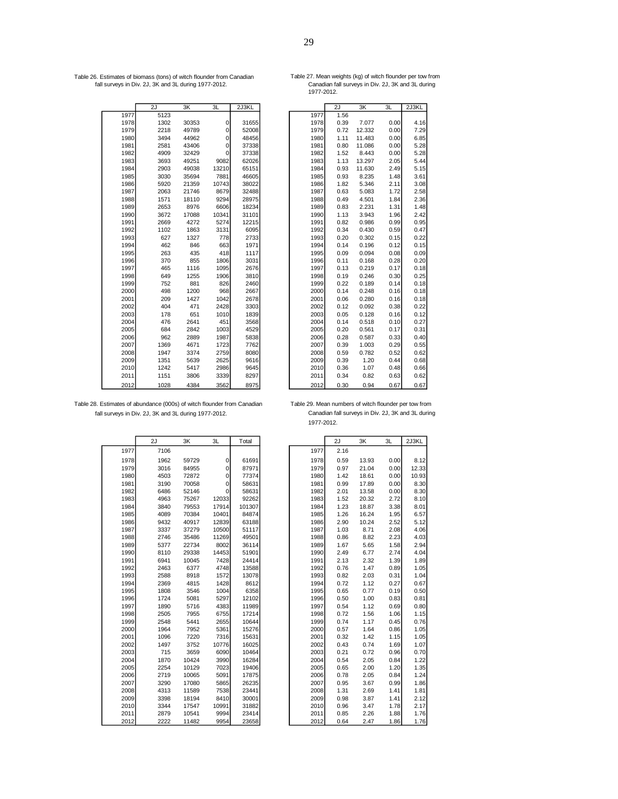Table 26. Estimates of biomass (tons) of witch flounder from Canadian Table 27. Mean weights (kg) of witch flounder per tow from . fall surveys in Div. 2J, 3K and 3L during 1977-2012. Canadian fall surveys in Div. 2J, 3K and 3L during .

Table 27. Mean weights (kg) of witch flounder per tow from<br>Canadian fall surveys in Div. 2J, 3K and 3L during<br>1977-2012.

|      | 2J   | 3K    | 3L             | 2J3KL |      | 2J   | 3K     | 3L   | 2J3KL |
|------|------|-------|----------------|-------|------|------|--------|------|-------|
| 1977 | 5123 |       |                |       | 1977 | 1.56 |        |      |       |
| 1978 | 1302 | 30353 | $\overline{0}$ | 31655 | 1978 | 0.39 | 7.077  | 0.00 | 4.16  |
| 1979 | 2218 | 49789 | 0              | 52008 | 1979 | 0.72 | 12.332 | 0.00 | 7.29  |
| 1980 | 3494 | 44962 | $\overline{0}$ | 48456 | 1980 | 1.11 | 11.483 | 0.00 | 6.85  |
| 1981 | 2581 | 43406 | $\overline{0}$ | 37338 | 1981 | 0.80 | 11.086 | 0.00 | 5.28  |
| 1982 | 4909 | 32429 | $\Omega$       | 37338 | 1982 | 1.52 | 8.443  | 0.00 | 5.28  |
| 1983 | 3693 | 49251 | 9082           | 62026 | 1983 | 1.13 | 13.297 | 2.05 | 5.44  |
| 1984 | 2903 | 49038 | 13210          | 65151 | 1984 | 0.93 | 11.630 | 2.49 | 5.15  |
| 1985 | 3030 | 35694 | 7881           | 46605 | 1985 | 0.93 | 8.235  | 1.48 | 3.61  |
| 1986 | 5920 | 21359 | 10743          | 38022 | 1986 | 1.82 | 5.346  | 2.11 | 3.08  |
| 1987 | 2063 | 21746 | 8679           | 32488 | 1987 | 0.63 | 5.083  | 1.72 | 2.58  |
| 1988 | 1571 | 18110 | 9294           | 28975 | 1988 | 0.49 | 4.501  | 1.84 | 2.36  |
| 1989 | 2653 | 8976  | 6606           | 18234 | 1989 | 0.83 | 2.231  | 1.31 | 1.48  |
| 1990 | 3672 | 17088 | 10341          | 31101 | 1990 | 1.13 | 3.943  | 1.96 | 2.42  |
| 1991 | 2669 | 4272  | 5274           | 12215 | 1991 | 0.82 | 0.986  | 0.99 | 0.95  |
| 1992 | 1102 | 1863  | 3131           | 6095  | 1992 | 0.34 | 0.430  | 0.59 | 0.47  |
| 1993 | 627  | 1327  | 778            | 2733  | 1993 | 0.20 | 0.302  | 0.15 | 0.22  |
| 1994 | 462  | 846   | 663            | 1971  | 1994 | 0.14 | 0.196  | 0.12 | 0.15  |
| 1995 | 263  | 435   | 418            | 1117  | 1995 | 0.09 | 0.094  | 0.08 | 0.09  |
| 1996 | 370  | 855   | 1806           | 3031  | 1996 | 0.11 | 0.168  | 0.28 | 0.20  |
| 1997 | 465  | 1116  | 1095           | 2676  | 1997 | 0.13 | 0.219  | 0.17 | 0.18  |
| 1998 | 649  | 1255  | 1906           | 3810  | 1998 | 0.19 | 0.246  | 0.30 | 0.25  |
| 1999 | 752  | 881   | 826            | 2460  | 1999 | 0.22 | 0.189  | 0.14 | 0.18  |
| 2000 | 498  | 1200  | 968            | 2667  | 2000 | 0.14 | 0.248  | 0.16 | 0.18  |
| 2001 | 209  | 1427  | 1042           | 2678  | 2001 | 0.06 | 0.280  | 0.16 | 0.18  |
| 2002 | 404  | 471   | 2428           | 3303  | 2002 | 0.12 | 0.092  | 0.38 | 0.22  |
| 2003 | 178  | 651   | 1010           | 1839  | 2003 | 0.05 | 0.128  | 0.16 | 0.12  |
| 2004 | 476  | 2641  | 451            | 3568  | 2004 | 0.14 | 0.518  | 0.10 | 0.27  |
| 2005 | 684  | 2842  | 1003           | 4529  | 2005 | 0.20 | 0.561  | 0.17 | 0.31  |
| 2006 | 962  | 2889  | 1987           | 5838  | 2006 | 0.28 | 0.587  | 0.33 | 0.40  |
| 2007 | 1369 | 4671  | 1723           | 7762  | 2007 | 0.39 | 1.003  | 0.29 | 0.55  |
| 2008 | 1947 | 3374  | 2759           | 8080  | 2008 | 0.59 | 0.782  | 0.52 | 0.62  |
| 2009 | 1351 | 5639  | 2625           | 9616  | 2009 | 0.39 | 1.20   | 0.44 | 0.68  |
| 2010 | 1242 | 5417  | 2986           | 9645  | 2010 | 0.36 | 1.07   | 0.48 | 0.66  |
| 2011 | 1151 | 3806  | 3339           | 8297  | 2011 | 0.34 | 0.82   | 0.63 | 0.62  |
| 2012 | 1029 | A2QA  | 2562           | 9075  | 2012 | 0.30 | 0.04   | 0.67 | 0.67  |

|      | ZJ.  | ЗΚ    | 3L    | 2J3KL |      | ZJ   | 3К     | ЗL   | 2J3KL |
|------|------|-------|-------|-------|------|------|--------|------|-------|
| 1977 | 5123 |       |       |       | 1977 | 1.56 |        |      |       |
| 1978 | 1302 | 30353 | 0     | 31655 | 1978 | 0.39 | 7.077  | 0.00 | 4.16  |
| 1979 | 2218 | 49789 | 0     | 52008 | 1979 | 0.72 | 12.332 | 0.00 | 7.29  |
| 1980 | 3494 | 44962 | 0     | 48456 | 1980 | 1.11 | 11.483 | 0.00 | 6.85  |
| 1981 | 2581 | 43406 | 0     | 37338 | 1981 | 0.80 | 11.086 | 0.00 | 5.28  |
| 1982 | 4909 | 32429 | 0     | 37338 | 1982 | 1.52 | 8.443  | 0.00 | 5.28  |
| 1983 | 3693 | 49251 | 9082  | 62026 | 1983 | 1.13 | 13.297 | 2.05 | 5.44  |
| 1984 | 2903 | 49038 | 13210 | 65151 | 1984 | 0.93 | 11.630 | 2.49 | 5.15  |
| 1985 | 3030 | 35694 | 7881  | 46605 | 1985 | 0.93 | 8.235  | 1.48 | 3.61  |
| 1986 | 5920 | 21359 | 10743 | 38022 | 1986 | 1.82 | 5.346  | 2.11 | 3.08  |
| 1987 | 2063 | 21746 | 8679  | 32488 | 1987 | 0.63 | 5.083  | 1.72 | 2.58  |
| 1988 | 1571 | 18110 | 9294  | 28975 | 1988 | 0.49 | 4.501  | 1.84 | 2.36  |
| 1989 | 2653 | 8976  | 6606  | 18234 | 1989 | 0.83 | 2.231  | 1.31 | 1.48  |
| 1990 | 3672 | 17088 | 10341 | 31101 | 1990 | 1.13 | 3.943  | 1.96 | 2.42  |
| 1991 | 2669 | 4272  | 5274  | 12215 | 1991 | 0.82 | 0.986  | 0.99 | 0.95  |
| 1992 | 1102 | 1863  | 3131  | 6095  | 1992 | 0.34 | 0.430  | 0.59 | 0.47  |
| 1993 | 627  | 1327  | 778   | 2733  | 1993 | 0.20 | 0.302  | 0.15 | 0.22  |
| 1994 | 462  | 846   | 663   | 1971  | 1994 | 0.14 | 0.196  | 0.12 | 0.15  |
| 1995 | 263  | 435   | 418   | 1117  | 1995 | 0.09 | 0.094  | 0.08 | 0.09  |
| 1996 | 370  | 855   | 1806  | 3031  | 1996 | 0.11 | 0.168  | 0.28 | 0.20  |
| 1997 | 465  | 1116  | 1095  | 2676  | 1997 | 0.13 | 0.219  | 0.17 | 0.18  |
| 1998 | 649  | 1255  | 1906  | 3810  | 1998 | 0.19 | 0.246  | 0.30 | 0.25  |
| 1999 | 752  | 881   | 826   | 2460  | 1999 | 0.22 | 0.189  | 0.14 | 0.18  |
| 2000 | 498  | 1200  | 968   | 2667  | 2000 | 0.14 | 0.248  | 0.16 | 0.18  |
| 2001 | 209  | 1427  | 1042  | 2678  | 2001 | 0.06 | 0.280  | 0.16 | 0.18  |
| 2002 | 404  | 471   | 2428  | 3303  | 2002 | 0.12 | 0.092  | 0.38 | 0.22  |
| 2003 | 178  | 651   | 1010  | 1839  | 2003 | 0.05 | 0.128  | 0.16 | 0.12  |
| 2004 | 476  | 2641  | 451   | 3568  | 2004 | 0.14 | 0.518  | 0.10 | 0.27  |
| 2005 | 684  | 2842  | 1003  | 4529  | 2005 | 0.20 | 0.561  | 0.17 | 0.31  |
| 2006 | 962  | 2889  | 1987  | 5838  | 2006 | 0.28 | 0.587  | 0.33 | 0.40  |
| 2007 | 1369 | 4671  | 1723  | 7762  | 2007 | 0.39 | 1.003  | 0.29 | 0.55  |
| 2008 | 1947 | 3374  | 2759  | 8080  | 2008 | 0.59 | 0.782  | 0.52 | 0.62  |
| 2009 | 1351 | 5639  | 2625  | 9616  | 2009 | 0.39 | 1.20   | 0.44 | 0.68  |
| 2010 | 1242 | 5417  | 2986  | 9645  | 2010 | 0.36 | 1.07   | 0.48 | 0.66  |
| 2011 | 1151 | 3806  | 3339  | 8297  | 2011 | 0.34 | 0.82   | 0.63 | 0.62  |
| 2012 | 1028 | 4384  | 3562  | 8975  | 2012 | 0.30 | 0.94   | 0.67 | 0.67  |
|      |      |       |       |       |      |      |        |      |       |

Table 28. Estimates of abundance (000s) of witch flounder from Canadian fall surveys in Div. 2J, 3K and 3L during 1977-2012.

|      | 2J   | 3K    | 3L    | Total  |      | 2J   | 3K    | 3L   | 2J3KL |
|------|------|-------|-------|--------|------|------|-------|------|-------|
| 1977 | 7106 |       |       |        | 1977 | 2.16 |       |      |       |
| 1978 | 1962 | 59729 | 0     | 61691  | 1978 | 0.59 | 13.93 | 0.00 | 8.12  |
| 1979 | 3016 | 84955 | 0     | 87971  | 1979 | 0.97 | 21.04 | 0.00 | 12.33 |
| 1980 | 4503 | 72872 | 0     | 77374  | 1980 | 1.42 | 18.61 | 0.00 | 10.93 |
| 1981 | 3190 | 70058 | 0     | 58631  | 1981 | 0.99 | 17.89 | 0.00 | 8.30  |
| 1982 | 6486 | 52146 | 0     | 58631  | 1982 | 2.01 | 13.58 | 0.00 | 8.30  |
| 1983 | 4963 | 75267 | 12033 | 92262  | 1983 | 1.52 | 20.32 | 2.72 | 8.10  |
| 1984 | 3840 | 79553 | 17914 | 101307 | 1984 | 1.23 | 18.87 | 3.38 | 8.01  |
| 1985 | 4089 | 70384 | 10401 | 84874  | 1985 | 1.26 | 16.24 | 1.95 | 6.57  |
| 1986 | 9432 | 40917 | 12839 | 63188  | 1986 | 2.90 | 10.24 | 2.52 | 5.12  |
| 1987 | 3337 | 37279 | 10500 | 51117  | 1987 | 1.03 | 8.71  | 2.08 | 4.06  |
| 1988 | 2746 | 35486 | 11269 | 49501  | 1988 | 0.86 | 8.82  | 2.23 | 4.03  |
| 1989 | 5377 | 22734 | 8002  | 36114  | 1989 | 1.67 | 5.65  | 1.58 | 2.94  |
| 1990 | 8110 | 29338 | 14453 | 51901  | 1990 | 2.49 | 6.77  | 2.74 | 4.04  |
| 1991 | 6941 | 10045 | 7428  | 24414  | 1991 | 2.13 | 2.32  | 1.39 | 1.89  |
| 1992 | 2463 | 6377  | 4748  | 13588  | 1992 | 0.76 | 1.47  | 0.89 | 1.05  |
| 1993 | 2588 | 8918  | 1572  | 13078  | 1993 | 0.82 | 2.03  | 0.31 | 1.04  |
| 1994 | 2369 | 4815  | 1428  | 8612   | 1994 | 0.72 | 1.12  | 0.27 | 0.67  |
| 1995 | 1808 | 3546  | 1004  | 6358   | 1995 | 0.65 | 0.77  | 0.19 | 0.50  |
| 1996 | 1724 | 5081  | 5297  | 12102  | 1996 | 0.50 | 1.00  | 0.83 | 0.81  |
| 1997 | 1890 | 5716  | 4383  | 11989  | 1997 | 0.54 | 1.12  | 0.69 | 0.80  |
| 1998 | 2505 | 7955  | 6755  | 17214  | 1998 | 0.72 | 1.56  | 1.06 | 1.15  |
| 1999 | 2548 | 5441  | 2655  | 10644  | 1999 | 0.74 | 1.17  | 0.45 | 0.76  |
| 2000 | 1964 | 7952  | 5361  | 15276  | 2000 | 0.57 | 1.64  | 0.86 | 1.05  |
| 2001 | 1096 | 7220  | 7316  | 15631  | 2001 | 0.32 | 1.42  | 1.15 | 1.05  |
| 2002 | 1497 | 3752  | 10776 | 16025  | 2002 | 0.43 | 0.74  | 1.69 | 1.07  |
| 2003 | 715  | 3659  | 6090  | 10464  | 2003 | 0.21 | 0.72  | 0.96 | 0.70  |
| 2004 | 1870 | 10424 | 3990  | 16284  | 2004 | 0.54 | 2.05  | 0.84 | 1.22  |
| 2005 | 2254 | 10129 | 7023  | 19406  | 2005 | 0.65 | 2.00  | 1.20 | 1.35  |
| 2006 | 2719 | 10065 | 5091  | 17875  | 2006 | 0.78 | 2.05  | 0.84 | 1.24  |
| 2007 | 3290 | 17080 | 5865  | 26235  | 2007 | 0.95 | 3.67  | 0.99 | 1.86  |
| 2008 | 4313 | 11589 | 7538  | 23441  | 2008 | 1.31 | 2.69  | 1.41 | 1.81  |
| 2009 | 3398 | 18194 | 8410  | 30001  | 2009 | 0.98 | 3.87  | 1.41 | 2.12  |
| 2010 | 3344 | 17547 | 10991 | 31882  | 2010 | 0.96 | 3.47  | 1.78 | 2.17  |
| 2011 | 2879 | 10541 | 9994  | 23414  | 2011 | 0.85 | 2.26  | 1.88 | 1.76  |
| 2012 | 2222 | 11482 | 9954  | 23658  | 2012 | 0.64 | 2.47  | 1.86 | 1.76  |

| Table 29. Mean numbers of witch flounder per tow from |
|-------------------------------------------------------|
| Canadian fall surveys in Div. 2J, 3K and 3L during    |
| 1977-2012.                                            |

| 2J   | 3K    | 3L    | Total  |      | 2J   | ЗK    | 3L   | 2J3KL |
|------|-------|-------|--------|------|------|-------|------|-------|
| 7106 |       |       |        | 1977 | 2.16 |       |      |       |
| 1962 | 59729 | 0     | 61691  | 1978 | 0.59 | 13.93 | 0.00 | 8.12  |
| 3016 | 84955 | 0     | 87971  | 1979 | 0.97 | 21.04 | 0.00 | 12.33 |
| 4503 | 72872 | 0     | 77374  | 1980 | 1.42 | 18.61 | 0.00 | 10.93 |
| 3190 | 70058 | 0     | 58631  | 1981 | 0.99 | 17.89 | 0.00 | 8.30  |
| 6486 | 52146 | 0     | 58631  | 1982 | 2.01 | 13.58 | 0.00 | 8.30  |
| 4963 | 75267 | 12033 | 92262  | 1983 | 1.52 | 20.32 | 2.72 | 8.10  |
| 3840 | 79553 | 17914 | 101307 | 1984 | 1.23 | 18.87 | 3.38 | 8.01  |
| 4089 | 70384 | 10401 | 84874  | 1985 | 1.26 | 16.24 | 1.95 | 6.57  |
| 9432 | 40917 | 12839 | 63188  | 1986 | 2.90 | 10.24 | 2.52 | 5.12  |
| 3337 | 37279 | 10500 | 51117  | 1987 | 1.03 | 8.71  | 2.08 | 4.06  |
| 2746 | 35486 | 11269 | 49501  | 1988 | 0.86 | 8.82  | 2.23 | 4.03  |
| 5377 | 22734 | 8002  | 36114  | 1989 | 1.67 | 5.65  | 1.58 | 2.94  |
| 8110 | 29338 | 14453 | 51901  | 1990 | 2.49 | 6.77  | 2.74 | 4.04  |
| 6941 | 10045 | 7428  | 24414  | 1991 | 2.13 | 2.32  | 1.39 | 1.89  |
| 2463 | 6377  | 4748  | 13588  | 1992 | 0.76 | 1.47  | 0.89 | 1.05  |
| 2588 | 8918  | 1572  | 13078  | 1993 | 0.82 | 2.03  | 0.31 | 1.04  |
| 2369 | 4815  | 1428  | 8612   | 1994 | 0.72 | 1.12  | 0.27 | 0.67  |
| 1808 | 3546  | 1004  | 6358   | 1995 | 0.65 | 0.77  | 0.19 | 0.50  |
| 1724 | 5081  | 5297  | 12102  | 1996 | 0.50 | 1.00  | 0.83 | 0.81  |
| 1890 | 5716  | 4383  | 11989  | 1997 | 0.54 | 1.12  | 0.69 | 0.80  |
| 2505 | 7955  | 6755  | 17214  | 1998 | 0.72 | 1.56  | 1.06 | 1.15  |
| 2548 | 5441  | 2655  | 10644  | 1999 | 0.74 | 1.17  | 0.45 | 0.76  |
| 1964 | 7952  | 5361  | 15276  | 2000 | 0.57 | 1.64  | 0.86 | 1.05  |
| 1096 | 7220  | 7316  | 15631  | 2001 | 0.32 | 1.42  | 1.15 | 1.05  |
| 1497 | 3752  | 10776 | 16025  | 2002 | 0.43 | 0.74  | 1.69 | 1.07  |
| 715  | 3659  | 6090  | 10464  | 2003 | 0.21 | 0.72  | 0.96 | 0.70  |
| 1870 | 10424 | 3990  | 16284  | 2004 | 0.54 | 2.05  | 0.84 | 1.22  |
| 2254 | 10129 | 7023  | 19406  | 2005 | 0.65 | 2.00  | 1.20 | 1.35  |
| 2719 | 10065 | 5091  | 17875  | 2006 | 0.78 | 2.05  | 0.84 | 1.24  |
| 3290 | 17080 | 5865  | 26235  | 2007 | 0.95 | 3.67  | 0.99 | 1.86  |
| 4313 | 11589 | 7538  | 23441  | 2008 | 1.31 | 2.69  | 1.41 | 1.81  |
| 3398 | 18194 | 8410  | 30001  | 2009 | 0.98 | 3.87  | 1.41 | 2.12  |
| 3344 | 17547 | 10991 | 31882  | 2010 | 0.96 | 3.47  | 1.78 | 2.17  |
| 2879 | 10541 | 9994  | 23414  | 2011 | 0.85 | 2.26  | 1.88 | 1.76  |
| 2222 | 11482 | 9954  | 23658  | 2012 | 0.64 | 2.47  | 1.86 | 1.76  |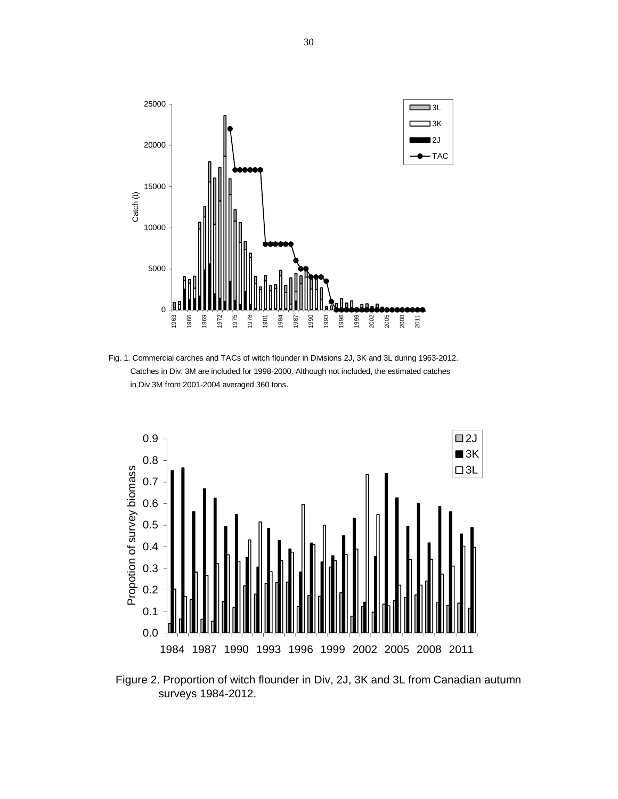

Fig. 1. Commercial carches and TACs of witch flounder in Divisions 2J, 3K and 3L during 1963-2012. Catches in Div. 3M are included for 1998-2000. Although not included, the estimated catches in Div 3M from 2001-2004 averaged 360 tons.



Figure 2. Proportion of witch flounder in Div, 2J, 3K and 3L from Canadian autumn surveys 1984-2012.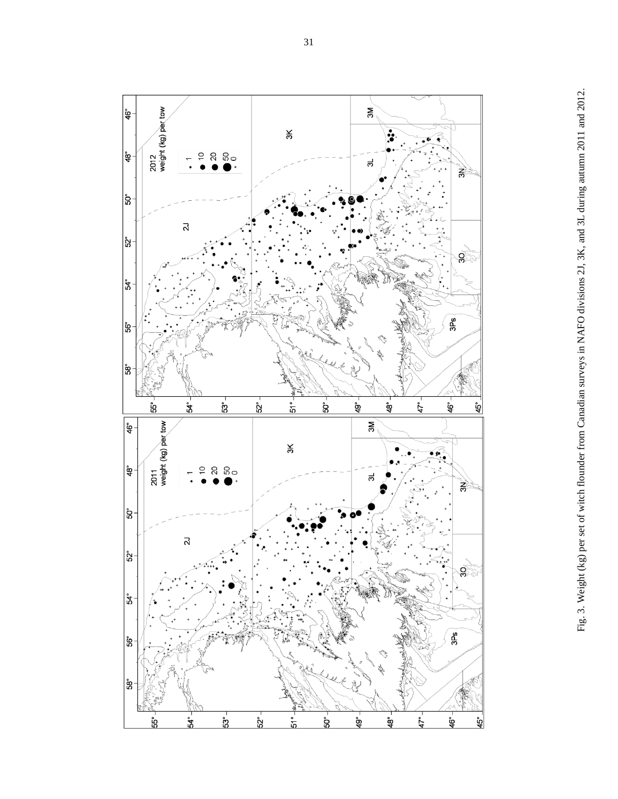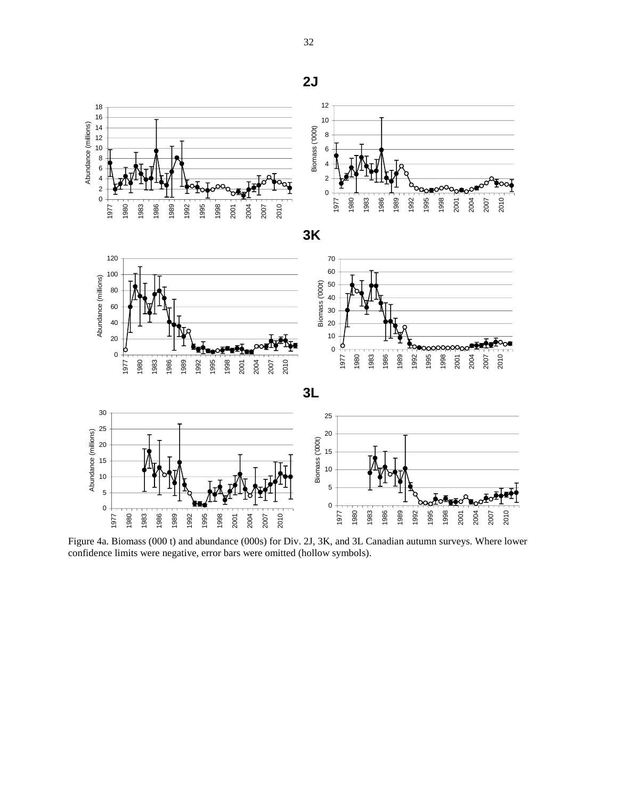



Figure 4a. Biomass (000 t) and abundance (000s) for Div. 2J, 3K, and 3L Canadian autumn surveys. Where lower confidence limits were negative, error bars were omitted (hollow symbols). Where lower confidence limit was negative, error bars were omitted (hollow symbol).

**2J**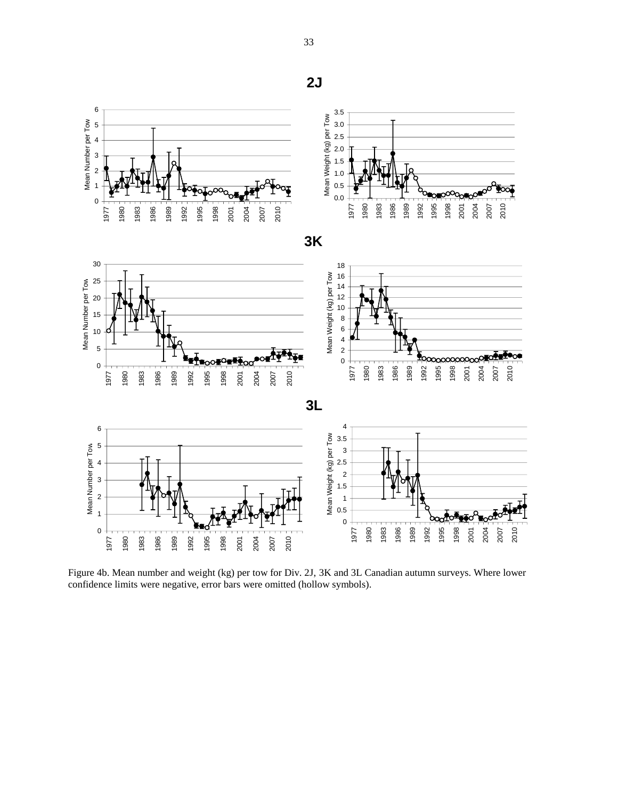

Figure 4b. Mean number and weight (kg) per tow for Div. 2J, 3K and 3L Canadian autumn surveys. Where lower confidence limits were negative, error bars were omitted (hollow symbols).

**2J**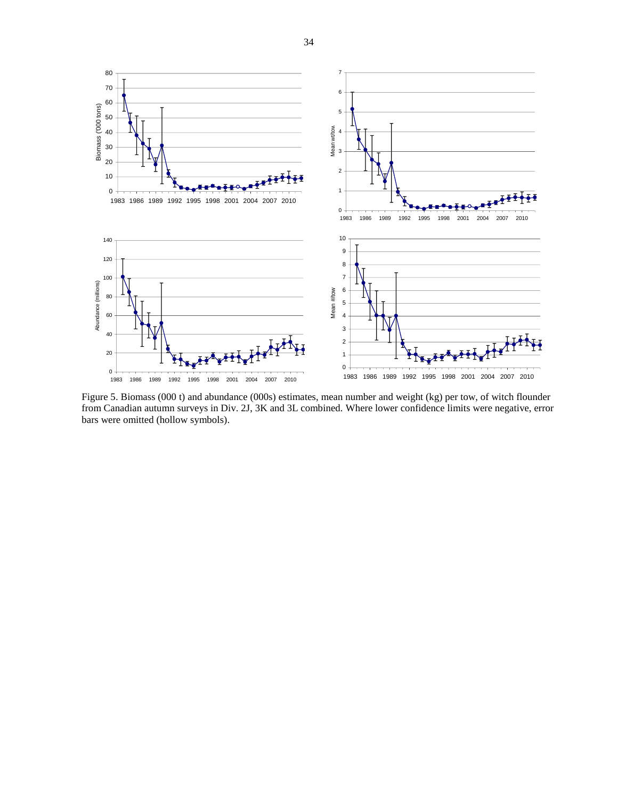

Figure 5. Biomass (000 t) and abundance (000s) estimates, mean number and weight (kg) per tow, of witch flounder from Canadian autumn surveys in Div. 2J, 3K and 3L combined. Where lower confidence limits were negative, error bars were omitted (hollow symbols).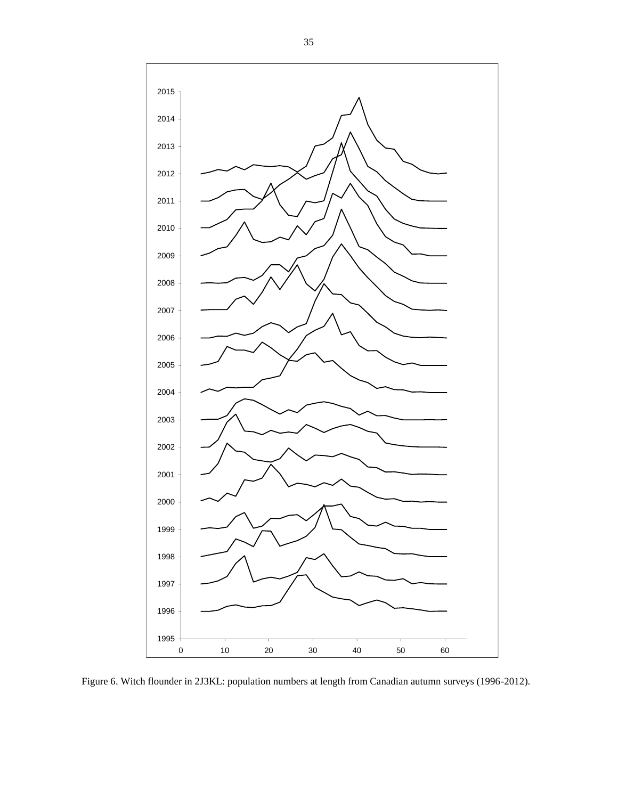

Figure 6. Witch flounder in 2J3KL: population numbers at length from Canadian autumn surveys (1996-2012).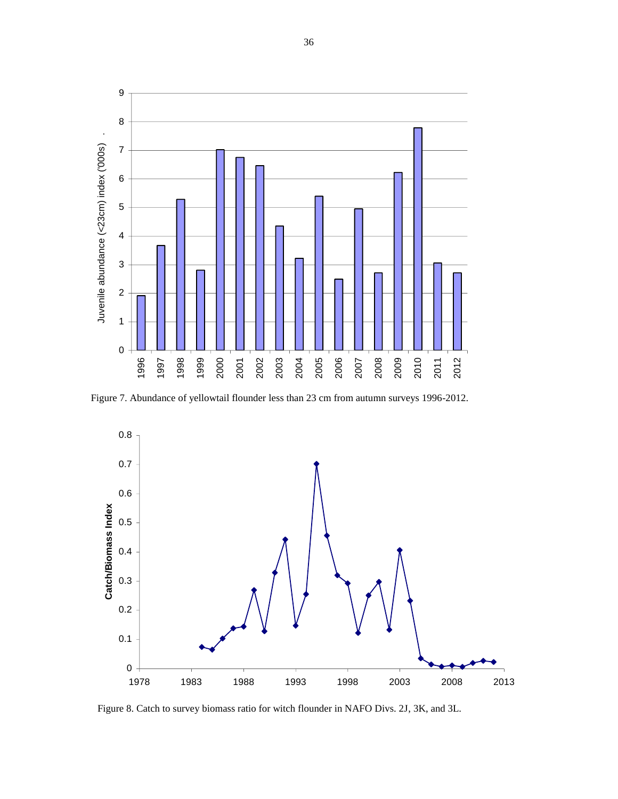

Figure 7. Abundance of yellowtail flounder less than 23 cm from autumn surveys 1996-2012.



Figure 8. Catch to survey biomass ratio for witch flounder in NAFO Divs. 2J, 3K, and 3L.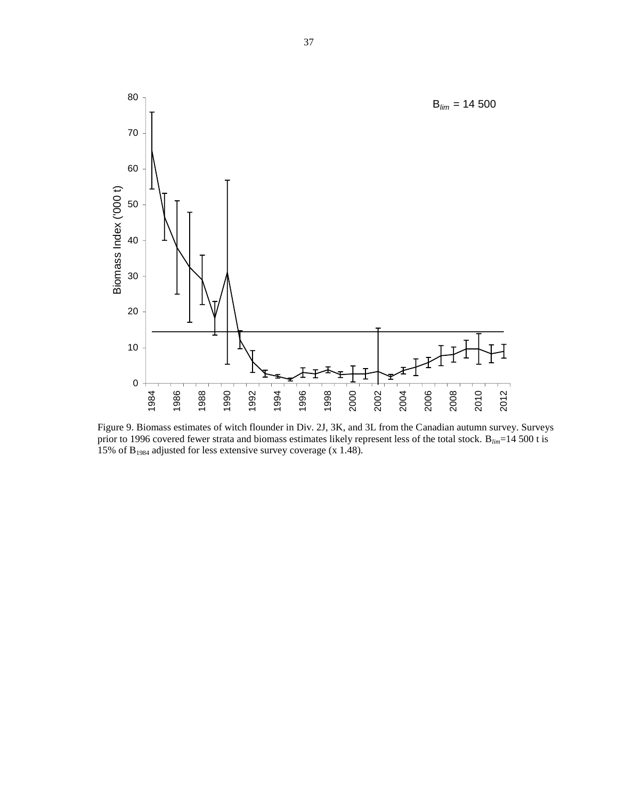

Figure 9. Biomass estimates of witch flounder in Div. 2J, 3K, and 3L from the Canadian autumn survey. Surveys prior to 1996 covered fewer strata and biomass estimates likely represent less of the total stock. B*lim*=14 500 t is 15% of B<sup>1984</sup> adjusted for less extensive survey coverage (x 1.48).